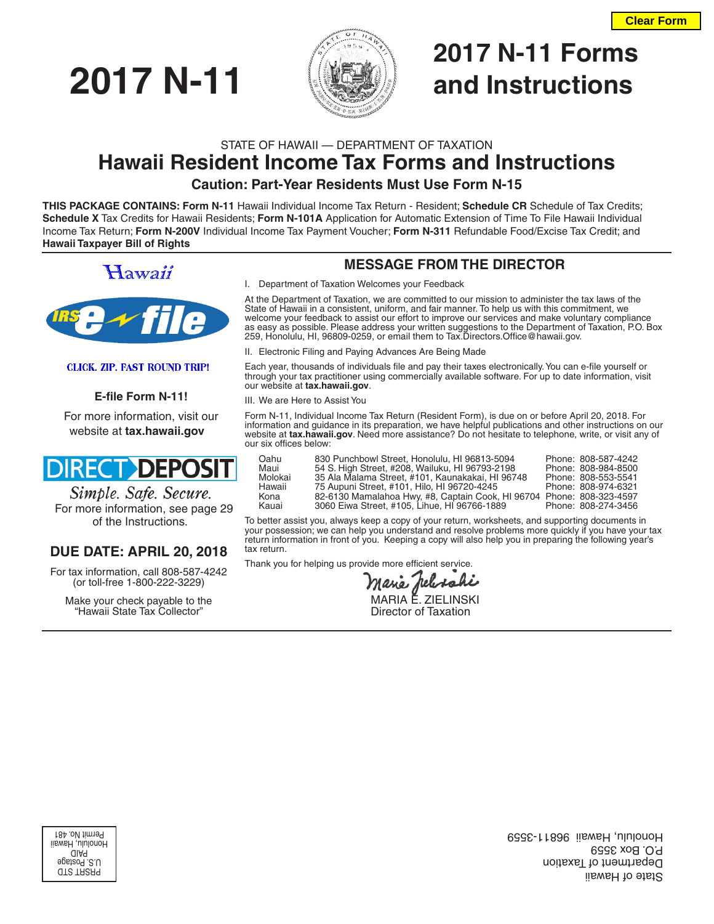

# **2017 N-11 Forms 2017 N-11 and Instructions**

# STATE OF HAWAII — DEPARTMENT OF TAXATION **Hawaii Resident Income Tax Forms and Instructions**

# **Caution: Part-Year Residents Must Use Form N-15**

**THIS PACKAGE CONTAINS: Form N-11** Hawaii Individual Income Tax Return - Resident; **Schedule CR** Schedule of Tax Credits; **Schedule X** Tax Credits for Hawaii Residents; **Form N-101A** Application for Automatic Extension of Time To File Hawaii Individual Income Tax Return; **Form N-200V** Individual Income Tax Payment Voucher; **Form N-311** Refundable Food/Excise Tax Credit; and **Hawaii Taxpayer Bill of Rights**

# Hawaii



### **CLICK. ZIP. FAST ROUND TRIP!**

### **E-file Form N-11!**

For more information, visit our website at **tax.hawaii.gov**

# **DIRECT DEPOSIT**

Simple. Safe. Secure. For more information, see page 29 of the Instructions.

# **DUE DATE: APRIL 20, 2018**

For tax information, call 808-587-4242 (or toll-free 1-800-222-3229)

Make your check payable to the "Hawaii State Tax Collector"

# **MESSAGE FROM THE DIRECTOR**

I. Department of Taxation Welcomes your Feedback

At the Department of Taxation, we are committed to our mission to administer the tax laws of the State of Hawaii in a consistent, uniform, and fair manner. To help us with this commitment, we welcome your feedback to assist our effort to improve our services and make voluntary compliance as easy as possible. Please address your written suggestions to the Department of Taxation, P.O. Box 259, Honolulu, HI, 96809-0259, or email them to Tax.Directors.Office@hawaii.gov.

II. Electronic Filing and Paying Advances Are Being Made

Each year, thousands of individuals file and pay their taxes electronically. You can e-file yourself or through your tax practitioner using commercially available software. For up to date information, visit our website at **tax.hawaii.gov**.

III. We are Here to Assist You

Form N-11, Individual Income Tax Return (Resident Form), is due on or before April 20, 2018. For information and guidance in its preparation, we have helpful publications and other instructions on our website at **tax.hawaii.gov**. Need more assistance? Do not hesitate to telephone, write, or visit any of our six offices below:

| Oahu<br>Maui<br>Molokai<br>Hawaii<br>Kona | 830 Punchbowl Street, Honolulu, HI 96813-5094<br>54 S. High Street, #208, Wailuku, HI 96793-2198<br>35 Ala Malama Street, #101, Kaunakakai, HI 96748<br>75 Aupuni Street, #101, Hilo, HI 96720-4245<br>82-6130 Mamalahoa Hwy, #8, Captain Cook, HI 96704 Phone: 808-323-4597 | Phone: 808-587-4242<br>Phone: 808-984-8500<br>Phone: 808-553-5541<br>Phone: 808-974-6321 |
|-------------------------------------------|------------------------------------------------------------------------------------------------------------------------------------------------------------------------------------------------------------------------------------------------------------------------------|------------------------------------------------------------------------------------------|
| Kauai                                     | 3060 Eiwa Street, #105, Lihue, HI 96766-1889                                                                                                                                                                                                                                 | Phone: 808-274-3456                                                                      |
|                                           |                                                                                                                                                                                                                                                                              |                                                                                          |

To better assist you, always keep a copy of your return, worksheets, and supporting documents in your possession; we can help you understand and resolve problems more quickly if you have your tax return information in front of you. Keeping a copy will also help you in preparing the following year's tax return.

Thank you for helping us provide more efficient service.

 MARIA E. ZIELINSKI Director of Taxation

PRSRT STD U.S. Postage PAID Honolulu, Hawaii Permit No. 481

State of Hawaii Department of Taxation P.O. Box 3559 Honolulu, Hawaii 96811-3559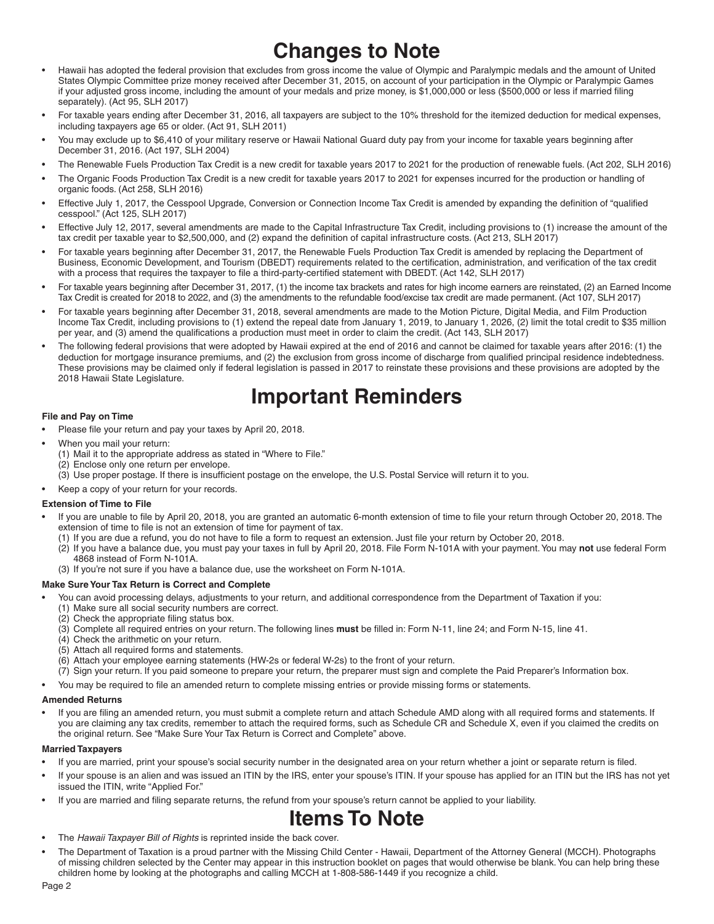# **Changes to Note**

- Hawaii has adopted the federal provision that excludes from gross income the value of Olympic and Paralympic medals and the amount of United States Olympic Committee prize money received after December 31, 2015, on account of your participation in the Olympic or Paralympic Games if your adjusted gross income, including the amount of your medals and prize money, is \$1,000,000 or less (\$500,000 or less if married filing separately). (Act 95, SLH 2017)
- For taxable years ending after December 31, 2016, all taxpayers are subject to the 10% threshold for the itemized deduction for medical expenses, including taxpayers age 65 or older. (Act 91, SLH 2011)
- You may exclude up to \$6,410 of your military reserve or Hawaii National Guard duty pay from your income for taxable years beginning after December 31, 2016. (Act 197, SLH 2004)
- The Renewable Fuels Production Tax Credit is a new credit for taxable years 2017 to 2021 for the production of renewable fuels. (Act 202, SLH 2016)
- The Organic Foods Production Tax Credit is a new credit for taxable years 2017 to 2021 for expenses incurred for the production or handling of organic foods. (Act 258, SLH 2016)
- Effective July 1, 2017, the Cesspool Upgrade, Conversion or Connection Income Tax Credit is amended by expanding the definition of "qualified" cesspool." (Act 125, SLH 2017)
- Effective July 12, 2017, several amendments are made to the Capital Infrastructure Tax Credit, including provisions to (1) increase the amount of the tax credit per taxable year to \$2,500,000, and (2) expand the definition of capital infrastructure costs. (Act 213, SLH 2017)
- For taxable years beginning after December 31, 2017, the Renewable Fuels Production Tax Credit is amended by replacing the Department of Business, Economic Development, and Tourism (DBEDT) requirements related to the certification, administration, and verification of the tax credit with a process that requires the taxpayer to file a third-party-certified statement with DBEDT. (Act 142, SLH 2017)
- For taxable years beginning after December 31, 2017, (1) the income tax brackets and rates for high income earners are reinstated, (2) an Earned Income Tax Credit is created for 2018 to 2022, and (3) the amendments to the refundable food/excise tax credit are made permanent. (Act 107, SLH 2017)
- For taxable years beginning after December 31, 2018, several amendments are made to the Motion Picture, Digital Media, and Film Production Income Tax Credit, including provisions to (1) extend the repeal date from January 1, 2019, to January 1, 2026, (2) limit the total credit to \$35 million per year, and (3) amend the qualifications a production must meet in order to claim the credit. (Act 143, SLH 2017)
- The following federal provisions that were adopted by Hawaii expired at the end of 2016 and cannot be claimed for taxable years after 2016: (1) the deduction for mortgage insurance premiums, and (2) the exclusion from gross income of discharge from qualified principal residence indebtedness. These provisions may be claimed only if federal legislation is passed in 2017 to reinstate these provisions and these provisions are adopted by the 2018 Hawaii State Legislature.

# **Important Reminders**

#### **File and Pay on Time**

- Please file your return and pay your taxes by April 20, 2018.
- When you mail your return:
	- (1) Mail it to the appropriate address as stated in "Where to File."
		- (2) Enclose only one return per envelope.
		- (3) Use proper postage. If there is insufficient postage on the envelope, the U.S. Postal Service will return it to you.
- Keep a copy of your return for your records.

#### **Extension of Time to File**

- If you are unable to file by April 20, 2018, you are granted an automatic 6-month extension of time to file your return through October 20, 2018. The extension of time to file is not an extension of time for payment of tax.
	- (1) If you are due a refund, you do not have to file a form to request an extension. Just file your return by October 20, 2018.
	- (2) If you have a balance due, you must pay your taxes in full by April 20, 2018. File Form N-101A with your payment. You may **not** use federal Form 4868 instead of Form N-101A.
	- (3) If you're not sure if you have a balance due, use the worksheet on Form N-101A.

#### **Make Sure Your Tax Return is Correct and Complete**

- You can avoid processing delays, adjustments to your return, and additional correspondence from the Department of Taxation if you:
- (1) Make sure all social security numbers are correct.
- (2) Check the appropriate filing status box.
- (3) Complete all required entries on your return. The following lines must be filled in: Form N-11, line 24; and Form N-15, line 41.
- (4) Check the arithmetic on your return.
- (5) Attach all required forms and statements.
- (6) Attach your employee earning statements (HW-2s or federal W-2s) to the front of your return.
- (7) Sign your return. If you paid someone to prepare your return, the preparer must sign and complete the Paid Preparer's Information box.
- You may be required to file an amended return to complete missing entries or provide missing forms or statements.

#### **Amended Returns**

• If you are fi ling an amended return, you must submit a complete return and attach Schedule AMD along with all required forms and statements. If you are claiming any tax credits, remember to attach the required forms, such as Schedule CR and Schedule X, even if you claimed the credits on the original return. See "Make Sure Your Tax Return is Correct and Complete" above.

#### **Married Taxpayers**

- If you are married, print your spouse's social security number in the designated area on your return whether a joint or separate return is filed.
- If your spouse is an alien and was issued an ITIN by the IRS, enter your spouse's ITIN. If your spouse has applied for an ITIN but the IRS has not yet issued the ITIN, write "Applied For."
- If you are married and filing separate returns, the refund from your spouse's return cannot be applied to your liability.

# **Items To Note**

- The *Hawaii Taxpayer Bill of Rights* is reprinted inside the back cover.
- The Department of Taxation is a proud partner with the Missing Child Center Hawaii, Department of the Attorney General (MCCH). Photographs of missing children selected by the Center may appear in this instruction booklet on pages that would otherwise be blank. You can help bring these children home by looking at the photographs and calling MCCH at 1-808-586-1449 if you recognize a child.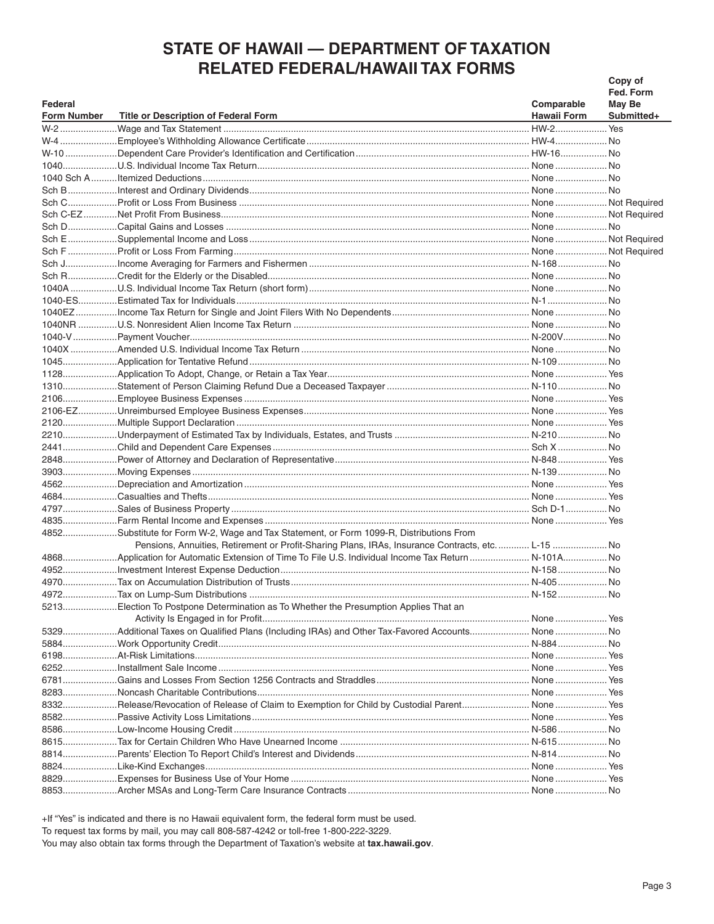# **STATE OF HAWAII - DEPARTMENT OF TAXATION RELATED FEDERAL/HAWAII TAX FORMS**

|             |                                                                                                        |                    | Copy of       |
|-------------|--------------------------------------------------------------------------------------------------------|--------------------|---------------|
|             |                                                                                                        |                    | Fed. Form     |
| Federal     |                                                                                                        | Comparable         | <b>May Be</b> |
| Form Number | Title or Description of Federal Form                                                                   | <b>Hawaii Form</b> | Submitted+    |
|             |                                                                                                        |                    |               |
|             |                                                                                                        |                    |               |
|             |                                                                                                        |                    |               |
|             |                                                                                                        |                    |               |
|             |                                                                                                        |                    |               |
|             |                                                                                                        |                    |               |
|             |                                                                                                        |                    |               |
|             |                                                                                                        |                    |               |
|             |                                                                                                        |                    |               |
|             |                                                                                                        |                    |               |
|             |                                                                                                        |                    |               |
|             |                                                                                                        |                    |               |
|             |                                                                                                        |                    |               |
|             |                                                                                                        |                    |               |
|             |                                                                                                        |                    |               |
|             |                                                                                                        |                    |               |
|             |                                                                                                        |                    |               |
|             |                                                                                                        |                    |               |
|             |                                                                                                        |                    |               |
|             |                                                                                                        |                    |               |
|             |                                                                                                        |                    |               |
|             |                                                                                                        |                    |               |
|             |                                                                                                        |                    |               |
|             |                                                                                                        |                    |               |
|             |                                                                                                        |                    |               |
|             |                                                                                                        |                    |               |
|             |                                                                                                        |                    |               |
|             |                                                                                                        |                    |               |
|             |                                                                                                        |                    |               |
|             |                                                                                                        |                    |               |
|             |                                                                                                        |                    |               |
|             |                                                                                                        |                    |               |
|             |                                                                                                        |                    |               |
|             | 4852Substitute for Form W-2, Wage and Tax Statement, or Form 1099-R, Distributions From                |                    |               |
|             | Pensions, Annuities, Retirement or Profit-Sharing Plans, IRAs, Insurance Contracts, etc L-15 No        |                    |               |
|             | 4868Application for Automatic Extension of Time To File U.S. Individual Income Tax Return  N - 101A No |                    |               |
|             |                                                                                                        |                    |               |
|             |                                                                                                        |                    |               |
|             |                                                                                                        |                    |               |
|             | 5213Election To Postpone Determination as To Whether the Presumption Applies That an                   |                    |               |
|             |                                                                                                        |                    |               |
|             | 5329Additional Taxes on Qualified Plans (Including IRAs) and Other Tax-Favored Accounts None  No       |                    |               |
|             |                                                                                                        |                    |               |
|             |                                                                                                        |                    |               |
|             |                                                                                                        |                    |               |
|             |                                                                                                        |                    |               |
|             |                                                                                                        |                    |               |
|             |                                                                                                        |                    |               |
|             |                                                                                                        |                    |               |
|             |                                                                                                        |                    |               |
|             |                                                                                                        |                    |               |
|             |                                                                                                        |                    |               |
|             |                                                                                                        |                    |               |
|             |                                                                                                        |                    |               |
|             |                                                                                                        |                    |               |
|             |                                                                                                        |                    |               |

+If "Yes" is indicated and there is no Hawaii equivalent form, the federal form must be used.

To request tax forms by mail, you may call 808-587-4242 or toll-free 1-800-222-3229.

You may also obtain tax forms through the Department of Taxation's website at tax.hawaii.gov.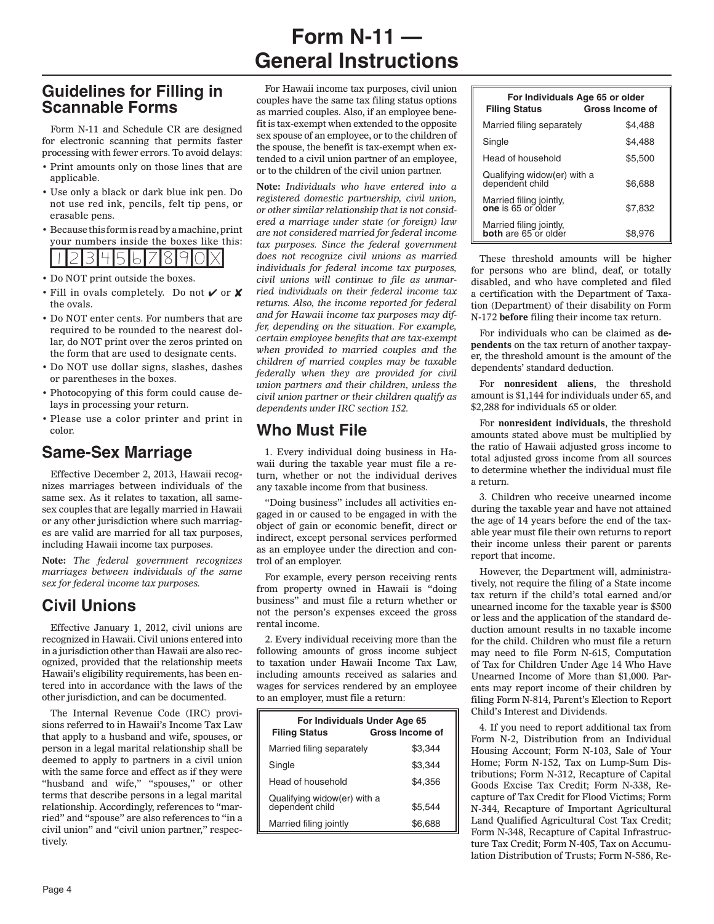# **Form N-11 — General Instructions**

# **Guidelines for Filling in Scannable Forms**

Form N-11 and Schedule CR are designed for electronic scanning that permits faster processing with fewer errors. To avoid delays:

- Print amounts only on those lines that are applicable.
- Use only a black or dark blue ink pen. Do not use red ink, pencils, felt tip pens, or erasable pens.
- Because this form is read by a machine, print your numbers inside the boxes like this: **1234567890x**
- Do NOT print outside the boxes.
- Fill in ovals completely. Do not  $\vee$  or  $\mathsf{\mathsf{X}}$ the ovals.
- Do NOT enter cents. For numbers that are required to be rounded to the nearest dollar, do NOT print over the zeros printed on the form that are used to designate cents.
- Do NOT use dollar signs, slashes, dashes or parentheses in the boxes.
- Photocopying of this form could cause delays in processing your return.
- Please use a color printer and print in color.

# **Same-Sex Marriage**

Effective December 2, 2013, Hawaii recognizes marriages between individuals of the same sex. As it relates to taxation, all samesex couples that are legally married in Hawaii or any other jurisdiction where such marriages are valid are married for all tax purposes, including Hawaii income tax purposes.

**Note:** *The federal government recognizes marriages between individuals of the same sex for federal income tax purposes.*

# **Civil Unions**

Effective January 1, 2012, civil unions are recognized in Hawaii. Civil unions entered into in a jurisdiction other than Hawaii are also recognized, provided that the relationship meets Hawaii's eligibility requirements, has been entered into in accordance with the laws of the other jurisdiction, and can be documented.

The Internal Revenue Code (IRC) provisions referred to in Hawaii's Income Tax Law that apply to a husband and wife, spouses, or person in a legal marital relationship shall be deemed to apply to partners in a civil union with the same force and effect as if they were "husband and wife," "spouses," or other terms that describe persons in a legal marital relationship. Accordingly, references to "married" and "spouse" are also references to "in a civil union" and "civil union partner," respectively.

For Hawaii income tax purposes, civil union couples have the same tax filing status options as married couples. Also, if an employee benefit is tax-exempt when extended to the opposite sex spouse of an employee, or to the children of the spouse, the benefit is tax-exempt when extended to a civil union partner of an employee, or to the children of the civil union partner.

**Note:** *Individuals who have entered into a registered domestic partnership, civil union, or other similar relationship that is not considered a marriage under state (or foreign) law are not considered married for federal income tax purposes. Since the federal government does not recognize civil unions as married individuals for federal income tax purposes, civil unions will continue to file as unmarried individuals on their federal income tax returns. Also, the income reported for federal and for Hawaii income tax purposes may differ, depending on the situation. For example, certain employee benefits that are tax-exempt when provided to married couples and the children of married couples may be taxable federally when they are provided for civil union partners and their children, unless the civil union partner or their children qualify as dependents under IRC section 152.*

# **Who Must File**

1. Every individual doing business in Hawaii during the taxable year must file a return, whether or not the individual derives any taxable income from that business.

"Doing business" includes all activities engaged in or caused to be engaged in with the object of gain or economic benefit, direct or indirect, except personal services performed as an employee under the direction and control of an employer.

For example, every person receiving rents from property owned in Hawaii is "doing business" and must file a return whether or not the person's expenses exceed the gross rental income.

2. Every individual receiving more than the following amounts of gross income subject to taxation under Hawaii Income Tax Law, including amounts received as salaries and wages for services rendered by an employee to an employer, must file a return:

| For Individuals Under Age 65<br>Gross Income of<br><b>Filing Status</b> |         |  |  |
|-------------------------------------------------------------------------|---------|--|--|
| Married filing separately                                               | \$3.344 |  |  |
| Single                                                                  | \$3.344 |  |  |
| Head of household                                                       | \$4.356 |  |  |
| Qualifying widow(er) with a<br>dependent child                          | \$5.544 |  |  |
| Married filing jointly                                                  | \$6,688 |  |  |

| For Individuals Age 65 or older<br><b>Gross Income of</b><br><b>Filing Status</b> |         |  |  |
|-----------------------------------------------------------------------------------|---------|--|--|
| Married filing separately                                                         | \$4.488 |  |  |
| Single                                                                            | \$4.488 |  |  |
| Head of household                                                                 | \$5,500 |  |  |
| Qualifying widow(er) with a<br>dependent child                                    | \$6.688 |  |  |
| Married filing jointly,<br>one is 65 or older                                     | \$7,832 |  |  |
| Married filing jointly,<br><b>both</b> are 65 or older                            | \$8,976 |  |  |

These threshold amounts will be higher for persons who are blind, deaf, or totally disabled, and who have completed and filed a certification with the Department of Taxation (Department) of their disability on Form N-172 **before** filing their income tax return.

For individuals who can be claimed as **dependents** on the tax return of another taxpayer, the threshold amount is the amount of the dependents' standard deduction.

For **nonresident aliens**, the threshold amount is \$1,144 for individuals under 65, and \$2,288 for individuals 65 or older.

For **nonresident individuals**, the threshold amounts stated above must be multiplied by the ratio of Hawaii adjusted gross income to total adjusted gross income from all sources to determine whether the individual must file a return.

3. Children who receive unearned income during the taxable year and have not attained the age of 14 years before the end of the taxable year must file their own returns to report their income unless their parent or parents report that income.

However, the Department will, administratively, not require the filing of a State income tax return if the child's total earned and/or unearned income for the taxable year is \$500 or less and the application of the standard deduction amount results in no taxable income for the child. Children who must file a return may need to file Form N-615, Computation of Tax for Children Under Age 14 Who Have Unearned Income of More than \$1,000. Parents may report income of their children by filing Form N-814, Parent's Election to Report Child's Interest and Dividends.

4. If you need to report additional tax from Form N-2, Distribution from an Individual Housing Account; Form N-103, Sale of Your Home; Form N-152, Tax on Lump-Sum Distributions; Form N-312, Recapture of Capital Goods Excise Tax Credit; Form N-338, Recapture of Tax Credit for Flood Victims; Form N-344, Recapture of Important Agricultural Land Qualified Agricultural Cost Tax Credit; Form N-348, Recapture of Capital Infrastructure Tax Credit; Form N-405, Tax on Accumulation Distribution of Trusts; Form N-586, Re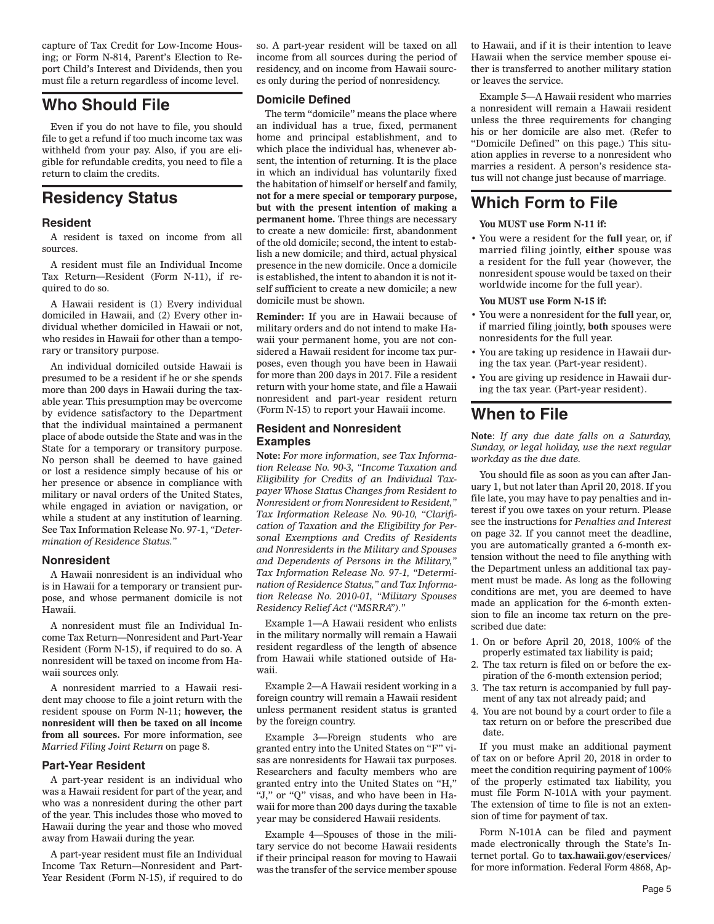capture of Tax Credit for Low-Income Housing; or Form N-814, Parent's Election to Report Child's Interest and Dividends, then you must file a return regardless of income level.

# **Who Should File**

Even if you do not have to file, you should file to get a refund if too much income tax was withheld from your pay. Also, if you are eligible for refundable credits, you need to file a return to claim the credits.

# **Residency Status**

#### **Resident**

A resident is taxed on income from all sources.

A resident must file an Individual Income Tax Return—Resident (Form N-11), if required to do so.

A Hawaii resident is (1) Every individual domiciled in Hawaii, and (2) Every other individual whether domiciled in Hawaii or not, who resides in Hawaii for other than a temporary or transitory purpose.

An individual domiciled outside Hawaii is presumed to be a resident if he or she spends more than 200 days in Hawaii during the taxable year. This presumption may be overcome by evidence satisfactory to the Department that the individual maintained a permanent place of abode outside the State and was in the State for a temporary or transitory purpose. No person shall be deemed to have gained or lost a residence simply because of his or her presence or absence in compliance with military or naval orders of the United States, while engaged in aviation or navigation, or while a student at any institution of learning. See Tax Information Release No. 97-1, *"Determination of Residence Status."*

#### **Nonresident**

A Hawaii nonresident is an individual who is in Hawaii for a temporary or transient purpose, and whose permanent domicile is not Hawaii.

A nonresident must file an Individual Income Tax Return—Nonresident and Part-Year Resident (Form N-15), if required to do so. A nonresident will be taxed on income from Hawaii sources only.

A nonresident married to a Hawaii resident may choose to file a joint return with the resident spouse on Form N-11; **however, the nonresident will then be taxed on all income from all sources.** For more information, see *Married Filing Joint Return* on page 8.

#### **Part-Year Resident**

A part-year resident is an individual who was a Hawaii resident for part of the year, and who was a nonresident during the other part of the year. This includes those who moved to Hawaii during the year and those who moved away from Hawaii during the year.

A part-year resident must file an Individual Income Tax Return—Nonresident and Part-Year Resident (Form N-15), if required to do so. A part-year resident will be taxed on all income from all sources during the period of residency, and on income from Hawaii sources only during the period of nonresidency.

#### **Domicile Defined**

The term "domicile" means the place where an individual has a true, fixed, permanent home and principal establishment, and to which place the individual has, whenever absent, the intention of returning. It is the place in which an individual has voluntarily fixed the habitation of himself or herself and family, **not for a mere special or temporary purpose, but with the present intention of making a permanent home.** Three things are necessary to create a new domicile: first, abandonment of the old domicile; second, the intent to establish a new domicile; and third, actual physical presence in the new domicile. Once a domicile is established, the intent to abandon it is not itself sufficient to create a new domicile; a new domicile must be shown.

**Reminder:** If you are in Hawaii because of military orders and do not intend to make Hawaii your permanent home, you are not considered a Hawaii resident for income tax purposes, even though you have been in Hawaii for more than 200 days in 2017. File a resident return with your home state, and file a Hawaii nonresident and part-year resident return (Form N-15) to report your Hawaii income.

#### **Resident and Nonresident Examples**

**Note:** *For more information, see Tax Information Release No. 90-3, "Income Taxation and Eligibility for Credits of an Individual Taxpayer Whose Status Changes from Resident to Nonresident or from Nonresident to Resident," Tax Information Release No. 90-10, "Clarification of Taxation and the Eligibility for Personal Exemptions and Credits of Residents and Nonresidents in the Military and Spouses and Dependents of Persons in the Military," Tax Information Release No. 97-1, "Determination of Residence Status," and Tax Information Release No. 2010-01, "Military Spouses Residency Relief Act ("MSRRA")."*

Example 1—A Hawaii resident who enlists in the military normally will remain a Hawaii resident regardless of the length of absence from Hawaii while stationed outside of Hawaii.

Example 2—A Hawaii resident working in a foreign country will remain a Hawaii resident unless permanent resident status is granted by the foreign country.

Example 3—Foreign students who are granted entry into the United States on "F" visas are nonresidents for Hawaii tax purposes. Researchers and faculty members who are granted entry into the United States on "H," "J," or "Q" visas, and who have been in Hawaii for more than 200 days during the taxable year may be considered Hawaii residents.

Example 4—Spouses of those in the military service do not become Hawaii residents if their principal reason for moving to Hawaii was the transfer of the service member spouse

to Hawaii, and if it is their intention to leave Hawaii when the service member spouse either is transferred to another military station or leaves the service.

Example 5—A Hawaii resident who marries a nonresident will remain a Hawaii resident unless the three requirements for changing his or her domicile are also met. (Refer to "Domicile Defined" on this page.) This situation applies in reverse to a nonresident who marries a resident. A person's residence status will not change just because of marriage.

# **Which Form to File**

#### **You MUST use Form N-11 if:**

• You were a resident for the **full** year, or, if married filing jointly, **either** spouse was a resident for the full year (however, the nonresident spouse would be taxed on their worldwide income for the full year).

#### **You MUST use Form N-15 if:**

- You were a nonresident for the **full** year, or, if married filing jointly, **both** spouses were nonresidents for the full year.
- You are taking up residence in Hawaii during the tax year. (Part-year resident).
- You are giving up residence in Hawaii during the tax year. (Part-year resident).

# **When to File**

**Note**: *If any due date falls on a Saturday, Sunday, or legal holiday, use the next regular workday as the due date.*

You should file as soon as you can after January 1, but not later than April 20, 2018. If you file late, you may have to pay penalties and interest if you owe taxes on your return. Please see the instructions for *Penalties and Interest*  on page 32. If you cannot meet the deadline, you are automatically granted a 6-month extension without the need to file anything with the Department unless an additional tax payment must be made. As long as the following conditions are met, you are deemed to have made an application for the 6-month extension to file an income tax return on the prescribed due date:

- 1. On or before April 20, 2018, 100% of the properly estimated tax liability is paid;
- 2. The tax return is filed on or before the expiration of the 6-month extension period;
- 3. The tax return is accompanied by full payment of any tax not already paid; and
- 4. You are not bound by a court order to file a tax return on or before the prescribed due date.

If you must make an additional payment of tax on or before April 20, 2018 in order to meet the condition requiring payment of 100% of the properly estimated tax liability, you must file Form N-101A with your payment. The extension of time to file is not an extension of time for payment of tax.

Form N-101A can be filed and payment made electronically through the State's Internet portal. Go to **tax.hawaii.gov/eservices/**  for more information. Federal Form 4868, Ap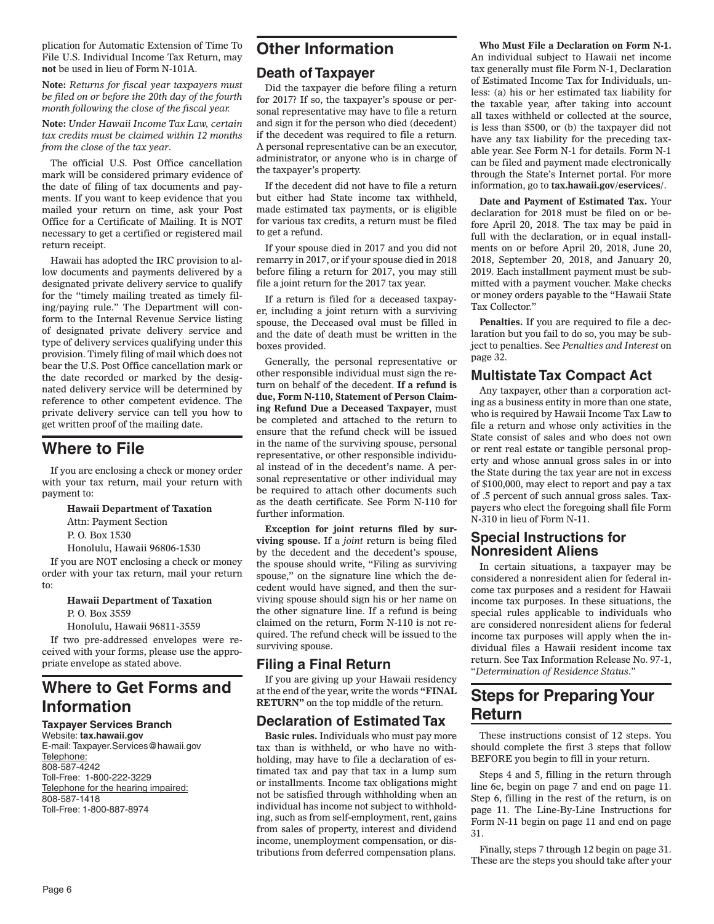plication for Automatic Extension of Time To File U.S. Individual Income Tax Return, may **not** be used in lieu of Form N-101A.

**Note:** *Returns for fiscal year taxpayers must be filed on or before the 20th day of the fourth month following the close of the fiscal year.*

**Note:** *Under Hawaii Income Tax Law, certain tax credits must be claimed within 12 months from the close of the tax year*.

The official U.S. Post Office cancellation mark will be considered primary evidence of the date of filing of tax documents and payments. If you want to keep evidence that you mailed your return on time, ask your Post Office for a Certificate of Mailing. It is NOT necessary to get a certified or registered mail return receipt.

Hawaii has adopted the IRC provision to allow documents and payments delivered by a designated private delivery service to qualify for the "timely mailing treated as timely filing/paying rule." The Department will conform to the Internal Revenue Service listing of designated private delivery service and type of delivery services qualifying under this provision. Timely filing of mail which does not bear the U.S. Post Office cancellation mark or the date recorded or marked by the designated delivery service will be determined by reference to other competent evidence. The private delivery service can tell you how to get written proof of the mailing date.

# **Where to File**

If you are enclosing a check or money order with your tax return, mail your return with payment to:

#### **Hawaii Department of Taxation**

Attn: Payment Section

P. O. Box 1530

Honolulu, Hawaii 96806-1530

If you are NOT enclosing a check or money order with your tax return, mail your return to:

#### **Hawaii Department of Taxation** P. O. Box 3559

Honolulu, Hawaii 96811-3559

If two pre-addressed envelopes were received with your forms, please use the appropriate envelope as stated above.

# **Where to Get Forms and Information**

### **Taxpayer Services Branch**

Website: **tax.hawaii.gov** E-mail: Taxpayer.Services@hawaii.gov Telephone: 808-587-4242 Toll-Free: 1-800-222-3229 Telephone for the hearing impaired: 808-587-1418 Toll-Free: 1-800-887-8974

# **Other Information**

### **Death of Taxpayer**

Did the taxpayer die before filing a return for 2017? If so, the taxpayer's spouse or personal representative may have to file a return and sign it for the person who died (decedent) if the decedent was required to file a return. A personal representative can be an executor, administrator, or anyone who is in charge of the taxpayer's property.

If the decedent did not have to file a return but either had State income tax withheld, made estimated tax payments, or is eligible for various tax credits, a return must be filed to get a refund.

If your spouse died in 2017 and you did not remarry in 2017, or if your spouse died in 2018 before filing a return for 2017, you may still file a joint return for the 2017 tax year.

If a return is filed for a deceased taxpayer, including a joint return with a surviving spouse, the Deceased oval must be filled in and the date of death must be written in the boxes provided.

Generally, the personal representative or other responsible individual must sign the return on behalf of the decedent. **If a refund is due, Form N-110, Statement of Person Claiming Refund Due a Deceased Taxpayer**, must be completed and attached to the return to ensure that the refund check will be issued in the name of the surviving spouse, personal representative, or other responsible individual instead of in the decedent's name. A personal representative or other individual may be required to attach other documents such as the death certificate. See Form N-110 for further information.

**Exception for joint returns filed by surviving spouse.** If a *joint* return is being filed by the decedent and the decedent's spouse, the spouse should write, "Filing as surviving spouse," on the signature line which the decedent would have signed, and then the surviving spouse should sign his or her name on the other signature line. If a refund is being claimed on the return, Form N-110 is not required. The refund check will be issued to the surviving spouse.

## **Filing a Final Return**

If you are giving up your Hawaii residency at the end of the year, write the words **"FINAL RETURN"** on the top middle of the return.

## **Declaration of Estimated Tax**

**Basic rules.** Individuals who must pay more tax than is withheld, or who have no withholding, may have to file a declaration of estimated tax and pay that tax in a lump sum or installments. Income tax obligations might not be satisfied through withholding when an individual has income not subject to withholding, such as from self-employment, rent, gains from sales of property, interest and dividend income, unemployment compensation, or distributions from deferred compensation plans.

**Who Must File a Declaration on Form N-1.** An individual subject to Hawaii net income tax generally must file Form N-1, Declaration of Estimated Income Tax for Individuals, unless: (a) his or her estimated tax liability for the taxable year, after taking into account all taxes withheld or collected at the source, is less than \$500, or (b) the taxpayer did not have any tax liability for the preceding taxable year. See Form N-1 for details. Form N-1 can be filed and payment made electronically through the State's Internet portal. For more information, go to **tax.hawaii.gov/eservices/**.

**Date and Payment of Estimated Tax.** Your declaration for 2018 must be filed on or before April 20, 2018. The tax may be paid in full with the declaration, or in equal installments on or before April 20, 2018, June 20, 2018, September 20, 2018, and January 20, 2019. Each installment payment must be submitted with a payment voucher. Make checks or money orders payable to the "Hawaii State Tax Collector."

**Penalties.** If you are required to file a declaration but you fail to do so, you may be subject to penalties. See *Penalties and Interest* on page 32.

## **Multistate Tax Compact Act**

Any taxpayer, other than a corporation acting as a business entity in more than one state, who is required by Hawaii Income Tax Law to file a return and whose only activities in the State consist of sales and who does not own or rent real estate or tangible personal property and whose annual gross sales in or into the State during the tax year are not in excess of \$100,000, may elect to report and pay a tax of .5 percent of such annual gross sales. Taxpayers who elect the foregoing shall file Form N-310 in lieu of Form N-11.

### **Special Instructions for Nonresident Aliens**

In certain situations, a taxpayer may be considered a nonresident alien for federal income tax purposes and a resident for Hawaii income tax purposes. In these situations, the special rules applicable to individuals who are considered nonresident aliens for federal income tax purposes will apply when the individual files a Hawaii resident income tax return. See Tax Information Release No. 97-1, "*Determination of Residence Status*."

# **Steps for Preparing Your Return**

These instructions consist of 12 steps. You should complete the first 3 steps that follow BEFORE you begin to fill in your return.

Steps 4 and 5, filling in the return through line 6e, begin on page 7 and end on page 11. Step 6, filling in the rest of the return, is on page 11. The Line-By-Line Instructions for Form N-11 begin on page 11 and end on page 31.

Finally, steps 7 through 12 begin on page 31. These are the steps you should take after your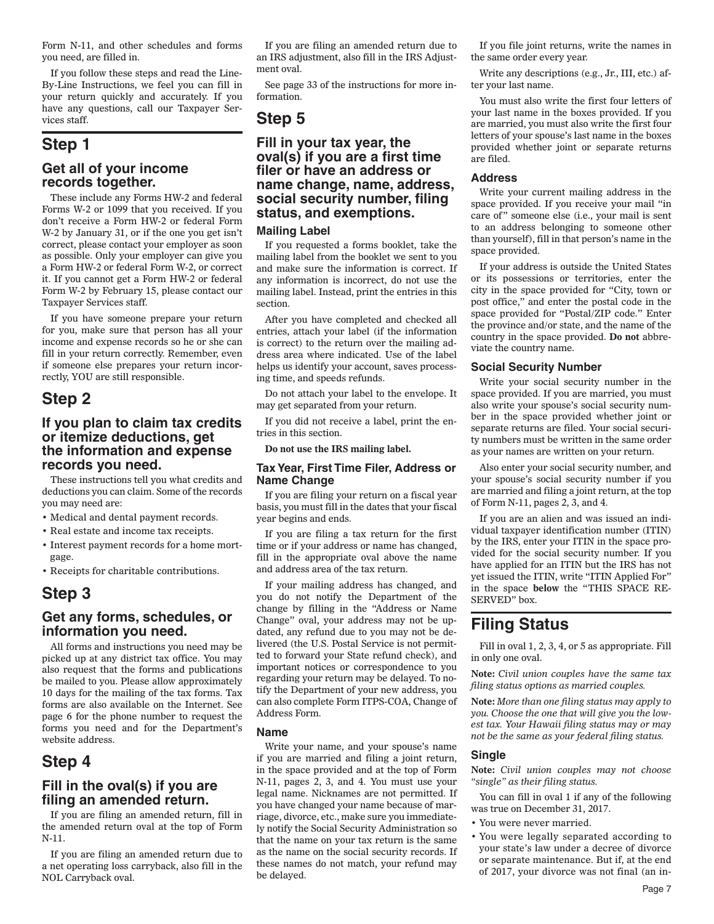Form N-11, and other schedules and forms you need, are filled in.

If you follow these steps and read the Line-By-Line Instructions, we feel you can fill in your return quickly and accurately. If you have any questions, call our Taxpayer Services staff.

# **Step 1**

### **Get all of your income records together.**

These include any Forms HW-2 and federal Forms W-2 or 1099 that you received. If you don't receive a Form HW-2 or federal Form W-2 by January 31, or if the one you get isn't correct, please contact your employer as soon as possible. Only your employer can give you a Form HW-2 or federal Form W-2, or correct it. If you cannot get a Form HW-2 or federal Form W-2 by February 15, please contact our Taxpayer Services staff.

If you have someone prepare your return for you, make sure that person has all your income and expense records so he or she can fill in your return correctly. Remember, even if someone else prepares your return incorrectly, YOU are still responsible.

# **Step 2**

### **If you plan to claim tax credits or itemize deductions, get the information and expense records you need.**

These instructions tell you what credits and deductions you can claim. Some of the records you may need are:

- Medical and dental payment records.
- Real estate and income tax receipts.
- Interest payment records for a home mortgage.
- Receipts for charitable contributions.

# **Step 3**

### **Get any forms, schedules, or information you need.**

All forms and instructions you need may be picked up at any district tax office. You may also request that the forms and publications be mailed to you. Please allow approximately 10 days for the mailing of the tax forms. Tax forms are also available on the Internet. See page 6 for the phone number to request the forms you need and for the Department's website address.

# **Step 4**

### **Fill in the oval(s) if you are fi ling an amended return.**

If you are filing an amended return, fill in the amended return oval at the top of Form N-11.

If you are filing an amended return due to a net operating loss carryback, also fill in the NOL Carryback oval.

If you are filing an amended return due to an IRS adjustment, also fill in the IRS Adjustment oval.

See page 33 of the instructions for more information.

# **Step 5**

### **Fill in your tax year, the oval(s) if you are a fi rst time fi ler or have an address or name change, name, address, social security number, fi ling status, and exemptions.**

#### **Mailing Label**

If you requested a forms booklet, take the mailing label from the booklet we sent to you and make sure the information is correct. If any information is incorrect, do not use the mailing label. Instead, print the entries in this section.

After you have completed and checked all entries, attach your label (if the information is correct) to the return over the mailing address area where indicated. Use of the label helps us identify your account, saves processing time, and speeds refunds.

Do not attach your label to the envelope. It may get separated from your return.

If you did not receive a label, print the entries in this section.

**Do not use the IRS mailing label.**

#### **Tax Year, First Time Filer, Address or Name Change**

If you are filing your return on a fiscal year basis, you must fill in the dates that your fiscal year begins and ends.

If you are filing a tax return for the first time or if your address or name has changed, fill in the appropriate oval above the name and address area of the tax return.

If your mailing address has changed, and you do not notify the Department of the change by filling in the "Address or Name Change" oval, your address may not be updated, any refund due to you may not be delivered (the U.S. Postal Service is not permitted to forward your State refund check), and important notices or correspondence to you regarding your return may be delayed. To notify the Department of your new address, you can also complete Form ITPS-COA, Change of Address Form.

#### **Name**

Write your name, and your spouse's name if you are married and filing a joint return, in the space provided and at the top of Form N-11, pages 2, 3, and 4. You must use your legal name. Nicknames are not permitted. If you have changed your name because of marriage, divorce, etc., make sure you immediately notify the Social Security Administration so that the name on your tax return is the same as the name on the social security records. If these names do not match, your refund may be delayed.

If you file joint returns, write the names in the same order every year.

Write any descriptions (e.g., Jr., III, etc.) after your last name.

You must also write the first four letters of your last name in the boxes provided. If you are married, you must also write the first four letters of your spouse's last name in the boxes provided whether joint or separate returns are filed.

#### **Address**

Write your current mailing address in the space provided. If you receive your mail "in care of" someone else (i.e., your mail is sent to an address belonging to someone other than yourself), fill in that person's name in the space provided.

If your address is outside the United States or its possessions or territories, enter the city in the space provided for "City, town or post office," and enter the postal code in the space provided for "Postal/ZIP code." Enter the province and/or state, and the name of the country in the space provided. **Do not** abbreviate the country name.

#### **Social Security Number**

Write your social security number in the space provided. If you are married, you must also write your spouse's social security number in the space provided whether joint or separate returns are filed. Your social security numbers must be written in the same order as your names are written on your return.

Also enter your social security number, and your spouse's social security number if you are married and filing a joint return, at the top of Form N-11, pages 2, 3, and 4.

If you are an alien and was issued an individual taxpayer identification number (ITIN) by the IRS, enter your ITIN in the space provided for the social security number. If you have applied for an ITIN but the IRS has not yet issued the ITIN, write "ITIN Applied For" in the space **below** the "THIS SPACE RE-SERVED" box.

# **Filing Status**

Fill in oval 1, 2, 3, 4, or 5 as appropriate. Fill in only one oval.

**Note:** *Civil union couples have the same tax filing status options as married couples.*

**Note:** *More than one filing status may apply to you. Choose the one that will give you the lowest tax. Your Hawaii filing status may or may not be the same as your federal filing status.*

#### **Single**

**Note:** *Civil union couples may not choose "single" as their filing status.*

You can fill in oval 1 if any of the following was true on December 31, 2017.

- You were never married.
- You were legally separated according to your state's law under a decree of divorce or separate maintenance. But if, at the end of 2017, your divorce was not final (an in-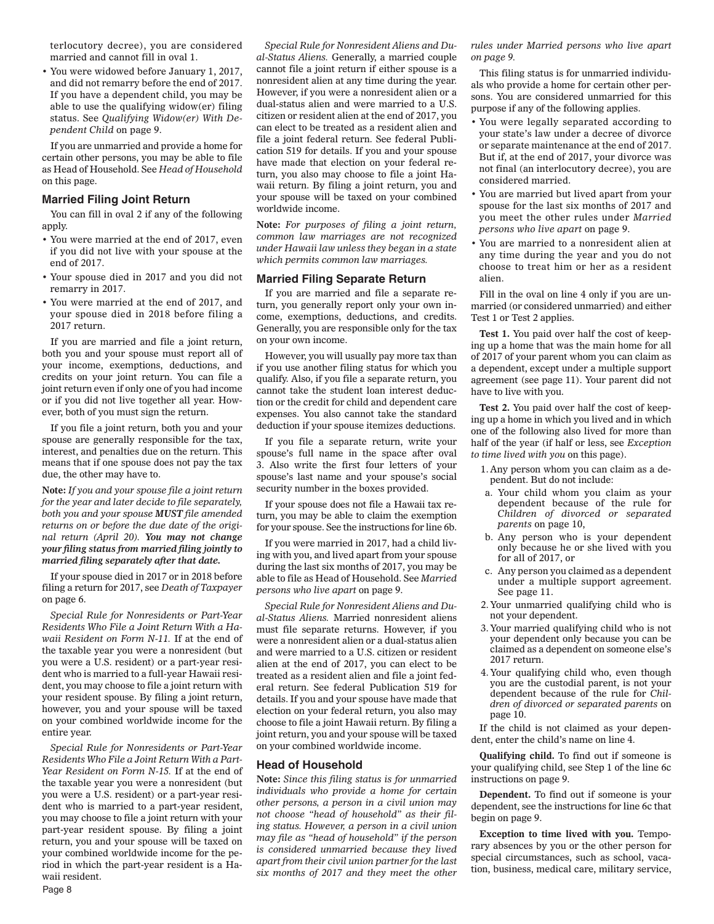terlocutory decree), you are considered married and cannot fill in oval 1.

• You were widowed before January 1, 2017, and did not remarry before the end of 2017. If you have a dependent child, you may be able to use the qualifying widow(er) filing status. See *Qualifying Widow(er) With Dependent Child* on page 9.

If you are unmarried and provide a home for certain other persons, you may be able to file as Head of Household. See *Head of Household* on this page.

#### **Married Filing Joint Return**

You can fill in oval 2 if any of the following apply.

- You were married at the end of 2017, even if you did not live with your spouse at the end of 2017.
- Your spouse died in 2017 and you did not remarry in 2017.
- You were married at the end of 2017, and your spouse died in 2018 before filing a 2017 return.

If you are married and file a joint return, both you and your spouse must report all of your income, exemptions, deductions, and credits on your joint return. You can file a joint return even if only one of you had income or if you did not live together all year. However, both of you must sign the return.

If you file a joint return, both you and your spouse are generally responsible for the tax, interest, and penalties due on the return. This means that if one spouse does not pay the tax due, the other may have to.

**Note:** *If you and your spouse file a joint return for the year and later decide to file separately, both you and your spouse MUST file amended returns on or before the due date of the original return (April 20). You may not change your filing status from married filing jointly to married filing separately after that date.*

If your spouse died in 2017 or in 2018 before filing a return for 2017, see *Death of Taxpayer* on page 6.

*Special Rule for Nonresidents or Part-Year Residents Who File a Joint Return With a Hawaii Resident on Form N-11.* If at the end of the taxable year you were a nonresident (but you were a U.S. resident) or a part-year resident who is married to a full-year Hawaii resident, you may choose to file a joint return with your resident spouse. By filing a joint return, however, you and your spouse will be taxed on your combined worldwide income for the entire year.

*Special Rule for Nonresidents or Part-Year Residents Who File a Joint Return With a Part-Year Resident on Form N-15.* If at the end of the taxable year you were a nonresident (but you were a U.S. resident) or a part-year resident who is married to a part-year resident, you may choose to file a joint return with your part-year resident spouse. By filing a joint return, you and your spouse will be taxed on your combined worldwide income for the period in which the part-year resident is a Hawaii resident.

*Special Rule for Nonresident Aliens and Dual-Status Aliens.* Generally, a married couple cannot file a joint return if either spouse is a nonresident alien at any time during the year. However, if you were a nonresident alien or a dual-status alien and were married to a U.S. citizen or resident alien at the end of 2017, you can elect to be treated as a resident alien and file a joint federal return. See federal Publication 519 for details. If you and your spouse have made that election on your federal return, you also may choose to file a joint Hawaii return. By filing a joint return, you and your spouse will be taxed on your combined worldwide income.

**Note:** *For purposes of filing a joint return, common law marriages are not recognized under Hawaii law unless they began in a state which permits common law marriages.*

#### **Married Filing Separate Return**

If you are married and file a separate return, you generally report only your own income, exemptions, deductions, and credits. Generally, you are responsible only for the tax on your own income.

However, you will usually pay more tax than if you use another filing status for which you qualify. Also, if you file a separate return, you cannot take the student loan interest deduction or the credit for child and dependent care expenses. You also cannot take the standard deduction if your spouse itemizes deductions.

If you file a separate return, write your spouse's full name in the space after oval 3. Also write the first four letters of your spouse's last name and your spouse's social security number in the boxes provided.

If your spouse does not file a Hawaii tax return, you may be able to claim the exemption for your spouse. See the instructions for line 6b.

If you were married in 2017, had a child living with you, and lived apart from your spouse during the last six months of 2017, you may be able to file as Head of Household. See *Married persons who live apart* on page 9.

*Special Rule for Nonresident Aliens and Dual-Status Aliens.* Married nonresident aliens must file separate returns. However, if you were a nonresident alien or a dual-status alien and were married to a U.S. citizen or resident alien at the end of 2017, you can elect to be treated as a resident alien and file a joint federal return. See federal Publication 519 for details. If you and your spouse have made that election on your federal return, you also may choose to file a joint Hawaii return. By filing a joint return, you and your spouse will be taxed on your combined worldwide income.

#### **Head of Household**

**Note:** *Since this filing status is for unmarried individuals who provide a home for certain other persons, a person in a civil union may not choose "head of household" as their filing status. However, a person in a civil union may file as "head of household" if the person is considered unmarried because they lived apart from their civil union partner for the last six months of 2017 and they meet the other*  *rules under Married persons who live apart on page 9.*

This filing status is for unmarried individuals who provide a home for certain other persons. You are considered unmarried for this purpose if any of the following applies.

- You were legally separated according to your state's law under a decree of divorce or separate maintenance at the end of 2017. But if, at the end of 2017, your divorce was not final (an interlocutory decree), you are considered married.
- You are married but lived apart from your spouse for the last six months of 2017 and you meet the other rules under *Married persons who live apart* on page 9.
- You are married to a nonresident alien at any time during the year and you do not choose to treat him or her as a resident alien.

Fill in the oval on line 4 only if you are unmarried (or considered unmarried) and either Test 1 or Test 2 applies.

**Test 1.** You paid over half the cost of keeping up a home that was the main home for all of 2017 of your parent whom you can claim as a dependent, except under a multiple support agreement (see page 11). Your parent did not have to live with you.

**Test 2.** You paid over half the cost of keeping up a home in which you lived and in which one of the following also lived for more than half of the year (if half or less, see *Exception to time lived with you* on this page).

- 1. Any person whom you can claim as a dependent. But do not include:
- a. Your child whom you claim as your dependent because of the rule for *Children of divorced or separated parents* on page 10,
- b. Any person who is your dependent only because he or she lived with you for all of 2017, or
- c. Any person you claimed as a dependent under a multiple support agreement. See page 11.
- 2. Your unmarried qualifying child who is not your dependent.
- 3. Your married qualifying child who is not your dependent only because you can be claimed as a dependent on someone else's 2017 return.
- 4. Your qualifying child who, even though you are the custodial parent, is not your dependent because of the rule for *Children of divorced or separated parents* on page 10.

If the child is not claimed as your dependent, enter the child's name on line 4.

**Qualifying child.** To find out if someone is your qualifying child, see Step 1 of the line 6c instructions on page 9.

**Dependent.** To find out if someone is your dependent, see the instructions for line 6c that begin on page 9.

**Exception to time lived with you.** Temporary absences by you or the other person for special circumstances, such as school, vacation, business, medical care, military service,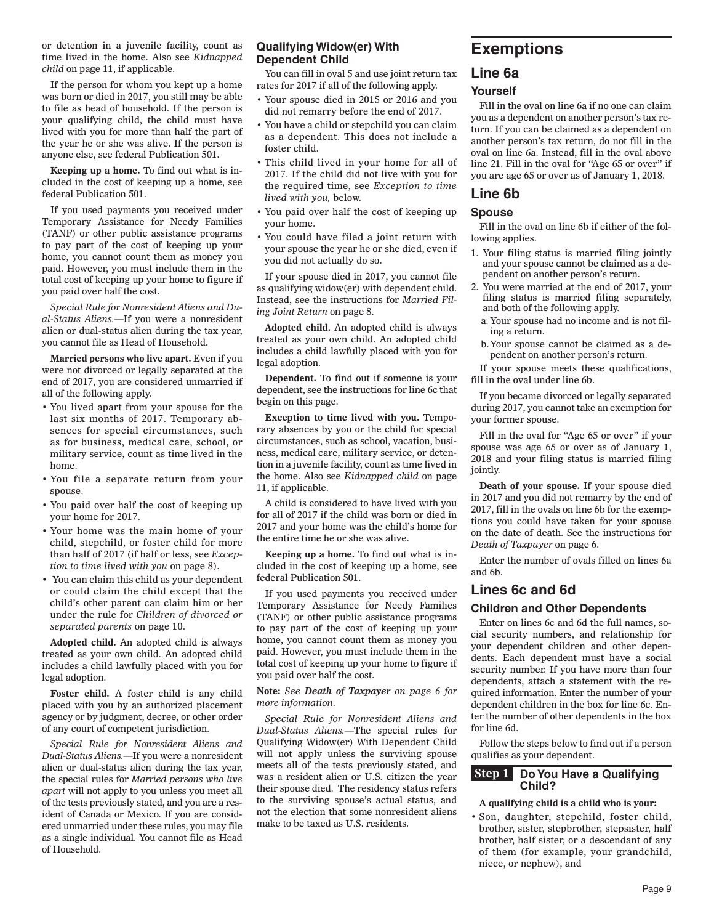or detention in a juvenile facility, count as time lived in the home. Also see *Kidnapped child* on page 11, if applicable.

If the person for whom you kept up a home was born or died in 2017, you still may be able to file as head of household. If the person is your qualifying child, the child must have lived with you for more than half the part of the year he or she was alive. If the person is anyone else, see federal Publication 501.

**Keeping up a home.** To find out what is included in the cost of keeping up a home, see federal Publication 501.

If you used payments you received under Temporary Assistance for Needy Families (TANF) or other public assistance programs to pay part of the cost of keeping up your home, you cannot count them as money you paid. However, you must include them in the total cost of keeping up your home to figure if you paid over half the cost.

*Special Rule for Nonresident Aliens and Dual-Status Aliens.*—If you were a nonresident alien or dual-status alien during the tax year, you cannot file as Head of Household.

**Married persons who live apart.** Even if you were not divorced or legally separated at the end of 2017, you are considered unmarried if all of the following apply.

- You lived apart from your spouse for the last six months of 2017. Temporary absences for special circumstances, such as for business, medical care, school, or military service, count as time lived in the home.
- You file a separate return from your spouse.
- You paid over half the cost of keeping up your home for 2017.
- Your home was the main home of your child, stepchild, or foster child for more than half of 2017 (if half or less, see *Exception to time lived with you* on page 8).
- You can claim this child as your dependent or could claim the child except that the child's other parent can claim him or her under the rule for *Children of divorced or separated parents* on page 10.

**Adopted child.** An adopted child is always treated as your own child. An adopted child includes a child lawfully placed with you for legal adoption.

**Foster child.** A foster child is any child placed with you by an authorized placement agency or by judgment, decree, or other order of any court of competent jurisdiction.

*Special Rule for Nonresident Aliens and Dual-Status Aliens.*—If you were a nonresident alien or dual-status alien during the tax year, the special rules for *Married persons who live apart* will not apply to you unless you meet all of the tests previously stated, and you are a resident of Canada or Mexico. If you are considered unmarried under these rules, you may file as a single individual. You cannot file as Head of Household.

#### **Qualifying Widow(er) With Dependent Child**

You can fill in oval 5 and use joint return tax rates for 2017 if all of the following apply.

- Your spouse died in 2015 or 2016 and you did not remarry before the end of 2017.
- You have a child or stepchild you can claim as a dependent. This does not include a foster child.
- This child lived in your home for all of 2017. If the child did not live with you for the required time, see *Exception to time lived with you,* below.
- You paid over half the cost of keeping up your home.
- You could have filed a joint return with your spouse the year he or she died, even if you did not actually do so.

If your spouse died in 2017, you cannot file as qualifying widow(er) with dependent child. Instead, see the instructions for *Married Filing Joint Return* on page 8.

**Adopted child.** An adopted child is always treated as your own child. An adopted child includes a child lawfully placed with you for legal adoption.

**Dependent.** To find out if someone is your dependent, see the instructions for line 6c that begin on this page.

**Exception to time lived with you.** Temporary absences by you or the child for special circumstances, such as school, vacation, business, medical care, military service, or detention in a juvenile facility, count as time lived in the home. Also see *Kidnapped child* on page 11, if applicable.

A child is considered to have lived with you for all of 2017 if the child was born or died in 2017 and your home was the child's home for the entire time he or she was alive.

**Keeping up a home.** To find out what is included in the cost of keeping up a home, see federal Publication 501.

If you used payments you received under Temporary Assistance for Needy Families (TANF) or other public assistance programs to pay part of the cost of keeping up your home, you cannot count them as money you paid. However, you must include them in the total cost of keeping up your home to figure if you paid over half the cost.

**Note:** *See Death of Taxpayer on page 6 for more information.*

*Special Rule for Nonresident Aliens and Dual-Status Aliens.*—The special rules for Qualifying Widow(er) With Dependent Child will not apply unless the surviving spouse meets all of the tests previously stated, and was a resident alien or U.S. citizen the year their spouse died. The residency status refers to the surviving spouse's actual status, and not the election that some nonresident aliens make to be taxed as U.S. residents.

# **Exemptions**

### **Line 6a**

#### **Yourself**

Fill in the oval on line 6a if no one can claim you as a dependent on another person's tax return. If you can be claimed as a dependent on another person's tax return, do not fill in the oval on line 6a. Instead, fill in the oval above line 21. Fill in the oval for "Age 65 or over" if you are age 65 or over as of January 1, 2018.

### **Line 6b**

#### **Spouse**

Fill in the oval on line 6b if either of the following applies.

- 1. Your filing status is married filing jointly and your spouse cannot be claimed as a dependent on another person's return.
- 2. You were married at the end of 2017, your filing status is married filing separately, and both of the following apply.
	- a. Your spouse had no income and is not filing a return.
	- b. Your spouse cannot be claimed as a dependent on another person's return.

If your spouse meets these qualifications, fill in the oval under line 6b.

If you became divorced or legally separated during 2017, you cannot take an exemption for your former spouse.

Fill in the oval for "Age 65 or over" if your spouse was age 65 or over as of January 1, 2018 and your filing status is married filing jointly.

**Death of your spouse.** If your spouse died in 2017 and you did not remarry by the end of 2017, fill in the ovals on line 6b for the exemptions you could have taken for your spouse on the date of death. See the instructions for *Death of Taxpayer* on page 6.

Enter the number of ovals filled on lines 6a and 6b.

## **Lines 6c and 6d**

#### **Children and Other Dependents**

Enter on lines 6c and 6d the full names, social security numbers, and relationship for your dependent children and other dependents. Each dependent must have a social security number. If you have more than four dependents, attach a statement with the required information. Enter the number of your dependent children in the box for line 6c. Enter the number of other dependents in the box for line 6d.

Follow the steps below to find out if a person qualifies as your dependent.

#### **Step 1** Do You Have a Qualifying  **Child?**

#### **A qualifying child is a child who is your:**

• Son, daughter, stepchild, foster child, brother, sister, stepbrother, stepsister, half brother, half sister, or a descendant of any of them (for example, your grandchild, niece, or nephew), and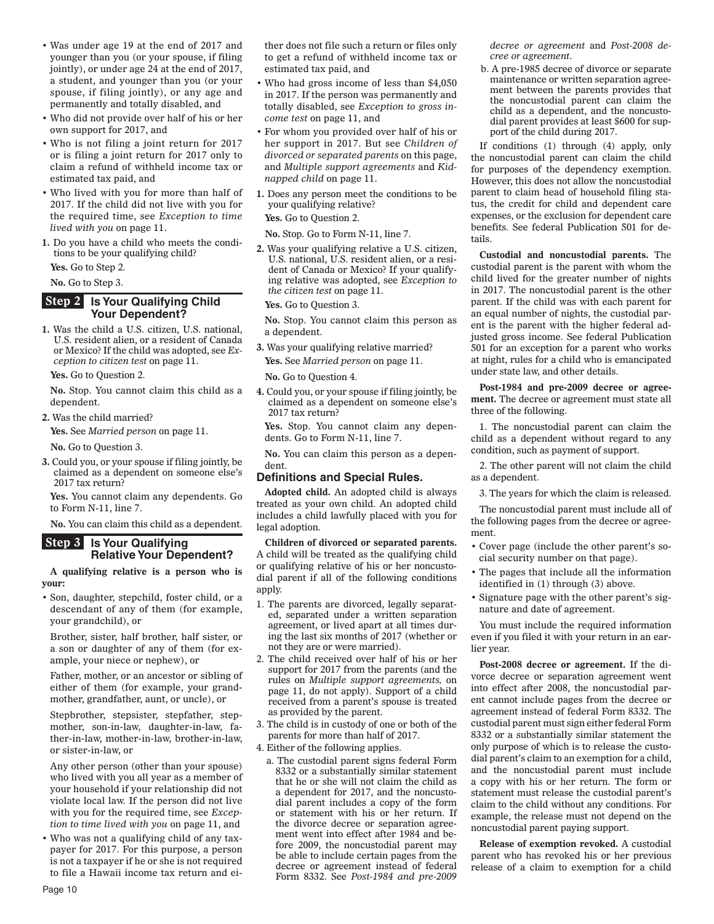- Was under age 19 at the end of 2017 and younger than you (or your spouse, if filing jointly), or under age 24 at the end of 2017, a student, and younger than you (or your spouse, if filing jointly), or any age and permanently and totally disabled, and
- Who did not provide over half of his or her own support for 2017, and
- Who is not filing a joint return for 2017 or is filing a joint return for 2017 only to claim a refund of withheld income tax or estimated tax paid, and
- Who lived with you for more than half of 2017. If the child did not live with you for the required time, see *Exception to time lived with you* on page 11.
- **1.** Do you have a child who meets the conditions to be your qualifying child? **Yes.** Go to Step 2.

**No.** Go to Step 3.

#### **Step 2** Is Your Qualifying Child  **Your Dependent?**

**1.** Was the child a U.S. citizen, U.S. national, U.S. resident alien, or a resident of Canada or Mexico? If the child was adopted, see *Exception to citizen test* on page 11.

**Yes.** Go to Question 2.

**No.** Stop. You cannot claim this child as a dependent.

**2.** Was the child married?

**Yes.** See *Married person* on page 11.

**No.** Go to Question 3.

**3.** Could you, or your spouse if filing jointly, be claimed as a dependent on someone else's 2017 tax return?

**Yes.** You cannot claim any dependents. Go to Form N-11, line 7.

**No.** You can claim this child as a dependent.

#### **Step 3** Is Your Qualifying  **Relative Your Dependent?**

**A qualifying relative is a person who is your:**

• Son, daughter, stepchild, foster child, or a descendant of any of them (for example, your grandchild), or

Brother, sister, half brother, half sister, or a son or daughter of any of them (for example, your niece or nephew), or

Father, mother, or an ancestor or sibling of either of them (for example, your grandmother, grandfather, aunt, or uncle), or

Stepbrother, stepsister, stepfather, stepmother, son-in-law, daughter-in-law, father-in-law, mother-in-law, brother-in-law, or sister-in-law, or

Any other person (other than your spouse) who lived with you all year as a member of your household if your relationship did not violate local law. If the person did not live with you for the required time, see *Exception to time lived with you* on page 11, and

• Who was not a qualifying child of any taxpayer for 2017. For this purpose, a person is not a taxpayer if he or she is not required to file a Hawaii income tax return and either does not file such a return or files only to get a refund of withheld income tax or estimated tax paid, and

- Who had gross income of less than \$4,050 in 2017. If the person was permanently and totally disabled, see *Exception to gross income test* on page 11, and
- For whom you provided over half of his or her support in 2017. But see *Children of divorced or separated parents* on this page, and *Multiple support agreements* and *Kidnapped child* on page 11.
- **1.** Does any person meet the conditions to be your qualifying relative?

**Yes.** Go to Question 2.

**No.** Stop. Go to Form N-11, line 7.

**2.** Was your qualifying relative a U.S. citizen, U.S. national, U.S. resident alien, or a resident of Canada or Mexico? If your qualifying relative was adopted, see *Exception to the citizen test* on page 11.

**Yes.** Go to Question 3.

**No.** Stop. You cannot claim this person as a dependent.

**3.** Was your qualifying relative married? **Yes.** See *Married person* on page 11.

**No.** Go to Question 4.

**4.** Could you, or your spouse if filing jointly, be claimed as a dependent on someone else's 2017 tax return?

**Yes.** Stop. You cannot claim any dependents. Go to Form N-11, line 7.

**No.** You can claim this person as a dependent.

#### **Defi nitions and Special Rules.**

**Adopted child.** An adopted child is always treated as your own child. An adopted child includes a child lawfully placed with you for legal adoption.

**Children of divorced or separated parents.**  A child will be treated as the qualifying child or qualifying relative of his or her noncustodial parent if all of the following conditions apply.

- 1. The parents are divorced, legally separated, separated under a written separation agreement, or lived apart at all times during the last six months of 2017 (whether or not they are or were married).
- 2. The child received over half of his or her support for 2017 from the parents (and the rules on *Multiple support agreements,* on page 11, do not apply). Support of a child received from a parent's spouse is treated as provided by the parent.
- 3. The child is in custody of one or both of the parents for more than half of 2017.
- 4. Either of the following applies.
	- a. The custodial parent signs federal Form 8332 or a substantially similar statement that he or she will not claim the child as a dependent for 2017, and the noncustodial parent includes a copy of the form or statement with his or her return. If the divorce decree or separation agreement went into effect after 1984 and before 2009, the noncustodial parent may be able to include certain pages from the decree or agreement instead of federal Form 8332. See *Post-1984 and pre-2009*

*decree or agreement* and *Post-2008 decree or agreement*.

b. A pre-1985 decree of divorce or separate maintenance or written separation agreement between the parents provides that the noncustodial parent can claim the child as a dependent, and the noncustodial parent provides at least \$600 for support of the child during 2017.

If conditions (1) through (4) apply, only the noncustodial parent can claim the child for purposes of the dependency exemption. However, this does not allow the noncustodial parent to claim head of household filing status, the credit for child and dependent care expenses, or the exclusion for dependent care benefits. See federal Publication 501 for details.

**Custodial and noncustodial parents.** The custodial parent is the parent with whom the child lived for the greater number of nights in 2017. The noncustodial parent is the other parent. If the child was with each parent for an equal number of nights, the custodial parent is the parent with the higher federal adjusted gross income. See federal Publication 501 for an exception for a parent who works at night, rules for a child who is emancipated under state law, and other details.

**Post-1984 and pre-2009 decree or agreement.** The decree or agreement must state all three of the following.

1. The noncustodial parent can claim the child as a dependent without regard to any condition, such as payment of support.

2. The other parent will not claim the child as a dependent.

3. The years for which the claim is released.

The noncustodial parent must include all of the following pages from the decree or agreement.

- Cover page (include the other parent's social security number on that page).
- The pages that include all the information identified in (1) through (3) above.
- Signature page with the other parent's signature and date of agreement.

You must include the required information even if you filed it with your return in an earlier year.

**Post-2008 decree or agreement.** If the divorce decree or separation agreement went into effect after 2008, the noncustodial parent cannot include pages from the decree or agreement instead of federal Form 8332. The custodial parent must sign either federal Form 8332 or a substantially similar statement the only purpose of which is to release the custodial parent's claim to an exemption for a child, and the noncustodial parent must include a copy with his or her return. The form or statement must release the custodial parent's claim to the child without any conditions. For example, the release must not depend on the noncustodial parent paying support.

**Release of exemption revoked.** A custodial parent who has revoked his or her previous release of a claim to exemption for a child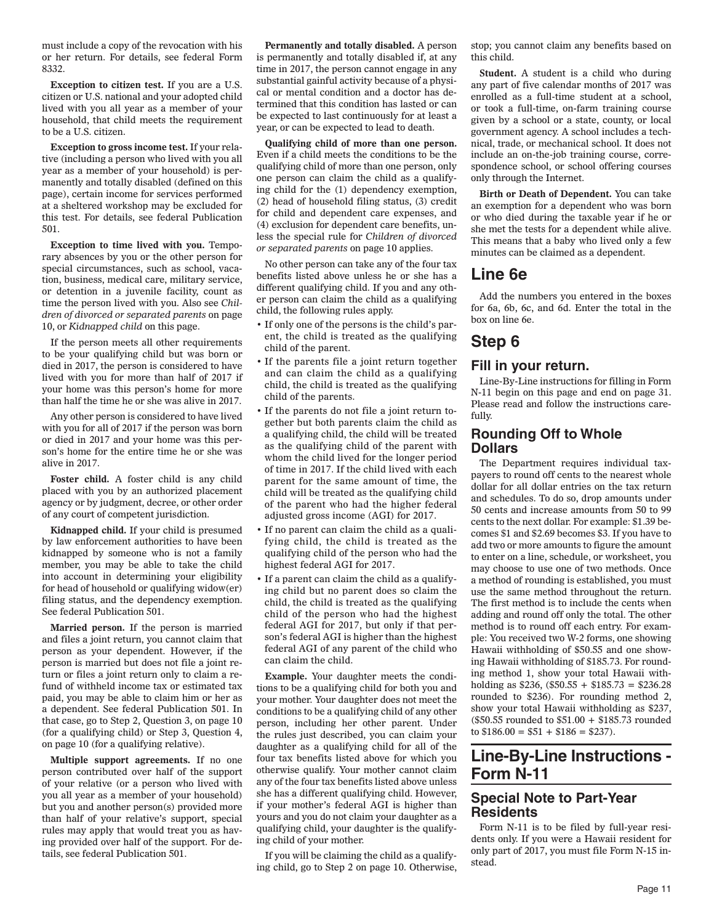must include a copy of the revocation with his or her return. For details, see federal Form 8332.

**Exception to citizen test.** If you are a U.S. citizen or U.S. national and your adopted child lived with you all year as a member of your household, that child meets the requirement to be a U.S. citizen.

**Exception to gross income test.** If your relative (including a person who lived with you all year as a member of your household) is permanently and totally disabled (defined on this page), certain income for services performed at a sheltered workshop may be excluded for this test. For details, see federal Publication 501.

**Exception to time lived with you.** Temporary absences by you or the other person for special circumstances, such as school, vacation, business, medical care, military service, or detention in a juvenile facility, count as time the person lived with you. Also see *Children of divorced or separated parents* on page 10, or *Kidnapped child* on this page.

If the person meets all other requirements to be your qualifying child but was born or died in 2017, the person is considered to have lived with you for more than half of 2017 if your home was this person's home for more than half the time he or she was alive in 2017.

Any other person is considered to have lived with you for all of 2017 if the person was born or died in 2017 and your home was this person's home for the entire time he or she was alive in 2017.

**Foster child.** A foster child is any child placed with you by an authorized placement agency or by judgment, decree, or other order of any court of competent jurisdiction.

**Kidnapped child.** If your child is presumed by law enforcement authorities to have been kidnapped by someone who is not a family member, you may be able to take the child into account in determining your eligibility for head of household or qualifying widow(er) filing status, and the dependency exemption. See federal Publication 501.

**Married person.** If the person is married and files a joint return, you cannot claim that person as your dependent. However, if the person is married but does not file a joint return or files a joint return only to claim a refund of withheld income tax or estimated tax paid, you may be able to claim him or her as a dependent. See federal Publication 501. In that case, go to Step 2, Question 3, on page 10 (for a qualifying child) or Step 3, Question 4, on page 10 (for a qualifying relative).

**Multiple support agreements.** If no one person contributed over half of the support of your relative (or a person who lived with you all year as a member of your household) but you and another person(s) provided more than half of your relative's support, special rules may apply that would treat you as having provided over half of the support. For details, see federal Publication 501.

**Permanently and totally disabled.** A person is permanently and totally disabled if, at any time in 2017, the person cannot engage in any substantial gainful activity because of a physical or mental condition and a doctor has determined that this condition has lasted or can be expected to last continuously for at least a year, or can be expected to lead to death.

**Qualifying child of more than one person.**  Even if a child meets the conditions to be the qualifying child of more than one person, only one person can claim the child as a qualifying child for the (1) dependency exemption, (2) head of household filing status, (3) credit for child and dependent care expenses, and (4) exclusion for dependent care benefits, unless the special rule for *Children of divorced or separated parents* on page 10 applies.

No other person can take any of the four tax benefits listed above unless he or she has a different qualifying child. If you and any other person can claim the child as a qualifying child, the following rules apply.

- If only one of the persons is the child's parent, the child is treated as the qualifying child of the parent.
- If the parents file a joint return together and can claim the child as a qualifying child, the child is treated as the qualifying child of the parents.
- If the parents do not file a joint return together but both parents claim the child as a qualifying child, the child will be treated as the qualifying child of the parent with whom the child lived for the longer period of time in 2017. If the child lived with each parent for the same amount of time, the child will be treated as the qualifying child of the parent who had the higher federal adjusted gross income (AGI) for 2017.
- If no parent can claim the child as a qualifying child, the child is treated as the qualifying child of the person who had the highest federal AGI for 2017.
- If a parent can claim the child as a qualifying child but no parent does so claim the child, the child is treated as the qualifying child of the person who had the highest federal AGI for 2017, but only if that person's federal AGI is higher than the highest federal AGI of any parent of the child who can claim the child.

**Example.** Your daughter meets the conditions to be a qualifying child for both you and your mother. Your daughter does not meet the conditions to be a qualifying child of any other person, including her other parent. Under the rules just described, you can claim your daughter as a qualifying child for all of the four tax benefits listed above for which you otherwise qualify. Your mother cannot claim any of the four tax benefits listed above unless she has a different qualifying child. However, if your mother's federal AGI is higher than yours and you do not claim your daughter as a qualifying child, your daughter is the qualifying child of your mother.

If you will be claiming the child as a qualifying child, go to Step 2 on page 10. Otherwise, stop; you cannot claim any benefits based on this child.

**Student.** A student is a child who during any part of five calendar months of 2017 was enrolled as a full-time student at a school, or took a full-time, on-farm training course given by a school or a state, county, or local government agency. A school includes a technical, trade, or mechanical school. It does not include an on-the-job training course, correspondence school, or school offering courses only through the Internet.

**Birth or Death of Dependent.** You can take an exemption for a dependent who was born or who died during the taxable year if he or she met the tests for a dependent while alive. This means that a baby who lived only a few minutes can be claimed as a dependent.

# **Line 6e**

Add the numbers you entered in the boxes for 6a, 6b, 6c, and 6d. Enter the total in the box on line 6e.

# **Step 6**

### **Fill in your return.**

Line-By-Line instructions for filling in Form N-11 begin on this page and end on page 31. Please read and follow the instructions carefully.

### **Rounding Off to Whole Dollars**

The Department requires individual taxpayers to round off cents to the nearest whole dollar for all dollar entries on the tax return and schedules. To do so, drop amounts under 50 cents and increase amounts from 50 to 99 cents to the next dollar. For example: \$1.39 becomes \$1 and \$2.69 becomes \$3. If you have to add two or more amounts to figure the amount to enter on a line, schedule, or worksheet, you may choose to use one of two methods. Once a method of rounding is established, you must use the same method throughout the return. The first method is to include the cents when adding and round off only the total. The other method is to round off each entry. For example: You received two W-2 forms, one showing Hawaii withholding of \$50.55 and one showing Hawaii withholding of \$185.73. For rounding method 1, show your total Hawaii withholding as \$236, (\$50.55 + \$185.73 = \$236.28 rounded to \$236). For rounding method 2, show your total Hawaii withholding as \$237, (\$50.55 rounded to \$51.00 + \$185.73 rounded to  $$186.00 = $51 + $186 = $237$ .

# **Line-By-Line Instructions - Form N-11**

### **Special Note to Part-Year Residents**

Form N-11 is to be filed by full-year residents only. If you were a Hawaii resident for only part of 2017, you must file Form N-15 instead.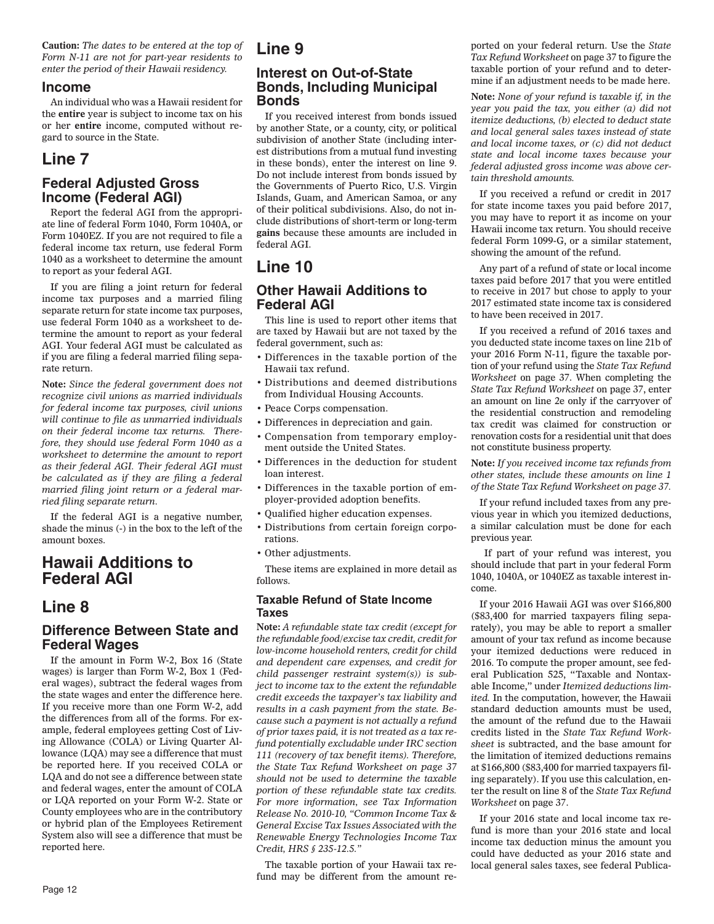**Caution:** *The dates to be entered at the top of Form N-11 are not for part-year residents to enter the period of their Hawaii residency.*

#### **Income**

An individual who was a Hawaii resident for the **entire** year is subject to income tax on his or her **entire** income, computed without regard to source in the State.

# **Line 7**

## **Federal Adjusted Gross Income (Federal AGI)**

Report the federal AGI from the appropriate line of federal Form 1040, Form 1040A, or Form 1040EZ. If you are not required to file a federal income tax return, use federal Form 1040 as a worksheet to determine the amount to report as your federal AGI.

If you are filing a joint return for federal income tax purposes and a married filing separate return for state income tax purposes, use federal Form 1040 as a worksheet to determine the amount to report as your federal AGI. Your federal AGI must be calculated as if you are filing a federal married filing separate return.

**Note:** *Since the federal government does not recognize civil unions as married individuals for federal income tax purposes, civil unions will continue to file as unmarried individuals on their federal income tax returns. Therefore, they should use federal Form 1040 as a worksheet to determine the amount to report as their federal AGI. Their federal AGI must be calculated as if they are filing a federal married filing joint return or a federal married filing separate return.*

If the federal AGI is a negative number, shade the minus (-) in the box to the left of the amount boxes.

# **Hawaii Additions to Federal AGI**

# **Line 8**

### **Difference Between State and Federal Wages**

If the amount in Form W-2, Box 16 (State wages) is larger than Form W-2, Box 1 (Federal wages), subtract the federal wages from the state wages and enter the difference here. If you receive more than one Form W-2, add the differences from all of the forms. For example, federal employees getting Cost of Living Allowance (COLA) or Living Quarter Allowance (LQA) may see a difference that must be reported here. If you received COLA or LQA and do not see a difference between state and federal wages, enter the amount of COLA or LQA reported on your Form W-2. State or County employees who are in the contributory or hybrid plan of the Employees Retirement System also will see a difference that must be reported here.

# **Line 9**

### **Interest on Out-of-State Bonds, Including Municipal Bonds**

If you received interest from bonds issued by another State, or a county, city, or political subdivision of another State (including interest distributions from a mutual fund investing in these bonds), enter the interest on line 9. Do not include interest from bonds issued by the Governments of Puerto Rico, U.S. Virgin Islands, Guam, and American Samoa, or any of their political subdivisions. Also, do not include distributions of short-term or long-term **gains** because these amounts are included in federal AGI.

# **Line 10**

### **Other Hawaii Additions to Federal AGI**

This line is used to report other items that are taxed by Hawaii but are not taxed by the federal government, such as:

- Differences in the taxable portion of the Hawaii tax refund.
- Distributions and deemed distributions from Individual Housing Accounts.
- Peace Corps compensation.
- Differences in depreciation and gain.
- Compensation from temporary employment outside the United States.
- Differences in the deduction for student loan interest.
- Differences in the taxable portion of employer-provided adoption benefits.
- Qualified higher education expenses.
- Distributions from certain foreign corporations.
- Other adjustments.

These items are explained in more detail as follows.

#### **Taxable Refund of State Income Taxes**

**Note:** *A refundable state tax credit (except for the refundable food/excise tax credit, credit for low-income household renters, credit for child and dependent care expenses, and credit for child passenger restraint system(s)) is subject to income tax to the extent the refundable credit exceeds the taxpayer's tax liability and results in a cash payment from the state. Because such a payment is not actually a refund of prior taxes paid, it is not treated as a tax refund potentially excludable under IRC section 111 (recovery of tax benefit items). Therefore, the State Tax Refund Worksheet on page 37 should not be used to determine the taxable portion of these refundable state tax credits. For more information, see Tax Information Release No. 2010-10, "Common Income Tax & General Excise Tax Issues Associated with the Renewable Energy Technologies Income Tax Credit, HRS § 235-12.5."*

The taxable portion of your Hawaii tax refund may be different from the amount reported on your federal return. Use the *State Tax Refund Worksheet* on page 37 to figure the taxable portion of your refund and to determine if an adjustment needs to be made here.

**Note:** *None of your refund is taxable if, in the year you paid the tax, you either (a) did not itemize deductions, (b) elected to deduct state and local general sales taxes instead of state and local income taxes, or (c) did not deduct state and local income taxes because your federal adjusted gross income was above certain threshold amounts.*

If you received a refund or credit in 2017 for state income taxes you paid before 2017, you may have to report it as income on your Hawaii income tax return. You should receive federal Form 1099-G, or a similar statement, showing the amount of the refund.

Any part of a refund of state or local income taxes paid before 2017 that you were entitled to receive in 2017 but chose to apply to your 2017 estimated state income tax is considered to have been received in 2017.

If you received a refund of 2016 taxes and you deducted state income taxes on line 21b of your 2016 Form N-11, figure the taxable portion of your refund using the *State Tax Refund Worksheet* on page 37. When completing the *State Tax Refund Worksheet* on page 37, enter an amount on line 2e only if the carryover of the residential construction and remodeling tax credit was claimed for construction or renovation costs for a residential unit that does not constitute business property.

**Note:** *If you received income tax refunds from other states, include these amounts on line 1 of the State Tax Refund Worksheet on page 37.*

If your refund included taxes from any previous year in which you itemized deductions, a similar calculation must be done for each previous year.

 If part of your refund was interest, you should include that part in your federal Form 1040, 1040A, or 1040EZ as taxable interest income.

If your 2016 Hawaii AGI was over \$166,800 (\$83,400 for married taxpayers filing separately), you may be able to report a smaller amount of your tax refund as income because your itemized deductions were reduced in 2016. To compute the proper amount, see federal Publication 525, "Taxable and Nontaxable Income," under *Itemized deductions limited.* In the computation, however, the Hawaii standard deduction amounts must be used, the amount of the refund due to the Hawaii credits listed in the *State Tax Refund Worksheet* is subtracted, and the base amount for the limitation of itemized deductions remains at \$166,800 (\$83,400 for married taxpayers filing separately). If you use this calculation, enter the result on line 8 of the *State Tax Refund Worksheet* on page 37.

If your 2016 state and local income tax refund is more than your 2016 state and local income tax deduction minus the amount you could have deducted as your 2016 state and local general sales taxes, see federal Publica-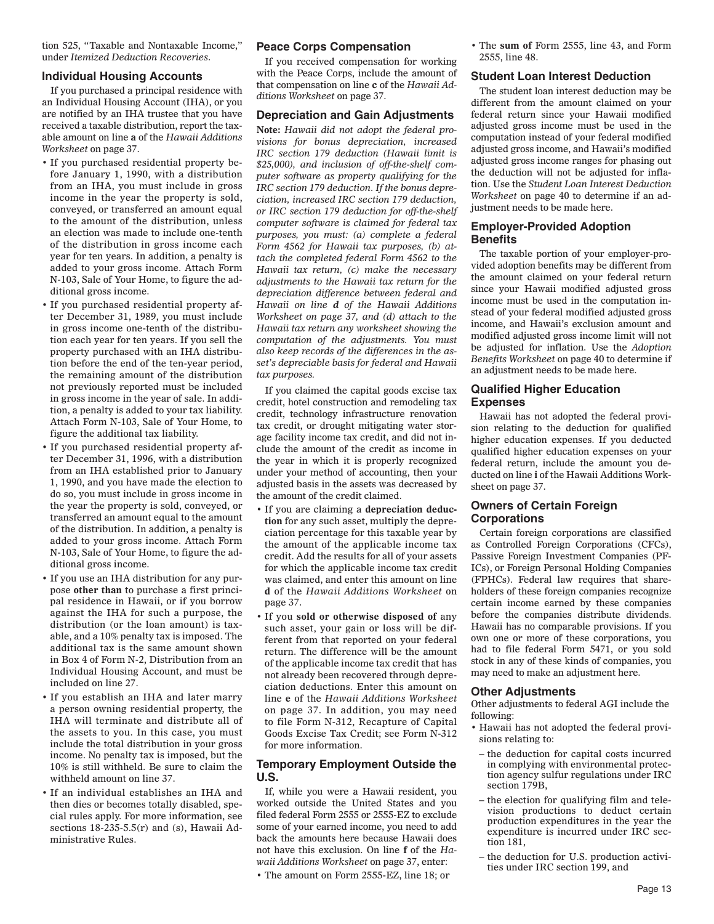tion 525, "Taxable and Nontaxable Income," under *Itemized Deduction Recoveries*.

#### **Individual Housing Accounts**

If you purchased a principal residence with an Individual Housing Account (IHA), or you are notified by an IHA trustee that you have received a taxable distribution, report the taxable amount on line **a** of the *Hawaii Additions Worksheet* on page 37.

- If you purchased residential property before January 1, 1990, with a distribution from an IHA, you must include in gross income in the year the property is sold, conveyed, or transferred an amount equal to the amount of the distribution, unless an election was made to include one-tenth of the distribution in gross income each year for ten years. In addition, a penalty is added to your gross income. Attach Form N-103, Sale of Your Home, to figure the additional gross income.
- If you purchased residential property after December 31, 1989, you must include in gross income one-tenth of the distribution each year for ten years. If you sell the property purchased with an IHA distribution before the end of the ten-year period, the remaining amount of the distribution not previously reported must be included in gross income in the year of sale. In addition, a penalty is added to your tax liability. Attach Form N-103, Sale of Your Home, to figure the additional tax liability.
- If you purchased residential property after December 31, 1996, with a distribution from an IHA established prior to January 1, 1990, and you have made the election to do so, you must include in gross income in the year the property is sold, conveyed, or transferred an amount equal to the amount of the distribution. In addition, a penalty is added to your gross income. Attach Form N-103, Sale of Your Home, to figure the additional gross income.
- If you use an IHA distribution for any purpose **other than** to purchase a first principal residence in Hawaii, or if you borrow against the IHA for such a purpose, the distribution (or the loan amount) is taxable, and a 10% penalty tax is imposed. The additional tax is the same amount shown in Box 4 of Form N-2, Distribution from an Individual Housing Account, and must be included on line 27.
- If you establish an IHA and later marry a person owning residential property, the IHA will terminate and distribute all of the assets to you. In this case, you must include the total distribution in your gross income. No penalty tax is imposed, but the 10% is still withheld. Be sure to claim the withheld amount on line 37.
- If an individual establishes an IHA and then dies or becomes totally disabled, special rules apply. For more information, see sections  $18-235-5.5(r)$  and (s), Hawaii Administrative Rules.

#### **Peace Corps Compensation**

If you received compensation for working with the Peace Corps, include the amount of that compensation on line **c** of the *Hawaii Additions Worksheet* on page 37.

#### **Depreciation and Gain Adjustments**

**Note:** *Hawaii did not adopt the federal provisions for bonus depreciation, increased IRC section 179 deduction (Hawaii limit is \$25,000), and inclusion of off-the-shelf computer software as property qualifying for the IRC section 179 deduction. If the bonus depreciation, increased IRC section 179 deduction, or IRC section 179 deduction for off-the-shelf computer software is claimed for federal tax purposes, you must: (a) complete a federal Form 4562 for Hawaii tax purposes, (b) attach the completed federal Form 4562 to the Hawaii tax return, (c) make the necessary adjustments to the Hawaii tax return for the depreciation difference between federal and Hawaii on line d of the Hawaii Additions Worksheet on page 37, and (d) attach to the Hawaii tax return any worksheet showing the computation of the adjustments. You must also keep records of the differences in the asset's depreciable basis for federal and Hawaii tax purposes.*

If you claimed the capital goods excise tax credit, hotel construction and remodeling tax credit, technology infrastructure renovation tax credit, or drought mitigating water storage facility income tax credit, and did not include the amount of the credit as income in the year in which it is properly recognized under your method of accounting, then your adjusted basis in the assets was decreased by the amount of the credit claimed.

- If you are claiming a **depreciation deduction** for any such asset, multiply the depreciation percentage for this taxable year by the amount of the applicable income tax credit. Add the results for all of your assets for which the applicable income tax credit was claimed, and enter this amount on line **d** of the *Hawaii Additions Worksheet* on page 37.
- If you **sold or otherwise disposed of** any such asset, your gain or loss will be different from that reported on your federal return. The difference will be the amount of the applicable income tax credit that has not already been recovered through depreciation deductions. Enter this amount on line **e** of the *Hawaii Additions Worksheet* on page 37. In addition, you may need to file Form N-312, Recapture of Capital Goods Excise Tax Credit; see Form N-312 for more information.

#### **Temporary Employment Outside the U.S.**

If, while you were a Hawaii resident, you worked outside the United States and you filed federal Form 2555 or 2555-EZ to exclude some of your earned income, you need to add back the amounts here because Hawaii does not have this exclusion. On line **f** of the *Hawaii Additions Worksheet* on page 37, enter:

• The amount on Form 2555-EZ, line 18; or

• The **sum of** Form 2555, line 43, and Form 2555, line 48.

#### **Student Loan Interest Deduction**

The student loan interest deduction may be different from the amount claimed on your federal return since your Hawaii modified adjusted gross income must be used in the computation instead of your federal modified adjusted gross income, and Hawaii's modified adjusted gross income ranges for phasing out the deduction will not be adjusted for inflation. Use the *Student Loan Interest Deduction Worksheet* on page 40 to determine if an adjustment needs to be made here.

#### **Employer-Provided Adoption Benefits**

The taxable portion of your employer-provided adoption benefits may be different from the amount claimed on your federal return since your Hawaii modified adjusted gross income must be used in the computation instead of your federal modified adjusted gross income, and Hawaii's exclusion amount and modified adjusted gross income limit will not be adjusted for inflation. Use the *Adoption Benefits Worksheet* on page 40 to determine if an adjustment needs to be made here.

#### **Qualified Higher Education Expenses**

Hawaii has not adopted the federal provision relating to the deduction for qualified higher education expenses. If you deducted qualified higher education expenses on your federal return, include the amount you deducted on line **i** of the Hawaii Additions Worksheet on page 37.

#### **Owners of Certain Foreign Corporations**

Certain foreign corporations are classified as Controlled Foreign Corporations (CFCs), Passive Foreign Investment Companies (PF-ICs), or Foreign Personal Holding Companies (FPHCs). Federal law requires that shareholders of these foreign companies recognize certain income earned by these companies before the companies distribute dividends. Hawaii has no comparable provisions. If you own one or more of these corporations, you had to file federal Form 5471, or you sold stock in any of these kinds of companies, you may need to make an adjustment here.

#### **Other Adjustments**

Other adjustments to federal AGI include the following:

- Hawaii has not adopted the federal provisions relating to:
- the deduction for capital costs incurred in complying with environmental protection agency sulfur regulations under IRC section 179B,
- the election for qualifying film and television productions to deduct certain production expenditures in the year the expenditure is incurred under IRC section 181,
- the deduction for U.S. production activities under IRC section 199, and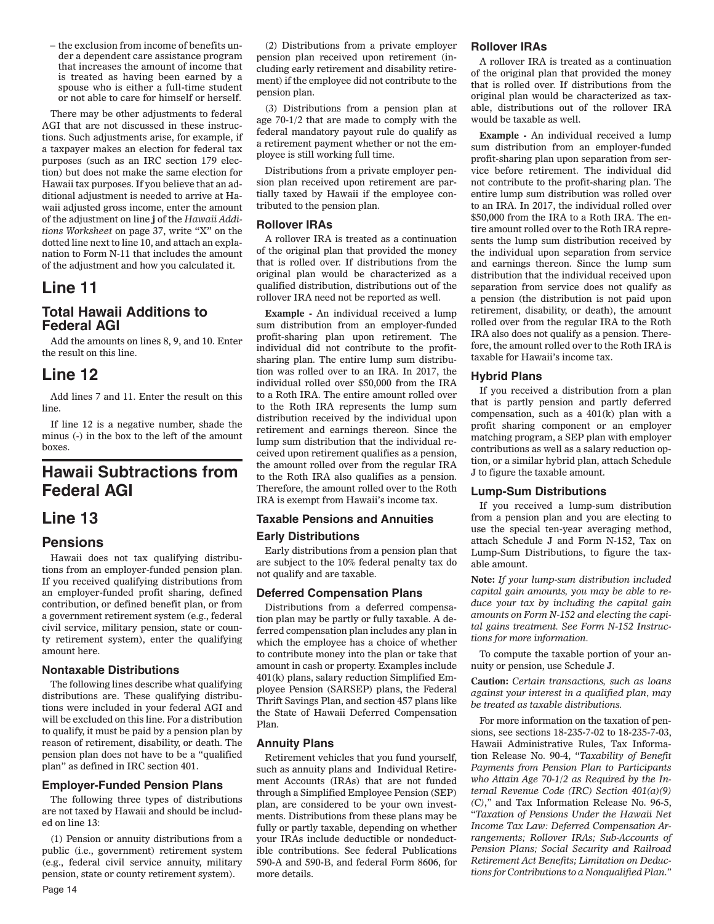– the exclusion from income of benefits under a dependent care assistance program that increases the amount of income that is treated as having been earned by a spouse who is either a full-time student or not able to care for himself or herself.

There may be other adjustments to federal AGI that are not discussed in these instructions. Such adjustments arise, for example, if a taxpayer makes an election for federal tax purposes (such as an IRC section 179 election) but does not make the same election for Hawaii tax purposes. If you believe that an additional adjustment is needed to arrive at Hawaii adjusted gross income, enter the amount of the adjustment on line **j** of the *Hawaii Additions Worksheet* on page 37, write "X" on the dotted line next to line 10, and attach an explanation to Form N-11 that includes the amount of the adjustment and how you calculated it.

# **Line 11**

# **Total Hawaii Additions to Federal AGI**

Add the amounts on lines 8, 9, and 10. Enter the result on this line.

# **Line 12**

Add lines 7 and 11. Enter the result on this line.

If line 12 is a negative number, shade the minus (-) in the box to the left of the amount boxes.

# **Hawaii Subtractions from Federal AGI**

# **Line 13**

#### **Pensions**

Hawaii does not tax qualifying distributions from an employer-funded pension plan. If you received qualifying distributions from an employer-funded profit sharing, defined contribution, or defined benefit plan, or from a government retirement system (e.g., federal civil service, military pension, state or county retirement system), enter the qualifying amount here.

#### **Nontaxable Distributions**

The following lines describe what qualifying distributions are. These qualifying distributions were included in your federal AGI and will be excluded on this line. For a distribution to qualify, it must be paid by a pension plan by reason of retirement, disability, or death. The pension plan does not have to be a "qualified plan" as defined in IRC section 401.

#### **Employer-Funded Pension Plans**

The following three types of distributions are not taxed by Hawaii and should be included on line 13:

(1) Pension or annuity distributions from a public (i.e., government) retirement system (e.g., federal civil service annuity, military pension, state or county retirement system).

(2) Distributions from a private employer pension plan received upon retirement (including early retirement and disability retirement) if the employee did not contribute to the pension plan.

(3) Distributions from a pension plan at age 70-1/2 that are made to comply with the federal mandatory payout rule do qualify as a retirement payment whether or not the employee is still working full time.

Distributions from a private employer pension plan received upon retirement are partially taxed by Hawaii if the employee contributed to the pension plan.

#### **Rollover IRAs**

A rollover IRA is treated as a continuation of the original plan that provided the money that is rolled over. If distributions from the original plan would be characterized as a qualified distribution, distributions out of the rollover IRA need not be reported as well.

**Example -** An individual received a lump sum distribution from an employer-funded profit-sharing plan upon retirement. The individual did not contribute to the profitsharing plan. The entire lump sum distribution was rolled over to an IRA. In 2017, the individual rolled over \$50,000 from the IRA to a Roth IRA. The entire amount rolled over to the Roth IRA represents the lump sum distribution received by the individual upon retirement and earnings thereon. Since the lump sum distribution that the individual received upon retirement qualifies as a pension, the amount rolled over from the regular IRA to the Roth IRA also qualifies as a pension. Therefore, the amount rolled over to the Roth IRA is exempt from Hawaii's income tax.

#### **Taxable Pensions and Annuities**

#### **Early Distributions**

Early distributions from a pension plan that are subject to the 10% federal penalty tax do not qualify and are taxable.

#### **Deferred Compensation Plans**

Distributions from a deferred compensation plan may be partly or fully taxable. A deferred compensation plan includes any plan in which the employee has a choice of whether to contribute money into the plan or take that amount in cash or property. Examples include 401(k) plans, salary reduction Simplified Employee Pension (SARSEP) plans, the Federal Thrift Savings Plan, and section 457 plans like the State of Hawaii Deferred Compensation Plan.

#### **Annuity Plans**

Retirement vehicles that you fund yourself, such as annuity plans and Individual Retirement Accounts (IRAs) that are not funded through a Simplified Employee Pension (SEP) plan, are considered to be your own investments. Distributions from these plans may be fully or partly taxable, depending on whether your IRAs include deductible or nondeductible contributions. See federal Publications 590-A and 590-B, and federal Form 8606, for more details.

#### **Rollover IRAs**

A rollover IRA is treated as a continuation of the original plan that provided the money that is rolled over. If distributions from the original plan would be characterized as taxable, distributions out of the rollover IRA would be taxable as well.

**Example -** An individual received a lump sum distribution from an employer-funded profit-sharing plan upon separation from service before retirement. The individual did not contribute to the profit-sharing plan. The entire lump sum distribution was rolled over to an IRA. In 2017, the individual rolled over \$50,000 from the IRA to a Roth IRA. The entire amount rolled over to the Roth IRA represents the lump sum distribution received by the individual upon separation from service and earnings thereon. Since the lump sum distribution that the individual received upon separation from service does not qualify as a pension (the distribution is not paid upon retirement, disability, or death), the amount rolled over from the regular IRA to the Roth IRA also does not qualify as a pension. Therefore, the amount rolled over to the Roth IRA is taxable for Hawaii's income tax.

#### **Hybrid Plans**

If you received a distribution from a plan that is partly pension and partly deferred compensation, such as a 401(k) plan with a profit sharing component or an employer matching program, a SEP plan with employer contributions as well as a salary reduction option, or a similar hybrid plan, attach Schedule J to figure the taxable amount.

#### **Lump-Sum Distributions**

If you received a lump-sum distribution from a pension plan and you are electing to use the special ten-year averaging method, attach Schedule J and Form N-152, Tax on Lump-Sum Distributions, to figure the taxable amount.

**Note:** *If your lump-sum distribution included capital gain amounts, you may be able to reduce your tax by including the capital gain amounts on Form N-152 and electing the capital gains treatment. See Form N-152 Instructions for more information.*

To compute the taxable portion of your annuity or pension, use Schedule J.

**Caution:** *Certain transactions, such as loans against your interest in a qualified plan, may be treated as taxable distributions.*

For more information on the taxation of pensions, see sections 18-235-7-02 to 18-235-7-03, Hawaii Administrative Rules, Tax Information Release No. 90-4, "*Taxability of Benefit Payments from Pension Plan to Participants who Attain Age 70-1/2 as Required by the Internal Revenue Code (IRC) Section 401(a)(9) (C)*,*"* and Tax Information Release No. 96-5, "*Taxation of Pensions Under the Hawaii Net Income Tax Law: Deferred Compensation Arrangements; Rollover IRAs; Sub-Accounts of Pension Plans; Social Security and Railroad Retirement Act Benefits; Limitation on Deductions for Contributions to a Nonqualified Plan*.*"*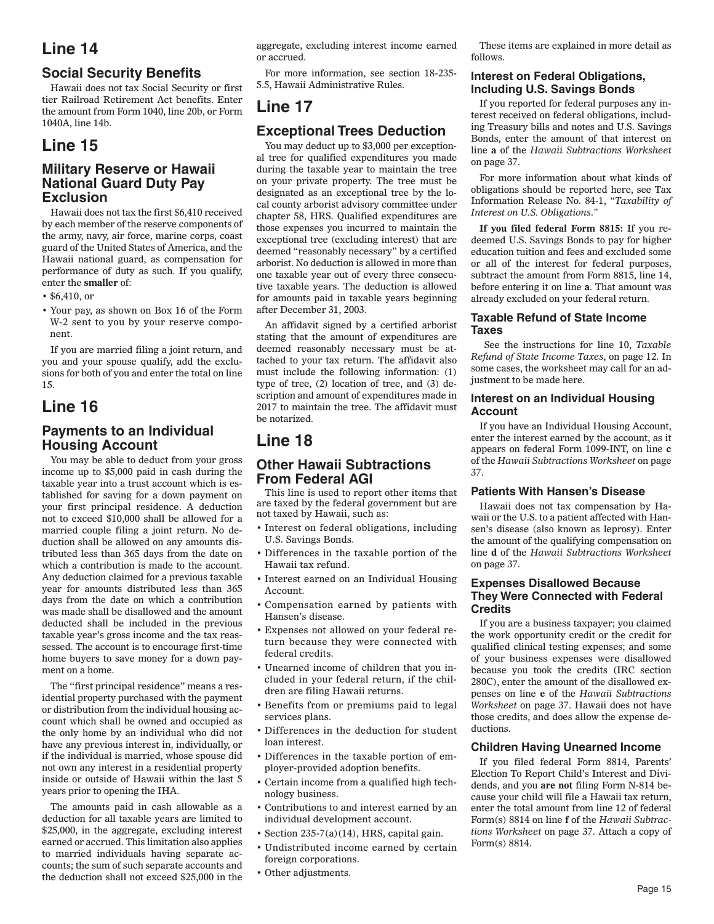# **Social Security Benefits**

Hawaii does not tax Social Security or first tier Railroad Retirement Act benefits. Enter the amount from Form 1040, line 20b, or Form 1040A, line 14b.

# **Line 15**

### **Military Reserve or Hawaii National Guard Duty Pay Exclusion**

Hawaii does not tax the first \$6,410 received by each member of the reserve components of the army, navy, air force, marine corps, coast guard of the United States of America, and the Hawaii national guard, as compensation for performance of duty as such. If you qualify, enter the **smaller** of:

- \$6,410, or
- Your pay, as shown on Box 16 of the Form W-2 sent to you by your reserve component.

If you are married filing a joint return, and you and your spouse qualify, add the exclusions for both of you and enter the total on line 15.

# **Line 16**

# **Payments to an Individual Housing Account**

You may be able to deduct from your gross income up to \$5,000 paid in cash during the taxable year into a trust account which is established for saving for a down payment on your first principal residence. A deduction not to exceed \$10,000 shall be allowed for a married couple filing a joint return. No deduction shall be allowed on any amounts distributed less than 365 days from the date on which a contribution is made to the account. Any deduction claimed for a previous taxable year for amounts distributed less than 365 days from the date on which a contribution was made shall be disallowed and the amount deducted shall be included in the previous taxable year's gross income and the tax reassessed. The account is to encourage first-time home buyers to save money for a down payment on a home.

The "first principal residence" means a residential property purchased with the payment or distribution from the individual housing account which shall be owned and occupied as the only home by an individual who did not have any previous interest in, individually, or if the individual is married, whose spouse did not own any interest in a residential property inside or outside of Hawaii within the last 5 years prior to opening the IHA.

The amounts paid in cash allowable as a deduction for all taxable years are limited to \$25,000, in the aggregate, excluding interest earned or accrued. This limitation also applies to married individuals having separate accounts; the sum of such separate accounts and the deduction shall not exceed \$25,000 in the

aggregate, excluding interest income earned or accrued.

For more information, see section 18-235- 5.5, Hawaii Administrative Rules.

# **Line 17**

# **Exceptional Trees Deduction**

You may deduct up to \$3,000 per exceptional tree for qualified expenditures you made during the taxable year to maintain the tree on your private property. The tree must be designated as an exceptional tree by the local county arborist advisory committee under chapter 58, HRS. Qualified expenditures are those expenses you incurred to maintain the exceptional tree (excluding interest) that are deemed "reasonably necessary" by a certified arborist. No deduction is allowed in more than one taxable year out of every three consecutive taxable years. The deduction is allowed for amounts paid in taxable years beginning after December 31, 2003.

An affidavit signed by a certified arborist stating that the amount of expenditures are deemed reasonably necessary must be attached to your tax return. The affidavit also must include the following information: (1) type of tree, (2) location of tree, and (3) description and amount of expenditures made in 2017 to maintain the tree. The affidavit must be notarized.

# **Line 18**

### **Other Hawaii Subtractions From Federal AGI**

This line is used to report other items that are taxed by the federal government but are not taxed by Hawaii, such as:

- Interest on federal obligations, including U.S. Savings Bonds.
- Differences in the taxable portion of the Hawaii tax refund.
- Interest earned on an Individual Housing Account.
- Compensation earned by patients with Hansen's disease.
- Expenses not allowed on your federal return because they were connected with federal credits.
- Unearned income of children that you included in your federal return, if the children are filing Hawaii returns.
- Benefits from or premiums paid to legal services plans.
- Differences in the deduction for student loan interest.
- Differences in the taxable portion of employer-provided adoption benefits.
- Certain income from a qualified high technology business.
- Contributions to and interest earned by an individual development account.
- Section 235-7(a)(14), HRS, capital gain.
- Undistributed income earned by certain foreign corporations.
- Other adjustments.

These items are explained in more detail as follows.

#### **Interest on Federal Obligations, Including U.S. Savings Bonds**

If you reported for federal purposes any interest received on federal obligations, including Treasury bills and notes and U.S. Savings Bonds, enter the amount of that interest on line **a** of the *Hawaii Subtractions Worksheet* on page 37.

For more information about what kinds of obligations should be reported here, see Tax Information Release No. 84-1, *"Taxability of Interest on U.S. Obligations*.*"*

**If you filed federal Form 8815:** If you redeemed U.S. Savings Bonds to pay for higher education tuition and fees and excluded some or all of the interest for federal purposes, subtract the amount from Form 8815, line 14, before entering it on line **a**. That amount was already excluded on your federal return.

#### **Taxable Refund of State Income Taxes**

 See the instructions for line 10, *Taxable Refund of State Income Taxes*, on page 12. In some cases, the worksheet may call for an adjustment to be made here.

#### **Interest on an Individual Housing Account**

If you have an Individual Housing Account, enter the interest earned by the account, as it appears on federal Form 1099-INT, on line **c** of the *Hawaii Subtractions Worksheet* on page 37.

#### **Patients With Hansen's Disease**

Hawaii does not tax compensation by Hawaii or the U.S. to a patient affected with Hansen's disease (also known as leprosy). Enter the amount of the qualifying compensation on line **d** of the *Hawaii Subtractions Worksheet* on page 37.

#### **Expenses Disallowed Because They Were Connected with Federal Credits**

If you are a business taxpayer; you claimed the work opportunity credit or the credit for qualified clinical testing expenses; and some of your business expenses were disallowed because you took the credits (IRC section 280C), enter the amount of the disallowed expenses on line **e** of the *Hawaii Subtractions Worksheet* on page 37. Hawaii does not have those credits, and does allow the expense deductions.

#### **Children Having Unearned Income**

If you filed federal Form 8814, Parents' Election To Report Child's Interest and Dividends, and you **are not** filing Form N-814 because your child will file a Hawaii tax return, enter the total amount from line 12 of federal Form(s) 8814 on line **f** of the *Hawaii Subtractions Worksheet* on page 37. Attach a copy of Form(s) 8814.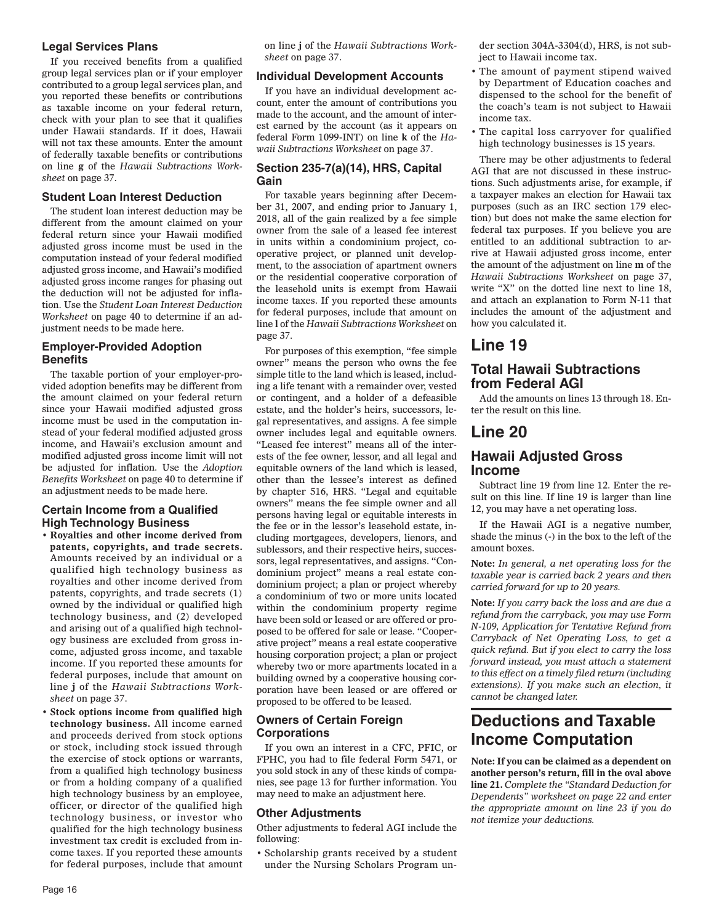#### **Legal Services Plans**

If you received benefits from a qualified group legal services plan or if your employer contributed to a group legal services plan, and you reported these benefits or contributions as taxable income on your federal return, check with your plan to see that it qualifies under Hawaii standards. If it does, Hawaii will not tax these amounts. Enter the amount of federally taxable benefits or contributions on line **g** of the *Hawaii Subtractions Worksheet* on page 37.

#### **Student Loan Interest Deduction**

The student loan interest deduction may be different from the amount claimed on your federal return since your Hawaii modified adjusted gross income must be used in the computation instead of your federal modified adjusted gross income, and Hawaii's modified adjusted gross income ranges for phasing out the deduction will not be adjusted for inflation. Use the *Student Loan Interest Deduction Worksheet* on page 40 to determine if an adjustment needs to be made here.

#### **Employer-Provided Adoption Benefits**

The taxable portion of your employer-provided adoption benefits may be different from the amount claimed on your federal return since your Hawaii modified adjusted gross income must be used in the computation instead of your federal modified adjusted gross income, and Hawaii's exclusion amount and modified adjusted gross income limit will not be adjusted for inflation. Use the *Adoption Benefits Worksheet* on page 40 to determine if an adjustment needs to be made here.

#### **Certain Income from a Qualified High Technology Business**

- **Royalties and other income derived from patents, copyrights, and trade secrets.** Amounts received by an individual or a qualified high technology business as royalties and other income derived from patents, copyrights, and trade secrets (1) owned by the individual or qualified high technology business, and (2) developed and arising out of a qualified high technology business are excluded from gross income, adjusted gross income, and taxable income. If you reported these amounts for federal purposes, include that amount on line **j** of the *Hawaii Subtractions Worksheet* on page 37.
- **Stock options income from qualified high technology business.** All income earned and proceeds derived from stock options or stock, including stock issued through the exercise of stock options or warrants, from a qualified high technology business or from a holding company of a qualified high technology business by an employee, officer, or director of the qualified high technology business, or investor who qualified for the high technology business investment tax credit is excluded from income taxes. If you reported these amounts for federal purposes, include that amount

on line **j** of the *Hawaii Subtractions Worksheet* on page 37.

#### **Individual Development Accounts**

If you have an individual development account, enter the amount of contributions you made to the account, and the amount of interest earned by the account (as it appears on federal Form 1099-INT) on line **k** of the *Hawaii Subtractions Worksheet* on page 37.

#### **Section 235-7(a)(14), HRS, Capital Gain**

For taxable years beginning after December 31, 2007, and ending prior to January 1, 2018, all of the gain realized by a fee simple owner from the sale of a leased fee interest in units within a condominium project, cooperative project, or planned unit development, to the association of apartment owners or the residential cooperative corporation of the leasehold units is exempt from Hawaii income taxes. If you reported these amounts for federal purposes, include that amount on line **l** of the *Hawaii Subtractions Worksheet* on page 37.

For purposes of this exemption, "fee simple owner" means the person who owns the fee simple title to the land which is leased, including a life tenant with a remainder over, vested or contingent, and a holder of a defeasible estate, and the holder's heirs, successors, legal representatives, and assigns. A fee simple owner includes legal and equitable owners. "Leased fee interest" means all of the interests of the fee owner, lessor, and all legal and equitable owners of the land which is leased, other than the lessee's interest as defined by chapter 516, HRS. "Legal and equitable owners" means the fee simple owner and all persons having legal or equitable interests in the fee or in the lessor's leasehold estate, including mortgagees, developers, lienors, and sublessors, and their respective heirs, successors, legal representatives, and assigns. "Condominium project" means a real estate condominium project; a plan or project whereby a condominium of two or more units located within the condominium property regime have been sold or leased or are offered or proposed to be offered for sale or lease. "Cooperative project" means a real estate cooperative housing corporation project; a plan or project whereby two or more apartments located in a building owned by a cooperative housing corporation have been leased or are offered or proposed to be offered to be leased.

#### **Owners of Certain Foreign Corporations**

If you own an interest in a CFC, PFIC, or FPHC, you had to file federal Form 5471, or you sold stock in any of these kinds of companies, see page 13 for further information. You may need to make an adjustment here.

#### **Other Adjustments**

Other adjustments to federal AGI include the following:

• Scholarship grants received by a student under the Nursing Scholars Program under section 304A-3304(d), HRS, is not subject to Hawaii income tax.

- The amount of payment stipend waived by Department of Education coaches and dispensed to the school for the benefit of the coach's team is not subject to Hawaii income tax.
- The capital loss carryover for qualified high technology businesses is 15 years.

There may be other adjustments to federal AGI that are not discussed in these instructions. Such adjustments arise, for example, if a taxpayer makes an election for Hawaii tax purposes (such as an IRC section 179 election) but does not make the same election for federal tax purposes. If you believe you are entitled to an additional subtraction to arrive at Hawaii adjusted gross income, enter the amount of the adjustment on line **m** of the *Hawaii Subtractions Worksheet* on page 37, write "X" on the dotted line next to line 18, and attach an explanation to Form N-11 that includes the amount of the adjustment and how you calculated it.

# **Line 19**

### **Total Hawaii Subtractions from Federal AGI**

Add the amounts on lines 13 through 18. Enter the result on this line.

# **Line 20**

### **Hawaii Adjusted Gross Income**

Subtract line 19 from line 12. Enter the result on this line. If line 19 is larger than line 12, you may have a net operating loss.

If the Hawaii AGI is a negative number, shade the minus (-) in the box to the left of the amount boxes.

**Note:** *In general, a net operating loss for the taxable year is carried back 2 years and then carried forward for up to 20 years.*

**Note:** *If you carry back the loss and are due a refund from the carryback, you may use Form N-109, Application for Tentative Refund from Carryback of Net Operating Loss, to get a quick refund. But if you elect to carry the loss forward instead, you must attach a statement to this effect on a timely filed return (including extensions). If you make such an election, it cannot be changed later.*

# **Deductions and Taxable Income Computation**

**Note: If you can be claimed as a dependent on another person's return, fill in the oval above line 21.** *Complete the "Standard Deduction for Dependents" worksheet on page 22 and enter the appropriate amount on line 23 if you do not itemize your deductions.*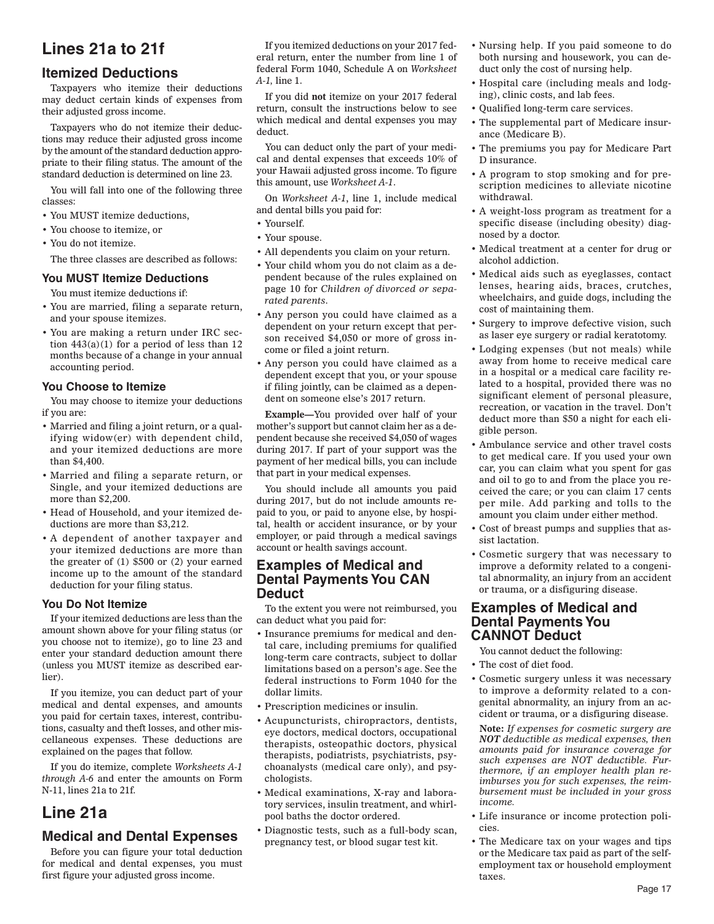# **Lines 21a to 21f**

### **Itemized Deductions**

Taxpayers who itemize their deductions may deduct certain kinds of expenses from their adjusted gross income.

Taxpayers who do not itemize their deductions may reduce their adjusted gross income by the amount of the standard deduction appropriate to their filing status. The amount of the standard deduction is determined on line 23.

You will fall into one of the following three classes:

- You MUST itemize deductions,
- You choose to itemize, or
- You do not itemize.

The three classes are described as follows:

#### **You MUST Itemize Deductions**

You must itemize deductions if:

- You are married, filing a separate return, and your spouse itemizes.
- You are making a return under IRC section  $443(a)(1)$  for a period of less than 12 months because of a change in your annual accounting period.

#### **You Choose to Itemize**

You may choose to itemize your deductions if you are:

- Married and filing a joint return, or a qualifying widow(er) with dependent child, and your itemized deductions are more than \$4,400.
- Married and filing a separate return, or Single, and your itemized deductions are more than \$2,200.
- Head of Household, and your itemized deductions are more than \$3,212.
- A dependent of another taxpayer and your itemized deductions are more than the greater of (1) \$500 or (2) your earned income up to the amount of the standard deduction for your filing status.

#### **You Do Not Itemize**

If your itemized deductions are less than the amount shown above for your filing status (or you choose not to itemize), go to line 23 and enter your standard deduction amount there (unless you MUST itemize as described earlier).

If you itemize, you can deduct part of your medical and dental expenses, and amounts you paid for certain taxes, interest, contributions, casualty and theft losses, and other miscellaneous expenses. These deductions are explained on the pages that follow.

If you do itemize, complete *Worksheets A-1 through A-6* and enter the amounts on Form N-11, lines 21a to 21f.

# **Line 21a**

## **Medical and Dental Expenses**

Before you can figure your total deduction for medical and dental expenses, you must first figure your adjusted gross income.

If you itemized deductions on your 2017 federal return, enter the number from line 1 of federal Form 1040, Schedule A on *Worksheet A-1,* line 1.

If you did **not** itemize on your 2017 federal return, consult the instructions below to see which medical and dental expenses you may deduct.

You can deduct only the part of your medical and dental expenses that exceeds 10% of your Hawaii adjusted gross income. To figure this amount, use *Worksheet A-1*.

On *Worksheet A-1*, line 1, include medical and dental bills you paid for:

- Yourself.
- Your spouse.
- All dependents you claim on your return.
- Your child whom you do not claim as a dependent because of the rules explained on page 10 for *Children of divorced or separated parents*.
- Any person you could have claimed as a dependent on your return except that person received \$4,050 or more of gross income or filed a joint return.
- Any person you could have claimed as a dependent except that you, or your spouse if filing jointly, can be claimed as a dependent on someone else's 2017 return.

**Example—**You provided over half of your mother's support but cannot claim her as a dependent because she received \$4,050 of wages during 2017. If part of your support was the payment of her medical bills, you can include that part in your medical expenses.

You should include all amounts you paid during 2017, but do not include amounts repaid to you, or paid to anyone else, by hospital, health or accident insurance, or by your employer, or paid through a medical savings account or health savings account.

### **Examples of Medical and Dental Payments You CAN Deduct**

To the extent you were not reimbursed, you can deduct what you paid for:

- Insurance premiums for medical and dental care, including premiums for qualified long-term care contracts, subject to dollar limitations based on a person's age. See the federal instructions to Form 1040 for the dollar limits.
- Prescription medicines or insulin.
- Acupuncturists, chiropractors, dentists, eye doctors, medical doctors, occupational therapists, osteopathic doctors, physical therapists, podiatrists, psychiatrists, psychoanalysts (medical care only), and psychologists.
- Medical examinations, X-ray and laboratory services, insulin treatment, and whirlpool baths the doctor ordered.
- Diagnostic tests, such as a full-body scan, pregnancy test, or blood sugar test kit.
- Nursing help. If you paid someone to do both nursing and housework, you can deduct only the cost of nursing help.
- Hospital care (including meals and lodging), clinic costs, and lab fees.
- Qualified long-term care services.
- The supplemental part of Medicare insurance (Medicare B).
- The premiums you pay for Medicare Part D insurance.
- A program to stop smoking and for prescription medicines to alleviate nicotine withdrawal.
- A weight-loss program as treatment for a specific disease (including obesity) diagnosed by a doctor.
- Medical treatment at a center for drug or alcohol addiction.
- Medical aids such as eyeglasses, contact lenses, hearing aids, braces, crutches, wheelchairs, and guide dogs, including the cost of maintaining them.
- Surgery to improve defective vision, such as laser eye surgery or radial keratotomy.
- Lodging expenses (but not meals) while away from home to receive medical care in a hospital or a medical care facility related to a hospital, provided there was no significant element of personal pleasure, recreation, or vacation in the travel. Don't deduct more than \$50 a night for each eligible person.
- Ambulance service and other travel costs to get medical care. If you used your own car, you can claim what you spent for gas and oil to go to and from the place you received the care; or you can claim 17 cents per mile. Add parking and tolls to the amount you claim under either method.
- Cost of breast pumps and supplies that assist lactation.
- Cosmetic surgery that was necessary to improve a deformity related to a congenital abnormality, an injury from an accident or trauma, or a disfiguring disease.

### **Examples of Medical and Dental Payments You CANNOT Deduct**

You cannot deduct the following:

- The cost of diet food.
- Cosmetic surgery unless it was necessary to improve a deformity related to a congenital abnormality, an injury from an accident or trauma, or a disfiguring disease.

**Note:** *If expenses for cosmetic surgery are NOT deductible as medical expenses, then amounts paid for insurance coverage for such expenses are NOT deductible. Furthermore, if an employer health plan reimburses you for such expenses, the reimbursement must be included in your gross income.*

- Life insurance or income protection policies.
- The Medicare tax on your wages and tips or the Medicare tax paid as part of the selfemployment tax or household employment taxes.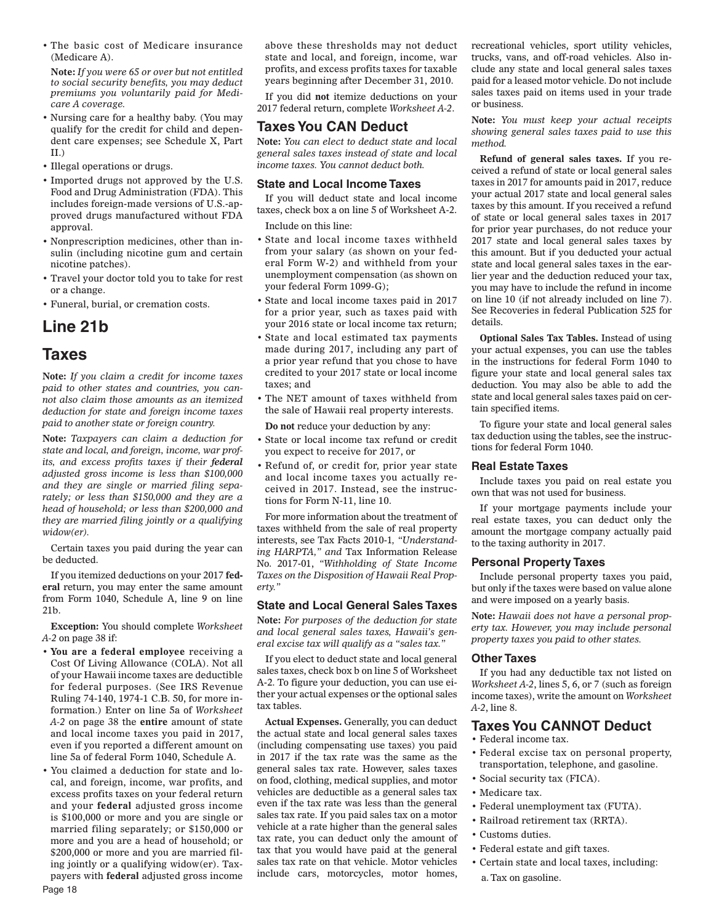• The basic cost of Medicare insurance (Medicare A).

**Note:** *If you were 65 or over but not entitled to social security benefits, you may deduct premiums you voluntarily paid for Medicare A coverage.*

- Nursing care for a healthy baby. (You may qualify for the credit for child and dependent care expenses; see Schedule X, Part II.)
- Illegal operations or drugs.
- Imported drugs not approved by the U.S. Food and Drug Administration (FDA). This includes foreign-made versions of U.S.-approved drugs manufactured without FDA approval.
- Nonprescription medicines, other than insulin (including nicotine gum and certain nicotine patches).
- Travel your doctor told you to take for rest or a change.
- Funeral, burial, or cremation costs.

# **Line 21b**

## **Taxes**

**Note:** *If you claim a credit for income taxes paid to other states and countries, you cannot also claim those amounts as an itemized deduction for state and foreign income taxes paid to another state or foreign country.*

**Note:** *Taxpayers can claim a deduction for state and local, and foreign, income, war profits, and excess profits taxes if their federal adjusted gross income is less than \$100,000 and they are single or married filing separately; or less than \$150,000 and they are a head of household; or less than \$200,000 and they are married filing jointly or a qualifying widow(er).*

Certain taxes you paid during the year can be deducted.

If you itemized deductions on your 2017 **federal** return, you may enter the same amount from Form 1040, Schedule A, line 9 on line 21b.

**Exception:** You should complete *Worksheet A-2* on page 38 if:

- **You are a federal employee** receiving a Cost Of Living Allowance (COLA). Not all of your Hawaii income taxes are deductible for federal purposes. (See IRS Revenue Ruling 74-140, 1974-1 C.B. 50, for more information.) Enter on line 5a of *Worksheet A-2* on page 38 the **entire** amount of state and local income taxes you paid in 2017, even if you reported a different amount on line 5a of federal Form 1040, Schedule A.
- You claimed a deduction for state and local, and foreign, income, war profits, and excess profits taxes on your federal return and your **federal** adjusted gross income is \$100,000 or more and you are single or married filing separately; or \$150,000 or more and you are a head of household; or \$200,000 or more and you are married filing jointly or a qualifying widow(er). Taxpayers with **federal** adjusted gross income

above these thresholds may not deduct state and local, and foreign, income, war profits, and excess profits taxes for taxable years beginning after December 31, 2010.

If you did **not** itemize deductions on your 2017 federal return, complete *Worksheet A-2*.

### **Taxes You CAN Deduct**

**Note:** *You can elect to deduct state and local general sales taxes instead of state and local income taxes. You cannot deduct both.*

#### **State and Local Income Taxes**

If you will deduct state and local income taxes, check box a on line 5 of Worksheet A-2. Include on this line:

- State and local income taxes withheld from your salary (as shown on your federal Form W-2) and withheld from your unemployment compensation (as shown on your federal Form 1099-G);
- State and local income taxes paid in 2017 for a prior year, such as taxes paid with your 2016 state or local income tax return;
- State and local estimated tax payments made during 2017, including any part of a prior year refund that you chose to have credited to your 2017 state or local income taxes; and
- The NET amount of taxes withheld from the sale of Hawaii real property interests.

**Do not** reduce your deduction by any:

- State or local income tax refund or credit you expect to receive for 2017, or
- Refund of, or credit for, prior year state and local income taxes you actually received in 2017. Instead, see the instructions for Form N-11, line 10.

For more information about the treatment of taxes withheld from the sale of real property interests, see Tax Facts 2010-1*, "Understanding HARPTA," and* Tax Information Release No. 2017-01, *"Withholding of State Income Taxes on the Disposition of Hawaii Real Property."*

#### **State and Local General Sales Taxes**

**Note:** *For purposes of the deduction for state and local general sales taxes, Hawaii's general excise tax will qualify as a "sales tax."*

If you elect to deduct state and local general sales taxes, check box b on line 5 of Worksheet A-2. To figure your deduction, you can use either your actual expenses or the optional sales tax tables.

**Actual Expenses.** Generally, you can deduct the actual state and local general sales taxes (including compensating use taxes) you paid in 2017 if the tax rate was the same as the general sales tax rate. However, sales taxes on food, clothing, medical supplies, and motor vehicles are deductible as a general sales tax even if the tax rate was less than the general sales tax rate. If you paid sales tax on a motor vehicle at a rate higher than the general sales tax rate, you can deduct only the amount of tax that you would have paid at the general sales tax rate on that vehicle. Motor vehicles include cars, motorcycles, motor homes, recreational vehicles, sport utility vehicles, trucks, vans, and off-road vehicles. Also include any state and local general sales taxes paid for a leased motor vehicle. Do not include sales taxes paid on items used in your trade or business.

**Note:** *You must keep your actual receipts showing general sales taxes paid to use this method.*

**Refund of general sales taxes.** If you received a refund of state or local general sales taxes in 2017 for amounts paid in 2017, reduce your actual 2017 state and local general sales taxes by this amount. If you received a refund of state or local general sales taxes in 2017 for prior year purchases, do not reduce your 2017 state and local general sales taxes by this amount. But if you deducted your actual state and local general sales taxes in the earlier year and the deduction reduced your tax, you may have to include the refund in income on line 10 (if not already included on line 7). See Recoveries in federal Publication 525 for details.

**Optional Sales Tax Tables.** Instead of using your actual expenses, you can use the tables in the instructions for federal Form 1040 to figure your state and local general sales tax deduction. You may also be able to add the state and local general sales taxes paid on certain specified items.

To figure your state and local general sales tax deduction using the tables, see the instructions for federal Form 1040.

#### **Real Estate Taxes**

Include taxes you paid on real estate you own that was not used for business.

If your mortgage payments include your real estate taxes, you can deduct only the amount the mortgage company actually paid to the taxing authority in 2017.

#### **Personal Property Taxes**

Include personal property taxes you paid, but only if the taxes were based on value alone and were imposed on a yearly basis.

**Note:** *Hawaii does not have a personal property tax. However, you may include personal property taxes you paid to other states.*

#### **Other Taxes**

If you had any deductible tax not listed on *Worksheet A-2*, lines 5, 6, or 7 (such as foreign income taxes), write the amount on *Worksheet A-2*, line 8.

### **Taxes You CANNOT Deduct**

- Federal income tax.
- Federal excise tax on personal property, transportation, telephone, and gasoline.
- Social security tax (FICA).
- Medicare tax.
- Federal unemployment tax (FUTA).
- Railroad retirement tax (RRTA).
- Customs duties.
- Federal estate and gift taxes.
- Certain state and local taxes, including: a. Tax on gasoline.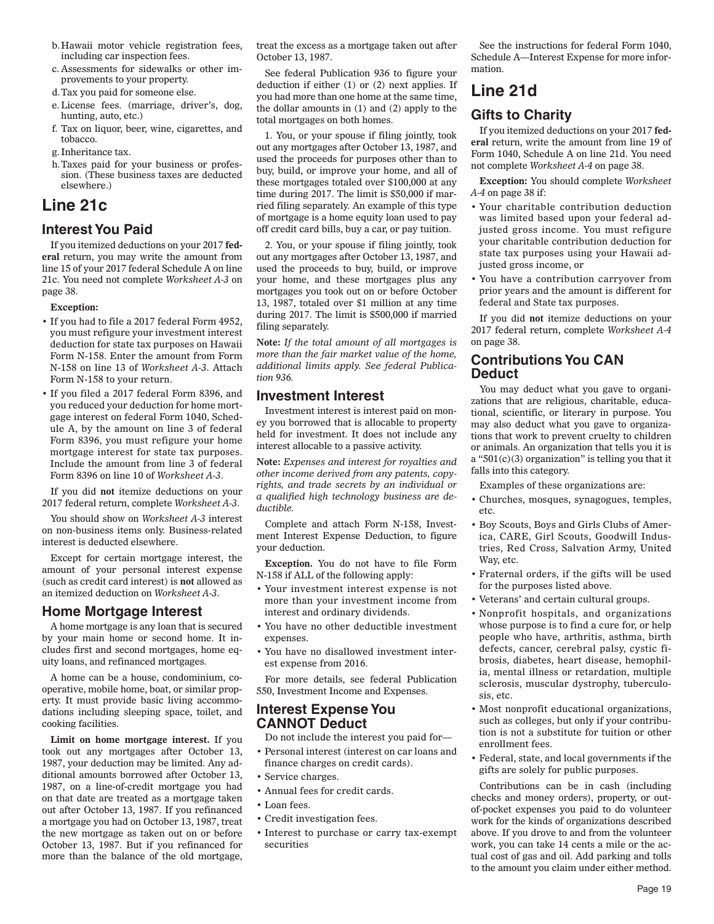- b. Hawaii motor vehicle registration fees, including car inspection fees.
- c. Assessments for sidewalks or other improvements to your property.
- d. Tax you paid for someone else.
- e. License fees. (marriage, driver's, dog, hunting, auto, etc.)
- f. Tax on liquor, beer, wine, cigarettes, and tobacco.
- g. Inheritance tax.
- h. Taxes paid for your business or profession. (These business taxes are deducted elsewhere.)

# **Line 21c**

### **Interest You Paid**

If you itemized deductions on your 2017 **federal** return, you may write the amount from line 15 of your 2017 federal Schedule A on line 21c. You need not complete *Worksheet A-3* on page 38.

#### **Exception:**

- If you had to file a 2017 federal Form 4952, you must refigure your investment interest deduction for state tax purposes on Hawaii Form N-158. Enter the amount from Form N-158 on line 13 of *Worksheet A-3*. Attach Form N-158 to your return.
- If you filed a 2017 federal Form 8396, and you reduced your deduction for home mortgage interest on federal Form 1040, Schedule A, by the amount on line 3 of federal Form 8396, you must refigure your home mortgage interest for state tax purposes. Include the amount from line 3 of federal Form 8396 on line 10 of *Worksheet A-3*.

If you did **not** itemize deductions on your 2017 federal return, complete *Worksheet A-3*.

You should show on *Worksheet A-3* interest on non-business items only. Business-related interest is deducted elsewhere.

Except for certain mortgage interest, the amount of your personal interest expense (such as credit card interest) is **not** allowed as an itemized deduction on *Worksheet A-3*.

## **Home Mortgage Interest**

A home mortgage is any loan that is secured by your main home or second home. It includes first and second mortgages, home equity loans, and refinanced mortgages.

A home can be a house, condominium, cooperative, mobile home, boat, or similar property. It must provide basic living accommodations including sleeping space, toilet, and cooking facilities.

**Limit on home mortgage interest.** If you took out any mortgages after October 13, 1987, your deduction may be limited. Any additional amounts borrowed after October 13, 1987, on a line-of-credit mortgage you had on that date are treated as a mortgage taken out after October 13, 1987. If you refinanced a mortgage you had on October 13, 1987, treat the new mortgage as taken out on or before October 13, 1987. But if you refinanced for more than the balance of the old mortgage,

treat the excess as a mortgage taken out after October 13, 1987.

See federal Publication 936 to figure your deduction if either (1) or (2) next applies. If you had more than one home at the same time, the dollar amounts in (1) and (2) apply to the total mortgages on both homes.

1. You, or your spouse if filing jointly, took out any mortgages after October 13, 1987, and used the proceeds for purposes other than to buy, build, or improve your home, and all of these mortgages totaled over \$100,000 at any time during 2017. The limit is \$50,000 if married filing separately. An example of this type of mortgage is a home equity loan used to pay off credit card bills, buy a car, or pay tuition.

2. You, or your spouse if filing jointly, took out any mortgages after October 13, 1987, and used the proceeds to buy, build, or improve your home, and these mortgages plus any mortgages you took out on or before October 13, 1987, totaled over \$1 million at any time during 2017. The limit is \$500,000 if married filing separately.

**Note:** *If the total amount of all mortgages is more than the fair market value of the home, additional limits apply. See federal Publication 936.*

#### **Investment Interest**

Investment interest is interest paid on money you borrowed that is allocable to property held for investment. It does not include any interest allocable to a passive activity.

**Note:** *Expenses and interest for royalties and other income derived from any patents, copyrights, and trade secrets by an individual or a qualified high technology business are deductible.*

Complete and attach Form N-158, Investment Interest Expense Deduction, to figure your deduction.

**Exception.** You do not have to file Form N-158 if ALL of the following apply:

- Your investment interest expense is not more than your investment income from interest and ordinary dividends.
- You have no other deductible investment expenses.
- You have no disallowed investment interest expense from 2016.

For more details, see federal Publication 550, Investment Income and Expenses.

### **Interest Expense You CANNOT Deduct**

Do not include the interest you paid for—

- Personal interest (interest on car loans and finance charges on credit cards).
- Service charges.
- Annual fees for credit cards.
- Loan fees.
- Credit investigation fees.
- Interest to purchase or carry tax-exempt securities

See the instructions for federal Form 1040, Schedule A—Interest Expense for more information.

# **Line 21d**

### **Gifts to Charity**

If you itemized deductions on your 2017 **federal** return, write the amount from line 19 of Form 1040, Schedule A on line 21d. You need not complete *Worksheet A-4* on page 38.

**Exception:** You should complete *Worksheet A-4* on page 38 if:

- Your charitable contribution deduction was limited based upon your federal adjusted gross income. You must refigure your charitable contribution deduction for state tax purposes using your Hawaii adjusted gross income, or
- You have a contribution carryover from prior years and the amount is different for federal and State tax purposes.

If you did **not** itemize deductions on your 2017 federal return, complete *Worksheet A-4* on page 38.

## **Contributions You CAN Deduct**

You may deduct what you gave to organizations that are religious, charitable, educational, scientific, or literary in purpose. You may also deduct what you gave to organizations that work to prevent cruelty to children or animals. An organization that tells you it is a " $501(c)(3)$  organization" is telling you that it falls into this category.

Examples of these organizations are:

- Churches, mosques, synagogues, temples, etc.
- Boy Scouts, Boys and Girls Clubs of America, CARE, Girl Scouts, Goodwill Industries, Red Cross, Salvation Army, United Way, etc.
- Fraternal orders, if the gifts will be used for the purposes listed above.
- Veterans' and certain cultural groups.
- Nonprofit hospitals, and organizations whose purpose is to find a cure for, or help people who have, arthritis, asthma, birth defects, cancer, cerebral palsy, cystic fibrosis, diabetes, heart disease, hemophilia, mental illness or retardation, multiple sclerosis, muscular dystrophy, tuberculosis, etc.
- Most nonprofit educational organizations, such as colleges, but only if your contribution is not a substitute for tuition or other enrollment fees.
- Federal, state, and local governments if the gifts are solely for public purposes.

Contributions can be in cash (including checks and money orders), property, or outof-pocket expenses you paid to do volunteer work for the kinds of organizations described above. If you drove to and from the volunteer work, you can take 14 cents a mile or the actual cost of gas and oil. Add parking and tolls to the amount you claim under either method.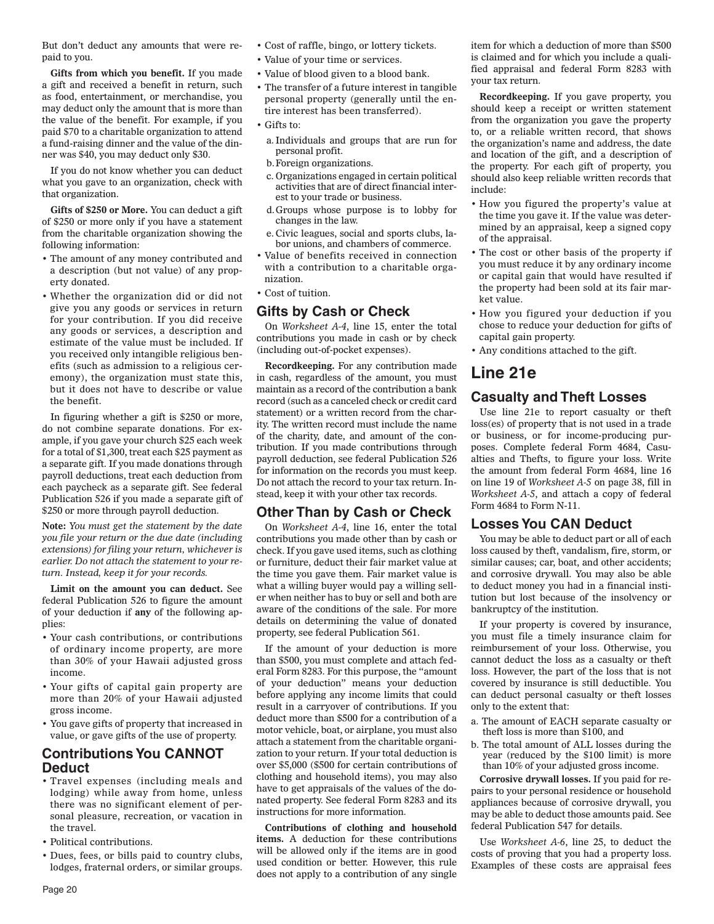But don't deduct any amounts that were repaid to you.

**Gifts from which you benefit.** If you made a gift and received a benefit in return, such as food, entertainment, or merchandise, you may deduct only the amount that is more than the value of the benefit. For example, if you paid \$70 to a charitable organization to attend a fund-raising dinner and the value of the dinner was \$40, you may deduct only \$30.

If you do not know whether you can deduct what you gave to an organization, check with that organization.

**Gifts of \$250 or More.** You can deduct a gift of \$250 or more only if you have a statement from the charitable organization showing the following information:

- The amount of any money contributed and a description (but not value) of any property donated.
- Whether the organization did or did not give you any goods or services in return for your contribution. If you did receive any goods or services, a description and estimate of the value must be included. If you received only intangible religious benefits (such as admission to a religious ceremony), the organization must state this, but it does not have to describe or value the benefit.

In figuring whether a gift is \$250 or more, do not combine separate donations. For example, if you gave your church \$25 each week for a total of \$1,300, treat each \$25 payment as a separate gift. If you made donations through payroll deductions, treat each deduction from each paycheck as a separate gift. See federal Publication 526 if you made a separate gift of \$250 or more through payroll deduction.

**Note:** *You must get the statement by the date you file your return or the due date (including extensions) for filing your return, whichever is earlier. Do not attach the statement to your return. Instead, keep it for your records.*

**Limit on the amount you can deduct.** See federal Publication 526 to figure the amount of your deduction if **any** of the following applies:

- Your cash contributions, or contributions of ordinary income property, are more than 30% of your Hawaii adjusted gross income.
- Your gifts of capital gain property are more than 20% of your Hawaii adjusted gross income.
- You gave gifts of property that increased in value, or gave gifts of the use of property.

### **Contributions You CANNOT Deduct**

- Travel expenses (including meals and lodging) while away from home, unless there was no significant element of personal pleasure, recreation, or vacation in the travel.
- Political contributions.
- Dues, fees, or bills paid to country clubs, lodges, fraternal orders, or similar groups.
- Cost of raffle, bingo, or lottery tickets.
- Value of your time or services.
- Value of blood given to a blood bank.
- The transfer of a future interest in tangible personal property (generally until the entire interest has been transferred).
- Gifts to:
	- a. Individuals and groups that are run for personal profit.
- b. Foreign organizations.
- c. Organizations engaged in certain political activities that are of direct financial interest to your trade or business.
- d. Groups whose purpose is to lobby for changes in the law.
- e. Civic leagues, social and sports clubs, labor unions, and chambers of commerce.
- Value of benefits received in connection with a contribution to a charitable organization.
- Cost of tuition.

### **Gifts by Cash or Check**

On *Worksheet A-4*, line 15, enter the total contributions you made in cash or by check (including out-of-pocket expenses).

**Recordkeeping.** For any contribution made in cash, regardless of the amount, you must maintain as a record of the contribution a bank record (such as a canceled check or credit card statement) or a written record from the charity. The written record must include the name of the charity, date, and amount of the contribution. If you made contributions through payroll deduction, see federal Publication 526 for information on the records you must keep. Do not attach the record to your tax return. Instead, keep it with your other tax records.

## **Other Than by Cash or Check**

On *Worksheet A-4*, line 16, enter the total contributions you made other than by cash or check. If you gave used items, such as clothing or furniture, deduct their fair market value at the time you gave them. Fair market value is what a willing buyer would pay a willing seller when neither has to buy or sell and both are aware of the conditions of the sale. For more details on determining the value of donated property, see federal Publication 561.

If the amount of your deduction is more than \$500, you must complete and attach federal Form 8283. For this purpose, the "amount of your deduction" means your deduction before applying any income limits that could result in a carryover of contributions. If you deduct more than \$500 for a contribution of a motor vehicle, boat, or airplane, you must also attach a statement from the charitable organization to your return. If your total deduction is over \$5,000 (\$500 for certain contributions of clothing and household items), you may also have to get appraisals of the values of the donated property. See federal Form 8283 and its instructions for more information.

**Contributions of clothing and household items.** A deduction for these contributions will be allowed only if the items are in good used condition or better. However, this rule does not apply to a contribution of any single item for which a deduction of more than \$500 is claimed and for which you include a qualified appraisal and federal Form 8283 with your tax return.

**Recordkeeping.** If you gave property, you should keep a receipt or written statement from the organization you gave the property to, or a reliable written record, that shows the organization's name and address, the date and location of the gift, and a description of the property. For each gift of property, you should also keep reliable written records that include:

- How you figured the property's value at the time you gave it. If the value was determined by an appraisal, keep a signed copy of the appraisal.
- The cost or other basis of the property if you must reduce it by any ordinary income or capital gain that would have resulted if the property had been sold at its fair market value.
- How you figured your deduction if you chose to reduce your deduction for gifts of capital gain property.
- Any conditions attached to the gift.

# **Line 21e**

## **Casualty and Theft Losses**

Use line 21e to report casualty or theft loss(es) of property that is not used in a trade or business, or for income-producing purposes. Complete federal Form 4684, Casualties and Thefts, to figure your loss. Write the amount from federal Form 4684, line 16 on line 19 of *Worksheet A-5* on page 38, fill in *Worksheet A-5*, and attach a copy of federal Form 4684 to Form N-11.

### **Losses You CAN Deduct**

You may be able to deduct part or all of each loss caused by theft, vandalism, fire, storm, or similar causes; car, boat, and other accidents; and corrosive drywall. You may also be able to deduct money you had in a financial institution but lost because of the insolvency or bankruptcy of the institution.

If your property is covered by insurance, you must file a timely insurance claim for reimbursement of your loss. Otherwise, you cannot deduct the loss as a casualty or theft loss. However, the part of the loss that is not covered by insurance is still deductible. You can deduct personal casualty or theft losses only to the extent that:

- a. The amount of EACH separate casualty or theft loss is more than \$100, and
- b. The total amount of ALL losses during the year (reduced by the \$100 limit) is more than 10% of your adjusted gross income.

**Corrosive drywall losses.** If you paid for repairs to your personal residence or household appliances because of corrosive drywall, you may be able to deduct those amounts paid. See federal Publication 547 for details.

Use *Worksheet A-6*, line 25, to deduct the costs of proving that you had a property loss. Examples of these costs are appraisal fees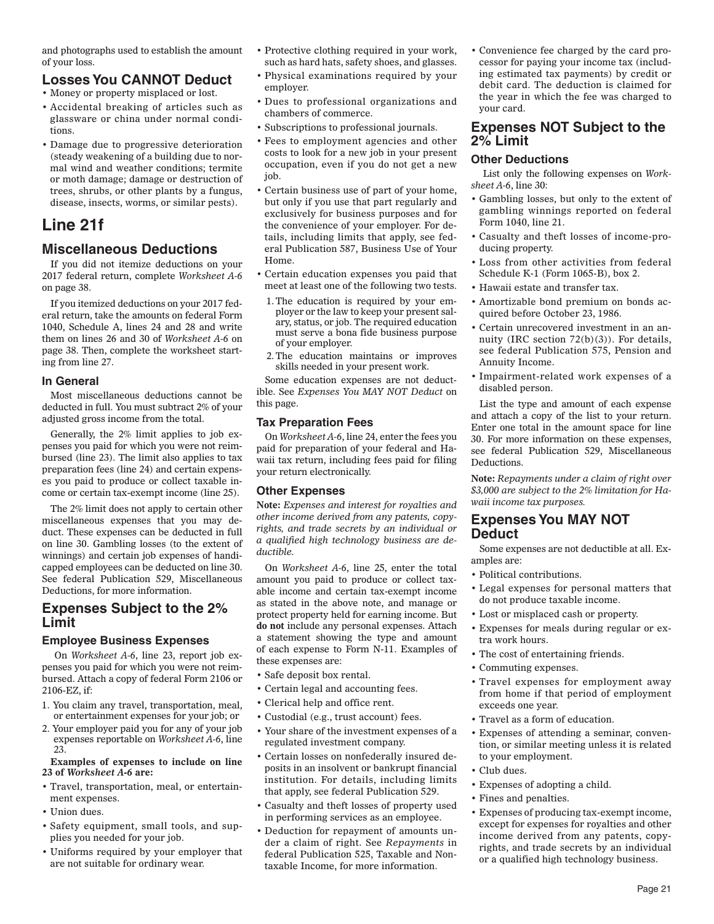and photographs used to establish the amount of your loss.

## **Losses You CANNOT Deduct**

- Money or property misplaced or lost.
- Accidental breaking of articles such as glassware or china under normal conditions.
- Damage due to progressive deterioration (steady weakening of a building due to normal wind and weather conditions; termite or moth damage; damage or destruction of trees, shrubs, or other plants by a fungus, disease, insects, worms, or similar pests).

# **Line 21f**

### **Miscellaneous Deductions**

If you did not itemize deductions on your 2017 federal return, complete *Worksheet A-6*  on page 38.

If you itemized deductions on your 2017 federal return, take the amounts on federal Form 1040, Schedule A, lines 24 and 28 and write them on lines 26 and 30 of *Worksheet A-6* on page 38. Then, complete the worksheet starting from line 27.

#### **In General**

Most miscellaneous deductions cannot be deducted in full. You must subtract 2% of your adjusted gross income from the total.

Generally, the 2% limit applies to job expenses you paid for which you were not reimbursed (line 23). The limit also applies to tax preparation fees (line 24) and certain expenses you paid to produce or collect taxable income or certain tax-exempt income (line 25).

The 2% limit does not apply to certain other miscellaneous expenses that you may deduct. These expenses can be deducted in full on line 30. Gambling losses (to the extent of winnings) and certain job expenses of handicapped employees can be deducted on line 30. See federal Publication 529, Miscellaneous Deductions, for more information.

### **Expenses Subject to the 2% Limit**

#### **Employee Business Expenses**

 On *Worksheet A-6*, line 23, report job expenses you paid for which you were not reimbursed. Attach a copy of federal Form 2106 or 2106-EZ, if:

- 1. You claim any travel, transportation, meal, or entertainment expenses for your job; or
- 2. Your employer paid you for any of your job expenses reportable on *Worksheet A-6*, line 23.

#### **Examples of expenses to include on line 23 of** *Worksheet A-6* **are:**

- Travel, transportation, meal, or entertainment expenses.
- Union dues.
- Safety equipment, small tools, and supplies you needed for your job.
- Uniforms required by your employer that are not suitable for ordinary wear.
- Protective clothing required in your work, such as hard hats, safety shoes, and glasses.
- Physical examinations required by your employer.
- Dues to professional organizations and chambers of commerce.
- Subscriptions to professional journals.
- Fees to employment agencies and other costs to look for a new job in your present occupation, even if you do not get a new job.
- Certain business use of part of your home, but only if you use that part regularly and exclusively for business purposes and for the convenience of your employer. For details, including limits that apply, see federal Publication 587, Business Use of Your Home.
- Certain education expenses you paid that meet at least one of the following two tests.
- 1. The education is required by your employer or the law to keep your present salary, status, or job. The required education must serve a bona fide business purpose of your employer.
- 2. The education maintains or improves skills needed in your present work.

Some education expenses are not deductible. See *Expenses You MAY NOT Deduct* on this page.

#### **Tax Preparation Fees**

On *Worksheet A-6*, line 24, enter the fees you paid for preparation of your federal and Hawaii tax return, including fees paid for filing your return electronically.

#### **Other Expenses**

**Note:** *Expenses and interest for royalties and other income derived from any patents, copyrights, and trade secrets by an individual or a qualified high technology business are deductible.*

On *Worksheet A-6*, line 25, enter the total amount you paid to produce or collect taxable income and certain tax-exempt income as stated in the above note, and manage or protect property held for earning income. But **do not** include any personal expenses. Attach a statement showing the type and amount of each expense to Form N-11. Examples of these expenses are:

- Safe deposit box rental.
- Certain legal and accounting fees.
- Clerical help and office rent.
- Custodial (e.g., trust account) fees.
- Your share of the investment expenses of a regulated investment company.
- Certain losses on nonfederally insured deposits in an insolvent or bankrupt financial institution. For details, including limits that apply, see federal Publication 529.
- Casualty and theft losses of property used in performing services as an employee.
- Deduction for repayment of amounts under a claim of right. See *Repayments* in federal Publication 525, Taxable and Nontaxable Income, for more information.

• Convenience fee charged by the card processor for paying your income tax (including estimated tax payments) by credit or debit card. The deduction is claimed for the year in which the fee was charged to your card.

### **Expenses NOT Subject to the 2% Limit**

#### **Other Deductions**

 List only the following expenses on *Worksheet A-6*, line 30:

- Gambling losses, but only to the extent of gambling winnings reported on federal Form 1040, line 21.
- Casualty and theft losses of income-producing property.
- Loss from other activities from federal Schedule K-1 (Form 1065-B), box 2.
- Hawaii estate and transfer tax.
- Amortizable bond premium on bonds acquired before October 23, 1986.
- Certain unrecovered investment in an annuity (IRC section 72(b)(3)). For details, see federal Publication 575, Pension and Annuity Income.
- Impairment-related work expenses of a disabled person.

List the type and amount of each expense and attach a copy of the list to your return. Enter one total in the amount space for line 30. For more information on these expenses, see federal Publication 529, Miscellaneous Deductions.

**Note:** *Repayments under a claim of right over \$3,000 are subject to the 2% limitation for Hawaii income tax purposes.*

#### **Expenses You MAY NOT Deduct**

Some expenses are not deductible at all. Examples are:

- Political contributions.
- Legal expenses for personal matters that do not produce taxable income.
- Lost or misplaced cash or property.
- Expenses for meals during regular or extra work hours.
- The cost of entertaining friends.
- Commuting expenses.
- Travel expenses for employment away from home if that period of employment exceeds one year.
- Travel as a form of education.
- Expenses of attending a seminar, convention, or similar meeting unless it is related to your employment.
- Club dues.
- Expenses of adopting a child.
- Fines and penalties.
- Expenses of producing tax-exempt income, except for expenses for royalties and other income derived from any patents, copyrights, and trade secrets by an individual or a qualified high technology business.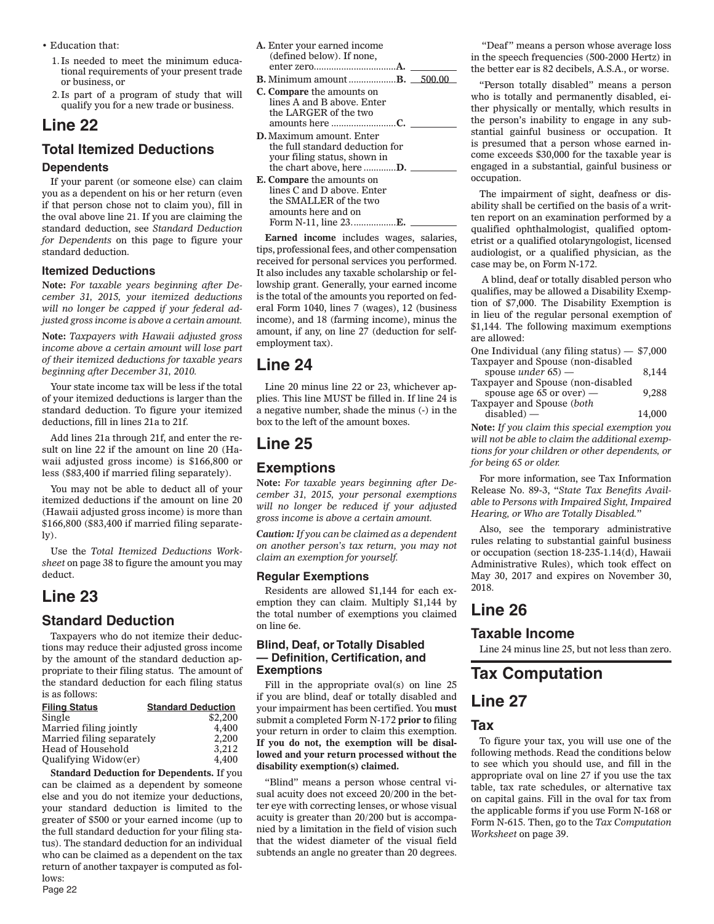- Education that:
	- 1. Is needed to meet the minimum educational requirements of your present trade or business, or
	- 2. Is part of a program of study that will qualify you for a new trade or business.

# **Line 22**

# **Total Itemized Deductions**

#### **Dependents**

If your parent (or someone else) can claim you as a dependent on his or her return (even if that person chose not to claim you), fill in the oval above line 21. If you are claiming the standard deduction, see *Standard Deduction for Dependents* on this page to figure your standard deduction.

#### **Itemized Deductions**

**Note:** *For taxable years beginning after December 31, 2015, your itemized deductions will no longer be capped if your federal adjusted gross income is above a certain amount.*

**Note:** *Taxpayers with Hawaii adjusted gross income above a certain amount will lose part of their itemized deductions for taxable years beginning after December 31, 2010.*

Your state income tax will be less if the total of your itemized deductions is larger than the standard deduction. To figure your itemized deductions, fill in lines 21a to 21f.

Add lines 21a through 21f, and enter the result on line 22 if the amount on line 20 (Hawaii adjusted gross income) is \$166,800 or less (\$83,400 if married filing separately).

You may not be able to deduct all of your itemized deductions if the amount on line 20 (Hawaii adjusted gross income) is more than \$166,800 (\$83,400 if married filing separate- $\mathbf{I}(\mathbf{v})$ .

Use the *Total Itemized Deductions Worksheet* on page 38 to figure the amount you may deduct.

# **Line 23**

# **Standard Deduction**

Taxpayers who do not itemize their deductions may reduce their adjusted gross income by the amount of the standard deduction appropriate to their filing status. The amount of the standard deduction for each filing status is as follows:

| <b>Filing Status</b>        | <b>Standard Deduction</b> |
|-----------------------------|---------------------------|
| Single                      | \$2,200                   |
| Married filing jointly      | 4.400                     |
| Married filing separately   | 2.200                     |
| <b>Head of Household</b>    | 3,212                     |
| <b>Qualifying Widow(er)</b> | 4.400                     |

**Standard Deduction for Dependents.** If you can be claimed as a dependent by someone else and you do not itemize your deductions, your standard deduction is limited to the greater of \$500 or your earned income (up to the full standard deduction for your filing status). The standard deduction for an individual who can be claimed as a dependent on the tax return of another taxpayer is computed as follows:

**A.** Enter your earned income (defined below). If none, enter zero. ................................**A.**

- **B.** Minimum amount .....................**B.** 500.00 **C. Compare** the amounts on lines A and B above. Enter the LARGER of the two amounts here ..........................**C.**
- **D.** Maximum amount. Enter the full standard deduction for your filing status, shown in the chart above, here .............**D.**
- **E. Compare** the amounts on lines C and D above. Enter the SMALLER of the two amounts here and on Form N-11, line 23. .................**E.**

**Earned income** includes wages, salaries, tips, professional fees, and other compensation received for personal services you performed. It also includes any taxable scholarship or fellowship grant. Generally, your earned income is the total of the amounts you reported on federal Form 1040, lines 7 (wages), 12 (business income), and 18 (farming income), minus the amount, if any, on line 27 (deduction for selfemployment tax).

# **Line 24**

Line 20 minus line 22 or 23, whichever applies. This line MUST be filled in. If line 24 is a negative number, shade the minus (-) in the box to the left of the amount boxes.

# **Line 25 Exemptions**

**Note:** *For taxable years beginning after December 31, 2015, your personal exemptions will no longer be reduced if your adjusted gross income is above a certain amount.*

*Caution: If you can be claimed as a dependent on another person's tax return, you may not claim an exemption for yourself.*

#### **Regular Exemptions**

Residents are allowed \$1,144 for each exemption they can claim. Multiply \$1,144 by the total number of exemptions you claimed on line 6e.

#### **Blind, Deaf, or Totally Disabled**   $-$  Definition, Certification, and  **Exemptions**

Fill in the appropriate oval(s) on line 25 if you are blind, deaf or totally disabled and your impairment has been certified. You **must** submit a completed Form N-172 **prior to** filing your return in order to claim this exemption. **If you do not, the exemption will be disallowed and your return processed without the disability exemption(s) claimed.**

"Blind" means a person whose central visual acuity does not exceed 20/200 in the better eye with correcting lenses, or whose visual acuity is greater than 20/200 but is accompanied by a limitation in the field of vision such that the widest diameter of the visual field subtends an angle no greater than 20 degrees.

 "Deaf" means a person whose average loss in the speech frequencies (500-2000 Hertz) in the better ear is 82 decibels, A.S.A., or worse.

"Person totally disabled" means a person who is totally and permanently disabled, either physically or mentally, which results in the person's inability to engage in any substantial gainful business or occupation. It is presumed that a person whose earned income exceeds \$30,000 for the taxable year is engaged in a substantial, gainful business or occupation.

The impairment of sight, deafness or disability shall be certified on the basis of a written report on an examination performed by a qualified ophthalmologist, qualified optometrist or a qualified otolaryngologist, licensed audiologist, or a qualified physician, as the case may be, on Form N-172.

 A blind, deaf or totally disabled person who qualifies, may be allowed a Disability Exemption of \$7,000. The Disability Exemption is in lieu of the regular personal exemption of \$1,144. The following maximum exemptions are allowed:

| One Individual (any filing status) $-$ \$7,000 |        |
|------------------------------------------------|--------|
| Taxpayer and Spouse (non-disabled              |        |
| spouse <i>under</i> $65$ ) —                   | 8.144  |
| Taxpayer and Spouse (non-disabled              |        |
| spouse age 65 or over) $-$                     | 9.288  |
| Taxpayer and Spouse (both                      |        |
| $disable d)$ —                                 | 14,000 |

**Note:** *If you claim this special exemption you will not be able to claim the additional exemptions for your children or other dependents, or for being 65 or older.*

For more information, see Tax Information Release No. 89-3, "*State Tax Benefits Available to Persons with Impaired Sight, Impaired Hearing, or Who are Totally Disabled.*"

Also, see the temporary administrative rules relating to substantial gainful business or occupation (section 18-235-1.14(d), Hawaii Administrative Rules), which took effect on May 30, 2017 and expires on November 30, 2018.

# **Line 26**

### **Taxable Income**

Line 24 minus line 25, but not less than zero.

# **Tax Computation**

# **Line 27**

### **Tax**

To figure your tax, you will use one of the following methods. Read the conditions below to see which you should use, and fill in the appropriate oval on line 27 if you use the tax table, tax rate schedules, or alternative tax on capital gains. Fill in the oval for tax from the applicable forms if you use Form N-168 or Form N-615. Then, go to the *Tax Computation Worksheet* on page 39.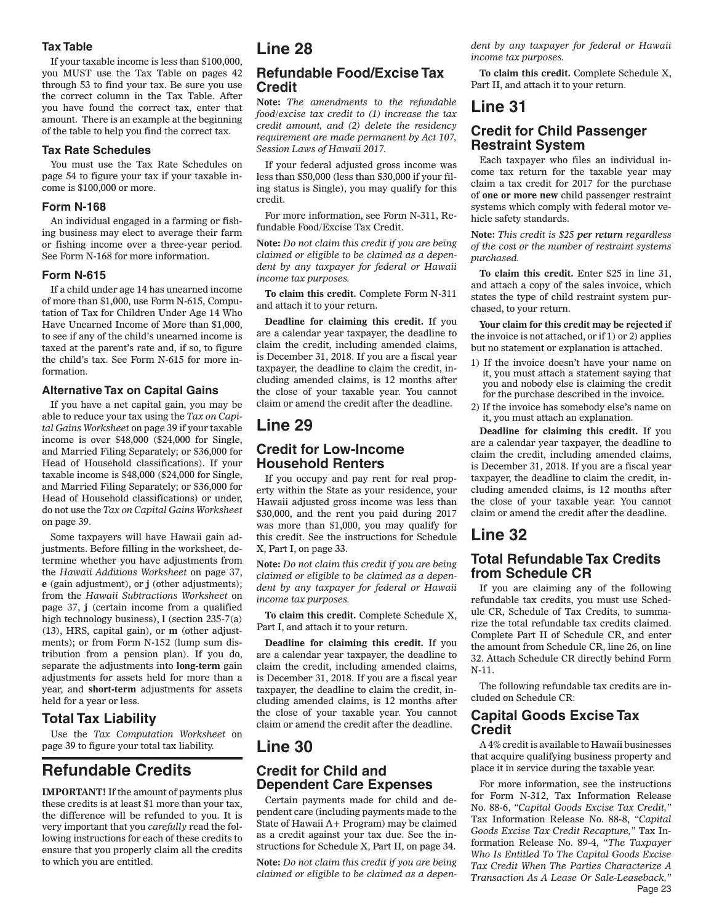#### **Tax Table**

If your taxable income is less than \$100,000, you MUST use the Tax Table on pages 42 through 53 to find your tax. Be sure you use the correct column in the Tax Table. After you have found the correct tax, enter that amount. There is an example at the beginning of the table to help you find the correct tax.

#### **Tax Rate Schedules**

You must use the Tax Rate Schedules on page 54 to figure your tax if your taxable income is \$100,000 or more.

#### **Form N-168**

An individual engaged in a farming or fishing business may elect to average their farm or fishing income over a three-year period. See Form N-168 for more information.

#### **Form N-615**

If a child under age 14 has unearned income of more than \$1,000, use Form N-615, Computation of Tax for Children Under Age 14 Who Have Unearned Income of More than \$1,000, to see if any of the child's unearned income is taxed at the parent's rate and, if so, to figure the child's tax. See Form N-615 for more information.

#### **Alternative Tax on Capital Gains**

If you have a net capital gain, you may be able to reduce your tax using the *Tax on Capital Gains Worksheet* on page 39 if your taxable income is over \$48,000 (\$24,000 for Single, and Married Filing Separately; or \$36,000 for Head of Household classifications). If your taxable income is \$48,000 (\$24,000 for Single, and Married Filing Separately; or \$36,000 for Head of Household classifications) or under, do not use the *Tax on Capital Gains Worksheet* on page 39.

Some taxpayers will have Hawaii gain adjustments. Before filling in the worksheet, determine whether you have adjustments from the *Hawaii Additions Worksheet* on page 37, **e** (gain adjustment), or **j** (other adjustments); from the *Hawaii Subtractions Worksheet* on page 37, **j** (certain income from a qualified high technology business), **l** (section 235-7(a) (13), HRS, capital gain), or **m** (other adjustments); or from Form N-152 (lump sum distribution from a pension plan). If you do, separate the adjustments into **long-term** gain adjustments for assets held for more than a year, and **short-term** adjustments for assets held for a year or less.

### **Total Tax Liability**

Use the *Tax Computation Worksheet* on page 39 to figure your total tax liability.

# **Refundable Credits**

**IMPORTANT!** If the amount of payments plus these credits is at least \$1 more than your tax, the difference will be refunded to you. It is very important that you *carefully* read the following instructions for each of these credits to ensure that you properly claim all the credits to which you are entitled.

# **Line 28**

### **Refundable Food/Excise Tax Credit**

**Note:** *The amendments to the refundable food/excise tax credit to (1) increase the tax credit amount, and (2) delete the residency requirement are made permanent by Act 107, Session Laws of Hawaii 2017.*

If your federal adjusted gross income was less than \$50,000 (less than \$30,000 if your filing status is Single), you may qualify for this credit.

For more information, see Form N-311, Refundable Food/Excise Tax Credit.

**Note:** *Do not claim this credit if you are being claimed or eligible to be claimed as a dependent by any taxpayer for federal or Hawaii income tax purposes.*

**To claim this credit.** Complete Form N-311 and attach it to your return.

**Deadline for claiming this credit.** If you are a calendar year taxpayer, the deadline to claim the credit, including amended claims, is December 31, 2018. If you are a fiscal year taxpayer, the deadline to claim the credit, including amended claims, is 12 months after the close of your taxable year. You cannot claim or amend the credit after the deadline.

# **Line 29**

### **Credit for Low-Income Household Renters**

If you occupy and pay rent for real property within the State as your residence, your Hawaii adjusted gross income was less than \$30,000, and the rent you paid during 2017 was more than \$1,000, you may qualify for this credit. See the instructions for Schedule X, Part I, on page 33.

**Note:** *Do not claim this credit if you are being claimed or eligible to be claimed as a dependent by any taxpayer for federal or Hawaii income tax purposes.*

**To claim this credit.** Complete Schedule X, Part I, and attach it to your return.

**Deadline for claiming this credit.** If you are a calendar year taxpayer, the deadline to claim the credit, including amended claims, is December 31, 2018. If you are a fiscal year taxpayer, the deadline to claim the credit, including amended claims, is 12 months after the close of your taxable year. You cannot claim or amend the credit after the deadline.

# **Line 30**

### **Credit for Child and Dependent Care Expenses**

Certain payments made for child and dependent care (including payments made to the State of Hawaii A+ Program) may be claimed as a credit against your tax due. See the instructions for Schedule X, Part II, on page 34.

**Note:** *Do not claim this credit if you are being claimed or eligible to be claimed as a depen-* *dent by any taxpayer for federal or Hawaii income tax purposes.*

**To claim this credit.** Complete Schedule X, Part II, and attach it to your return.

# **Line 31**

### **Credit for Child Passenger Restraint System**

Each taxpayer who files an individual income tax return for the taxable year may claim a tax credit for 2017 for the purchase of **one or more new** child passenger restraint systems which comply with federal motor vehicle safety standards.

**Note:** *This credit is \$25 per return regardless of the cost or the number of restraint systems purchased.*

**To claim this credit.** Enter \$25 in line 31, and attach a copy of the sales invoice, which states the type of child restraint system purchased, to your return.

**Your claim for this credit may be rejected** if the invoice is not attached, or if 1) or 2) applies but no statement or explanation is attached.

- 1) If the invoice doesn't have your name on it, you must attach a statement saying that you and nobody else is claiming the credit for the purchase described in the invoice.
- 2) If the invoice has somebody else's name on it, you must attach an explanation.

**Deadline for claiming this credit.** If you are a calendar year taxpayer, the deadline to claim the credit, including amended claims, is December 31, 2018. If you are a fiscal year taxpayer, the deadline to claim the credit, including amended claims, is 12 months after the close of your taxable year. You cannot claim or amend the credit after the deadline.

# **Line 32**

### **Total Refundable Tax Credits from Schedule CR**

If you are claiming any of the following refundable tax credits, you must use Schedule CR, Schedule of Tax Credits, to summarize the total refundable tax credits claimed. Complete Part II of Schedule CR, and enter the amount from Schedule CR, line 26, on line 32. Attach Schedule CR directly behind Form N-11.

The following refundable tax credits are included on Schedule CR:

### **Capital Goods Excise Tax Credit**

A 4% credit is available to Hawaii businesses that acquire qualifying business property and place it in service during the taxable year.

Page 23 For more information, see the instructions for Form N-312, Tax Information Release No. 88-6, *"Capital Goods Excise Tax Credit,"* Tax Information Release No. 88-8, *"Capital Goods Excise Tax Credit Recapture,"* Tax Information Release No. 89-4, *"The Taxpayer Who Is Entitled To The Capital Goods Excise Tax Credit When The Parties Characterize A Transaction As A Lease Or Sale-Leaseback,"*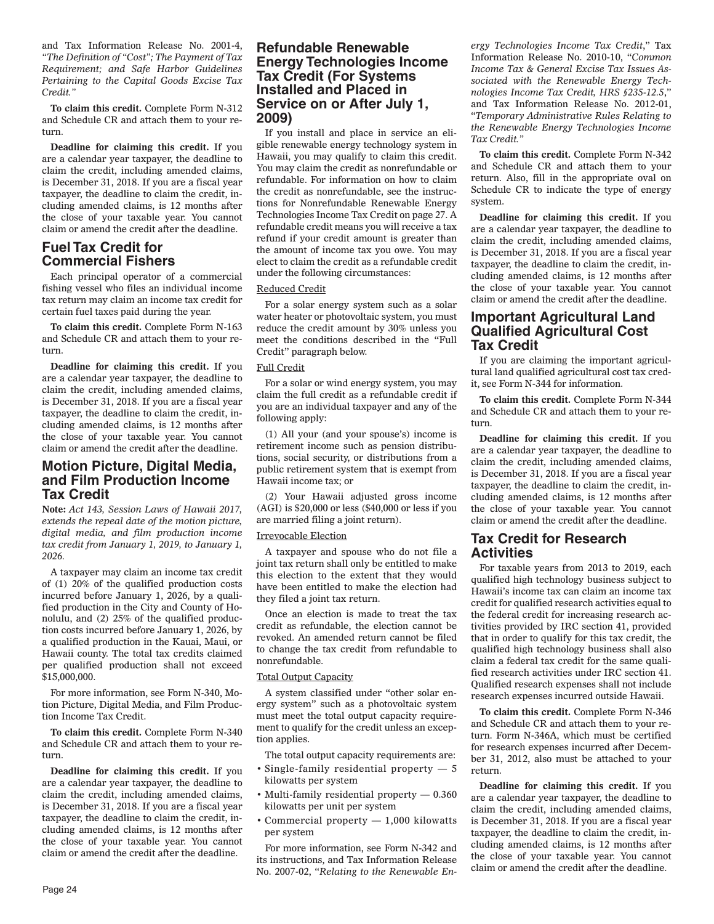and Tax Information Release No. 2001-4, *"The Definition of "Cost"; The Payment of Tax Requirement; and Safe Harbor Guidelines Pertaining to the Capital Goods Excise Tax Credit."*

**To claim this credit.** Complete Form N-312 and Schedule CR and attach them to your return.

**Deadline for claiming this credit.** If you are a calendar year taxpayer, the deadline to claim the credit, including amended claims, is December 31, 2018. If you are a fiscal year taxpayer, the deadline to claim the credit, including amended claims, is 12 months after the close of your taxable year. You cannot claim or amend the credit after the deadline.

### **Fuel Tax Credit for Commercial Fishers**

Each principal operator of a commercial fishing vessel who files an individual income tax return may claim an income tax credit for certain fuel taxes paid during the year.

**To claim this credit.** Complete Form N-163 and Schedule CR and attach them to your return.

**Deadline for claiming this credit.** If you are a calendar year taxpayer, the deadline to claim the credit, including amended claims, is December 31, 2018. If you are a fiscal year taxpayer, the deadline to claim the credit, including amended claims, is 12 months after the close of your taxable year. You cannot claim or amend the credit after the deadline.

### **Motion Picture, Digital Media, and Film Production Income Tax Credit**

**Note:** *Act 143, Session Laws of Hawaii 2017, extends the repeal date of the motion picture, digital media, and film production income tax credit from January 1, 2019, to January 1, 2026.*

A taxpayer may claim an income tax credit of (1) 20% of the qualified production costs incurred before January 1, 2026, by a qualified production in the City and County of Honolulu, and (2) 25% of the qualified production costs incurred before January 1, 2026, by a qualified production in the Kauai, Maui, or Hawaii county. The total tax credits claimed per qualified production shall not exceed \$15,000,000.

For more information, see Form N-340, Motion Picture, Digital Media, and Film Production Income Tax Credit.

**To claim this credit.** Complete Form N-340 and Schedule CR and attach them to your return.

**Deadline for claiming this credit.** If you are a calendar year taxpayer, the deadline to claim the credit, including amended claims, is December 31, 2018. If you are a fiscal year taxpayer, the deadline to claim the credit, including amended claims, is 12 months after the close of your taxable year. You cannot claim or amend the credit after the deadline.

### **Refundable Renewable Energy Technologies Income Tax Credit (For Systems Installed and Placed in Service on or After July 1, 2009)**

If you install and place in service an eligible renewable energy technology system in Hawaii, you may qualify to claim this credit. You may claim the credit as nonrefundable or refundable. For information on how to claim the credit as nonrefundable, see the instructions for Nonrefundable Renewable Energy Technologies Income Tax Credit on page 27. A refundable credit means you will receive a tax refund if your credit amount is greater than the amount of income tax you owe. You may elect to claim the credit as a refundable credit under the following circumstances:

#### Reduced Credit

For a solar energy system such as a solar water heater or photovoltaic system, you must reduce the credit amount by 30% unless you meet the conditions described in the "Full Credit" paragraph below.

#### Full Credit

For a solar or wind energy system, you may claim the full credit as a refundable credit if you are an individual taxpayer and any of the following apply:

(1) All your (and your spouse's) income is retirement income such as pension distributions, social security, or distributions from a public retirement system that is exempt from Hawaii income tax; or

(2) Your Hawaii adjusted gross income (AGI) is \$20,000 or less (\$40,000 or less if you are married filing a joint return).

#### Irrevocable Election

A taxpayer and spouse who do not file a joint tax return shall only be entitled to make this election to the extent that they would have been entitled to make the election had they filed a joint tax return.

Once an election is made to treat the tax credit as refundable, the election cannot be revoked. An amended return cannot be filed to change the tax credit from refundable to nonrefundable.

#### Total Output Capacity

A system classified under "other solar energy system" such as a photovoltaic system must meet the total output capacity requirement to qualify for the credit unless an exception applies.

The total output capacity requirements are:

- Single-family residential property 5 kilowatts per system
- Multi-family residential property 0.360 kilowatts per unit per system
- Commercial property 1,000 kilowatts per system

For more information, see Form N-342 and its instructions, and Tax Information Release No. 2007-02, "*Relating to the Renewable En-* *ergy Technologies Income Tax Credit*," Tax Information Release No. 2010-10, "*Common Income Tax & General Excise Tax Issues Associated with the Renewable Energy Technologies Income Tax Credit, HRS §235-12.5*," and Tax Information Release No. 2012-01, "*Temporary Administrative Rules Relating to the Renewable Energy Technologies Income Tax Credit."*

**To claim this credit.** Complete Form N-342 and Schedule CR and attach them to your return. Also, fill in the appropriate oval on Schedule CR to indicate the type of energy system.

**Deadline for claiming this credit.** If you are a calendar year taxpayer, the deadline to claim the credit, including amended claims, is December 31, 2018. If you are a fiscal year taxpayer, the deadline to claim the credit, including amended claims, is 12 months after the close of your taxable year. You cannot claim or amend the credit after the deadline.

### **Important Agricultural Land Qualified Agricultural Cost Tax Credit**

If you are claiming the important agricultural land qualified agricultural cost tax credit, see Form N-344 for information.

**To claim this credit.** Complete Form N-344 and Schedule CR and attach them to your return.

**Deadline for claiming this credit.** If you are a calendar year taxpayer, the deadline to claim the credit, including amended claims, is December 31, 2018. If you are a fiscal year taxpayer, the deadline to claim the credit, including amended claims, is 12 months after the close of your taxable year. You cannot claim or amend the credit after the deadline.

### **Tax Credit for Research Activities**

For taxable years from 2013 to 2019, each qualified high technology business subject to Hawaii's income tax can claim an income tax credit for qualified research activities equal to the federal credit for increasing research activities provided by IRC section 41, provided that in order to qualify for this tax credit, the qualified high technology business shall also claim a federal tax credit for the same qualified research activities under IRC section 41. Qualified research expenses shall not include research expenses incurred outside Hawaii.

**To claim this credit.** Complete Form N-346 and Schedule CR and attach them to your return. Form N-346A, which must be certified for research expenses incurred after December 31, 2012, also must be attached to your return.

**Deadline for claiming this credit.** If you are a calendar year taxpayer, the deadline to claim the credit, including amended claims, is December 31, 2018. If you are a fiscal year taxpayer, the deadline to claim the credit, including amended claims, is 12 months after the close of your taxable year. You cannot claim or amend the credit after the deadline.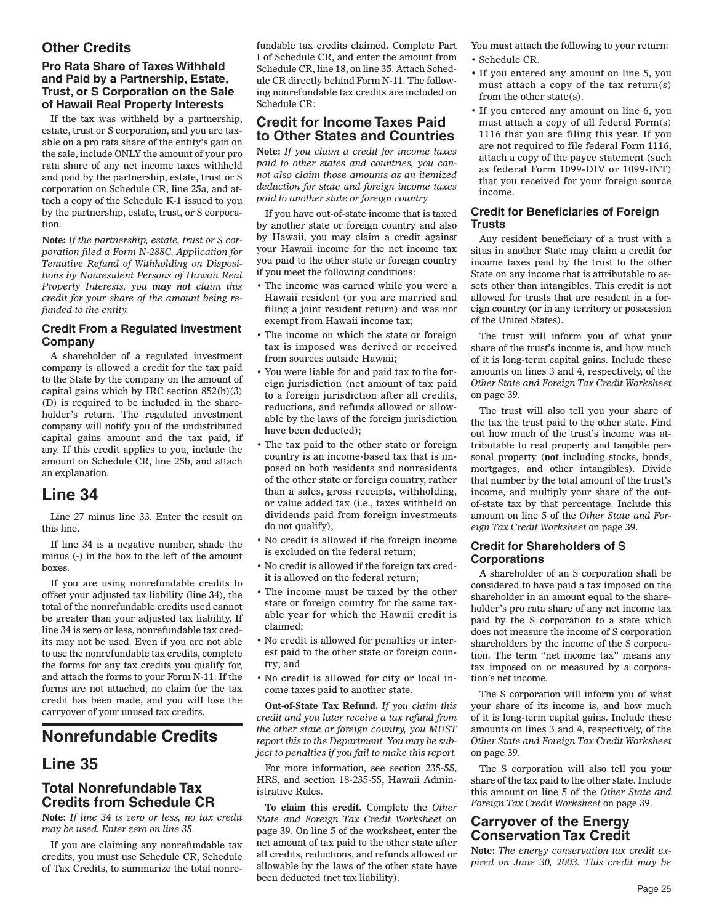## **Other Credits**

### **Pro Rata Share of Taxes Withheld and Paid by a Partnership, Estate, Trust, or S Corporation on the Sale of Hawaii Real Property Interests**

If the tax was withheld by a partnership, estate, trust or S corporation, and you are taxable on a pro rata share of the entity's gain on the sale, include ONLY the amount of your pro rata share of any net income taxes withheld and paid by the partnership, estate, trust or S corporation on Schedule CR, line 25a, and attach a copy of the Schedule K-1 issued to you by the partnership, estate, trust, or S corporation.

**Note:** *If the partnership, estate, trust or S corporation filed a Form N-288C, Application for Tentative Refund of Withholding on Dispositions by Nonresident Persons of Hawaii Real Property Interests, you may not claim this credit for your share of the amount being refunded to the entity.*

### **Credit From a Regulated Investment Company**

A shareholder of a regulated investment company is allowed a credit for the tax paid to the State by the company on the amount of capital gains which by IRC section 852(b)(3) (D) is required to be included in the shareholder's return. The regulated investment company will notify you of the undistributed capital gains amount and the tax paid, if any. If this credit applies to you, include the amount on Schedule CR, line 25b, and attach an explanation.

# **Line 34**

Line 27 minus line 33. Enter the result on this line.

If line 34 is a negative number, shade the minus (-) in the box to the left of the amount boxes.

If you are using nonrefundable credits to offset your adjusted tax liability (line 34), the total of the nonrefundable credits used cannot be greater than your adjusted tax liability. If line 34 is zero or less, nonrefundable tax credits may not be used. Even if you are not able to use the nonrefundable tax credits, complete the forms for any tax credits you qualify for, and attach the forms to your Form N-11. If the forms are not attached, no claim for the tax credit has been made, and you will lose the carryover of your unused tax credits.

# **Nonrefundable Credits**

# **Line 35**

# **Total Nonrefundable Tax Credits from Schedule CR**

**Note:** *If line 34 is zero or less, no tax credit may be used. Enter zero on line 35.*

If you are claiming any nonrefundable tax credits, you must use Schedule CR, Schedule of Tax Credits, to summarize the total nonrefundable tax credits claimed. Complete Part I of Schedule CR, and enter the amount from Schedule CR, line 18, on line 35. Attach Schedule CR directly behind Form N-11. The following nonrefundable tax credits are included on Schedule CR:

## **Credit for Income Taxes Paid to Other States and Countries**

**Note:** *If you claim a credit for income taxes paid to other states and countries, you cannot also claim those amounts as an itemized deduction for state and foreign income taxes paid to another state or foreign country.*

If you have out-of-state income that is taxed by another state or foreign country and also by Hawaii, you may claim a credit against your Hawaii income for the net income tax you paid to the other state or foreign country if you meet the following conditions:

- The income was earned while you were a Hawaii resident (or you are married and filing a joint resident return) and was not exempt from Hawaii income tax;
- The income on which the state or foreign tax is imposed was derived or received from sources outside Hawaii;
- You were liable for and paid tax to the foreign jurisdiction (net amount of tax paid to a foreign jurisdiction after all credits, reductions, and refunds allowed or allowable by the laws of the foreign jurisdiction have been deducted);
- The tax paid to the other state or foreign country is an income-based tax that is imposed on both residents and nonresidents of the other state or foreign country, rather than a sales, gross receipts, withholding, or value added tax (i.e., taxes withheld on dividends paid from foreign investments do not qualify);
- No credit is allowed if the foreign income is excluded on the federal return;
- No credit is allowed if the foreign tax credit is allowed on the federal return;
- The income must be taxed by the other state or foreign country for the same taxable year for which the Hawaii credit is claimed;
- No credit is allowed for penalties or interest paid to the other state or foreign country; and
- No credit is allowed for city or local income taxes paid to another state.

**Out-of-State Tax Refund.** *If you claim this credit and you later receive a tax refund from the other state or foreign country, you MUST report this to the Department. You may be subject to penalties if you fail to make this report.*

For more information, see section 235-55, HRS, and section 18-235-55, Hawaii Administrative Rules.

**To claim this credit.** Complete the *Other State and Foreign Tax Credit Worksheet* on page 39. On line 5 of the worksheet, enter the net amount of tax paid to the other state after all credits, reductions, and refunds allowed or allowable by the laws of the other state have been deducted (net tax liability).

You **must** attach the following to your return: • Schedule CR.

- If you entered any amount on line 5, you must attach a copy of the tax return(s) from the other state(s).
- If you entered any amount on line 6, you must attach a copy of all federal Form(s) 1116 that you are filing this year. If you are not required to file federal Form 1116, attach a copy of the payee statement (such as federal Form 1099-DIV or 1099-INT) that you received for your foreign source income.

#### **Credit for Beneficiaries of Foreign Trusts**

Any resident beneficiary of a trust with a situs in another State may claim a credit for income taxes paid by the trust to the other State on any income that is attributable to assets other than intangibles. This credit is not allowed for trusts that are resident in a foreign country (or in any territory or possession of the United States).

The trust will inform you of what your share of the trust's income is, and how much of it is long-term capital gains. Include these amounts on lines 3 and 4, respectively, of the *Other State and Foreign Tax Credit Worksheet* on page 39.

The trust will also tell you your share of the tax the trust paid to the other state. Find out how much of the trust's income was attributable to real property and tangible personal property (**not** including stocks, bonds, mortgages, and other intangibles). Divide that number by the total amount of the trust's income, and multiply your share of the outof-state tax by that percentage. Include this amount on line 5 of the *Other State and Foreign Tax Credit Worksheet* on page 39.

### **Credit for Shareholders of S Corporations**

A shareholder of an S corporation shall be considered to have paid a tax imposed on the shareholder in an amount equal to the shareholder's pro rata share of any net income tax paid by the S corporation to a state which does not measure the income of S corporation shareholders by the income of the S corporation. The term "net income tax" means any tax imposed on or measured by a corporation's net income.

The S corporation will inform you of what your share of its income is, and how much of it is long-term capital gains. Include these amounts on lines 3 and 4, respectively, of the *Other State and Foreign Tax Credit Worksheet* on page 39.

The S corporation will also tell you your share of the tax paid to the other state. Include this amount on line 5 of the *Other State and Foreign Tax Credit Worksheet* on page 39.

## **Carryover of the Energy Conservation Tax Credit**

**Note:** *The energy conservation tax credit expired on June 30, 2003. This credit may be*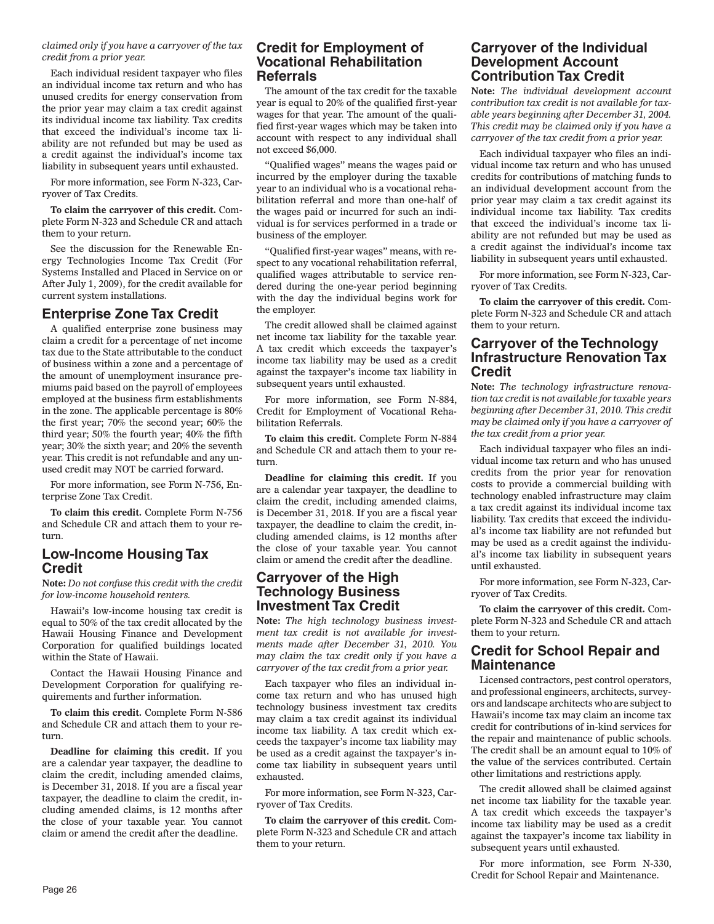#### *claimed only if you have a carryover of the tax credit from a prior year.*

Each individual resident taxpayer who files an individual income tax return and who has unused credits for energy conservation from the prior year may claim a tax credit against its individual income tax liability. Tax credits that exceed the individual's income tax liability are not refunded but may be used as a credit against the individual's income tax liability in subsequent years until exhausted.

For more information, see Form N-323, Carryover of Tax Credits.

**To claim the carryover of this credit.** Complete Form N-323 and Schedule CR and attach them to your return.

See the discussion for the Renewable Energy Technologies Income Tax Credit (For Systems Installed and Placed in Service on or After July 1, 2009), for the credit available for current system installations.

## **Enterprise Zone Tax Credit**

A qualified enterprise zone business may claim a credit for a percentage of net income tax due to the State attributable to the conduct of business within a zone and a percentage of the amount of unemployment insurance premiums paid based on the payroll of employees employed at the business firm establishments in the zone. The applicable percentage is 80% the first year; 70% the second year; 60% the third year; 50% the fourth year; 40% the fifth year; 30% the sixth year; and 20% the seventh year. This credit is not refundable and any unused credit may NOT be carried forward.

For more information, see Form N-756, Enterprise Zone Tax Credit.

**To claim this credit.** Complete Form N-756 and Schedule CR and attach them to your return.

## **Low-Income Housing Tax Credit**

**Note:** *Do not confuse this credit with the credit for low-income household renters.*

Hawaii's low-income housing tax credit is equal to 50% of the tax credit allocated by the Hawaii Housing Finance and Development Corporation for qualified buildings located within the State of Hawaii.

Contact the Hawaii Housing Finance and Development Corporation for qualifying requirements and further information.

**To claim this credit.** Complete Form N-586 and Schedule CR and attach them to your return.

**Deadline for claiming this credit.** If you are a calendar year taxpayer, the deadline to claim the credit, including amended claims, is December 31, 2018. If you are a fiscal year taxpayer, the deadline to claim the credit, including amended claims, is 12 months after the close of your taxable year. You cannot claim or amend the credit after the deadline.

### **Credit for Employment of Vocational Rehabilitation Referrals**

The amount of the tax credit for the taxable year is equal to 20% of the qualified first-year wages for that year. The amount of the qualified first-year wages which may be taken into account with respect to any individual shall not exceed \$6,000.

"Qualified wages" means the wages paid or incurred by the employer during the taxable year to an individual who is a vocational rehabilitation referral and more than one-half of the wages paid or incurred for such an individual is for services performed in a trade or business of the employer.

"Qualified first-year wages" means, with respect to any vocational rehabilitation referral, qualified wages attributable to service rendered during the one-year period beginning with the day the individual begins work for the employer.

The credit allowed shall be claimed against net income tax liability for the taxable year. A tax credit which exceeds the taxpayer's income tax liability may be used as a credit against the taxpayer's income tax liability in subsequent years until exhausted.

For more information, see Form N-884, Credit for Employment of Vocational Rehabilitation Referrals.

**To claim this credit.** Complete Form N-884 and Schedule CR and attach them to your return.

**Deadline for claiming this credit.** If you are a calendar year taxpayer, the deadline to claim the credit, including amended claims, is December 31, 2018. If you are a fiscal year taxpayer, the deadline to claim the credit, including amended claims, is 12 months after the close of your taxable year. You cannot claim or amend the credit after the deadline.

### **Carryover of the High Technology Business Investment Tax Credit**

**Note:** *The high technology business investment tax credit is not available for investments made after December 31, 2010. You may claim the tax credit only if you have a carryover of the tax credit from a prior year.*

Each taxpayer who files an individual income tax return and who has unused high technology business investment tax credits may claim a tax credit against its individual income tax liability. A tax credit which exceeds the taxpayer's income tax liability may be used as a credit against the taxpayer's income tax liability in subsequent years until exhausted.

For more information, see Form N-323, Carryover of Tax Credits.

**To claim the carryover of this credit.** Complete Form N-323 and Schedule CR and attach them to your return.

### **Carryover of the Individual Development Account Contribution Tax Credit**

**Note:** *The individual development account contribution tax credit is not available for taxable years beginning after December 31, 2004. This credit may be claimed only if you have a carryover of the tax credit from a prior year.*

Each individual taxpayer who files an individual income tax return and who has unused credits for contributions of matching funds to an individual development account from the prior year may claim a tax credit against its individual income tax liability. Tax credits that exceed the individual's income tax liability are not refunded but may be used as a credit against the individual's income tax liability in subsequent years until exhausted.

For more information, see Form N-323, Carryover of Tax Credits.

**To claim the carryover of this credit.** Complete Form N-323 and Schedule CR and attach them to your return.

### **Carryover of the Technology Infrastructure Renovation Tax Credit**

**Note:** *The technology infrastructure renovation tax credit is not available for taxable years beginning after December 31, 2010. This credit may be claimed only if you have a carryover of the tax credit from a prior year.*

Each individual taxpayer who files an individual income tax return and who has unused credits from the prior year for renovation costs to provide a commercial building with technology enabled infrastructure may claim a tax credit against its individual income tax liability. Tax credits that exceed the individual's income tax liability are not refunded but may be used as a credit against the individual's income tax liability in subsequent years until exhausted.

For more information, see Form N-323, Carryover of Tax Credits.

**To claim the carryover of this credit.** Complete Form N-323 and Schedule CR and attach them to your return.

### **Credit for School Repair and Maintenance**

Licensed contractors, pest control operators, and professional engineers, architects, surveyors and landscape architects who are subject to Hawaii's income tax may claim an income tax credit for contributions of in-kind services for the repair and maintenance of public schools. The credit shall be an amount equal to 10% of the value of the services contributed. Certain other limitations and restrictions apply.

The credit allowed shall be claimed against net income tax liability for the taxable year. A tax credit which exceeds the taxpayer's income tax liability may be used as a credit against the taxpayer's income tax liability in subsequent years until exhausted.

For more information, see Form N-330, Credit for School Repair and Maintenance.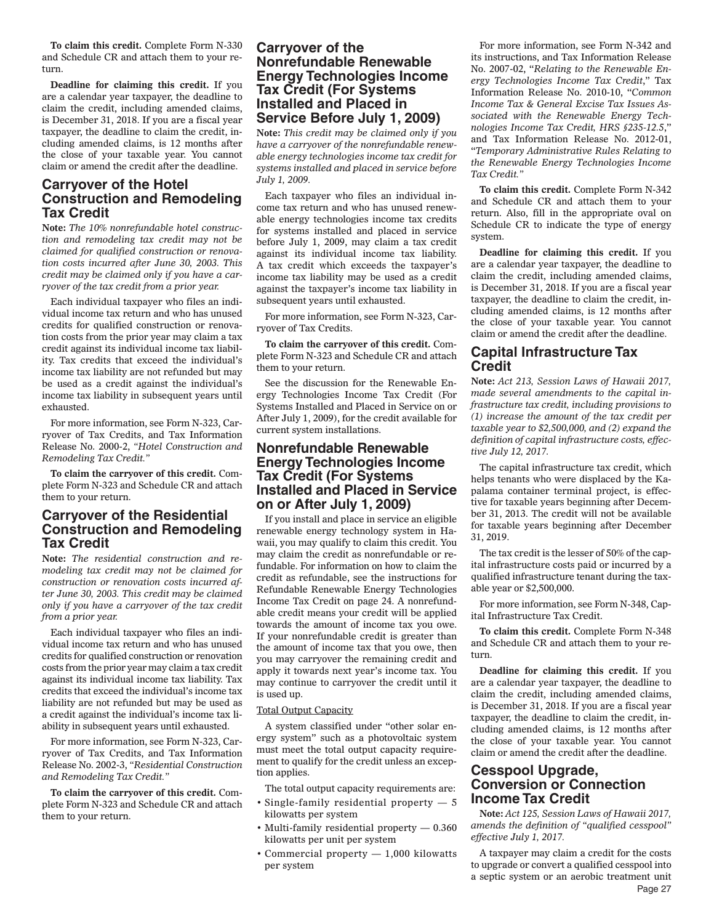**To claim this credit.** Complete Form N-330 and Schedule CR and attach them to your return.

**Deadline for claiming this credit.** If you are a calendar year taxpayer, the deadline to claim the credit, including amended claims, is December 31, 2018. If you are a fiscal year taxpayer, the deadline to claim the credit, including amended claims, is 12 months after the close of your taxable year. You cannot claim or amend the credit after the deadline.

### **Carryover of the Hotel Construction and Remodeling Tax Credit**

**Note:** *The 10% nonrefundable hotel construction and remodeling tax credit may not be claimed for qualified construction or renovation costs incurred after June 30, 2003. This credit may be claimed only if you have a carryover of the tax credit from a prior year.*

Each individual taxpayer who files an individual income tax return and who has unused credits for qualified construction or renovation costs from the prior year may claim a tax credit against its individual income tax liability. Tax credits that exceed the individual's income tax liability are not refunded but may be used as a credit against the individual's income tax liability in subsequent years until exhausted.

For more information, see Form N-323, Carryover of Tax Credits, and Tax Information Release No. 2000-2, *"Hotel Construction and Remodeling Tax Credit."*

**To claim the carryover of this credit.** Complete Form N-323 and Schedule CR and attach them to your return.

### **Carryover of the Residential Construction and Remodeling Tax Credit**

**Note:** *The residential construction and remodeling tax credit may not be claimed for construction or renovation costs incurred after June 30, 2003. This credit may be claimed only if you have a carryover of the tax credit from a prior year.*

Each individual taxpayer who files an individual income tax return and who has unused credits for qualified construction or renovation costs from the prior year may claim a tax credit against its individual income tax liability. Tax credits that exceed the individual's income tax liability are not refunded but may be used as a credit against the individual's income tax liability in subsequent years until exhausted.

For more information, see Form N-323, Carryover of Tax Credits, and Tax Information Release No. 2002-3, *"Residential Construction and Remodeling Tax Credit."*

**To claim the carryover of this credit.** Complete Form N-323 and Schedule CR and attach them to your return.

### **Carryover of the Nonrefundable Renewable Energy Technologies Income Tax Credit (For Systems Installed and Placed in Service Before July 1, 2009)**

**Note:** *This credit may be claimed only if you have a carryover of the nonrefundable renewable energy technologies income tax credit for systems installed and placed in service before July 1, 2009.*

Each taxpayer who files an individual income tax return and who has unused renewable energy technologies income tax credits for systems installed and placed in service before July 1, 2009, may claim a tax credit against its individual income tax liability. A tax credit which exceeds the taxpayer's income tax liability may be used as a credit against the taxpayer's income tax liability in subsequent years until exhausted.

For more information, see Form N-323, Carryover of Tax Credits.

**To claim the carryover of this credit.** Complete Form N-323 and Schedule CR and attach them to your return.

See the discussion for the Renewable Energy Technologies Income Tax Credit (For Systems Installed and Placed in Service on or After July 1, 2009), for the credit available for current system installations.

### **Nonrefundable Renewable Energy Technologies Income Tax Credit (For Systems Installed and Placed in Service on or After July 1, 2009)**

If you install and place in service an eligible renewable energy technology system in Hawaii, you may qualify to claim this credit. You may claim the credit as nonrefundable or refundable. For information on how to claim the credit as refundable, see the instructions for Refundable Renewable Energy Technologies Income Tax Credit on page 24. A nonrefundable credit means your credit will be applied towards the amount of income tax you owe. If your nonrefundable credit is greater than the amount of income tax that you owe, then you may carryover the remaining credit and apply it towards next year's income tax. You may continue to carryover the credit until it is used up.

#### Total Output Capacity

A system classified under "other solar energy system" such as a photovoltaic system must meet the total output capacity requirement to qualify for the credit unless an exception applies.

The total output capacity requirements are:

- Single-family residential property 5 kilowatts per system
- Multi-family residential property 0.360 kilowatts per unit per system
- Commercial property 1,000 kilowatts per system

For more information, see Form N-342 and its instructions, and Tax Information Release No. 2007-02, "*Relating to the Renewable Energy Technologies Income Tax Credit*," Tax Information Release No. 2010-10, "*Common Income Tax & General Excise Tax Issues Associated with the Renewable Energy Technologies Income Tax Credit, HRS §235-12.5*," and Tax Information Release No. 2012-01, "*Temporary Administrative Rules Relating to the Renewable Energy Technologies Income Tax Credit."*

**To claim this credit.** Complete Form N-342 and Schedule CR and attach them to your return. Also, fill in the appropriate oval on Schedule CR to indicate the type of energy system.

**Deadline for claiming this credit.** If you are a calendar year taxpayer, the deadline to claim the credit, including amended claims, is December 31, 2018. If you are a fiscal year taxpayer, the deadline to claim the credit, including amended claims, is 12 months after the close of your taxable year. You cannot claim or amend the credit after the deadline.

## **Capital Infrastructure Tax Credit**

**Note:** *Act 213, Session Laws of Hawaii 2017, made several amendments to the capital infrastructure tax credit, including provisions to (1) increase the amount of the tax credit per taxable year to \$2,500,000, and (2) expand the definition of capital infrastructure costs, effective July 12, 2017.*

The capital infrastructure tax credit, which helps tenants who were displaced by the Kapalama container terminal project, is effective for taxable years beginning after December 31, 2013. The credit will not be available for taxable years beginning after December 31, 2019.

The tax credit is the lesser of 50% of the capital infrastructure costs paid or incurred by a qualified infrastructure tenant during the taxable year or \$2,500,000.

For more information, see Form N-348, Capital Infrastructure Tax Credit.

**To claim this credit.** Complete Form N-348 and Schedule CR and attach them to your return.

**Deadline for claiming this credit.** If you are a calendar year taxpayer, the deadline to claim the credit, including amended claims, is December 31, 2018. If you are a fiscal year taxpayer, the deadline to claim the credit, including amended claims, is 12 months after the close of your taxable year. You cannot claim or amend the credit after the deadline.

### **Cesspool Upgrade, Conversion or Connection Income Tax Credit**

**Note:** *Act 125, Session Laws of Hawaii 2017, amends the definition of "qualified cesspool" effective July 1, 2017.*

Page 27 A taxpayer may claim a credit for the costs to upgrade or convert a qualified cesspool into a septic system or an aerobic treatment unit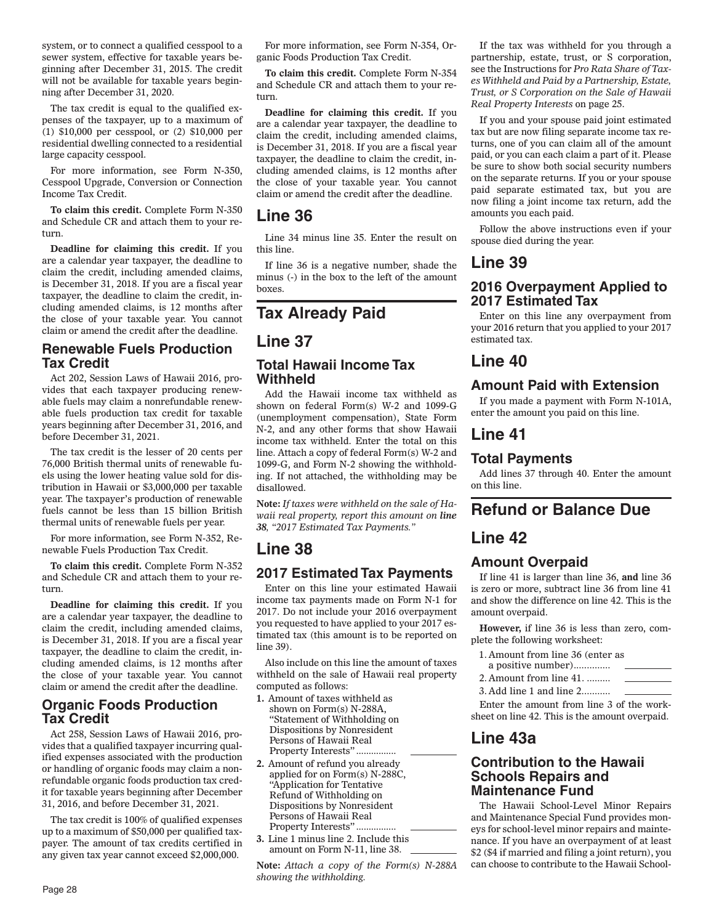system, or to connect a qualified cesspool to a sewer system, effective for taxable years beginning after December 31, 2015. The credit will not be available for taxable years beginning after December 31, 2020.

The tax credit is equal to the qualified expenses of the taxpayer, up to a maximum of (1) \$10,000 per cesspool, or (2) \$10,000 per residential dwelling connected to a residential large capacity cesspool.

For more information, see Form N-350, Cesspool Upgrade, Conversion or Connection Income Tax Credit.

**To claim this credit.** Complete Form N-350 and Schedule CR and attach them to your return.

**Deadline for claiming this credit.** If you are a calendar year taxpayer, the deadline to claim the credit, including amended claims, is December 31, 2018. If you are a fiscal year taxpayer, the deadline to claim the credit, including amended claims, is 12 months after the close of your taxable year. You cannot claim or amend the credit after the deadline.

### **Renewable Fuels Production Tax Credit**

Act 202, Session Laws of Hawaii 2016, provides that each taxpayer producing renewable fuels may claim a nonrefundable renewable fuels production tax credit for taxable years beginning after December 31, 2016, and before December 31, 2021.

The tax credit is the lesser of 20 cents per 76,000 British thermal units of renewable fuels using the lower heating value sold for distribution in Hawaii or \$3,000,000 per taxable year. The taxpayer's production of renewable fuels cannot be less than 15 billion British thermal units of renewable fuels per year.

For more information, see Form N-352, Renewable Fuels Production Tax Credit.

**To claim this credit.** Complete Form N-352 and Schedule CR and attach them to your return.

**Deadline for claiming this credit.** If you are a calendar year taxpayer, the deadline to claim the credit, including amended claims, is December 31, 2018. If you are a fiscal year taxpayer, the deadline to claim the credit, including amended claims, is 12 months after the close of your taxable year. You cannot claim or amend the credit after the deadline.

### **Organic Foods Production Tax Credit**

Act 258, Session Laws of Hawaii 2016, provides that a qualified taxpayer incurring qualified expenses associated with the production or handling of organic foods may claim a nonrefundable organic foods production tax credit for taxable years beginning after December 31, 2016, and before December 31, 2021.

The tax credit is 100% of qualified expenses up to a maximum of \$50,000 per qualified taxpayer. The amount of tax credits certified in any given tax year cannot exceed \$2,000,000.

For more information, see Form N-354, Organic Foods Production Tax Credit.

**To claim this credit.** Complete Form N-354 and Schedule CR and attach them to your return.

**Deadline for claiming this credit.** If you are a calendar year taxpayer, the deadline to claim the credit, including amended claims, is December 31, 2018. If you are a fiscal year taxpayer, the deadline to claim the credit, including amended claims, is 12 months after the close of your taxable year. You cannot claim or amend the credit after the deadline.

# **Line 36**

Line 34 minus line 35. Enter the result on this line.

If line 36 is a negative number, shade the minus (-) in the box to the left of the amount boxes.

# **Tax Already Paid**

# **Line 37**

### **Total Hawaii Income Tax Withheld**

Add the Hawaii income tax withheld as shown on federal Form(s) W-2 and 1099-G (unemployment compensation), State Form N-2, and any other forms that show Hawaii income tax withheld. Enter the total on this line. Attach a copy of federal Form(s) W-2 and 1099-G, and Form N-2 showing the withholding. If not attached, the withholding may be disallowed.

**Note:** *If taxes were withheld on the sale of Hawaii real property, report this amount on line 38, "2017 Estimated Tax Payments."*

# **Line 38**

## **2017 Estimated Tax Payments**

Enter on this line your estimated Hawaii income tax payments made on Form N-1 for 2017. Do not include your 2016 overpayment you requested to have applied to your 2017 estimated tax (this amount is to be reported on line 39).

Also include on this line the amount of taxes withheld on the sale of Hawaii real property computed as follows:

- **1.** Amount of taxes withheld as shown on Form(s) N-288A, "Statement of Withholding on Dispositions by Nonresident Persons of Hawaii Real Property Interests"................
- **2.** Amount of refund you already applied for on Form(s) N-288C, "Application for Tentative Refund of Withholding on Dispositions by Nonresident Persons of Hawaii Real Property Interests"............
- **3.** Line 1 minus line 2. Include this amount on Form N-11, line 38.

**Note:** *Attach a copy of the Form(s) N-288A showing the withholding.*

If the tax was withheld for you through a partnership, estate, trust, or S corporation, see the Instructions for *Pro Rata Share of Taxes Withheld and Paid by a Partnership, Estate, Trust, or S Corporation on the Sale of Hawaii Real Property Interests* on page 25.

If you and your spouse paid joint estimated tax but are now filing separate income tax returns, one of you can claim all of the amount paid, or you can each claim a part of it. Please be sure to show both social security numbers on the separate returns. If you or your spouse paid separate estimated tax, but you are now filing a joint income tax return, add the amounts you each paid.

Follow the above instructions even if your spouse died during the year.

# **Line 39**

### **2016 Overpayment Applied to 2017 Estimated Tax**

Enter on this line any overpayment from your 2016 return that you applied to your 2017 estimated tax.

# **Line 40**

# **Amount Paid with Extension**

If you made a payment with Form N-101A, enter the amount you paid on this line.

# **Line 41**

## **Total Payments**

Add lines 37 through 40. Enter the amount on this line.

# **Refund or Balance Due**

# **Line 42**

## **Amount Overpaid**

If line 41 is larger than line 36, **and** line 36 is zero or more, subtract line 36 from line 41 and show the difference on line 42. This is the amount overpaid.

**However,** if line 36 is less than zero, complete the following worksheet:

| 1. Amount from line 36 (enter as |  |
|----------------------------------|--|
| a positive number)               |  |
| 2. Amount from line $41$ ,       |  |

3. Add line 1 and line 2. ..........

Enter the amount from line 3 of the worksheet on line 42. This is the amount overpaid.

# **Line 43a**

### **Contribution to the Hawaii Schools Repairs and Maintenance Fund**

The Hawaii School-Level Minor Repairs and Maintenance Special Fund provides moneys for school-level minor repairs and maintenance. If you have an overpayment of at least \$2 (\$4 if married and filing a joint return), you can choose to contribute to the Hawaii School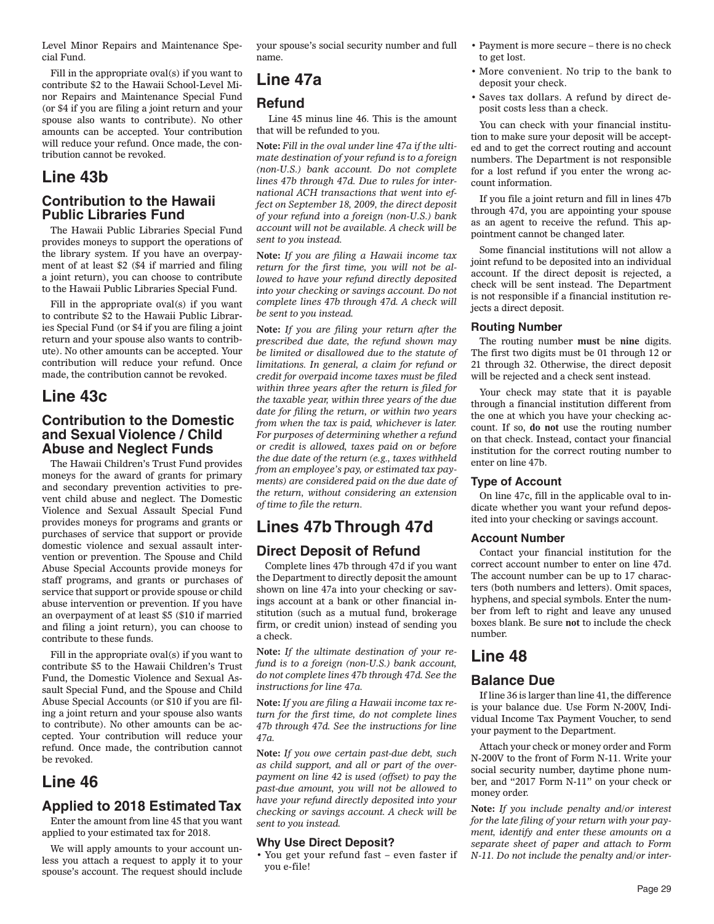Level Minor Repairs and Maintenance Special Fund.

Fill in the appropriate oval(s) if you want to contribute \$2 to the Hawaii School-Level Minor Repairs and Maintenance Special Fund (or \$4 if you are filing a joint return and your spouse also wants to contribute). No other amounts can be accepted. Your contribution will reduce your refund. Once made, the contribution cannot be revoked.

# **Line 43b**

### **Contribution to the Hawaii Public Libraries Fund**

The Hawaii Public Libraries Special Fund provides moneys to support the operations of the library system. If you have an overpayment of at least \$2 (\$4 if married and filing a joint return), you can choose to contribute to the Hawaii Public Libraries Special Fund.

Fill in the appropriate oval(s) if you want to contribute \$2 to the Hawaii Public Libraries Special Fund (or \$4 if you are filing a joint return and your spouse also wants to contribute). No other amounts can be accepted. Your contribution will reduce your refund. Once made, the contribution cannot be revoked.

# **Line 43c**

### **Contribution to the Domestic and Sexual Violence / Child Abuse and Neglect Funds**

The Hawaii Children's Trust Fund provides moneys for the award of grants for primary and secondary prevention activities to prevent child abuse and neglect. The Domestic Violence and Sexual Assault Special Fund provides moneys for programs and grants or purchases of service that support or provide domestic violence and sexual assault intervention or prevention. The Spouse and Child Abuse Special Accounts provide moneys for staff programs, and grants or purchases of service that support or provide spouse or child abuse intervention or prevention. If you have an overpayment of at least \$5 (\$10 if married and filing a joint return), you can choose to contribute to these funds.

Fill in the appropriate oval(s) if you want to contribute \$5 to the Hawaii Children's Trust Fund, the Domestic Violence and Sexual Assault Special Fund, and the Spouse and Child Abuse Special Accounts (or \$10 if you are filing a joint return and your spouse also wants to contribute). No other amounts can be accepted. Your contribution will reduce your refund. Once made, the contribution cannot be revoked.

# **Line 46**

### **Applied to 2018 Estimated Tax**

Enter the amount from line 45 that you want applied to your estimated tax for 2018.

We will apply amounts to your account unless you attach a request to apply it to your spouse's account. The request should include your spouse's social security number and full name.

# **Line 47a**

### **Refund**

 Line 45 minus line 46. This is the amount that will be refunded to you.

**Note:** *Fill in the oval under line 47a if the ultimate destination of your refund is to a foreign (non-U.S.) bank account. Do not complete lines 47b through 47d. Due to rules for international ACH transactions that went into effect on September 18, 2009, the direct deposit of your refund into a foreign (non-U.S.) bank account will not be available. A check will be sent to you instead.*

**Note:** *If you are filing a Hawaii income tax return for the first time, you will not be allowed to have your refund directly deposited into your checking or savings account. Do not complete lines 47b through 47d. A check will be sent to you instead.*

**Note:** *If you are filing your return after the prescribed due date, the refund shown may be limited or disallowed due to the statute of limitations. In general, a claim for refund or credit for overpaid income taxes must be filed within three years after the return is filed for the taxable year, within three years of the due date for filing the return, or within two years from when the tax is paid, whichever is later. For purposes of determining whether a refund or credit is allowed, taxes paid on or before the due date of the return (e.g., taxes withheld from an employee's pay, or estimated tax payments) are considered paid on the due date of the return, without considering an extension of time to file the return.*

# **Lines 47b Through 47d**

# **Direct Deposit of Refund**

Complete lines 47b through 47d if you want the Department to directly deposit the amount shown on line 47a into your checking or savings account at a bank or other financial institution (such as a mutual fund, brokerage firm, or credit union) instead of sending you a check.

**Note:** *If the ultimate destination of your refund is to a foreign (non-U.S.) bank account, do not complete lines 47b through 47d. See the instructions for line 47a.*

**Note:** *If you are filing a Hawaii income tax return for the first time, do not complete lines 47b through 47d. See the instructions for line 47a.*

**Note:** *If you owe certain past-due debt, such as child support, and all or part of the overpayment on line 42 is used (offset) to pay the past-due amount, you will not be allowed to have your refund directly deposited into your checking or savings account. A check will be sent to you instead.*

#### **Why Use Direct Deposit?**

• You get your refund fast – even faster if you e-file!

- Payment is more secure there is no check to get lost.
- More convenient. No trip to the bank to deposit your check.
- Saves tax dollars. A refund by direct deposit costs less than a check.

You can check with your financial institution to make sure your deposit will be accepted and to get the correct routing and account numbers. The Department is not responsible for a lost refund if you enter the wrong account information.

If you file a joint return and fill in lines 47b through 47d, you are appointing your spouse as an agent to receive the refund. This appointment cannot be changed later.

Some financial institutions will not allow a joint refund to be deposited into an individual account. If the direct deposit is rejected, a check will be sent instead. The Department is not responsible if a financial institution rejects a direct deposit.

#### **Routing Number**

The routing number **must** be **nine** digits. The first two digits must be 01 through 12 or 21 through 32. Otherwise, the direct deposit will be rejected and a check sent instead.

Your check may state that it is payable through a financial institution different from the one at which you have your checking account. If so, **do not** use the routing number on that check. Instead, contact your financial institution for the correct routing number to enter on line 47b.

#### **Type of Account**

On line 47c, fill in the applicable oval to indicate whether you want your refund deposited into your checking or savings account.

#### **Account Number**

Contact your financial institution for the correct account number to enter on line 47d. The account number can be up to 17 characters (both numbers and letters). Omit spaces, hyphens, and special symbols. Enter the number from left to right and leave any unused boxes blank. Be sure **not** to include the check number.

# **Line 48**

### **Balance Due**

If line 36 is larger than line 41, the difference is your balance due. Use Form N-200V, Individual Income Tax Payment Voucher, to send your payment to the Department.

Attach your check or money order and Form N-200V to the front of Form N-11. Write your social security number, daytime phone number, and "2017 Form N-11" on your check or money order.

**Note:** *If you include penalty and/or interest for the late filing of your return with your payment, identify and enter these amounts on a separate sheet of paper and attach to Form N-11. Do not include the penalty and/or inter-*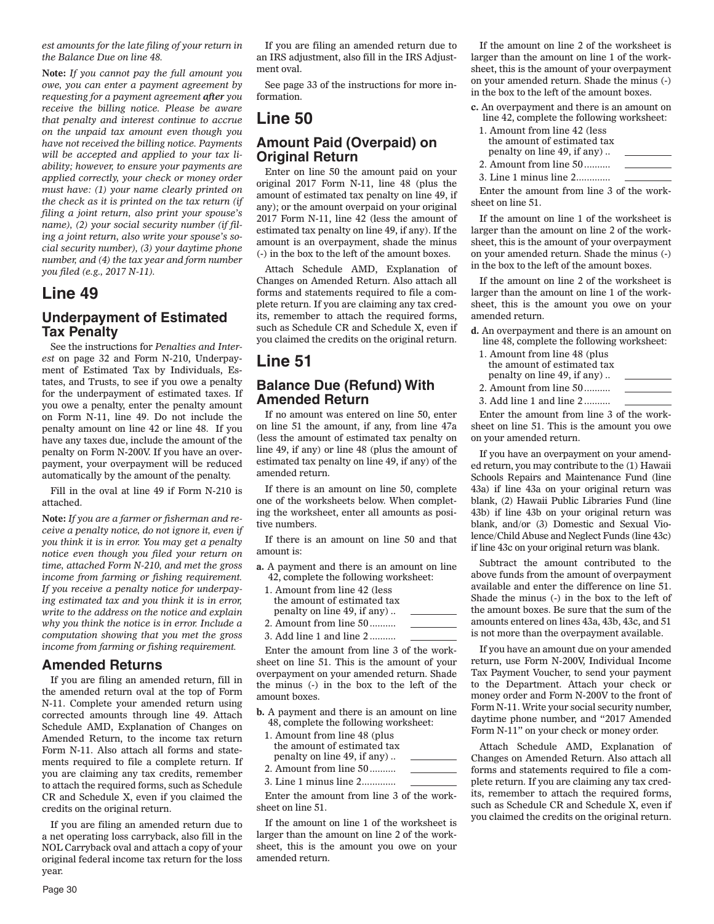*est amounts for the late filing of your return in the Balance Due on line 48.*

**Note:** *If you cannot pay the full amount you owe, you can enter a payment agreement by requesting for a payment agreement after you receive the billing notice. Please be aware that penalty and interest continue to accrue on the unpaid tax amount even though you have not received the billing notice. Payments will be accepted and applied to your tax liability; however, to ensure your payments are applied correctly, your check or money order must have: (1) your name clearly printed on the check as it is printed on the tax return (if filing a joint return, also print your spouse's name), (2) your social security number (if filing a joint return, also write your spouse's social security number), (3) your daytime phone number, and (4) the tax year and form number you filed (e.g., 2017 N-11).*

# **Line 49**

## **Underpayment of Estimated Tax Penalty**

See the instructions for *Penalties and Interest* on page 32 and Form N-210, Underpayment of Estimated Tax by Individuals, Estates, and Trusts, to see if you owe a penalty for the underpayment of estimated taxes. If you owe a penalty, enter the penalty amount on Form N-11, line 49. Do not include the penalty amount on line 42 or line 48. If you have any taxes due, include the amount of the penalty on Form N-200V. If you have an overpayment, your overpayment will be reduced automatically by the amount of the penalty.

Fill in the oval at line 49 if Form N-210 is attached.

**Note:** *If you are a farmer or fisherman and receive a penalty notice, do not ignore it, even if you think it is in error. You may get a penalty notice even though you filed your return on time, attached Form N-210, and met the gross income from farming or fishing requirement. If you receive a penalty notice for underpaying estimated tax and you think it is in error, write to the address on the notice and explain why you think the notice is in error. Include a computation showing that you met the gross income from farming or fishing requirement.*

### **Amended Returns**

If you are filing an amended return, fill in the amended return oval at the top of Form N-11. Complete your amended return using corrected amounts through line 49. Attach Schedule AMD, Explanation of Changes on Amended Return, to the income tax return Form N-11. Also attach all forms and statements required to file a complete return. If you are claiming any tax credits, remember to attach the required forms, such as Schedule CR and Schedule X, even if you claimed the credits on the original return.

If you are filing an amended return due to a net operating loss carryback, also fill in the NOL Carryback oval and attach a copy of your original federal income tax return for the loss year.

If you are filing an amended return due to an IRS adjustment, also fill in the IRS Adjustment oval.

See page 33 of the instructions for more information.

# **Line 50**

### **Amount Paid (Overpaid) on Original Return**

Enter on line 50 the amount paid on your original 2017 Form N-11, line 48 (plus the amount of estimated tax penalty on line 49, if any); or the amount overpaid on your original 2017 Form N-11, line 42 (less the amount of estimated tax penalty on line 49, if any). If the amount is an overpayment, shade the minus (-) in the box to the left of the amount boxes.

Attach Schedule AMD, Explanation of Changes on Amended Return. Also attach all forms and statements required to file a complete return. If you are claiming any tax credits, remember to attach the required forms, such as Schedule CR and Schedule X, even if you claimed the credits on the original return.

# **Line 51**

### **Balance Due (Refund) With Amended Return**

If no amount was entered on line 50, enter on line 51 the amount, if any, from line 47a (less the amount of estimated tax penalty on line 49, if any) or line 48 (plus the amount of estimated tax penalty on line 49, if any) of the amended return.

If there is an amount on line 50, complete one of the worksheets below. When completing the worksheet, enter all amounts as positive numbers.

If there is an amount on line 50 and that amount is:

- **a.** A payment and there is an amount on line 42, complete the following worksheet:
- 1. Amount from line 42 (less the amount of estimated tax penalty on line 49, if any) .. 2. Amount from line 50 ..........
- 3. Add line 1 and line 2 ..........

Enter the amount from line 3 of the worksheet on line 51. This is the amount of your overpayment on your amended return. Shade the minus (-) in the box to the left of the amount boxes.

- **b.** A payment and there is an amount on line 48, complete the following worksheet:
- 1. Amount from line 48 (plus the amount of estimated tax penalty on line 49, if any) ..
- 2. Amount from line 50 .......... 3. Line 1 minus line 2.............

Enter the amount from line 3 of the worksheet on line 51.

If the amount on line 1 of the worksheet is larger than the amount on line 2 of the worksheet, this is the amount you owe on your amended return.

If the amount on line 2 of the worksheet is larger than the amount on line 1 of the worksheet, this is the amount of your overpayment on your amended return. Shade the minus (-) in the box to the left of the amount boxes.

**c.** An overpayment and there is an amount on line 42, complete the following worksheet: 1. Amount from line 42 (less the amount of estimated tax penalty on line 49, if any) .. 2. Amount from line 50 ..........

3. Line 1 minus line 2.............

Enter the amount from line 3 of the worksheet on line 51.

If the amount on line 1 of the worksheet is larger than the amount on line 2 of the worksheet, this is the amount of your overpayment on your amended return. Shade the minus (-) in the box to the left of the amount boxes.

If the amount on line 2 of the worksheet is larger than the amount on line 1 of the worksheet, this is the amount you owe on your amended return.

- **d.** An overpayment and there is an amount on line 48, complete the following worksheet:
	- 1. Amount from line 48 (plus the amount of estimated tax penalty on line 49, if any) ..
- 2. Amount from line 50 ..........
- 3. Add line 1 and line 2 ..........

Enter the amount from line 3 of the worksheet on line 51. This is the amount you owe on your amended return.

If you have an overpayment on your amended return, you may contribute to the (1) Hawaii Schools Repairs and Maintenance Fund (line 43a) if line 43a on your original return was blank, (2) Hawaii Public Libraries Fund (line 43b) if line 43b on your original return was blank, and/or (3) Domestic and Sexual Violence/Child Abuse and Neglect Funds (line 43c) if line 43c on your original return was blank.

Subtract the amount contributed to the above funds from the amount of overpayment available and enter the difference on line 51. Shade the minus (-) in the box to the left of the amount boxes. Be sure that the sum of the amounts entered on lines 43a, 43b, 43c, and 51 is not more than the overpayment available.

If you have an amount due on your amended return, use Form N-200V, Individual Income Tax Payment Voucher, to send your payment to the Department. Attach your check or money order and Form N-200V to the front of Form N-11. Write your social security number, daytime phone number, and "2017 Amended Form N-11" on your check or money order.

Attach Schedule AMD, Explanation of Changes on Amended Return. Also attach all forms and statements required to file a complete return. If you are claiming any tax credits, remember to attach the required forms, such as Schedule CR and Schedule X, even if you claimed the credits on the original return.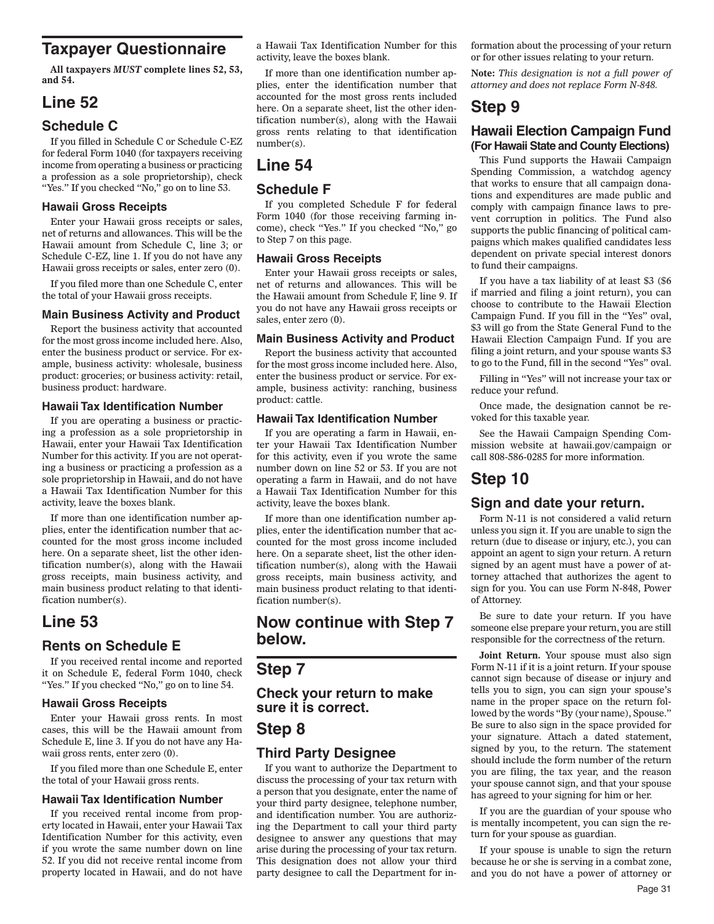# **Taxpayer Questionnaire**

**All taxpayers** *MUST* **complete lines 52, 53, and 54.**

# **Line 52**

# **Schedule C**

If you filled in Schedule C or Schedule C-EZ for federal Form 1040 (for taxpayers receiving income from operating a business or practicing a profession as a sole proprietorship), check "Yes." If you checked "No," go on to line 53.

#### **Hawaii Gross Receipts**

Enter your Hawaii gross receipts or sales, net of returns and allowances. This will be the Hawaii amount from Schedule C, line 3; or Schedule C-EZ, line 1. If you do not have any Hawaii gross receipts or sales, enter zero (0).

If you filed more than one Schedule C, enter the total of your Hawaii gross receipts.

#### **Main Business Activity and Product**

Report the business activity that accounted for the most gross income included here. Also, enter the business product or service. For example, business activity: wholesale, business product: groceries; or business activity: retail, business product: hardware.

#### **Hawaii Tax Identification Number**

If you are operating a business or practicing a profession as a sole proprietorship in Hawaii, enter your Hawaii Tax Identification Number for this activity. If you are not operating a business or practicing a profession as a sole proprietorship in Hawaii, and do not have a Hawaii Tax Identification Number for this activity, leave the boxes blank.

If more than one identification number applies, enter the identification number that accounted for the most gross income included here. On a separate sheet, list the other identification number(s), along with the Hawaii gross receipts, main business activity, and main business product relating to that identification number(s).

# **Line 53**

## **Rents on Schedule E**

If you received rental income and reported it on Schedule E, federal Form 1040, check "Yes." If you checked "No," go on to line 54.

#### **Hawaii Gross Receipts**

Enter your Hawaii gross rents. In most cases, this will be the Hawaii amount from Schedule E, line 3. If you do not have any Hawaii gross rents, enter zero (0).

If you filed more than one Schedule E, enter the total of your Hawaii gross rents.

#### **Hawaii Tax Identification Number**

If you received rental income from property located in Hawaii, enter your Hawaii Tax Identification Number for this activity, even if you wrote the same number down on line 52. If you did not receive rental income from property located in Hawaii, and do not have

a Hawaii Tax Identification Number for this activity, leave the boxes blank.

If more than one identification number applies, enter the identification number that accounted for the most gross rents included here. On a separate sheet, list the other identification number(s), along with the Hawaii gross rents relating to that identification number(s).

# **Line 54**

### **Schedule F**

If you completed Schedule F for federal Form 1040 (for those receiving farming income), check "Yes." If you checked "No," go to Step 7 on this page.

#### **Hawaii Gross Receipts**

Enter your Hawaii gross receipts or sales, net of returns and allowances. This will be the Hawaii amount from Schedule F, line 9. If you do not have any Hawaii gross receipts or sales, enter zero (0).

#### **Main Business Activity and Product**

Report the business activity that accounted for the most gross income included here. Also, enter the business product or service. For example, business activity: ranching, business product: cattle.

#### **Hawaii Tax Identification Number**

If you are operating a farm in Hawaii, enter your Hawaii Tax Identification Number for this activity, even if you wrote the same number down on line 52 or 53. If you are not operating a farm in Hawaii, and do not have a Hawaii Tax Identification Number for this activity, leave the boxes blank.

If more than one identification number applies, enter the identification number that accounted for the most gross income included here. On a separate sheet, list the other identification number(s), along with the Hawaii gross receipts, main business activity, and main business product relating to that identification number(s).

# **Now continue with Step 7 below.**

# **Step 7**

**Check your return to make sure it is correct.**

# **Step 8**

## **Third Party Designee**

If you want to authorize the Department to discuss the processing of your tax return with a person that you designate, enter the name of your third party designee, telephone number, and identification number. You are authorizing the Department to call your third party designee to answer any questions that may arise during the processing of your tax return. This designation does not allow your third party designee to call the Department for information about the processing of your return or for other issues relating to your return.

**Note:** *This designation is not a full power of attorney and does not replace Form N-848.*

# **Step 9**

### **Hawaii Election Campaign Fund (For Hawaii State and County Elections)**

This Fund supports the Hawaii Campaign Spending Commission, a watchdog agency that works to ensure that all campaign donations and expenditures are made public and comply with campaign finance laws to prevent corruption in politics. The Fund also supports the public financing of political campaigns which makes qualified candidates less dependent on private special interest donors to fund their campaigns.

If you have a tax liability of at least \$3 (\$6 if married and filing a joint return), you can choose to contribute to the Hawaii Election Campaign Fund. If you fill in the "Yes" oval, \$3 will go from the State General Fund to the Hawaii Election Campaign Fund. If you are filing a joint return, and your spouse wants \$3 to go to the Fund, fill in the second "Yes" oval.

Filling in "Yes" will not increase your tax or reduce your refund.

Once made, the designation cannot be revoked for this taxable year.

See the Hawaii Campaign Spending Commission website at hawaii.gov/campaign or call 808-586-0285 for more information.

# **Step 10**

#### **Sign and date your return.**

Form N-11 is not considered a valid return unless you sign it. If you are unable to sign the return (due to disease or injury, etc.), you can appoint an agent to sign your return. A return signed by an agent must have a power of attorney attached that authorizes the agent to sign for you. You can use Form N-848, Power of Attorney.

Be sure to date your return. If you have someone else prepare your return, you are still responsible for the correctness of the return.

**Joint Return.** Your spouse must also sign Form N-11 if it is a joint return. If your spouse cannot sign because of disease or injury and tells you to sign, you can sign your spouse's name in the proper space on the return followed by the words "By (your name), Spouse." Be sure to also sign in the space provided for your signature. Attach a dated statement, signed by you, to the return. The statement should include the form number of the return you are filing, the tax year, and the reason your spouse cannot sign, and that your spouse has agreed to your signing for him or her.

If you are the guardian of your spouse who is mentally incompetent, you can sign the return for your spouse as guardian.

If your spouse is unable to sign the return because he or she is serving in a combat zone, and you do not have a power of attorney or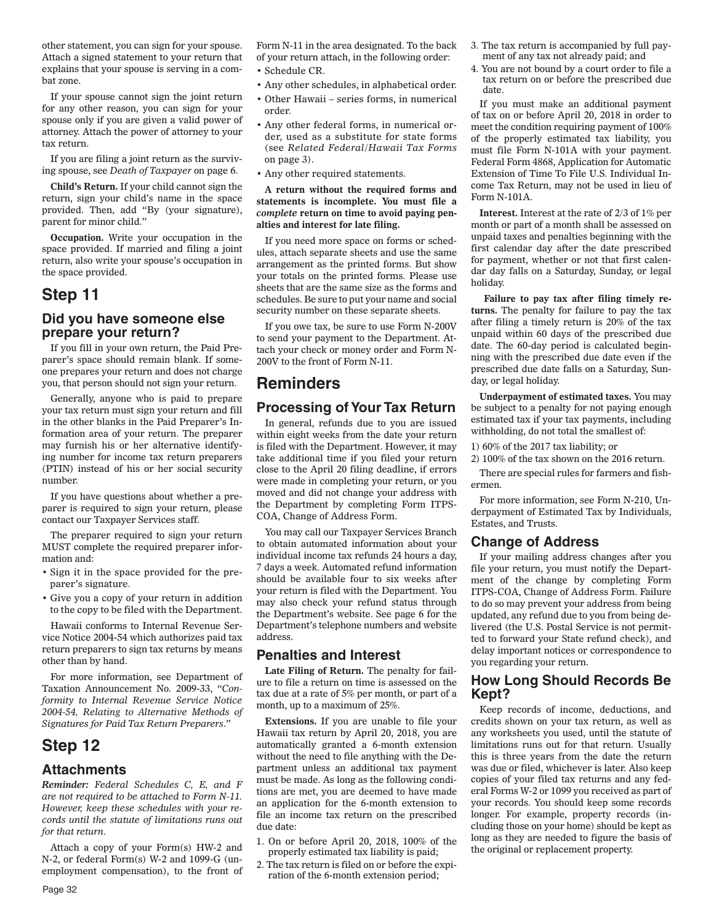other statement, you can sign for your spouse. Attach a signed statement to your return that explains that your spouse is serving in a combat zone.

If your spouse cannot sign the joint return for any other reason, you can sign for your spouse only if you are given a valid power of attorney. Attach the power of attorney to your tax return.

If you are filing a joint return as the surviving spouse, see *Death of Taxpayer* on page 6.

**Child's Return.** If your child cannot sign the return, sign your child's name in the space provided. Then, add "By (your signature), parent for minor child."

**Occupation.** Write your occupation in the space provided. If married and filing a joint return, also write your spouse's occupation in the space provided.

# **Step 11**

## **Did you have someone else prepare your return?**

If you fill in your own return, the Paid Preparer's space should remain blank. If someone prepares your return and does not charge you, that person should not sign your return.

Generally, anyone who is paid to prepare your tax return must sign your return and fill in the other blanks in the Paid Preparer's Information area of your return. The preparer may furnish his or her alternative identifying number for income tax return preparers (PTIN) instead of his or her social security number.

If you have questions about whether a preparer is required to sign your return, please contact our Taxpayer Services staff.

The preparer required to sign your return MUST complete the required preparer information and:

- Sign it in the space provided for the preparer's signature.
- Give you a copy of your return in addition to the copy to be filed with the Department.

Hawaii conforms to Internal Revenue Service Notice 2004-54 which authorizes paid tax return preparers to sign tax returns by means other than by hand.

For more information, see Department of Taxation Announcement No. 2009-33, "*Conformity to Internal Revenue Service Notice 2004-54, Relating to Alternative Methods of Signatures for Paid Tax Return Preparers*."

# **Step 12**

#### **Attachments**

*Reminder: Federal Schedules C, E, and F are not required to be attached to Form N-11. However, keep these schedules with your records until the statute of limitations runs out for that return.*

Attach a copy of your Form(s) HW-2 and N-2, or federal Form(s) W-2 and 1099-G (unemployment compensation), to the front of Form N-11 in the area designated. To the back of your return attach, in the following order:

- Schedule CR.
- Any other schedules, in alphabetical order.
- Other Hawaii series forms, in numerical order.
- Any other federal forms, in numerical order, used as a substitute for state forms (see *Related Federal/Hawaii Tax Forms* on page 3).
- Any other required statements.

**A return without the required forms and statements is incomplete. You must file a**  *complete* **return on time to avoid paying penalties and interest for late filing.**

If you need more space on forms or schedules, attach separate sheets and use the same arrangement as the printed forms. But show your totals on the printed forms. Please use sheets that are the same size as the forms and schedules. Be sure to put your name and social security number on these separate sheets.

If you owe tax, be sure to use Form N-200V to send your payment to the Department. Attach your check or money order and Form N-200V to the front of Form N-11.

# **Reminders**

# **Processing of Your Tax Return**

In general, refunds due to you are issued within eight weeks from the date your return is filed with the Department. However, it may take additional time if you filed your return close to the April 20 filing deadline, if errors were made in completing your return, or you moved and did not change your address with the Department by completing Form ITPS-COA, Change of Address Form.

You may call our Taxpayer Services Branch to obtain automated information about your individual income tax refunds 24 hours a day, 7 days a week. Automated refund information should be available four to six weeks after your return is filed with the Department. You may also check your refund status through the Department's website. See page 6 for the Department's telephone numbers and website address.

### **Penalties and Interest**

**Late Filing of Return.** The penalty for failure to file a return on time is assessed on the tax due at a rate of 5% per month, or part of a month, up to a maximum of 25%.

**Extensions.** If you are unable to file your Hawaii tax return by April 20, 2018, you are automatically granted a 6-month extension without the need to file anything with the Department unless an additional tax payment must be made. As long as the following conditions are met, you are deemed to have made an application for the 6-month extension to file an income tax return on the prescribed due date:

- 1. On or before April 20, 2018, 100% of the properly estimated tax liability is paid;
- 2. The tax return is filed on or before the expiration of the 6-month extension period;
- 3. The tax return is accompanied by full payment of any tax not already paid; and
- 4. You are not bound by a court order to file a tax return on or before the prescribed due date.

If you must make an additional payment of tax on or before April 20, 2018 in order to meet the condition requiring payment of 100% of the properly estimated tax liability, you must file Form N-101A with your payment. Federal Form 4868, Application for Automatic Extension of Time To File U.S. Individual Income Tax Return, may not be used in lieu of Form N-101A.

**Interest.** Interest at the rate of 2/3 of 1% per month or part of a month shall be assessed on unpaid taxes and penalties beginning with the first calendar day after the date prescribed for payment, whether or not that first calendar day falls on a Saturday, Sunday, or legal holiday.

 **Failure to pay tax after filing timely returns.** The penalty for failure to pay the tax after filing a timely return is 20% of the tax unpaid within 60 days of the prescribed due date. The 60-day period is calculated beginning with the prescribed due date even if the prescribed due date falls on a Saturday, Sunday, or legal holiday.

**Underpayment of estimated taxes.** You may be subject to a penalty for not paying enough estimated tax if your tax payments, including withholding, do not total the smallest of:

1) 60% of the 2017 tax liability; or

2) 100% of the tax shown on the 2016 return.

There are special rules for farmers and fishermen.

For more information, see Form N-210, Underpayment of Estimated Tax by Individuals, Estates, and Trusts.

### **Change of Address**

If your mailing address changes after you file your return, you must notify the Department of the change by completing Form ITPS-COA, Change of Address Form. Failure to do so may prevent your address from being updated, any refund due to you from being delivered (the U.S. Postal Service is not permitted to forward your State refund check), and delay important notices or correspondence to you regarding your return.

### **How Long Should Records Be Kept?**

Keep records of income, deductions, and credits shown on your tax return, as well as any worksheets you used, until the statute of limitations runs out for that return. Usually this is three years from the date the return was due or filed, whichever is later. Also keep copies of your filed tax returns and any federal Forms W-2 or 1099 you received as part of your records. You should keep some records longer. For example, property records (including those on your home) should be kept as long as they are needed to figure the basis of the original or replacement property.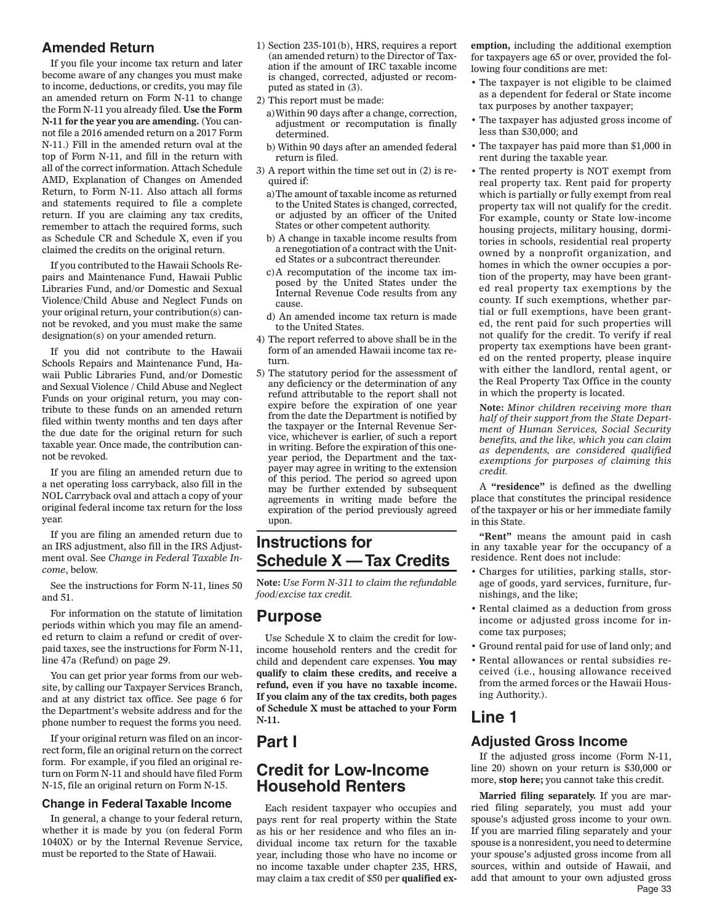# **Amended Return**

If you file your income tax return and later become aware of any changes you must make to income, deductions, or credits, you may file an amended return on Form N-11 to change the Form N-11 you already filed. **Use the Form N-11 for the year you are amending.** (You cannot file a 2016 amended return on a 2017 Form N-11.) Fill in the amended return oval at the top of Form N-11, and fill in the return with all of the correct information. Attach Schedule AMD, Explanation of Changes on Amended Return, to Form N-11. Also attach all forms and statements required to file a complete return. If you are claiming any tax credits, remember to attach the required forms, such as Schedule CR and Schedule X, even if you claimed the credits on the original return.

If you contributed to the Hawaii Schools Repairs and Maintenance Fund, Hawaii Public Libraries Fund, and/or Domestic and Sexual Violence/Child Abuse and Neglect Funds on your original return, your contribution(s) cannot be revoked, and you must make the same designation(s) on your amended return.

If you did not contribute to the Hawaii Schools Repairs and Maintenance Fund, Hawaii Public Libraries Fund, and/or Domestic and Sexual Violence / Child Abuse and Neglect Funds on your original return, you may contribute to these funds on an amended return filed within twenty months and ten days after the due date for the original return for such taxable year. Once made, the contribution cannot be revoked.

If you are filing an amended return due to a net operating loss carryback, also fill in the NOL Carryback oval and attach a copy of your original federal income tax return for the loss year.

If you are filing an amended return due to an IRS adjustment, also fill in the IRS Adjustment oval. See *Change in Federal Taxable Income*, below.

See the instructions for Form N-11, lines 50 and 51.

For information on the statute of limitation periods within which you may file an amended return to claim a refund or credit of overpaid taxes, see the instructions for Form N-11, line 47a (Refund) on page 29.

You can get prior year forms from our website, by calling our Taxpayer Services Branch, and at any district tax office. See page 6 for the Department's website address and for the phone number to request the forms you need.

If your original return was filed on an incorrect form, file an original return on the correct form. For example, if you filed an original return on Form N-11 and should have filed Form N-15, file an original return on Form N-15.

#### **Change in Federal Taxable Income**

In general, a change to your federal return, whether it is made by you (on federal Form 1040X) or by the Internal Revenue Service, must be reported to the State of Hawaii.

- 1) Section 235-101(b), HRS, requires a report (an amended return) to the Director of Taxation if the amount of IRC taxable income is changed, corrected, adjusted or recomputed as stated in (3).
- 2) This report must be made:
	- a) Within 90 days after a change, correction, adjustment or recomputation is finally determined.
	- b) Within 90 days after an amended federal return is filed.
- 3) A report within the time set out in (2) is required if:
	- a) The amount of taxable income as returned to the United States is changed, corrected, or adjusted by an officer of the United States or other competent authority.
	- b) A change in taxable income results from a renegotiation of a contract with the United States or a subcontract thereunder.
	- c) A recomputation of the income tax imposed by the United States under the Internal Revenue Code results from any cause.
	- d) An amended income tax return is made to the United States.
- 4) The report referred to above shall be in the form of an amended Hawaii income tax return.
- 5) The statutory period for the assessment of any deficiency or the determination of any refund attributable to the report shall not expire before the expiration of one year from the date the Department is notified by the taxpayer or the Internal Revenue Service, whichever is earlier, of such a report in writing. Before the expiration of this oneyear period, the Department and the taxpayer may agree in writing to the extension of this period. The period so agreed upon may be further extended by subsequent agreements in writing made before the expiration of the period previously agreed upon.

# **Instructions for Schedule X — Tax Credits**

**Note:** *Use Form N-311 to claim the refundable food/excise tax credit.*

## **Purpose**

Use Schedule X to claim the credit for lowincome household renters and the credit for child and dependent care expenses. **You may qualify to claim these credits, and receive a refund, even if you have no taxable income. If you claim any of the tax credits, both pages of Schedule X must be attached to your Form N-11.**

# **Part I**

# **Credit for Low-Income Household Renters**

Each resident taxpayer who occupies and pays rent for real property within the State as his or her residence and who files an individual income tax return for the taxable year, including those who have no income or no income taxable under chapter 235, HRS, may claim a tax credit of \$50 per **qualified ex-** **emption,** including the additional exemption for taxpayers age 65 or over, provided the following four conditions are met:

- The taxpayer is not eligible to be claimed as a dependent for federal or State income tax purposes by another taxpayer;
- The taxpayer has adjusted gross income of less than \$30,000; and
- The taxpayer has paid more than \$1,000 in rent during the taxable year.
- The rented property is NOT exempt from real property tax. Rent paid for property which is partially or fully exempt from real property tax will not qualify for the credit. For example, county or State low-income housing projects, military housing, dormitories in schools, residential real property owned by a nonprofit organization, and homes in which the owner occupies a portion of the property, may have been granted real property tax exemptions by the county. If such exemptions, whether partial or full exemptions, have been granted, the rent paid for such properties will not qualify for the credit. To verify if real property tax exemptions have been granted on the rented property, please inquire with either the landlord, rental agent, or the Real Property Tax Office in the county in which the property is located.

**Note:** *Minor children receiving more than half of their support from the State Department of Human Services, Social Security benefits, and the like, which you can claim as dependents, are considered qualified exemptions for purposes of claiming this credit.*

A **"residence"** is defined as the dwelling place that constitutes the principal residence of the taxpayer or his or her immediate family in this State.

**"Rent"** means the amount paid in cash in any taxable year for the occupancy of a residence. Rent does not include:

- Charges for utilities, parking stalls, storage of goods, yard services, furniture, furnishings, and the like;
- Rental claimed as a deduction from gross income or adjusted gross income for income tax purposes;
- Ground rental paid for use of land only; and
- Rental allowances or rental subsidies received (i.e., housing allowance received from the armed forces or the Hawaii Housing Authority.).

# **Line 1**

## **Adjusted Gross Income**

If the adjusted gross income (Form N-11, line 20) shown on your return is \$30,000 or more, **stop here;** you cannot take this credit.

Page 33 **Married filing separately.** If you are married filing separately, you must add your spouse's adjusted gross income to your own. If you are married filing separately and your spouse is a nonresident, you need to determine your spouse's adjusted gross income from all sources, within and outside of Hawaii, and add that amount to your own adjusted gross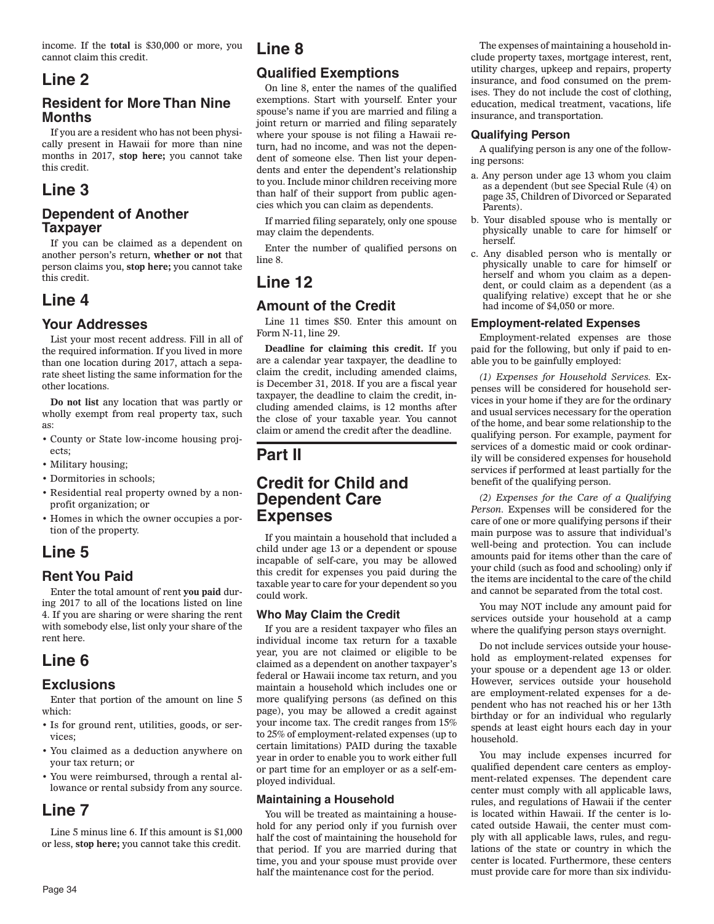income. If the **total** is \$30,000 or more, you cannot claim this credit.

# **Line 2**

## **Resident for More Than Nine Months**

If you are a resident who has not been physically present in Hawaii for more than nine months in 2017, **stop here;** you cannot take this credit.

# **Line 3**

# **Dependent of Another Taxpayer**

If you can be claimed as a dependent on another person's return, **whether or not** that person claims you, **stop here;** you cannot take this credit.

# **Line 4**

# **Your Addresses**

List your most recent address. Fill in all of the required information. If you lived in more than one location during 2017, attach a separate sheet listing the same information for the other locations.

**Do not list** any location that was partly or wholly exempt from real property tax, such as:

- County or State low-income housing projects;
- Military housing;
- Dormitories in schools;
- Residential real property owned by a nonprofit organization; or
- Homes in which the owner occupies a portion of the property.

# **Line 5**

# **Rent You Paid**

Enter the total amount of rent **you paid** during 2017 to all of the locations listed on line 4. If you are sharing or were sharing the rent with somebody else, list only your share of the rent here.

# **Line 6**

## **Exclusions**

Enter that portion of the amount on line 5 which:

- Is for ground rent, utilities, goods, or services;
- You claimed as a deduction anywhere on your tax return; or
- You were reimbursed, through a rental allowance or rental subsidy from any source.

# **Line 7**

Line 5 minus line 6. If this amount is \$1,000 or less, **stop here;** you cannot take this credit.

# **Line 8**

# **Qualified Exemptions**

On line 8, enter the names of the qualified exemptions. Start with yourself. Enter your spouse's name if you are married and filing a joint return or married and filing separately where your spouse is not filing a Hawaii return, had no income, and was not the dependent of someone else. Then list your dependents and enter the dependent's relationship to you. Include minor children receiving more than half of their support from public agencies which you can claim as dependents.

If married filing separately, only one spouse may claim the dependents.

Enter the number of qualified persons on line 8.

# **Line 12**

## **Amount of the Credit**

Line 11 times \$50. Enter this amount on Form N-11, line 29.

**Deadline for claiming this credit.** If you are a calendar year taxpayer, the deadline to claim the credit, including amended claims, is December 31, 2018. If you are a fiscal year taxpayer, the deadline to claim the credit, including amended claims, is 12 months after the close of your taxable year. You cannot claim or amend the credit after the deadline.

# **Part II**

# **Credit for Child and Dependent Care Expenses**

If you maintain a household that included a child under age 13 or a dependent or spouse incapable of self-care, you may be allowed this credit for expenses you paid during the taxable year to care for your dependent so you could work.

#### **Who May Claim the Credit**

If you are a resident taxpayer who files an individual income tax return for a taxable year, you are not claimed or eligible to be claimed as a dependent on another taxpayer's federal or Hawaii income tax return, and you maintain a household which includes one or more qualifying persons (as defined on this page), you may be allowed a credit against your income tax. The credit ranges from 15% to 25% of employment-related expenses (up to certain limitations) PAID during the taxable year in order to enable you to work either full or part time for an employer or as a self-employed individual.

#### **Maintaining a Household**

You will be treated as maintaining a household for any period only if you furnish over half the cost of maintaining the household for that period. If you are married during that time, you and your spouse must provide over half the maintenance cost for the period.

The expenses of maintaining a household include property taxes, mortgage interest, rent, utility charges, upkeep and repairs, property insurance, and food consumed on the premises. They do not include the cost of clothing, education, medical treatment, vacations, life insurance, and transportation.

#### **Qualifying Person**

A qualifying person is any one of the following persons:

- a. Any person under age 13 whom you claim as a dependent (but see Special Rule (4) on page 35, Children of Divorced or Separated Parents).
- b. Your disabled spouse who is mentally or physically unable to care for himself or herself.
- c. Any disabled person who is mentally or physically unable to care for himself or herself and whom you claim as a dependent, or could claim as a dependent (as a qualifying relative) except that he or she had income of \$4,050 or more.

#### **Employment-related Expenses**

Employment-related expenses are those paid for the following, but only if paid to enable you to be gainfully employed:

*(1) Expenses for Household Services.* Expenses will be considered for household services in your home if they are for the ordinary and usual services necessary for the operation of the home, and bear some relationship to the qualifying person. For example, payment for services of a domestic maid or cook ordinarily will be considered expenses for household services if performed at least partially for the benefit of the qualifying person.

*(2) Expenses for the Care of a Qualifying Person.* Expenses will be considered for the care of one or more qualifying persons if their main purpose was to assure that individual's well-being and protection. You can include amounts paid for items other than the care of your child (such as food and schooling) only if the items are incidental to the care of the child and cannot be separated from the total cost.

You may NOT include any amount paid for services outside your household at a camp where the qualifying person stays overnight.

Do not include services outside your household as employment-related expenses for your spouse or a dependent age 13 or older. However, services outside your household are employment-related expenses for a dependent who has not reached his or her 13th birthday or for an individual who regularly spends at least eight hours each day in your household.

You may include expenses incurred for qualified dependent care centers as employment-related expenses. The dependent care center must comply with all applicable laws, rules, and regulations of Hawaii if the center is located within Hawaii. If the center is located outside Hawaii, the center must comply with all applicable laws, rules, and regulations of the state or country in which the center is located. Furthermore, these centers must provide care for more than six individu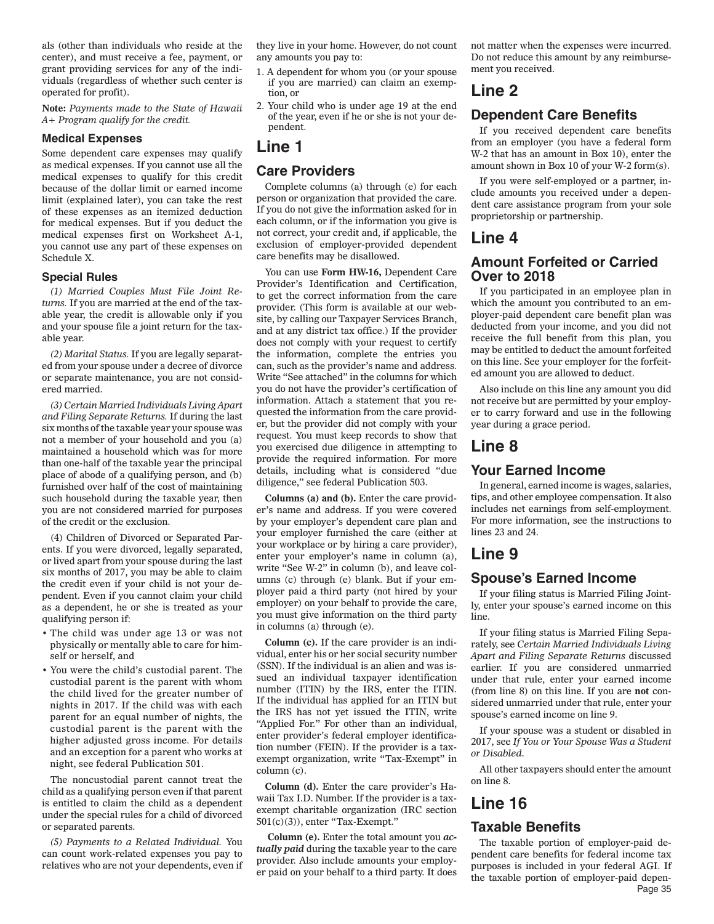als (other than individuals who reside at the center), and must receive a fee, payment, or grant providing services for any of the individuals (regardless of whether such center is operated for profit).

**Note:** *Payments made to the State of Hawaii A+ Program qualify for the credit.*

#### **Medical Expenses**

Some dependent care expenses may qualify as medical expenses. If you cannot use all the medical expenses to qualify for this credit because of the dollar limit or earned income limit (explained later), you can take the rest of these expenses as an itemized deduction for medical expenses. But if you deduct the medical expenses first on Worksheet A-1, you cannot use any part of these expenses on Schedule X.

#### **Special Rules**

*(1) Married Couples Must File Joint Returns.* If you are married at the end of the taxable year, the credit is allowable only if you and your spouse file a joint return for the taxable year.

*(2) Marital Status.* If you are legally separated from your spouse under a decree of divorce or separate maintenance, you are not considered married.

*(3) Certain Married Individuals Living Apart and Filing Separate Returns.* If during the last six months of the taxable year your spouse was not a member of your household and you (a) maintained a household which was for more than one-half of the taxable year the principal place of abode of a qualifying person, and (b) furnished over half of the cost of maintaining such household during the taxable year, then you are not considered married for purposes of the credit or the exclusion.

(4) Children of Divorced or Separated Parents. If you were divorced, legally separated, or lived apart from your spouse during the last six months of 2017, you may be able to claim the credit even if your child is not your dependent. Even if you cannot claim your child as a dependent, he or she is treated as your qualifying person if:

- The child was under age 13 or was not physically or mentally able to care for himself or herself, and
- You were the child's custodial parent. The custodial parent is the parent with whom the child lived for the greater number of nights in 2017. If the child was with each parent for an equal number of nights, the custodial parent is the parent with the higher adjusted gross income. For details and an exception for a parent who works at night, see federal Publication 501.

The noncustodial parent cannot treat the child as a qualifying person even if that parent is entitled to claim the child as a dependent under the special rules for a child of divorced or separated parents.

*(5) Payments to a Related Individual.* You can count work-related expenses you pay to relatives who are not your dependents, even if they live in your home. However, do not count any amounts you pay to:

- 1. A dependent for whom you (or your spouse if you are married) can claim an exemption, or
- 2. Your child who is under age 19 at the end of the year, even if he or she is not your dependent.

# **Line 1**

### **Care Providers**

Complete columns (a) through (e) for each person or organization that provided the care. If you do not give the information asked for in each column, or if the information you give is not correct, your credit and, if applicable, the exclusion of employer-provided dependent care benefits may be disallowed.

You can use **Form HW-16,** Dependent Care Provider's Identification and Certification, to get the correct information from the care provider. (This form is available at our website, by calling our Taxpayer Services Branch, and at any district tax office.) If the provider does not comply with your request to certify the information, complete the entries you can, such as the provider's name and address. Write "See attached" in the columns for which you do not have the provider's certification of information. Attach a statement that you requested the information from the care provider, but the provider did not comply with your request. You must keep records to show that you exercised due diligence in attempting to provide the required information. For more details, including what is considered "due diligence," see federal Publication 503.

**Columns (a) and (b).** Enter the care provider's name and address. If you were covered by your employer's dependent care plan and your employer furnished the care (either at your workplace or by hiring a care provider), enter your employer's name in column (a), write "See W-2" in column (b), and leave columns (c) through (e) blank. But if your employer paid a third party (not hired by your employer) on your behalf to provide the care, you must give information on the third party in columns (a) through (e).

**Column (c).** If the care provider is an individual, enter his or her social security number (SSN). If the individual is an alien and was issued an individual taxpayer identification number (ITIN) by the IRS, enter the ITIN. If the individual has applied for an ITIN but the IRS has not yet issued the ITIN, write "Applied For." For other than an individual, enter provider's federal employer identification number (FEIN). If the provider is a taxexempt organization, write "Tax-Exempt" in column (c).

**Column (d).** Enter the care provider's Hawaii Tax I.D. Number. If the provider is a taxexempt charitable organization (IRC section 501(c)(3)), enter "Tax-Exempt."

**Column (e).** Enter the total amount you *actually paid* during the taxable year to the care provider. Also include amounts your employer paid on your behalf to a third party. It does not matter when the expenses were incurred. Do not reduce this amount by any reimbursement you received.

# **Line 2**

### **Dependent Care Benefits**

If you received dependent care benefits from an employer (you have a federal form W-2 that has an amount in Box 10), enter the amount shown in Box 10 of your W-2 form(s).

If you were self-employed or a partner, include amounts you received under a dependent care assistance program from your sole proprietorship or partnership.

### **Line 4**

### **Amount Forfeited or Carried Over to 2018**

If you participated in an employee plan in which the amount you contributed to an employer-paid dependent care benefit plan was deducted from your income, and you did not receive the full benefit from this plan, you may be entitled to deduct the amount forfeited on this line. See your employer for the forfeited amount you are allowed to deduct.

Also include on this line any amount you did not receive but are permitted by your employer to carry forward and use in the following year during a grace period.

### **Line 8**

#### **Your Earned Income**

In general, earned income is wages, salaries, tips, and other employee compensation. It also includes net earnings from self-employment. For more information, see the instructions to lines 23 and 24.

# **Line 9**

#### **Spouse's Earned Income**

If your filing status is Married Filing Jointly, enter your spouse's earned income on this line.

If your filing status is Married Filing Separately, see *Certain Married Individuals Living Apart and Filing Separate Returns* discussed earlier. If you are considered unmarried under that rule, enter your earned income (from line 8) on this line. If you are **not** considered unmarried under that rule, enter your spouse's earned income on line 9.

If your spouse was a student or disabled in 2017, see *If You or Your Spouse Was a Student or Disabled*.

All other taxpayers should enter the amount on line 8.

# **Line 16**

### **Taxable Benefits**

Page 35 The taxable portion of employer-paid dependent care benefits for federal income tax purposes is included in your federal AGI. If the taxable portion of employer-paid depen-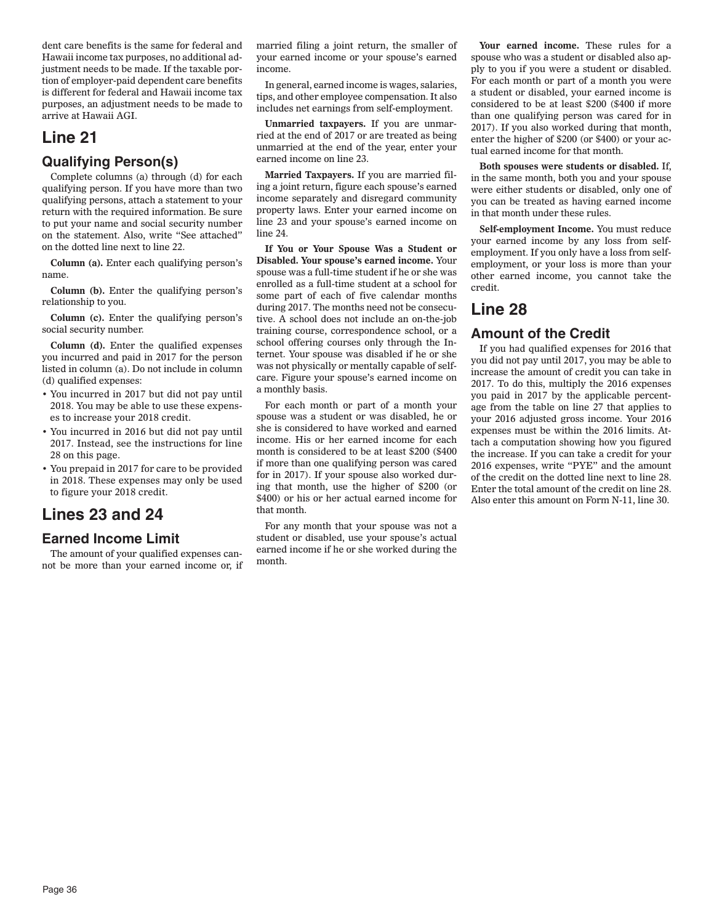dent care benefits is the same for federal and Hawaii income tax purposes, no additional adjustment needs to be made. If the taxable portion of employer-paid dependent care benefits is different for federal and Hawaii income tax purposes, an adjustment needs to be made to arrive at Hawaii AGI.

# **Line 21**

# **Qualifying Person(s)**

Complete columns (a) through (d) for each qualifying person. If you have more than two qualifying persons, attach a statement to your return with the required information. Be sure to put your name and social security number on the statement. Also, write "See attached" on the dotted line next to line 22.

**Column (a).** Enter each qualifying person's name.

**Column (b).** Enter the qualifying person's relationship to you.

**Column (c).** Enter the qualifying person's social security number.

**Column (d).** Enter the qualified expenses you incurred and paid in 2017 for the person listed in column (a). Do not include in column (d) qualified expenses:

- You incurred in 2017 but did not pay until 2018. You may be able to use these expenses to increase your 2018 credit.
- You incurred in 2016 but did not pay until 2017. Instead, see the instructions for line 28 on this page.
- You prepaid in 2017 for care to be provided in 2018. These expenses may only be used to figure your 2018 credit.

# **Lines 23 and 24**

# **Earned Income Limit**

The amount of your qualified expenses cannot be more than your earned income or, if married filing a joint return, the smaller of your earned income or your spouse's earned income.

In general, earned income is wages, salaries, tips, and other employee compensation. It also includes net earnings from self-employment.

**Unmarried taxpayers.** If you are unmarried at the end of 2017 or are treated as being unmarried at the end of the year, enter your earned income on line 23.

**Married Taxpayers.** If you are married filing a joint return, figure each spouse's earned income separately and disregard community property laws. Enter your earned income on line 23 and your spouse's earned income on line 24.

**If You or Your Spouse Was a Student or Disabled. Your spouse's earned income.** Your spouse was a full-time student if he or she was enrolled as a full-time student at a school for some part of each of five calendar months during 2017. The months need not be consecutive. A school does not include an on-the-job training course, correspondence school, or a school offering courses only through the Internet. Your spouse was disabled if he or she was not physically or mentally capable of selfcare. Figure your spouse's earned income on a monthly basis.

For each month or part of a month your spouse was a student or was disabled, he or she is considered to have worked and earned income. His or her earned income for each month is considered to be at least \$200 (\$400 if more than one qualifying person was cared for in 2017). If your spouse also worked during that month, use the higher of \$200 (or \$400) or his or her actual earned income for that month.

For any month that your spouse was not a student or disabled, use your spouse's actual earned income if he or she worked during the month.

**Your earned income.** These rules for a spouse who was a student or disabled also apply to you if you were a student or disabled. For each month or part of a month you were a student or disabled, your earned income is considered to be at least \$200 (\$400 if more than one qualifying person was cared for in 2017). If you also worked during that month, enter the higher of \$200 (or \$400) or your actual earned income for that month.

**Both spouses were students or disabled.** If, in the same month, both you and your spouse were either students or disabled, only one of you can be treated as having earned income in that month under these rules.

**Self-employment Income.** You must reduce your earned income by any loss from selfemployment. If you only have a loss from selfemployment, or your loss is more than your other earned income, you cannot take the credit.

# **Line 28**

# **Amount of the Credit**

If you had qualified expenses for 2016 that you did not pay until 2017, you may be able to increase the amount of credit you can take in 2017. To do this, multiply the 2016 expenses you paid in 2017 by the applicable percentage from the table on line 27 that applies to your 2016 adjusted gross income. Your 2016 expenses must be within the 2016 limits. Attach a computation showing how you figured the increase. If you can take a credit for your 2016 expenses, write "PYE" and the amount of the credit on the dotted line next to line 28. Enter the total amount of the credit on line 28. Also enter this amount on Form N-11, line 30.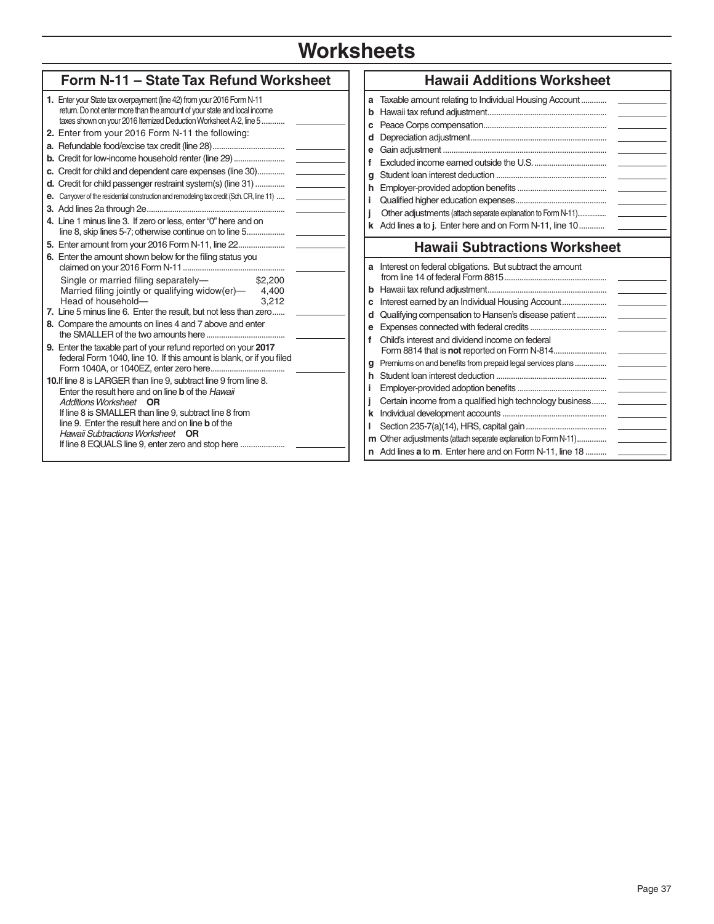# **Worksheets**

| Form N-11 - State Tax Refund Worksheet                                                                                                                                                                                                                                                                                                                                                                                                                                                                          | <b>Hawaii Additions Worksheet</b>                                                                                                                                                                                                                                                      |
|-----------------------------------------------------------------------------------------------------------------------------------------------------------------------------------------------------------------------------------------------------------------------------------------------------------------------------------------------------------------------------------------------------------------------------------------------------------------------------------------------------------------|----------------------------------------------------------------------------------------------------------------------------------------------------------------------------------------------------------------------------------------------------------------------------------------|
| 1. Enter your State tax overpayment (line 42) from your 2016 Form N-11<br>return. Do not enter more than the amount of your state and local income<br>taxes shown on your 2016 Itemized Deduction Worksheet A-2, line 5                                                                                                                                                                                                                                                                                         | a Taxable amount relating to Individual Housing Account<br>c                                                                                                                                                                                                                           |
| 2. Enter from your 2016 Form N-11 the following:<br>a. Refundable food/excise tax credit (line 28)<br>b. Credit for low-income household renter (line 29)<br>c. Credit for child and dependent care expenses (line 30)<br>d. Credit for child passenger restraint system(s) (line 31)<br>e. Carryover of the residential construction and remodeling tax credit (Sch. CR, line 11)<br>4. Line 1 minus line 3. If zero or less, enter "0" here and on<br>line 8, skip lines 5-7; otherwise continue on to line 5 | d<br>f<br>q<br>j.<br>Other adjustments (attach separate explanation to Form N-11)<br>k Add lines a to j. Enter here and on Form N-11, line 10                                                                                                                                          |
| 6. Enter the amount shown below for the filing status you<br>Single or married filing separately-<br>\$2,200<br>Married filing jointly or qualifying widow(er)- 4,400<br>Head of household-<br>3.212<br>7. Line 5 minus line 6. Enter the result, but not less than zero<br>8. Compare the amounts on lines 4 and 7 above and enter<br>9. Enter the taxable part of your refund reported on your 2017<br>federal Form 1040, line 10. If this amount is blank, or if you filed                                   | <b>Hawaii Subtractions Worksheet</b><br>a Interest on federal obligations. But subtract the amount<br>d Qualifying compensation to Hansen's disease patient<br>е<br>Child's interest and dividend income on federal<br>Premiums on and benefits from prepaid legal services plans<br>q |
| 10. If line 8 is LARGER than line 9, subtract line 9 from line 8.<br>Enter the result here and on line <b>b</b> of the <i>Hawaii</i><br>Additions Worksheet OR<br>If line 8 is SMALLER than line 9, subtract line 8 from<br>line 9. Enter the result here and on line <b>b</b> of the<br>Hawaii Subtractions Worksheet OR                                                                                                                                                                                       | Certain income from a qualified high technology business<br><b>m</b> Other adjustments (attach separate explanation to Form N-11)<br>n Add lines a to m. Enter here and on Form N-11, line 18                                                                                          |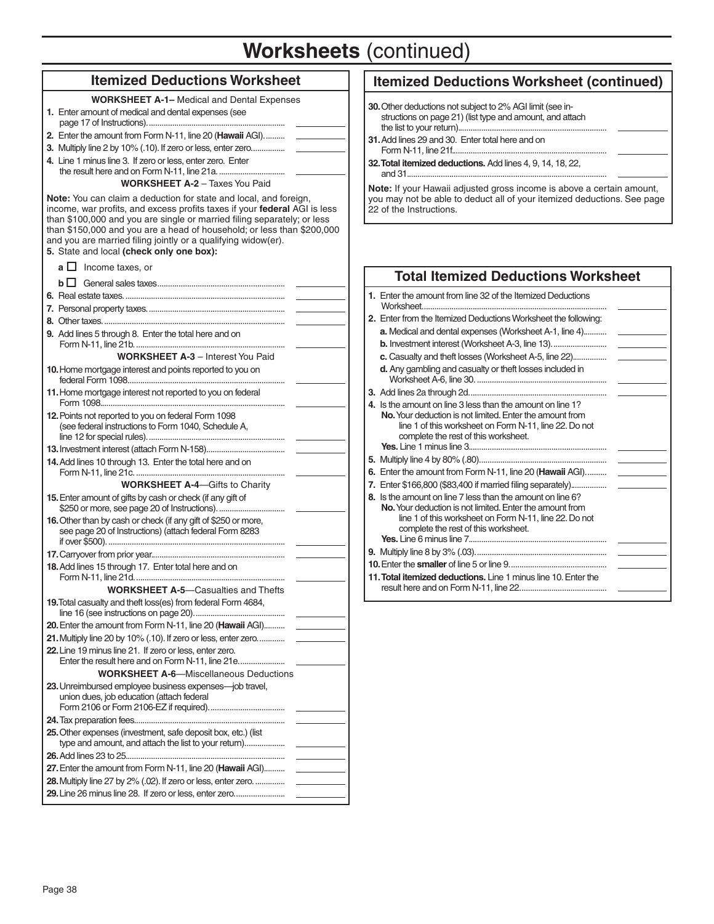# **Worksheets** (continued)

### **Itemized Deductions Worksheet**

| <b>WORKSHEET A-1-</b> Medical and Dental Expenses |  |
|---------------------------------------------------|--|
|---------------------------------------------------|--|

**1.** Enter amount of medical and dental expenses (see page 17 of Instructions)......................... **2.** Enter the amount from Form N-11, line 20 (**Hawaii** AGI). ......... **3.** Multiply line 2 by 10% (.10). If zero or less, enter zero................ **4.** Line 1 minus line 3. If zero or less, enter zero. Enter the result here and on Form N-11, line 21a.... **WORKSHEET A-2** – Taxes You Paid **Note:** You can claim a deduction for state and local, and foreign, income, war profits, and excess profits taxes if your **federal** AGI is less than \$100,000 and you are single or married filing separately; or less than \$150,000 and you are a head of household; or less than \$200,000 and you are married filing jointly or a qualifying widow(er). **5.** State and local **(check only one box):**  $\mathbf{a} \square$  Income taxes, or  **b**General sales taxes ............................................................ **6.** Real estate taxes. ........................................................................... **7.** Personal property taxes. ................................................................ **8.** Other taxes. ..................................................................................... **9.** Add lines 5 through 8. Enter the total here and on Form N-11, line 21b. ...... **WORKSHEET A-3** – Interest You Paid **10.** Home mortgage interest and points reported to you on federal Form 1098.................. **11.** Home mortgage interest not reported to you on federal Form 1098.... **12.** Points not reported to you on federal Form 1098 (see federal instructions to Form 1040, Schedule A, line 12 for special rules). ................................................................ **13.** Investment interest (attach Form N-158). .................................... **14.** Add lines 10 through 13. Enter the total here and on Form N-11, line 21c. ...... **WORKSHEET A-4**—Gifts to Charity **15.** Enter amount of gifts by cash or check (if any gift of \$250 or more, see page 20 of Instructions)...... **16.** Other than by cash or check (if any gift of \$250 or more, see page 20 of Instructions) (attach federal Form 8283 if over \$500). ................................................................................... **17.** Carryover from prior year. .............................................................. **18.** Add lines 15 through 17. Enter total here and on Form N-11, line 21d..... **WORKSHEET A-5**—Casualties and Thefts **19.** Total casualty and theft loss(es) from federal Form 4684, line 16 (see instructions on page 20). .......................................... **20.** Enter the amount from Form N-11, line 20 (**Hawaii** AGI). ......... **21.** Multiply line 20 by 10% (.10). If zero or less, enter zero............. **22.** Line 19 minus line 21. If zero or less, enter zero. Enter the result here and on Form N-11, line 21e..................... **WORKSHEET A-6**—Miscellaneous Deductions **23.** Unreimbursed employee business expenses—job travel, union dues, job education (attach federal Form 2106 or Form 2106-EZ if required)..... **24.** Tax preparation fees. ...................................................................... **25.** Other expenses (investment, safe deposit box, etc.) (list type and amount, and attach the list to your return)................... **26.** Add lines 23 to 25... **27.** Enter the amount from Form N-11, line 20 (**Hawaii** AGI). ......... **28.** Multiply line 27 by 2% (.02). If zero or less, enter zero. .............. **29.** Line 26 minus line 28. If zero or less, enter zero. .......................

# **Itemized Deductions Worksheet (continued)**

- **30.** Other deductions not subject to 2% AGI limit (see instructions on page 21) (list type and amount, and attach the list to your return). .....................................................................
- **31.** Add lines 29 and 30. Enter total here and on Form N-11, line 21f. ........................................................................
- **32. Total itemized deductions.** Add lines 4, 9, 14, 18, 22, and 31. .............................................................................................

**Note:** If your Hawaii adjusted gross income is above a certain amount, you may not be able to deduct all of your itemized deductions. See page 22 of the Instructions.

### **Total Itemized Deductions Worksheet**

| 1. Enter the amount from line 32 of the Itemized Deductions                                                                                                                                                              |
|--------------------------------------------------------------------------------------------------------------------------------------------------------------------------------------------------------------------------|
| 2. Enter from the Itemized Deductions Worksheet the following:                                                                                                                                                           |
| <b>a.</b> Medical and dental expenses (Worksheet A-1, line 4)                                                                                                                                                            |
|                                                                                                                                                                                                                          |
| c. Casualty and theft losses (Worksheet A-5, line 22)<br><u>and the state of the state</u>                                                                                                                               |
| d. Any gambling and casualty or theft losses included in                                                                                                                                                                 |
|                                                                                                                                                                                                                          |
| 4. Is the amount on line 3 less than the amount on line 1?<br>No. Your deduction is not limited. Enter the amount from<br>line 1 of this worksheet on Form N-11, line 22. Do not<br>complete the rest of this worksheet. |
|                                                                                                                                                                                                                          |
|                                                                                                                                                                                                                          |
| 6. Enter the amount from Form N-11, line 20 (Hawaii AGI)                                                                                                                                                                 |
| 7. Enter \$166,800 (\$83,400 if married filing separately)                                                                                                                                                               |
| 8. Is the amount on line 7 less than the amount on line 6?<br>No. Your deduction is not limited. Enter the amount from<br>line 1 of this worksheet on Form N-11, line 22. Do not<br>complete the rest of this worksheet. |
|                                                                                                                                                                                                                          |
|                                                                                                                                                                                                                          |
| 11. Total itemized deductions. Line 1 minus line 10. Enter the                                                                                                                                                           |
| the contract of the contract of                                                                                                                                                                                          |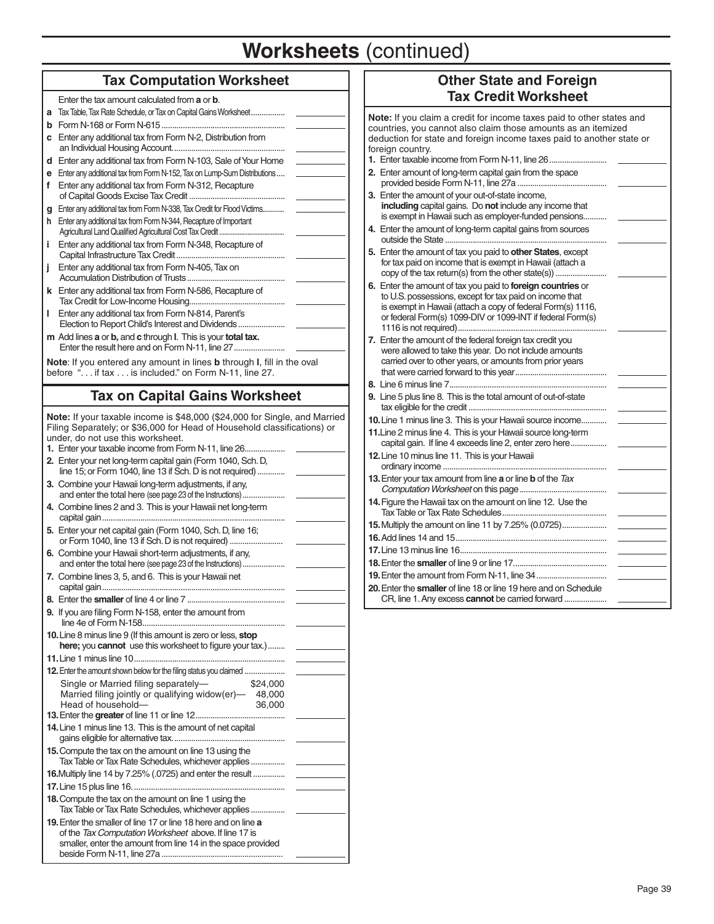# **Worksheets** (continued)

# **Tax Computation Worksheet**

| Enter the tax amount calculated from <b>a</b> or <b>b</b> .                                                                                                                                 |
|---------------------------------------------------------------------------------------------------------------------------------------------------------------------------------------------|
| Tax Table, Tax Rate Schedule, or Tax on Capital Gains Worksheet<br>a                                                                                                                        |
| b                                                                                                                                                                                           |
| Enter any additional tax from Form N-2, Distribution from<br>c                                                                                                                              |
| Enter any additional tax from Form N-103, Sale of Your Home<br>d                                                                                                                            |
| Enter any additional tax from Form N-152, Tax on Lump-Sum Distributions<br>е                                                                                                                |
| Enter any additional tax from Form N-312, Recapture<br>f                                                                                                                                    |
| Enter any additional tax from Form N-338, Tax Credit for Flood Victims<br>g                                                                                                                 |
| Enter any additional tax from Form N-344, Recapture of Important<br>h.                                                                                                                      |
| Enter any additional tax from Form N-348, Recapture of<br>i.                                                                                                                                |
| Enter any additional tax from Form N-405, Tax on<br>İ                                                                                                                                       |
| k Enter any additional tax from Form N-586, Recapture of                                                                                                                                    |
| Enter any additional tax from Form N-814, Parent's<br>L<br>Election to Report Child's Interest and Dividends                                                                                |
| m Add lines a or b, and c through I. This is your total tax.                                                                                                                                |
| Note: If you entered any amount in lines <b>b</b> through I, fill in the oval<br>before " if tax  is included." on Form N-11, line 27.                                                      |
| <b>Tax on Capital Gains Worksheet</b>                                                                                                                                                       |
|                                                                                                                                                                                             |
| Note: If your taxable income is \$48,000 (\$24,000 for Single, and Married<br>Filing Separately; or \$36,000 for Head of Household classifications) or<br>under, do not use this worksheet. |
| 1. Enter your taxable income from Form N-11, line 26                                                                                                                                        |
| 2. Enter your net long-term capital gain (Form 1040, Sch. D,<br>line 15; or Form 1040, line 13 if Sch. D is not required)                                                                   |
| 3. Combine your Hawaii long-term adjustments, if any,<br>and enter the total here (see page 23 of the Instructions)                                                                         |
| 4. Combine lines 2 and 3. This is your Hawaii net long-term                                                                                                                                 |
| 5. Enter your net capital gain (Form 1040, Sch. D, line 16;<br>or Form 1040, line 13 if Sch. D is not required)                                                                             |
| 6. Combine your Hawaii short-term adjustments, if any,<br>and enter the total here (see page 23 of the Instructions)                                                                        |
| 7. Combine lines 3, 5, and 6. This is your Hawaii net                                                                                                                                       |
|                                                                                                                                                                                             |
| <b>9.</b> If you are filing Form N-158, enter the amount from                                                                                                                               |
| 10. Line 8 minus line 9 (If this amount is zero or less, stop<br>here; you cannot use this worksheet to figure your tax.)                                                                   |
|                                                                                                                                                                                             |
| <b>12.</b> Enter the amount shown below for the filing status you claimed                                                                                                                   |
| Single or Married filing separately-<br>\$24,000                                                                                                                                            |
| Married filing jointly or qualifying widow(er)- 48,000<br>Head of household-<br>36,000                                                                                                      |
|                                                                                                                                                                                             |
| 14. Line 1 minus line 13. This is the amount of net capital                                                                                                                                 |
| 15. Compute the tax on the amount on line 13 using the                                                                                                                                      |
| Tax Table or Tax Rate Schedules, whichever applies                                                                                                                                          |
| 16. Multiply line 14 by 7.25% (.0725) and enter the result                                                                                                                                  |
|                                                                                                                                                                                             |
| 18. Compute the tax on the amount on line 1 using the<br>Tax Table or Tax Rate Schedules, whichever applies                                                                                 |
| <b>19.</b> Enter the smaller of line 17 or line 18 here and on line a                                                                                                                       |
| of the Tax Computation Worksheet above. If line 17 is                                                                                                                                       |
| smaller, enter the amount from line 14 in the space provided                                                                                                                                |

# **Other State and Foreign Tax Credit Worksheet**

**Note:** If you claim a credit for income taxes paid to other states and countries, you cannot also claim those amounts as an itemized deduction for state and foreign income taxes paid to another state or foreign country.

- **1.** Enter taxable income from Form N-11, line 26 ........................... **2.** Enter amount of long-term capital gain from the space
- provided beside Form N-11, line 27a ..... **3.** Enter the amount of your out-of-state income,
- **including** capital gains. Do **not** include any income that is exempt in Hawaii such as employer-funded pensions....
- **4.** Enter the amount of long-term capital gains from sources outside the State ..................... **5.** Enter the amount of tax you paid to **other States**, except
- for tax paid on income that is exempt in Hawaii (attach a copy of the tax return(s) from the other state(s)) .................
- **6.** Enter the amount of tax you paid to **foreign countries** or to U.S. possessions, except for tax paid on income that is exempt in Hawaii (attach a copy of federal Form(s) 1116, or federal Form(s) 1099-DIV or 1099-INT if federal Form(s) 1116 is not required) ......................................................................
- **7.** Enter the amount of the federal foreign tax credit you were allowed to take this year. Do not include amounts carried over to other years, or amounts from prior years that were carried forward to this year ...........................................
- **8.** Line 6 minus line 7 .......................................................................... **9.** Line 5 plus line 8. This is the total amount of out-of-state tax eligible for the credit .................................................................
- **10.** Line 1 minus line 3. This is your Hawaii source income...... **11.** Line 2 minus line 4. This is your Hawaii source long-term
- capital gain. If line 4 exceeds line 2, enter zero here............. **12.** Line 10 minus line 11. This is your Hawaii
- ordinary income ... **13.** Enter your tax amount from line **a** or line **b** of the *Tax*  **Computation Worksheet on this page ................................... 14.** Figure the Hawaii tax on the amount on line 12. Use the
- Tax Table or Tax Rate Schedules ................................................. **15.** Multiply the amount on line 11 by 7.25% (0.0725)..................... **16.** Add lines 14 and 15 ....................................................................... **17.** Line 13 minus line 16 ..................................................................... **18.** Enter the **smaller** of line 9 or line 17. ...........................................
- **19.** Enter the amount from Form N-11, line 34 .................................. **20.** Enter the **smaller** of line 18 or line 19 here and on Schedule CR, line 1. Any excess **cannot** be carried forward ....................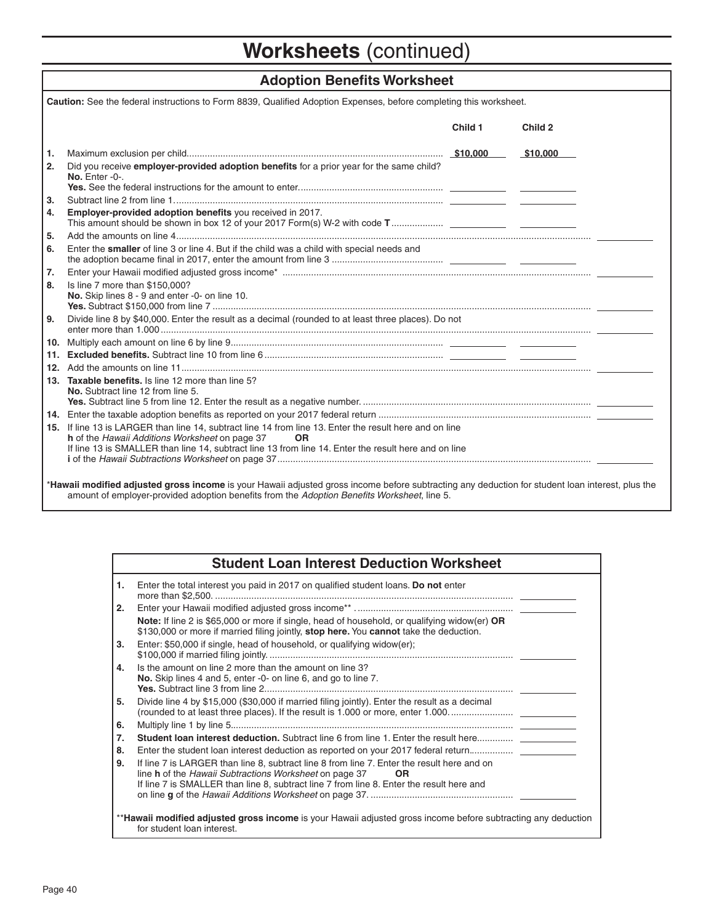# **Worksheets** (continued)

# **Adoption Benefits Worksheet**

| Caution: See the federal instructions to Form 8839, Qualified Adoption Expenses, before completing this worksheet. |                                                                                                                                                                                                                                                                                |         |          |  |
|--------------------------------------------------------------------------------------------------------------------|--------------------------------------------------------------------------------------------------------------------------------------------------------------------------------------------------------------------------------------------------------------------------------|---------|----------|--|
|                                                                                                                    |                                                                                                                                                                                                                                                                                | Child 1 | Child 2  |  |
| 1.                                                                                                                 |                                                                                                                                                                                                                                                                                |         | \$10,000 |  |
| 2.                                                                                                                 | Did you receive employer-provided adoption benefits for a prior year for the same child?<br>No. Enter -0-.                                                                                                                                                                     |         |          |  |
| 3.                                                                                                                 |                                                                                                                                                                                                                                                                                |         |          |  |
| 4.                                                                                                                 | <b>Employer-provided adoption benefits you received in 2017.</b>                                                                                                                                                                                                               |         |          |  |
| 5.                                                                                                                 |                                                                                                                                                                                                                                                                                |         |          |  |
| 6.                                                                                                                 | Enter the smaller of line 3 or line 4. But if the child was a child with special needs and                                                                                                                                                                                     |         |          |  |
| 7.                                                                                                                 |                                                                                                                                                                                                                                                                                |         |          |  |
| 8.                                                                                                                 | Is line 7 more than \$150,000?<br>No. Skip lines 8 - 9 and enter -0- on line 10.                                                                                                                                                                                               |         |          |  |
| 9.                                                                                                                 | Divide line 8 by \$40,000. Enter the result as a decimal (rounded to at least three places). Do not                                                                                                                                                                            |         |          |  |
| 10.                                                                                                                |                                                                                                                                                                                                                                                                                |         |          |  |
| 11.                                                                                                                |                                                                                                                                                                                                                                                                                |         |          |  |
|                                                                                                                    |                                                                                                                                                                                                                                                                                |         |          |  |
| 13.                                                                                                                | <b>Taxable benefits.</b> Is line 12 more than line 5?<br>No. Subtract line 12 from line 5.                                                                                                                                                                                     |         |          |  |
|                                                                                                                    |                                                                                                                                                                                                                                                                                |         |          |  |
|                                                                                                                    | 15. If line 13 is LARGER than line 14, subtract line 14 from line 13. Enter the result here and on line<br>h of the Hawaii Additions Worksheet on page 37<br><b>OR</b><br>If line 13 is SMALLER than line 14, subtract line 13 from line 14. Enter the result here and on line |         |          |  |
|                                                                                                                    | *Hawaii modified adjusted gross income is your Hawaii adjusted gross income before subtracting any deduction for student loan interest, plus the                                                                                                                               |         |          |  |

# **Student Loan Interest Deduction Worksheet**

amount of employer-provided adoption benefits from the Adoption Benefits Worksheet, line 5.

| 1. | Enter the total interest you paid in 2017 on qualified student loans. Do not enter                                                                                                                                                                            |
|----|---------------------------------------------------------------------------------------------------------------------------------------------------------------------------------------------------------------------------------------------------------------|
| 2. |                                                                                                                                                                                                                                                               |
|    | <b>Note:</b> If line 2 is \$65,000 or more if single, head of household, or qualifying widow(er) OR<br>\$130,000 or more if married filing jointly, stop here. You cannot take the deduction.                                                                 |
| 3. | Enter: \$50,000 if single, head of household, or qualifying widow(er);                                                                                                                                                                                        |
| 4. | Is the amount on line 2 more than the amount on line 3?<br>No. Skip lines 4 and 5, enter -0- on line 6, and go to line 7.                                                                                                                                     |
| 5. | Divide line 4 by \$15,000 (\$30,000 if married filing jointly). Enter the result as a decimal<br>(rounded to at least three places). If the result is 1.000 or more, enter 1.000                                                                              |
| 6. |                                                                                                                                                                                                                                                               |
| 7. | <b>Student loan interest deduction.</b> Subtract line 6 from line 1. Enter the result here                                                                                                                                                                    |
| 8. | Enter the student loan interest deduction as reported on your 2017 federal return                                                                                                                                                                             |
| 9. | If line 7 is LARGER than line 8, subtract line 8 from line 7. Enter the result here and on<br>line h of the Hawaii Subtractions Worksheet on page 37<br><b>OR</b><br>If line 7 is SMALLER than line 8, subtract line 7 from line 8. Enter the result here and |
|    |                                                                                                                                                                                                                                                               |
|    | **Hawaii modified adjusted gross income is your Hawaii adjusted gross income before subtracting any deduction<br>for student loan interest.                                                                                                                   |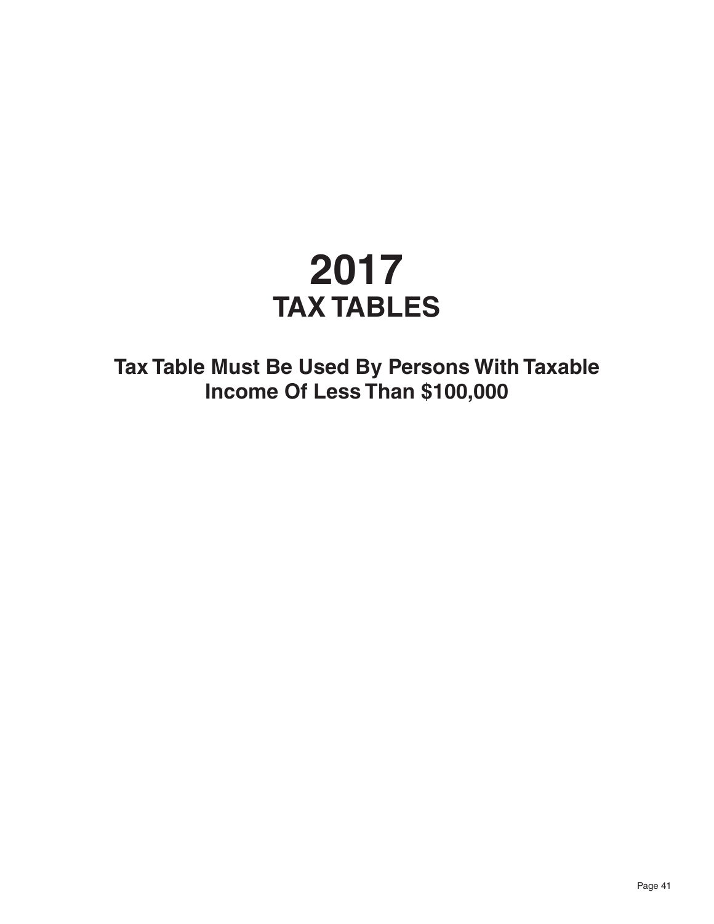# **2017 TAX TABLES**

**Tax Table Must Be Used By Persons With Taxable Income Of Less Than \$100,000**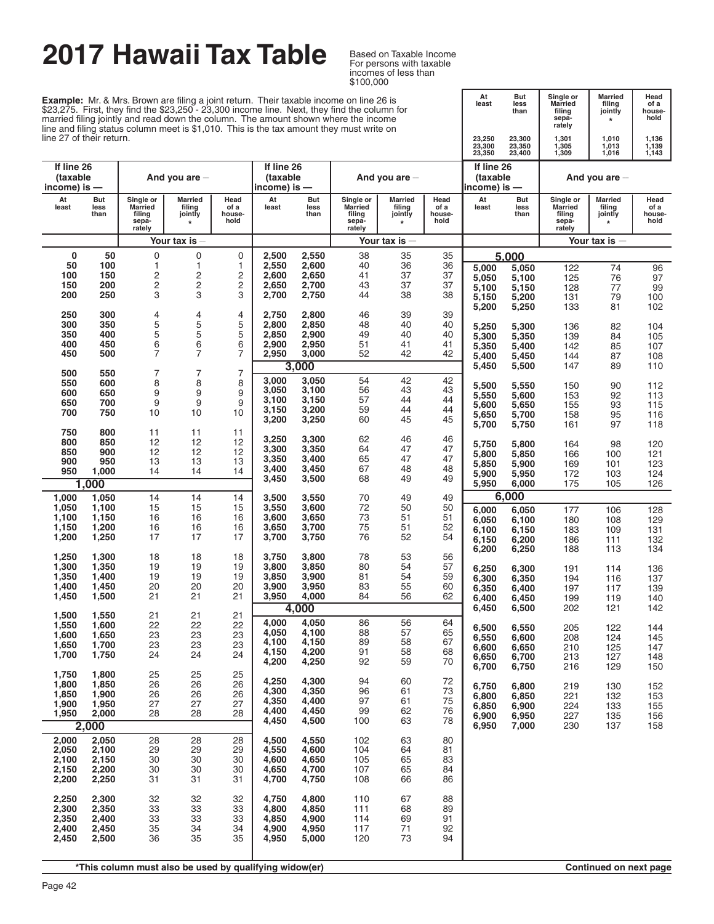# **2017 Hawaii Tax Table**

Based on Taxable Income<br>For persons with taxable incomes of less than \$100,000

At But Single or Married filling of a<br>
least less Married filling of a<br>
than filling jointly house-<br>
sepa- \* hold<br>
rately

**Example:** Mr. & Mrs. Brown are filing a joint return. Their taxable income on line 26 is \$23,275. First, they find the \$23,250 - 23,300 income line. Next, they find the column for married filing jointly and read down the column. The amount shown where the income line and filing status column meet is \$1,010. This is the tax amount they must write on line 27 of their return.

| line 27 of their return.               |                     |                                                          |                                                        |                                |                                        |                     |                                                   |                                                |                                | 23,250<br>23,300<br>23,350             | 23,300<br>23,350<br>23,400 | 1,301<br>1,305<br>1,309                                  | 1,010<br>1,013<br>1,016                 | 1,136<br>1,139<br>1,143        |
|----------------------------------------|---------------------|----------------------------------------------------------|--------------------------------------------------------|--------------------------------|----------------------------------------|---------------------|---------------------------------------------------|------------------------------------------------|--------------------------------|----------------------------------------|----------------------------|----------------------------------------------------------|-----------------------------------------|--------------------------------|
| If line 26<br>(taxable<br>income) is — |                     |                                                          | And you are $-$                                        |                                | If line 26<br>(taxable<br>income) is — |                     |                                                   | And you are $-$                                |                                | If line 26<br>(taxable<br>income) is — |                            |                                                          | And you are $-$                         |                                |
| At<br>least                            | But<br>less<br>than | Single or<br><b>Married</b><br>filing<br>sepa-<br>rately | Married<br>filing<br>jointly<br>$\star$                | Head<br>of a<br>house-<br>hold | At<br>least                            | But<br>less<br>than | Single or<br>Married<br>filing<br>sepa-<br>rately | <b>Married</b><br>filing<br>jointly<br>$\star$ | Head<br>of a<br>house-<br>hold | At<br>least                            | <b>But</b><br>less<br>than | Single or<br><b>Married</b><br>filing<br>sepa-<br>rately | Married<br>filing<br>jointly<br>$\star$ | Head<br>of a<br>house-<br>hold |
|                                        |                     |                                                          | Your tax is                                            |                                |                                        |                     |                                                   | Your tax is                                    |                                |                                        |                            |                                                          | Your tax is $-$                         |                                |
| 0                                      | 50                  | 0                                                        | $\pmb{0}$                                              | 0                              | 2,500                                  | 2,550               | 38                                                | 35                                             | 35                             |                                        | 5.000                      |                                                          |                                         |                                |
| 50<br>100                              | 100<br>150          | 1<br>2                                                   | $\mathbf{1}$<br>2                                      | 1<br>2                         | 2,550<br>2,600                         | 2,600<br>2,650      | 40<br>41                                          | 36<br>37                                       | 36<br>37                       | 5,000<br>5,050                         | 5,050<br>5,100             | 122<br>125                                               | 74<br>76                                | 96<br>97                       |
| 150                                    | 200                 | 2                                                        | $\overline{\mathbf{c}}$                                | $\overline{\mathbf{c}}$        | 2,650                                  | 2,700               | 43                                                | 37                                             | 37                             | 5.100                                  | 5,150                      | 128                                                      | 77                                      | 99                             |
| 200                                    | 250                 | 3                                                        | 3                                                      | 3                              | 2,700                                  | 2,750               | 44                                                | 38                                             | 38                             | 5,150                                  | 5,200                      | 131                                                      | 79                                      | 100                            |
| 250                                    | 300                 | 4                                                        | 4                                                      | 4                              | 2,750                                  | 2,800               | 46                                                | 39                                             | 39                             | 5,200                                  | 5,250                      | 133                                                      | 81                                      | 102                            |
| 300                                    | 350                 | 5<br>5                                                   | 5<br>5                                                 | 5                              | 2,800                                  | 2,850               | 48                                                | 40                                             | 40                             | 5,250                                  | 5,300                      | 136                                                      | 82                                      | 104                            |
| 350<br>400                             | 400<br>450          | 6                                                        | 6                                                      | 5<br>6                         | 2,850<br>2,900                         | 2,900<br>2,950      | 49<br>51                                          | 40<br>41                                       | 40<br>41                       | 5,300<br>5,350                         | 5,350<br>5,400             | 139<br>142                                               | 84<br>85                                | 105<br>107                     |
| 450                                    | 500                 | 7                                                        | $\overline{7}$                                         | $\overline{7}$                 | 2,950                                  | 3,000               | 52                                                | 42                                             | 42                             | 5,400                                  | 5,450                      | 144                                                      | 87                                      | 108                            |
| 500                                    | 550                 | $\overline{7}$                                           | 7                                                      | $\overline{7}$                 |                                        | 3,000               |                                                   |                                                |                                | 5,450                                  | 5,500                      | 147                                                      | 89                                      | 110                            |
| 550                                    | 600                 | 8                                                        | 8                                                      | 8                              | 3,000<br>3,050                         | 3,050<br>3,100      | 54<br>56                                          | 42<br>43                                       | 42<br>43                       | 5,500                                  | 5,550                      | 150                                                      | 90                                      | 112                            |
| 600<br>650                             | 650<br>700          | 9<br>9                                                   | 9<br>9                                                 | 9<br>9                         | 3,100                                  | 3,150               | 57                                                | 44                                             | 44                             | 5,550<br>5,600                         | 5,600<br>5,650             | 153<br>155                                               | 92<br>93                                | 113<br>115                     |
| 700                                    | 750                 | 10                                                       | 10                                                     | 10                             | 3,150<br>3,200                         | 3,200<br>3,250      | 59<br>60                                          | 44<br>45                                       | 44<br>45                       | 5,650                                  | 5,700                      | 158                                                      | 95                                      | 116                            |
| 750                                    | 800                 | 11                                                       | 11                                                     | 11                             |                                        |                     |                                                   |                                                |                                | 5,700                                  | 5,750                      | 161                                                      | 97                                      | 118                            |
| 800                                    | 850                 | 12                                                       | 12                                                     | 12                             | 3,250<br>3,300                         | 3,300<br>3,350      | 62<br>64                                          | 46<br>47                                       | 46<br>47                       | 5,750                                  | 5,800                      | 164                                                      | 98                                      | 120                            |
| 850<br>900                             | 900<br>950          | 12<br>13                                                 | 12<br>13                                               | 12<br>13                       | 3,350                                  | 3,400               | 65                                                | 47                                             | 47                             | 5,800                                  | 5,850                      | 166                                                      | 100                                     | 121                            |
| 950                                    | 1,000               | 14                                                       | 14                                                     | 14                             | 3,400                                  | 3,450               | 67<br>68                                          | 48<br>49                                       | 48                             | 5,850<br>5,900                         | 5,900<br>5,950             | 169<br>172                                               | 101<br>103                              | 123<br>124                     |
|                                        | 1,000               |                                                          |                                                        |                                | 3,450                                  | 3,500               |                                                   |                                                | 49                             | 5,950                                  | 6,000                      | 175                                                      | 105                                     | 126                            |
| 1,000                                  | 1,050<br>1,100      | 14<br>15                                                 | 14<br>15                                               | 14<br>15                       | 3,500<br>3,550                         | 3,550<br>3,600      | 70<br>72                                          | 49<br>50                                       | 49<br>50                       |                                        | 6,000                      |                                                          |                                         |                                |
| 1,050<br>1,100                         | 1,150               | 16                                                       | 16                                                     | 16                             | 3,600                                  | 3,650               | 73                                                | 51                                             | 51                             | 6,000<br>6,050                         | 6,050<br>6,100             | 177<br>180                                               | 106<br>108                              | 128<br>129                     |
| 1,150                                  | 1,200               | 16                                                       | 16                                                     | 16                             | 3,650                                  | 3,700               | 75                                                | 51                                             | 52                             | 6,100                                  | 6,150                      | 183                                                      | 109                                     | 131                            |
| 1,200                                  | 1,250               | 17                                                       | 17                                                     | 17                             | 3,700                                  | 3,750               | 76                                                | 52                                             | 54                             | 6,150<br>6,200                         | 6,200<br>6,250             | 186<br>188                                               | 111<br>113                              | 132<br>134                     |
| 1,250                                  | 1,300               | 18                                                       | 18                                                     | 18                             | 3,750                                  | 3,800               | 78                                                | 53                                             | 56                             |                                        |                            |                                                          |                                         |                                |
| 1,300<br>1,350                         | 1,350<br>1,400      | 19<br>19                                                 | 19<br>19                                               | 19<br>19                       | 3,800<br>3,850                         | 3,850<br>3,900      | 80<br>81                                          | 54<br>54                                       | 57<br>59                       | 6,250<br>6,300                         | 6,300<br>6,350             | 191<br>194                                               | 114<br>116                              | 136<br>137                     |
| 1,400                                  | 1,450               | 20                                                       | 20                                                     | 20                             | 3,900                                  | 3,950               | 83                                                | 55                                             | 60                             | 6,350                                  | 6,400                      | 197                                                      | 117                                     | 139                            |
| 1,450                                  | 1,500               | 21                                                       | 21                                                     | 21                             | 3,950                                  | 4,000<br>4,000      | 84                                                | 56                                             | 62                             | 6,400<br>6,450                         | 6,450<br>6,500             | 199<br>202                                               | 119<br>121                              | 140<br>142                     |
| 1,500                                  | 1,550<br>1,600      | 21<br>22                                                 | 21<br>22                                               | 21<br>22                       | 4,000                                  | 4,050               | 86                                                | 56                                             | 64                             |                                        |                            |                                                          |                                         |                                |
| 1,550<br>1,600                         | 1,650               | 23                                                       | 23                                                     | 23                             | 4,050                                  | 4,100               | 88                                                | 57                                             | 65                             | 6,500<br>6,550                         | 6,550<br>6,600             | 205<br>208                                               | 122<br>124                              | 144<br>145                     |
| 1,650                                  | 1,700               | 23                                                       | 23                                                     | 23                             | 4,100<br>4,150                         | 4,150<br>4,200      | 89<br>91                                          | 58<br>58                                       | 67<br>68                       | 6,600                                  | 6,650                      | 210                                                      | 125                                     | 147                            |
| 1,700                                  | 1,750               | 24                                                       | 24                                                     | 24                             | 4,200                                  | 4,250               | 92                                                | 59                                             | 70                             | 6,650<br>6,700                         | 6,700<br>6,750             | 213<br>216                                               | 127<br>129                              | 148<br>150                     |
| 1,750                                  | 1,800               | 25                                                       | 25                                                     | 25                             | 4,250                                  | 4,300               | 94                                                | 60                                             | 72                             |                                        |                            |                                                          |                                         |                                |
| 1,800<br>1,850                         | 1,850<br>1,900      | 26<br>26                                                 | 26<br>26                                               | 26<br>26                       | 4,300                                  | 4,350               | 96                                                | 61                                             | 73                             | 6,750<br>6,800                         | 6,800<br>6,850             | 219<br>221                                               | 130<br>132                              | 152<br>153                     |
| 1,900                                  | 1,950               | 27                                                       | 27                                                     | 27                             | 4,350<br>4,400                         | 4,400<br>4,450      | 97<br>99                                          | 61<br>62                                       | 75<br>76                       | 6,850                                  | 6,900                      | 224                                                      | 133                                     | 155                            |
| 1,950                                  | 2,000<br>2,000      | 28                                                       | 28                                                     | 28                             | 4,450                                  | 4,500               | 100                                               | 63                                             | 78                             | 6,900<br>6,950                         | 6,950<br>7,000             | 227<br>230                                               | 135<br>137                              | 156<br>158                     |
| 2,000                                  | 2,050               | 28                                                       | 28                                                     | 28                             | 4,500                                  | 4,550               | 102                                               | 63                                             | 80                             |                                        |                            |                                                          |                                         |                                |
| 2,050                                  | 2,100               | 29                                                       | 29                                                     | 29                             | 4,550                                  | 4,600               | 104                                               | 64                                             | 81                             |                                        |                            |                                                          |                                         |                                |
| 2,100<br>2,150                         | 2,150<br>2,200      | 30<br>30                                                 | 30<br>30                                               | 30<br>30                       | 4,600<br>4,650                         | 4,650<br>4,700      | 105<br>107                                        | 65<br>65                                       | 83<br>84                       |                                        |                            |                                                          |                                         |                                |
| 2,200                                  | 2,250               | 31                                                       | 31                                                     | 31                             | 4,700                                  | 4,750               | 108                                               | 66                                             | 86                             |                                        |                            |                                                          |                                         |                                |
| 2,250                                  | 2,300               | 32                                                       | 32                                                     | 32                             | 4,750                                  | 4,800               | 110                                               | 67                                             | 88                             |                                        |                            |                                                          |                                         |                                |
| 2,300                                  | 2,350               | 33                                                       | 33                                                     | 33                             | 4,800                                  | 4,850               | 111                                               | 68                                             | 89                             |                                        |                            |                                                          |                                         |                                |
| 2,350<br>2,400                         | 2,400<br>2,450      | 33<br>35                                                 | 33<br>34                                               | 33<br>34                       | 4,850<br>4,900                         | 4,900<br>4,950      | 114<br>117                                        | 69<br>71                                       | 91<br>92                       |                                        |                            |                                                          |                                         |                                |
| 2,450                                  | 2,500               | 36                                                       | 35                                                     | 35                             | 4,950                                  | 5,000               | 120                                               | 73                                             | 94                             |                                        |                            |                                                          |                                         |                                |
|                                        |                     |                                                          |                                                        |                                |                                        |                     |                                                   |                                                |                                |                                        |                            |                                                          |                                         |                                |
|                                        |                     |                                                          | *This column must also be used by qualifying widow(er) |                                |                                        |                     |                                                   |                                                |                                |                                        |                            |                                                          | Continued on next page                  |                                |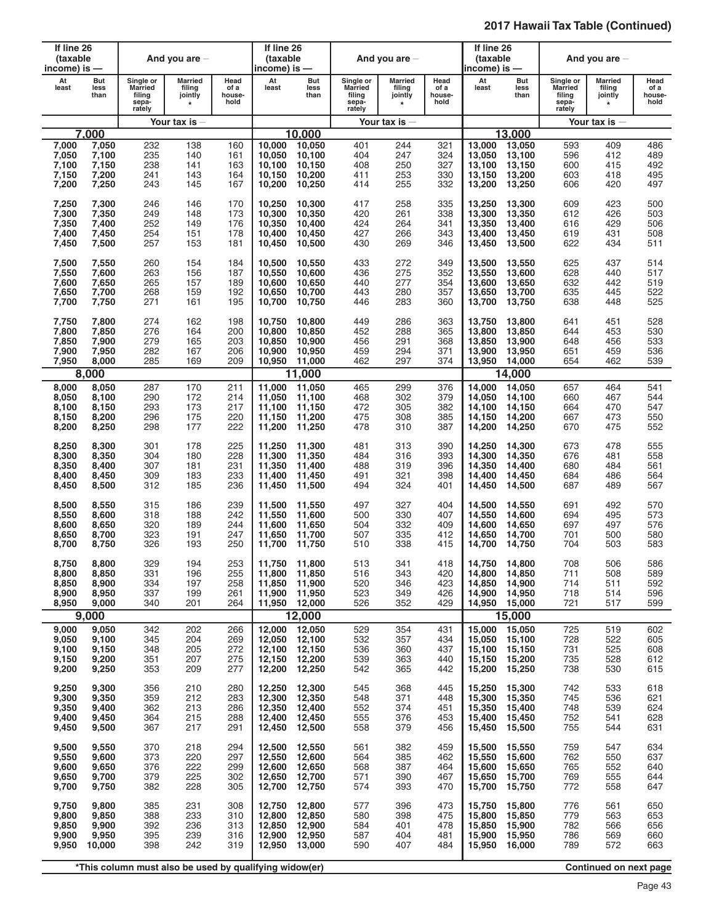| If line 26<br>(taxable<br>income) is —    |                                           |                                                          | And you are $-$                                        |                                 | If line 26<br>(taxable<br>income) is —      |                                             |                                                          | And you are $-$                                |                                 | If line 26<br>(taxable<br>income) is — |                                                              |                                                          | And you are $-$                                |                                 |
|-------------------------------------------|-------------------------------------------|----------------------------------------------------------|--------------------------------------------------------|---------------------------------|---------------------------------------------|---------------------------------------------|----------------------------------------------------------|------------------------------------------------|---------------------------------|----------------------------------------|--------------------------------------------------------------|----------------------------------------------------------|------------------------------------------------|---------------------------------|
| At<br>least                               | But<br>less<br>than                       | Single or<br><b>Married</b><br>filing<br>sepa-<br>rately | <b>Married</b><br>filing<br>jointly<br>$\star$         | Head<br>of a<br>house-<br>hold  | At<br>least                                 | But<br>less<br>than                         | Single or<br><b>Married</b><br>filing<br>sepa-<br>rately | <b>Married</b><br>filing<br>jointly<br>$\star$ | Head<br>of a<br>house-<br>hold  | At<br>least                            | <b>But</b><br>less<br>than                                   | Single or<br><b>Married</b><br>filing<br>sepa-<br>rately | <b>Married</b><br>filing<br>jointly<br>$\star$ | Head<br>of a<br>house-<br>hold  |
|                                           |                                           |                                                          | Your tax is                                            |                                 |                                             |                                             |                                                          | Your tax is $-$                                |                                 |                                        |                                                              |                                                          | Your tax is $-$                                |                                 |
|                                           | 7.000                                     |                                                          |                                                        |                                 |                                             | 10.000                                      |                                                          |                                                |                                 |                                        | 13.000                                                       |                                                          |                                                |                                 |
| 7,000                                     | 7,050                                     | 232                                                      | 138                                                    | 160                             | 10.000                                      | 10,050                                      | 401                                                      | 244                                            | 321                             | 13,000                                 | 13,050                                                       | 593                                                      | 409                                            | 486                             |
| 7,050                                     | 7,100                                     | 235                                                      | 140                                                    | 161                             | 10,050                                      | 10,100                                      | 404                                                      | 247                                            | 324                             | 13,050                                 | 13,100                                                       | 596                                                      | 412                                            | 489                             |
| 7,100                                     | 7,150                                     | 238                                                      | 141                                                    | 163                             | 10,100                                      | 10,150                                      | 408                                                      | 250                                            | 327                             | 13,100                                 | 13,150                                                       | 600                                                      | 415                                            | 492                             |
| 7,150                                     | 7,200                                     | 241                                                      | 143                                                    | 164                             | 10.150                                      | 10,200                                      | 411                                                      | 253                                            | 330                             | 13,150                                 | 13,200                                                       | 603                                                      | 418                                            | 495                             |
| 7,200                                     | 7,250                                     | 243                                                      | 145                                                    | 167                             | 10,200                                      | 10,250                                      | 414                                                      | 255                                            | 332                             | 13,200                                 | 13,250                                                       | 606                                                      | 420                                            | 497                             |
| 7,250                                     | 7,300                                     | 246                                                      | 146                                                    | 170                             | 10,250                                      | 10,300                                      | 417                                                      | 258                                            | 335                             | 13.250                                 | 13,300                                                       | 609                                                      | 423                                            | 500                             |
| 7,300                                     | 7,350                                     | 249                                                      | 148                                                    | 173                             | 10,300                                      | 10,350                                      | 420                                                      | 261                                            | 338                             | 13,300                                 | 13,350                                                       | 612                                                      | 426                                            | 503                             |
| 7,350                                     | 7,400                                     | 252                                                      | 149                                                    | 176                             | 10,350                                      | 10,400                                      | 424                                                      | 264                                            | 341                             | 13,350                                 | 13,400                                                       | 616                                                      | 429                                            | 506                             |
| 7,400                                     | 7,450                                     | 254                                                      | 151                                                    | 178                             | 10,400                                      | 10,450                                      | 427                                                      | 266                                            | 343                             | 13,400                                 | 13,450                                                       | 619                                                      | 431                                            | 508                             |
| 7,450                                     | 7,500                                     | 257                                                      | 153                                                    | 181                             | 10,450                                      | 10,500                                      | 430                                                      | 269                                            | 346                             | 13,450                                 | 13,500                                                       | 622                                                      | 434                                            | 511                             |
| 7,500                                     | 7,550                                     | 260                                                      | 154                                                    | 184                             | 10,500                                      | 10,550                                      | 433                                                      | 272                                            | 349                             | 13,500                                 | 13,550                                                       | 625                                                      | 437                                            | 514                             |
| 7,550                                     | 7,600                                     | 263                                                      | 156                                                    | 187                             | 10,550                                      | 10,600                                      | 436                                                      | 275                                            | 352                             | 13,550                                 | 13,600                                                       | 628                                                      | 440                                            | 517                             |
| 7,600                                     | 7,650                                     | 265                                                      | 157                                                    | 189                             | 10,600                                      | 10,650                                      | 440                                                      | 277                                            | 354                             | 13,600                                 | 13,650                                                       | 632                                                      | 442                                            | 519                             |
| 7,650                                     | 7,700                                     | 268                                                      | 159                                                    | 192                             | 10,650                                      | 10,700                                      | 443                                                      | 280                                            | 357                             | 13.650                                 | 13.700                                                       | 635                                                      | 445                                            | 522                             |
| 7,700                                     | 7,750                                     | 271                                                      | 161                                                    | 195                             | 10,700                                      | 10,750                                      | 446                                                      | 283                                            | 360                             | 13,700                                 | 13,750                                                       | 638                                                      | 448                                            | 525                             |
| 7,750                                     | 7,800                                     | 274                                                      | 162                                                    | 198                             | 10,750                                      | 10,800                                      | 449                                                      | 286                                            | 363                             | 13,750                                 | 13,800                                                       | 641                                                      | 451                                            | 528                             |
| 7,800                                     | 7,850                                     | 276                                                      | 164                                                    | 200                             | 10,800                                      | 10,850                                      | 452                                                      | 288                                            | 365                             | 13,800                                 | 13,850                                                       | 644                                                      | 453                                            | 530                             |
| 7,850                                     | 7,900                                     | 279                                                      | 165                                                    | 203                             | 10,850                                      | 10,900                                      | 456                                                      | 291                                            | 368                             | 13,850                                 | 13,900                                                       | 648                                                      | 456                                            | 533                             |
| 7,900                                     | 7,950                                     | 282                                                      | 167                                                    | 206                             | 10,900                                      | 10,950                                      | 459                                                      | 294                                            | 371                             | 13,900                                 | 13,950                                                       | 651                                                      | 459                                            | 536                             |
| 7,950                                     | 8,000                                     | 285                                                      | 169                                                    | 209                             | 10,950                                      | 11,000                                      | 462                                                      | 297                                            | 374                             | 13,950                                 | 14,000                                                       | 654                                                      | 462                                            | 539                             |
|                                           | 8,000                                     |                                                          |                                                        |                                 |                                             | 11,000                                      |                                                          |                                                |                                 |                                        | 14,000                                                       |                                                          |                                                |                                 |
| 8,000                                     | 8,050                                     | 287                                                      | 170                                                    | 211                             | 11,000                                      | 11,050                                      | 465                                                      | 299                                            | 376                             | 14,000                                 | 14,050                                                       | 657                                                      | 464                                            | 541                             |
| 8,050                                     | 8,100                                     | 290                                                      | 172                                                    | 214                             | 11,050                                      | 11,100                                      | 468                                                      | 302                                            | 379                             | 14.050                                 | 14,100                                                       | 660                                                      | 467                                            | 544                             |
| 8,100                                     | 8,150                                     | 293                                                      | 173                                                    | 217                             | 11,100                                      | 11,150                                      | 472                                                      | 305                                            | 382                             | 14,100                                 | 14,150                                                       | 664                                                      | 470                                            | 547                             |
| 8,150                                     | 8,200                                     | 296                                                      | 175                                                    | 220                             | 11,150                                      | 11,200                                      | 475                                                      | 308                                            | 385                             | 14,150                                 | 14,200                                                       | 667                                                      | 473                                            | 550                             |
| 8,200                                     | 8,250                                     | 298                                                      | 177                                                    | 222                             | 11,200                                      | 11,250                                      | 478                                                      | 310                                            | 387                             | 14,200                                 | 14,250                                                       | 670                                                      | 475                                            | 552                             |
| 8,250                                     | 8,300                                     | 301                                                      | 178                                                    | 225                             | 11,250                                      | 11,300                                      | 481                                                      | 313                                            | 390                             | 14.250                                 | 14,300                                                       | 673                                                      | 478                                            | 555                             |
| 8,300                                     | 8,350                                     | 304                                                      | 180                                                    | 228                             | 11,300                                      | 11,350                                      | 484                                                      | 316                                            | 393                             | 14,300                                 | 14,350                                                       | 676                                                      | 481                                            | 558                             |
| 8,350                                     | 8,400                                     | 307                                                      | 181                                                    | 231                             | 11,350                                      | 11,400                                      | 488                                                      | 319                                            | 396                             | 14,350                                 | 14,400                                                       | 680                                                      | 484                                            | 561                             |
| 8,400                                     | 8,450                                     | 309                                                      | 183                                                    | 233                             | 11,400                                      | 11,450                                      | 491                                                      | 321                                            | 398                             | 14,400                                 | 14,450                                                       | 684                                                      | 486                                            | 564                             |
| 8,450                                     | 8,500                                     | 312                                                      | 185                                                    | 236                             | 11,450                                      | 11,500                                      | 494                                                      | 324                                            | 401                             | 14,450                                 | 14,500                                                       | 687                                                      | 489                                            | 567                             |
| 8,500                                     | 8,550                                     | 315                                                      | 186                                                    | 239                             | 11,500                                      | 11,550                                      | 497                                                      | 327                                            | 404                             | 14,500                                 | 14,550                                                       | 691                                                      | 492                                            | 570                             |
| 8,550                                     | 8,600                                     | 318                                                      | 188                                                    | 242                             | 11,550                                      | 11.600                                      | 500                                                      | 330                                            | 407                             | 14,550                                 | 14,600                                                       | 694                                                      | 495                                            | 573                             |
| 8,600                                     | 8,650                                     | 320                                                      | 189                                                    | 244                             | 11,600                                      | 11.650                                      | 504                                                      | 332                                            | 409                             | 14,600                                 | 14,650                                                       | 697                                                      | 497                                            | 576                             |
| 8,650                                     | 8,700                                     | 323                                                      | 191                                                    | 247                             | 11.650                                      | 11,700                                      | 507                                                      | 335                                            | 412                             | 14,650                                 | 14,700                                                       | 701                                                      | 500                                            | 580                             |
| 8,700                                     | 8,750                                     | 326                                                      | 193                                                    | 250                             | 11,700                                      | 11,750                                      | 510                                                      | 338                                            | 415                             | 14,700                                 | 14,750                                                       | 704                                                      | 503                                            | 583                             |
| 8,750<br>8,800<br>8,850<br>8,900<br>8,950 | 8,800<br>8,850<br>8,900<br>8,950<br>9,000 | 329<br>331<br>334<br>337<br>340                          | 194<br>196<br>197<br>199<br>201                        | 253<br>255<br>258<br>261<br>264 | 11,750 11,800<br>11,800<br>11,850<br>11,900 | 11,850<br>11,900<br>11,950<br>11,950 12,000 | 513<br>516<br>520<br>523<br>526                          | 341<br>343<br>346<br>349<br>352                | 418<br>420<br>423<br>426<br>429 | 14,800<br>14,850<br>14,900             | 14,750 14,800<br>14,850<br>14,900<br>14,950<br>14,950 15,000 | 708<br>711<br>714<br>718<br>721                          | 506<br>508<br>511<br>514<br>517                | 586<br>589<br>592<br>596<br>599 |
|                                           | 9,000                                     |                                                          |                                                        |                                 |                                             | 12,000                                      |                                                          |                                                |                                 |                                        | 15,000                                                       |                                                          |                                                |                                 |
| 9,000                                     | 9,050                                     | 342                                                      | 202                                                    | 266                             | 12,000                                      | 12,050                                      | 529                                                      | 354                                            | 431                             | 15,000                                 | 15,050                                                       | 725                                                      | 519                                            | 602                             |
| 9,050                                     | 9,100                                     | 345                                                      | 204                                                    | 269                             | 12,050                                      | 12,100                                      | 532                                                      | 357                                            | 434                             | 15,050                                 | 15,100                                                       | 728                                                      | 522                                            | 605                             |
| 9,100                                     | 9,150                                     | 348                                                      | 205                                                    | 272                             | 12,100                                      | 12,150                                      | 536                                                      | 360                                            | 437                             | 15,100                                 | 15,150                                                       | 731                                                      | 525                                            | 608                             |
| 9,150                                     | 9,200                                     | 351                                                      | 207                                                    | 275                             | 12,150                                      | 12,200                                      | 539                                                      | 363                                            | 440                             | 15,150                                 | 15,200                                                       | 735                                                      | 528                                            | 612                             |
| 9,200                                     | 9,250                                     | 353                                                      | 209                                                    | 277                             | 12,200                                      | 12,250                                      | 542                                                      | 365                                            | 442                             | 15,200                                 | 15,250                                                       | 738                                                      | 530                                            | 615                             |
| 9,250                                     | 9,300                                     | 356                                                      | 210                                                    | 280                             | 12,250                                      | 12,300                                      | 545                                                      | 368                                            | 445                             | 15,250                                 | 15,300                                                       | 742                                                      | 533                                            | 618                             |
| 9,300                                     | 9,350                                     | 359                                                      | 212                                                    | 283                             | 12,300                                      | 12,350                                      | 548                                                      | 371                                            | 448                             | 15,300                                 | 15,350                                                       | 745                                                      | 536                                            | 621                             |
| 9,350                                     | 9,400                                     | 362                                                      | 213                                                    | 286                             | 12,350                                      | 12,400                                      | 552                                                      | 374                                            | 451                             | 15,350                                 | 15,400                                                       | 748                                                      | 539                                            | 624                             |
| 9,400                                     | 9,450                                     | 364                                                      | 215                                                    | 288                             | 12,400                                      | 12,450                                      | 555                                                      | 376                                            | 453                             | 15,400                                 | 15,450                                                       | 752                                                      | 541                                            | 628                             |
| 9,450                                     | 9,500                                     | 367                                                      | 217                                                    | 291                             | 12,450                                      | 12,500                                      | 558                                                      | 379                                            | 456                             | 15,450                                 | 15,500                                                       | 755                                                      | 544                                            | 631                             |
| 9,500                                     | 9,550                                     | 370                                                      | 218                                                    | 294                             | 12,500                                      | 12,550                                      | 561                                                      | 382                                            | 459                             | 15,500                                 | 15,550                                                       | 759                                                      | 547                                            | 634                             |
| 9,550                                     | 9,600                                     | 373                                                      | 220                                                    | 297                             | 12,550                                      | 12,600                                      | 564                                                      | 385                                            | 462                             | 15,550                                 | 15,600                                                       | 762                                                      | 550                                            | 637                             |
| 9,600                                     | 9,650                                     | 376                                                      | 222                                                    | 299                             | 12,600                                      | 12,650                                      | 568                                                      | 387                                            | 464                             | 15,600                                 | 15,650                                                       | 765                                                      | 552                                            | 640                             |
| 9,650                                     | 9,700                                     | 379                                                      | 225                                                    | 302                             | 12,650                                      | 12,700                                      | 571                                                      | 390                                            | 467                             | 15,650                                 | 15,700                                                       | 769                                                      | 555                                            | 644                             |
| 9,700                                     | 9,750                                     | 382                                                      | 228                                                    | 305                             | 12,700                                      | 12,750                                      | 574                                                      | 393                                            | 470                             | 15,700                                 | 15,750                                                       | 772                                                      | 558                                            | 647                             |
| 9,750                                     | 9,800                                     | 385                                                      | 231                                                    | 308                             | 12,750                                      | 12,800                                      | 577                                                      | 396                                            | 473                             | 15,750                                 | 15,800                                                       | 776                                                      | 561                                            | 650                             |
| 9,800                                     | 9,850                                     | 388                                                      | 233                                                    | 310                             | 12,800                                      | 12,850                                      | 580                                                      | 398                                            | 475                             | 15,800                                 | 15,850                                                       | 779                                                      | 563                                            | 653                             |
| 9,850                                     | 9,900                                     | 392                                                      | 236                                                    | 313                             | 12,850                                      | 12,900                                      | 584                                                      | 401                                            | 478                             | 15,850                                 | 15,900                                                       | 782                                                      | 566                                            | 656                             |
| 9,900                                     | 9,950                                     | 395                                                      | 239                                                    | 316                             | 12,900                                      | 12,950                                      | 587                                                      | 404                                            | 481                             | 15,900                                 | 15,950                                                       | 786                                                      | 569                                            | 660                             |
| 9,950                                     | 10,000                                    | 398                                                      | 242                                                    | 319                             | 12,950                                      | 13,000                                      | 590                                                      | 407                                            | 484                             | 15,950                                 | 16,000                                                       | 789                                                      | 572                                            | 663                             |
|                                           |                                           |                                                          | *This column must also be used by qualifying widow(er) |                                 |                                             |                                             |                                                          |                                                |                                 |                                        |                                                              |                                                          | Continued on next page                         |                                 |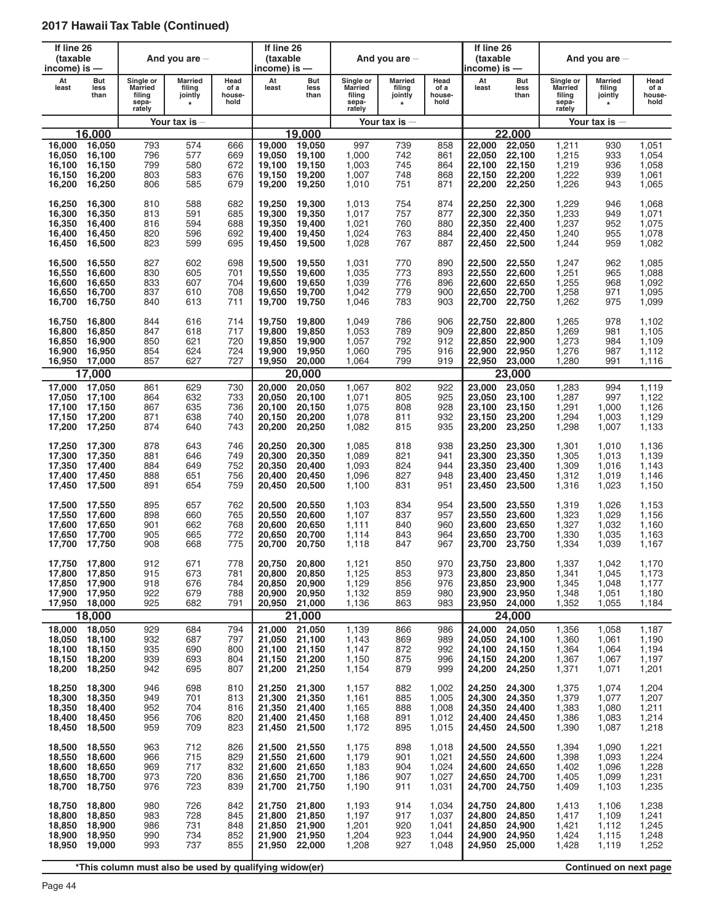| If line 26<br>(taxable<br>income) is $-$ |                                                       |                                                          | And you are $-$                                        |                                 | If line 26<br>(taxable<br>income) is —         |                                                |                                                          | And you are $-$                         |                                 | If line 26<br>(taxable<br>$income$ ) is $-$ |                                                       |                                                          | And you are $-$                                |                                           |
|------------------------------------------|-------------------------------------------------------|----------------------------------------------------------|--------------------------------------------------------|---------------------------------|------------------------------------------------|------------------------------------------------|----------------------------------------------------------|-----------------------------------------|---------------------------------|---------------------------------------------|-------------------------------------------------------|----------------------------------------------------------|------------------------------------------------|-------------------------------------------|
| At<br>least                              | <b>But</b><br>less<br>than                            | Single or<br><b>Married</b><br>filing<br>sepa-<br>rately | <b>Married</b><br>filing<br>jointly<br>$\star$         | Head<br>of a<br>house-<br>hold  | At<br>least                                    | But<br>less<br>than                            | Single or<br><b>Married</b><br>filing<br>sepa-<br>rately | Married<br>filing<br>jointly<br>$\star$ | Head<br>of a<br>house-<br>hold  | At<br>least                                 | But<br>less<br>than                                   | Single or<br><b>Married</b><br>filing<br>sepa-<br>rately | <b>Married</b><br>filing<br>jointly<br>$\star$ | Head<br>of a<br>house-<br>hold            |
|                                          |                                                       |                                                          | Your tax is –                                          |                                 |                                                |                                                |                                                          | Your tax is $-$                         |                                 |                                             |                                                       |                                                          | Your tax is $-$                                |                                           |
|                                          | 16.000                                                |                                                          |                                                        |                                 |                                                | 19.000                                         |                                                          |                                         |                                 |                                             | 22.000                                                |                                                          |                                                |                                           |
| 16,000                                   | 16,050                                                | 793                                                      | 574                                                    | 666                             | 19,000                                         | 19,050                                         | 997                                                      | 739                                     | 858                             | 22,000                                      | 22,050                                                | 1,211                                                    | 930                                            | 1,051                                     |
| 16,050                                   | 16,100                                                | 796                                                      | 577                                                    | 669                             | 19,050                                         | 19,100                                         | 1,000                                                    | 742                                     | 861                             | 22,050                                      | 22,100                                                | 1,215                                                    | 933                                            | 1,054                                     |
| 16.100                                   | 16,150                                                | 799                                                      | 580                                                    | 672                             | 19,100                                         | 19,150                                         | 1,003                                                    | 745                                     | 864                             | 22,100                                      | 22,150                                                | 1,219                                                    | 936                                            | 1,058                                     |
| 16.150                                   | 16,200                                                | 803                                                      | 583                                                    | 676                             | 19,150                                         | 19,200                                         | 1,007                                                    | 748                                     | 868                             | 22,150                                      | 22,200                                                | 1,222                                                    | 939                                            | 1,061                                     |
| 16,200                                   | 16,250                                                | 806                                                      | 585                                                    | 679                             | 19,200                                         | 19,250                                         | 1,010                                                    | 751                                     | 871                             | 22,200                                      | 22,250                                                | 1,226                                                    | 943                                            | 1,065                                     |
| 16,250                                   | 16,300                                                | 810                                                      | 588                                                    | 682                             | 19,250                                         | 19,300                                         | 1,013                                                    | 754                                     | 874                             | 22,250                                      | 22,300                                                | 1,229                                                    | 946                                            | 1,068                                     |
| 16,300                                   | 16,350                                                | 813                                                      | 591                                                    | 685                             | 19,300                                         | 19,350                                         | 1,017                                                    | 757                                     | 877                             | 22,300                                      | 22,350                                                | 1,233                                                    | 949                                            | 1,071                                     |
| 16,350                                   | 16,400                                                | 816                                                      | 594                                                    | 688                             | 19,350                                         | 19,400                                         | 1,021                                                    | 760                                     | 880                             | 22,350                                      | 22,400                                                | 1,237                                                    | 952                                            | 1,075                                     |
| 16,400                                   | 16,450                                                | 820                                                      | 596                                                    | 692                             | 19,400                                         | 19,450                                         | 1,024                                                    | 763                                     | 884                             | 22,400                                      | 22,450                                                | 1,240                                                    | 955                                            | 1,078                                     |
| 16,450                                   | 16,500                                                | 823                                                      | 599                                                    | 695                             | 19,450                                         | 19,500                                         | 1,028                                                    | 767                                     | 887                             | 22,450                                      | 22,500                                                | 1,244                                                    | 959                                            | 1,082                                     |
| 16,500                                   | 16,550                                                | 827                                                      | 602                                                    | 698                             | 19,500                                         | 19,550                                         | 1,031                                                    | 770                                     | 890                             | 22,500                                      | 22,550                                                | 1,247                                                    | 962                                            | 1,085                                     |
| 16,550                                   | 16,600                                                | 830                                                      | 605                                                    | 701                             | 19,550                                         | 19,600                                         | 1,035                                                    | 773                                     | 893                             | 22,550                                      | 22,600                                                | 1,251                                                    | 965                                            | 1,088                                     |
| 16,600                                   | 16,650                                                | 833                                                      | 607                                                    | 704                             | 19,600                                         | 19,650                                         | 1,039                                                    | 776                                     | 896                             | 22,600                                      | 22,650                                                | 1,255                                                    | 968                                            | 1,092                                     |
| 16,650                                   | 16.700                                                | 837                                                      | 610                                                    | 708                             | 19,650                                         | 19,700                                         | 1,042                                                    | 779                                     | 900                             | 22,650                                      | 22,700                                                | 1,258                                                    | 971                                            | 1,095                                     |
| 16,700                                   | 16,750                                                | 840                                                      | 613                                                    | 711                             | 19,700                                         | 19,750                                         | 1,046                                                    | 783                                     | 903                             | 22,700                                      | 22,750                                                | 1,262                                                    | 975                                            | 1,099                                     |
| 16,750                                   | 16,800                                                | 844                                                      | 616                                                    | 714                             | 19,750                                         | 19,800                                         | 1,049                                                    | 786                                     | 906                             | 22,750                                      | 22,800                                                | 1,265                                                    | 978                                            | 1,102                                     |
| 16,800                                   | 16,850                                                | 847                                                      | 618                                                    | 717                             | 19,800                                         | 19,850                                         | 1,053                                                    | 789                                     | 909                             | 22,800                                      | 22,850                                                | 1,269                                                    | 981                                            | 1,105                                     |
| 16,850                                   | 16,900                                                | 850                                                      | 621                                                    | 720                             | 19,850                                         | 19,900                                         | 1,057                                                    | 792                                     | 912                             | 22,850                                      | 22,900                                                | 1,273                                                    | 984                                            | 1,109                                     |
| 16,900                                   | 16,950                                                | 854                                                      | 624                                                    | 724                             | 19,900                                         | 19,950                                         | 1,060                                                    | 795                                     | 916                             | 22,900                                      | 22,950                                                | 1,276                                                    | 987                                            | 1,112                                     |
| 16,950                                   | 17,000                                                | 857                                                      | 627                                                    | 727                             | 19,950                                         | 20,000                                         | 1,064                                                    | 799                                     | 919                             | 22,950                                      | 23,000                                                | 1,280                                                    | 991                                            | 1,116                                     |
|                                          | 17,000                                                |                                                          |                                                        |                                 |                                                | 20,000                                         |                                                          |                                         |                                 |                                             | 23,000                                                |                                                          |                                                |                                           |
| 17,000                                   | 17,050                                                | 861                                                      | 629                                                    | 730                             | 20,000                                         | 20,050                                         | 1,067                                                    | 802                                     | 922                             | 23,000                                      | 23,050                                                | 1,283                                                    | 994                                            | 1,119                                     |
| 17,050                                   | 17,100                                                | 864                                                      | 632                                                    | 733                             | 20,050                                         | 20,100                                         | 1,071                                                    | 805                                     | 925                             | 23,050                                      | 23,100                                                | 1,287                                                    | 997                                            | 1,122                                     |
| 17,100                                   | 17,150                                                | 867                                                      | 635                                                    | 736                             | 20,100                                         | 20,150                                         | 1,075                                                    | 808                                     | 928                             | 23,100                                      | 23,150                                                | 1,291                                                    | 1,000                                          | 1,126                                     |
| 17,150                                   | 17,200                                                | 871                                                      | 638                                                    | 740                             | 20,150                                         | 20,200                                         | 1,078                                                    | 811                                     | 932                             | 23,150                                      | 23,200                                                | 1,294                                                    | 1,003                                          | 1,129                                     |
| 17,200                                   | 17,250                                                | 874                                                      | 640                                                    | 743                             | 20,200                                         | 20,250                                         | 1,082                                                    | 815                                     | 935                             | 23,200                                      | 23,250                                                | 1,298                                                    | 1,007                                          | 1,133                                     |
| 17,250                                   | 17,300                                                | 878                                                      | 643                                                    | 746                             | 20,250                                         | 20,300                                         | 1,085                                                    | 818                                     | 938                             | 23,250                                      | 23,300                                                | 1,301                                                    | 1,010                                          | 1,136                                     |
| 17,300                                   | 17,350                                                | 881                                                      | 646                                                    | 749                             | 20,300                                         | 20,350                                         | 1,089                                                    | 821                                     | 941                             | 23,300                                      | 23,350                                                | 1,305                                                    | 1,013                                          | 1,139                                     |
| 17,350                                   | 17,400                                                | 884                                                      | 649                                                    | 752                             | 20,350                                         | 20,400                                         | 1,093                                                    | 824                                     | 944                             | 23,350                                      | 23,400                                                | 1,309                                                    | 1,016                                          | 1,143                                     |
| 17,400                                   | 17,450                                                | 888                                                      | 651                                                    | 756                             | 20.400                                         | 20,450                                         | 1,096                                                    | 827                                     | 948                             | 23,400                                      | 23,450                                                | 1,312                                                    | 1,019                                          | 1,146                                     |
| 17,450                                   | 17,500                                                | 891                                                      | 654                                                    | 759                             | 20,450                                         | 20,500                                         | 1,100                                                    | 831                                     | 951                             | 23,450                                      | 23,500                                                | 1,316                                                    | 1,023                                          | 1,150                                     |
| 17,500                                   | 17,550                                                | 895                                                      | 657                                                    | 762                             | 20,500                                         | 20.550                                         | 1,103                                                    | 834                                     | 954                             | 23.500                                      | 23.550                                                | 1,319                                                    | 1,026                                          | 1,153                                     |
| 17,550                                   | 17,600                                                | 898                                                      | 660                                                    | 765                             | 20,550                                         | 20,600                                         | 1,107                                                    | 837                                     | 957                             | 23,550                                      | 23,600                                                | 1,323                                                    | 1,029                                          | 1,156                                     |
| 17,600                                   | 17,650                                                | 901                                                      | 662                                                    | 768                             | 20,600                                         | 20,650                                         | 1,111                                                    | 840                                     | 960                             | 23.600                                      | 23,650                                                | 1,327                                                    | 1,032                                          | 1,160                                     |
| 17,650                                   | 17,700                                                | 905                                                      | 665                                                    | 772                             | 20,650                                         | 20,700                                         | 1,114                                                    | 843                                     | 964                             | 23,650                                      | 23,700                                                | 1,330                                                    | 1,035                                          | 1,163                                     |
| 17,700                                   | 17,750                                                | 908                                                      | 668                                                    | 775                             | 20,700                                         | 20,750                                         | 1,118                                                    | 847                                     | 967                             | 23,700                                      | 23,750                                                | 1,334                                                    | 1,039                                          | 1,167                                     |
| 17,800<br>17,850<br>17,900<br>17,950     | 17,750 17,800<br>17,850<br>17,900<br>17,950<br>18,000 | 912<br>915<br>918<br>922<br>925                          | 671<br>673<br>676<br>679<br>682                        | 778<br>781<br>784<br>788<br>791 | 20,750<br>20,800<br>20,850<br>20,900<br>20,950 | 20,800<br>20,850<br>20,900<br>20,950<br>21,000 | 1,121<br>1,125<br>1,129<br>1,132<br>1,136                | 850<br>853<br>856<br>859<br>863         | 970<br>973<br>976<br>980<br>983 | 23,800<br>23,850<br>23,900<br>23,950        | 23,750 23,800<br>23,850<br>23,900<br>23,950<br>24,000 | 1,337<br>1,341<br>1,345<br>1,348<br>1,352                | 1,042<br>1,045<br>1,048<br>1,051<br>1,055      | 1,170<br>1,173<br>1,177<br>1,180<br>1,184 |
|                                          | 18,000                                                |                                                          |                                                        |                                 |                                                | 21,000                                         |                                                          |                                         |                                 |                                             | 24,000                                                |                                                          |                                                |                                           |
| 18,000                                   | 18,050                                                | 929                                                      | 684                                                    | 794                             | 21,000                                         | 21,050                                         | 1,139                                                    | 866                                     | 986                             | 24,000                                      | 24,050                                                | 1,356                                                    | 1,058                                          | 1,187                                     |
| 18,050                                   | 18,100                                                | 932                                                      | 687                                                    | 797                             | 21,050                                         | 21,100                                         | 1,143                                                    | 869                                     | 989                             | 24,050                                      | 24,100                                                | 1,360                                                    | 1,061                                          | 1,190                                     |
| 18,100                                   | 18,150                                                | 935                                                      | 690                                                    | 800                             | 21.100                                         | 21,150                                         | 1,147                                                    | 872                                     | 992                             | 24,100                                      | 24,150                                                | 1,364                                                    | 1,064                                          | 1,194                                     |
| 18,150                                   | 18,200                                                | 939                                                      | 693                                                    | 804                             | 21,150                                         | 21,200                                         | 1,150                                                    | 875                                     | 996                             | 24,150                                      | 24,200                                                | 1,367                                                    | 1,067                                          | 1,197                                     |
| 18,200                                   | 18,250                                                | 942                                                      | 695                                                    | 807                             | 21,200                                         | 21,250                                         | 1,154                                                    | 879                                     | 999                             | 24,200                                      | 24,250                                                | 1,371                                                    | 1,071                                          | 1,201                                     |
| 18,250                                   | 18,300                                                | 946                                                      | 698                                                    | 810                             | 21,250                                         | 21,300                                         | 1,157                                                    | 882                                     | 1,002                           | 24,250                                      | 24,300                                                | 1,375                                                    | 1,074                                          | 1,204                                     |
| 18,300                                   | 18,350                                                | 949                                                      | 701                                                    | 813                             | 21,300                                         | 21,350                                         | 1,161                                                    | 885                                     | 1,005                           | 24,300                                      | 24,350                                                | 1,379                                                    | 1,077                                          | 1,207                                     |
| 18,350                                   | 18,400                                                | 952                                                      | 704                                                    | 816                             | 21,350                                         | 21,400                                         | 1,165                                                    | 888                                     | 1,008                           | 24,350                                      | 24,400                                                | 1,383                                                    | 1,080                                          | 1,211                                     |
| 18,400                                   | 18,450                                                | 956                                                      | 706                                                    | 820                             | 21,400                                         | 21,450                                         | 1,168                                                    | 891                                     | 1,012                           | 24,400                                      | 24,450                                                | 1,386                                                    | 1,083                                          | 1,214                                     |
| 18,450                                   | 18,500                                                | 959                                                      | 709                                                    | 823                             | 21,450                                         | 21,500                                         | 1,172                                                    | 895                                     | 1,015                           | 24,450                                      | 24,500                                                | 1,390                                                    | 1,087                                          | 1,218                                     |
| 18,500                                   | 18,550                                                | 963                                                      | 712                                                    | 826                             | 21,500                                         | 21,550                                         | 1,175                                                    | 898                                     | 1,018                           | 24,500                                      | 24,550                                                | 1,394                                                    | 1,090                                          | 1,221                                     |
| 18,550                                   | 18,600                                                | 966                                                      | 715                                                    | 829                             | 21,550                                         | 21,600                                         | 1,179                                                    | 901                                     | 1,021                           | 24,550                                      | 24,600                                                | 1,398                                                    | 1,093                                          | 1,224                                     |
| 18,600                                   | 18,650                                                | 969                                                      | 717                                                    | 832                             | 21,600                                         | 21,650                                         | 1,183                                                    | 904                                     | 1,024                           | 24,600                                      | 24,650                                                | 1,402                                                    | 1,096                                          | 1,228                                     |
| 18,650                                   | 18,700                                                | 973                                                      | 720                                                    | 836                             | 21,650                                         | 21,700                                         | 1,186                                                    | 907                                     | 1,027                           | 24,650                                      | 24,700                                                | 1,405                                                    | 1,099                                          | 1,231                                     |
| 18,700                                   | 18,750                                                | 976                                                      | 723                                                    | 839                             | 21,700                                         | 21,750                                         | 1,190                                                    | 911                                     | 1,031                           | 24,700                                      | 24,750                                                | 1,409                                                    | 1,103                                          | 1,235                                     |
| 18,750                                   | 18,800                                                | 980                                                      | 726                                                    | 842                             | 21,750                                         | 21,800                                         | 1,193                                                    | 914                                     | 1,034                           | 24,750                                      | 24,800                                                | 1,413                                                    | 1,106                                          | 1,238                                     |
| 18,800                                   | 18,850                                                | 983                                                      | 728                                                    | 845                             | 21,800                                         | 21,850                                         | 1,197                                                    | 917                                     | 1,037                           | 24,800                                      | 24,850                                                | 1,417                                                    | 1,109                                          | 1,241                                     |
| 18,850                                   | 18,900                                                | 986                                                      | 731                                                    | 848                             | 21,850                                         | 21,900                                         | 1,201                                                    | 920                                     | 1,041                           | 24,850                                      | 24,900                                                | 1,421                                                    | 1,112                                          | 1,245                                     |
| 18,900                                   | 18,950                                                | 990                                                      | 734                                                    | 852                             | 21,900                                         | 21,950                                         | 1,204                                                    | 923                                     | 1,044                           | 24,900                                      | 24,950                                                | 1,424                                                    | 1,115                                          | 1,248                                     |
| 18,950                                   | 19,000                                                | 993                                                      | 737                                                    | 855                             | 21,950                                         | 22,000                                         | 1,208                                                    | 927                                     | 1,048                           | 24,950                                      | 25,000                                                | 1,428                                                    | 1,119                                          | 1,252                                     |
|                                          |                                                       |                                                          | *This column must also be used by qualifying widow(er) |                                 |                                                |                                                |                                                          |                                         |                                 |                                             |                                                       |                                                          | Continued on next page                         |                                           |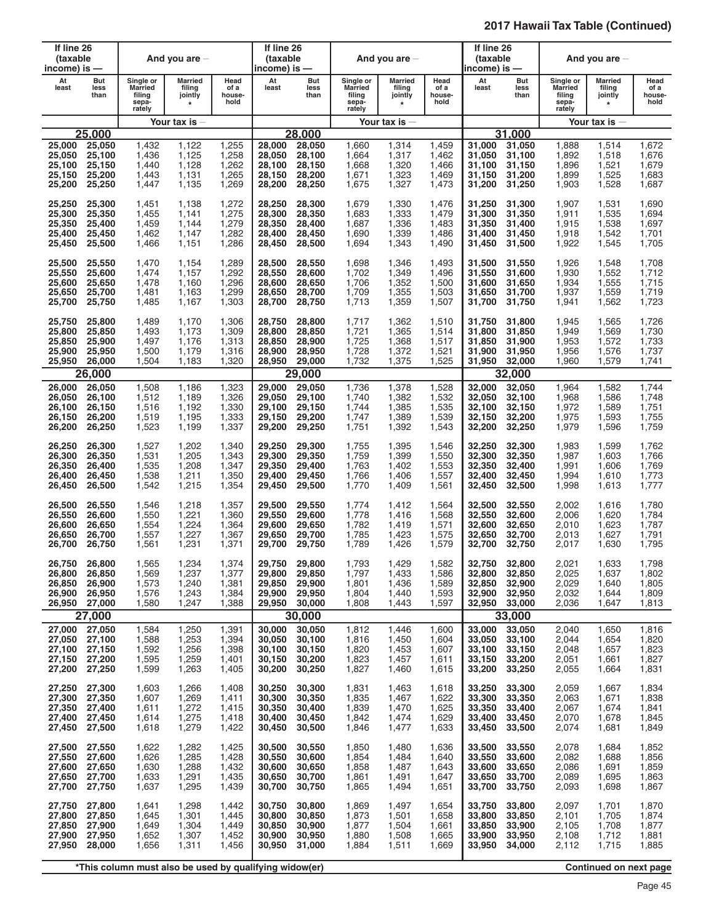| If line 26<br>(taxable<br>income) is —                |                                      |                                                   | And you are $-$                                        |                                           | If line 26<br>(taxable<br>income) is —         |                                                |                                                          | And you are $-$                                |                                           | If line 26<br>(taxable<br>income) is —         |                                                |                                                   | And you are $-$                                |                                           |
|-------------------------------------------------------|--------------------------------------|---------------------------------------------------|--------------------------------------------------------|-------------------------------------------|------------------------------------------------|------------------------------------------------|----------------------------------------------------------|------------------------------------------------|-------------------------------------------|------------------------------------------------|------------------------------------------------|---------------------------------------------------|------------------------------------------------|-------------------------------------------|
| At<br>least                                           | But<br>less<br>than                  | Single or<br>Married<br>filing<br>sepa-<br>rately | Married<br>filing<br>jointly<br>$\star$                | Head<br>of a<br>house-<br>hold            | At<br>least                                    | But<br>less<br>than                            | Single or<br><b>Married</b><br>filing<br>sepa-<br>rately | <b>Married</b><br>filing<br>jointly<br>$\star$ | Head<br>of a<br>house-<br>hold            | At<br>least                                    | But<br>less<br>than                            | Single or<br>Married<br>filing<br>sepa-<br>rately | <b>Married</b><br>filing<br>jointly<br>$\star$ | Head<br>of a<br>house-<br>hold            |
|                                                       |                                      |                                                   | Your tax is $-$                                        |                                           |                                                |                                                |                                                          | Your tax is $-$                                |                                           |                                                |                                                |                                                   | Your tax is $-$                                |                                           |
|                                                       | 25.000                               |                                                   |                                                        |                                           |                                                | 28,000                                         |                                                          |                                                |                                           |                                                | 31.000                                         |                                                   |                                                |                                           |
| 25,000                                                | 25,050                               | 1,432                                             | 1,122                                                  | 1,255                                     | 28,000                                         | 28,050                                         | 1,660                                                    | 1,314                                          | 1,459                                     | 31,000                                         | 31,050                                         | 1,888                                             | 1,514                                          | 1,672                                     |
| 25,050                                                | 25,100                               | 1,436                                             | 1,125                                                  | 1,258                                     | 28,050                                         | 28,100                                         | 1,664                                                    | 1,317                                          | 1,462                                     | 31,050                                         | 31,100                                         | 1,892                                             | 1,518                                          | 1,676                                     |
| 25,100                                                | 25,150                               | 1,440                                             | 1,128                                                  | 1,262                                     | 28,100                                         | 28,150                                         | 1,668                                                    | 1,320                                          | 1,466                                     | 31,100                                         | 31,150                                         | 1,896                                             | 1,521                                          | 1,679                                     |
| 25,150                                                | 25,200                               | 1,443                                             | 1,131                                                  | 1,265                                     | 28,150                                         | 28,200                                         | 1,671                                                    | 1,323                                          | 1,469                                     | 31.150                                         | 31,200                                         | 1,899                                             | 1,525                                          | 1,683                                     |
| 25,200                                                | 25,250                               | 1,447                                             | 1,135                                                  | 1,269                                     | 28,200                                         | 28,250                                         | 1,675                                                    | 1,327                                          | 1,473                                     | 31,200                                         | 31,250                                         | 1,903                                             | 1,528                                          | 1,687                                     |
| 25,250                                                | 25,300                               | 1,451                                             | 1,138                                                  | 1,272                                     | 28,250                                         | 28,300                                         | 1,679                                                    | 1,330                                          | 1,476                                     | 31,250                                         | 31,300                                         | 1,907                                             | 1,531                                          | 1,690                                     |
| 25,300                                                | 25,350                               | 1,455                                             | 1,141                                                  | 1,275                                     | 28,300                                         | 28,350                                         | 1,683                                                    | 1,333                                          | 1,479                                     | 31,300                                         | 31,350                                         | 1,911                                             | 1,535                                          | 1,694                                     |
| 25,350                                                | 25,400                               | 1,459                                             | 1,144                                                  | 1,279                                     | 28,350                                         | 28,400                                         | 1,687                                                    | 1,336                                          | 1,483                                     | 31,350                                         | 31,400                                         | 1,915                                             | 1,538                                          | 1,697                                     |
| 25,400                                                | 25,450                               | 1,462                                             | 1,147                                                  | 1,282                                     | 28,400                                         | 28,450                                         | 1,690                                                    | 1,339                                          | 1,486                                     | 31,400                                         | 31,450                                         | 1,918                                             | 1,542                                          | 1,701                                     |
| 25,450                                                | 25,500                               | 1,466                                             | 1,151                                                  | 1,286                                     | 28,450                                         | 28,500                                         | 1,694                                                    | 1,343                                          | 1,490                                     | 31,450                                         | 31,500                                         | 1,922                                             | 1,545                                          | 1,705                                     |
| 25,500                                                | 25,550                               | 1.470                                             | 1,154                                                  | 1,289                                     | 28,500                                         | 28,550                                         | 1,698                                                    | 1,346                                          | 1,493                                     | 31,500                                         | 31,550                                         | 1,926                                             | 1,548                                          | 1,708                                     |
| 25,550                                                | 25,600                               | 1,474                                             | 1,157                                                  | 1,292                                     | 28,550                                         | 28,600                                         | 1,702                                                    | 1,349                                          | 1,496                                     | 31,550                                         | 31.600                                         | 1,930                                             | 1,552                                          | 1,712                                     |
| 25,600                                                | 25,650                               | 1,478                                             | 1,160                                                  | 1,296                                     | 28,600                                         | 28,650                                         | 1,706                                                    | 1,352                                          | 1,500                                     | 31,600                                         | 31,650                                         | 1,934                                             | 1,555                                          | 1,715                                     |
| 25.650                                                | 25,700                               | 1,481                                             | 1,163                                                  | 1,299                                     | 28,650                                         | 28,700                                         | 1,709                                                    | 1,355                                          | 1,503                                     | 31,650                                         | 31,700                                         | 1,937                                             | 1,559                                          | 1,719                                     |
| 25,700                                                | 25,750                               | 1,485                                             | 1,167                                                  | 1,303                                     | 28,700                                         | 28,750                                         | 1,713                                                    | 1,359                                          | 1,507                                     | 31,700                                         | 31,750                                         | 1,941                                             | 1,562                                          | 1,723                                     |
| 25,750                                                | 25,800                               | 1,489                                             | 1,170                                                  | 1,306                                     | 28,750                                         | 28,800                                         | 1,717                                                    | 1,362                                          | 1,510                                     | 31.750                                         | 31,800                                         | 1,945                                             | 1,565                                          | 1,726                                     |
| 25,800                                                | 25,850                               | 1,493                                             | 1,173                                                  | 1,309                                     | 28,800                                         | 28,850                                         | 1,721                                                    | 1,365                                          | 1,514                                     | 31,800                                         | 31,850                                         | 1,949                                             | 1,569                                          | 1,730                                     |
| 25,850                                                | 25,900                               | 1,497                                             | 1,176                                                  | 1,313                                     | 28,850                                         | 28,900                                         | 1,725                                                    | 1,368                                          | 1,517                                     | 31,850                                         | 31,900                                         | 1,953                                             | 1,572                                          | 1,733                                     |
| 25,900                                                | 25,950                               | 1,500                                             | 1,179                                                  | 1,316                                     | 28,900                                         | 28,950                                         | 1,728                                                    | 1,372                                          | 1,521                                     | 31,900                                         | 31,950                                         | 1,956                                             | 1,576                                          | 1,737                                     |
| 25,950                                                | 26,000                               | 1,504                                             | 1,183                                                  | 1,320                                     | 28,950                                         | 29,000                                         | 1,732                                                    | 1,375                                          | 1,525                                     | 31,950                                         | 32,000                                         | 1,960                                             | 1,579                                          | 1,741                                     |
|                                                       | 26,000                               |                                                   |                                                        |                                           |                                                | 29,000                                         |                                                          |                                                |                                           |                                                | 32,000                                         |                                                   |                                                |                                           |
| 26,000                                                | 26,050                               | 1,508                                             | 1,186                                                  | 1,323                                     | 29,000                                         | 29,050                                         | 1,736                                                    | 1,378                                          | 1,528                                     | 32,000                                         | 32,050                                         | 1,964                                             | 1,582                                          | 1,744                                     |
| 26,050                                                | 26,100                               | 1,512                                             | 1,189                                                  | 1,326                                     | 29,050                                         | 29,100                                         | 1,740                                                    | 1,382                                          | 1,532                                     | 32,050                                         | 32,100                                         | 1,968                                             | 1,586                                          | 1,748                                     |
| 26,100                                                | 26,150                               | 1,516                                             | 1,192                                                  | 1,330                                     | 29,100                                         | 29,150                                         | 1,744                                                    | 1,385                                          | 1,535                                     | 32,100                                         | 32,150                                         | 1,972                                             | 1,589                                          | 1,751                                     |
| 26,150                                                | 26,200                               | 1,519                                             | 1,195                                                  | 1,333                                     | 29,150                                         | 29,200                                         | 1,747                                                    | 1,389                                          | 1,539                                     | 32.150                                         | 32,200                                         | 1,975                                             | 1,593                                          | 1,755                                     |
| 26,200                                                | 26,250                               | 1,523                                             | 1,199                                                  | 1,337                                     | 29,200                                         | 29,250                                         | 1,751                                                    | 1,392                                          | 1,543                                     | 32,200                                         | 32,250                                         | 1,979                                             | 1,596                                          | 1,759                                     |
| 26,250                                                | 26,300                               | 1,527                                             | 1,202                                                  | 1,340                                     | 29,250                                         | 29,300                                         | 1,755                                                    | 1,395                                          | 1,546                                     | 32,250                                         | 32,300                                         | 1,983                                             | 1,599                                          | 1,762                                     |
| 26,300                                                | 26,350                               | 1,531                                             | 1,205                                                  | 1,343                                     | 29,300                                         | 29,350                                         | 1,759                                                    | 1,399                                          | 1,550                                     | 32,300                                         | 32,350                                         | 1,987                                             | 1,603                                          | 1,766                                     |
| 26,350                                                | 26,400                               | 1,535                                             | 1,208                                                  | 1,347                                     | 29,350                                         | 29,400                                         | 1,763                                                    | 1,402                                          | 1,553                                     | 32,350                                         | 32,400                                         | 1,991                                             | 1,606                                          | 1,769                                     |
| 26,400                                                | 26,450                               | 1,538                                             | 1,211                                                  | 1,350                                     | 29,400                                         | 29,450                                         | 1,766                                                    | 1,406                                          | 1,557                                     | 32,400                                         | 32,450                                         | 1,994                                             | 1,610                                          | 1,773                                     |
| 26,450                                                | 26,500                               | 1,542                                             | 1,215                                                  | 1,354                                     | 29,450                                         | 29,500                                         | 1,770                                                    | 1,409                                          | 1,561                                     | 32,450                                         | 32,500                                         | 1,998                                             | 1,613                                          | 1,777                                     |
| 26,500                                                | 26,550                               | 1,546                                             | 1,218                                                  | 1,357                                     | 29,500                                         | 29,550                                         | 1,774                                                    | 1,412                                          | 1,564                                     | 32,500                                         | 32,550                                         | 2,002                                             | 1,616                                          | 1,780                                     |
| 26,550                                                | 26,600                               | 1,550                                             | 1,221                                                  | 1,360                                     | 29,550                                         | 29,600                                         | 1,778                                                    | 1,416                                          | 1,568                                     | 32,550                                         | 32,600                                         | 2,006                                             | 1,620                                          | 1,784                                     |
| 26.600                                                | 26,650                               | 1,554                                             | 1,224                                                  | 1,364                                     | 29,600                                         | 29,650                                         | 1,782                                                    | 1.419                                          | 1,571                                     | 32,600                                         | 32,650                                         | 2,010                                             | 1,623                                          | 1,787                                     |
| 26,650                                                | 26,700                               | 1,557                                             | 1,227                                                  | 1,367                                     | 29,650                                         | 29,700                                         | 1,785                                                    | 1,423                                          | 1,575                                     | 32,650                                         | 32,700                                         | 2,013                                             | 1,627                                          | 1,791                                     |
| 26,700                                                | 26,750                               | 1,561                                             | 1,231                                                  | 1,371                                     | 29,700                                         | 29,750                                         | 1,789                                                    | 1,426                                          | 1,579                                     | 32,700                                         | 32,750                                         | 2,017                                             | 1,630                                          | 1,795                                     |
| 26,750<br>26,800<br>26,850<br>26,900<br>26,950 27,000 | 26,800<br>26,850<br>26,900<br>26,950 | 1,565<br>1,569<br>1,573<br>1,576<br>1,580         | 1,234<br>1,237<br>1,240<br>1,243<br>1,247              | 1,374<br>1,377<br>1,381<br>1,384<br>1,388 | 29,750<br>29,800<br>29,850<br>29,900<br>29,950 | 29,800<br>29,850<br>29,900<br>29,950<br>30,000 | 1,793<br>1,797<br>1,801<br>1,804<br>1,808                | 1,429<br>1,433<br>1,436<br>1,440<br>1,443      | 1,582<br>1,586<br>1,589<br>1,593<br>1,597 | 32,750<br>32,800<br>32,850<br>32,900<br>32,950 | 32,800<br>32,850<br>32,900<br>32,950<br>33,000 | 2,021<br>2,025<br>2,029<br>2,032<br>2,036         | 1,633<br>1,637<br>1,640<br>1,644<br>1,647      | 1,798<br>1,802<br>1,805<br>1,809<br>1,813 |
|                                                       | 27,000                               |                                                   |                                                        |                                           |                                                | 30,000                                         |                                                          |                                                |                                           |                                                | 33,000                                         |                                                   |                                                |                                           |
| 27,000                                                | 27,050                               | 1,584                                             | 1,250                                                  | 1,391                                     | 30,000                                         | 30,050                                         | 1,812                                                    | 1,446                                          | 1,600                                     | 33,000                                         | 33,050                                         | 2,040                                             | 1,650                                          | 1,816                                     |
| 27,050                                                | 27,100                               | 1,588                                             | 1,253                                                  | 1,394                                     | 30,050                                         | 30,100                                         | 1,816                                                    | 1,450                                          | 1,604                                     | 33,050                                         | 33,100                                         | 2,044                                             | 1,654                                          | 1,820                                     |
| 27,100                                                | 27,150                               | 1,592                                             | 1,256                                                  | 1,398                                     | 30,100                                         | 30,150                                         | 1,820                                                    | 1,453                                          | 1,607                                     | 33,100                                         | 33.150                                         | 2,048                                             | 1,657                                          | 1,823                                     |
| 27,150                                                | 27,200                               | 1,595                                             | 1,259                                                  | 1,401                                     | 30,150                                         | 30,200                                         | 1,823                                                    | 1,457                                          | 1,611                                     | 33,150                                         | 33,200                                         | 2,051                                             | 1,661                                          | 1,827                                     |
| 27,200                                                | 27,250                               | 1,599                                             | 1,263                                                  | 1,405                                     | 30,200                                         | 30,250                                         | 1,827                                                    | 1,460                                          | 1,615                                     | 33,200                                         | 33,250                                         | 2,055                                             | 1,664                                          | 1,831                                     |
| 27,250                                                | 27,300                               | 1,603                                             | 1,266                                                  | 1,408                                     | 30,250                                         | 30,300                                         | 1,831                                                    | 1,463                                          | 1,618                                     | 33,250                                         | 33,300                                         | 2,059                                             | 1,667                                          | 1,834                                     |
| 27,300                                                | 27,350                               | 1,607                                             | 1,269                                                  | 1,411                                     | 30,300                                         | 30,350                                         | 1,835                                                    | 1,467                                          | 1,622                                     | 33,300                                         | 33,350                                         | 2,063                                             | 1,671                                          | 1,838                                     |
| 27,350                                                | 27,400                               | 1,611                                             | 1,272                                                  | 1,415                                     | 30,350                                         | 30,400                                         | 1,839                                                    | 1,470                                          | 1,625                                     | 33,350                                         | 33,400                                         | 2,067                                             | 1,674                                          | 1,841                                     |
| 27,400                                                | 27,450                               | 1,614                                             | 1,275                                                  | 1,418                                     | 30,400                                         | 30,450                                         | 1,842                                                    | 1,474                                          | 1,629                                     | 33,400                                         | 33,450                                         | 2,070                                             | 1,678                                          | 1,845                                     |
| 27,450                                                | 27,500                               | 1,618                                             | 1,279                                                  | 1,422                                     | 30,450                                         | 30,500                                         | 1,846                                                    | 1,477                                          | 1,633                                     | 33,450                                         | 33,500                                         | 2,074                                             | 1,681                                          | 1,849                                     |
| 27,500                                                | 27,550                               | 1,622                                             | 1,282                                                  | 1,425                                     | 30,500                                         | 30,550                                         | 1,850                                                    | 1,480                                          | 1,636                                     | 33,500                                         | 33,550                                         | 2,078                                             | 1,684                                          | 1,852                                     |
| 27,550                                                | 27,600                               | 1,626                                             | 1,285                                                  | 1,428                                     | 30,550                                         | 30,600                                         | 1,854                                                    | 1,484                                          | 1,640                                     | 33,550                                         | 33,600                                         | 2,082                                             | 1,688                                          | 1,856                                     |
| 27,600                                                | 27,650                               | 1,630                                             | 1,288                                                  | 1,432                                     | 30,600                                         | 30,650                                         | 1,858                                                    | 1,487                                          | 1,643                                     | 33,600                                         | 33,650                                         | 2,086                                             | 1,691                                          | 1,859                                     |
| 27,650                                                | 27,700                               | 1,633                                             | 1,291                                                  | 1,435                                     | 30,650                                         | 30,700                                         | 1,861                                                    | 1,491                                          | 1,647                                     | 33,650                                         | 33,700                                         | 2,089                                             | 1,695                                          | 1,863                                     |
| 27,700                                                | 27,750                               | 1,637                                             | 1,295                                                  | 1,439                                     | 30,700                                         | 30,750                                         | 1,865                                                    | 1,494                                          | 1,651                                     | 33,700                                         | 33,750                                         | 2,093                                             | 1,698                                          | 1,867                                     |
| 27,750                                                | 27,800                               | 1,641                                             | 1,298                                                  | 1,442                                     | 30,750                                         | 30,800                                         | 1,869                                                    | 1,497                                          | 1,654                                     | 33,750                                         | 33,800                                         | 2,097                                             | 1,701                                          | 1,870                                     |
| 27,800                                                | 27,850                               | 1,645                                             | 1,301                                                  | 1,445                                     | 30,800                                         | 30,850                                         | 1,873                                                    | 1,501                                          | 1,658                                     | 33,800                                         | 33,850                                         | 2,101                                             | 1,705                                          | 1,874                                     |
| 27,850                                                | 27,900                               | 1,649                                             | 1,304                                                  | 1,449                                     | 30,850                                         | 30,900                                         | 1,877                                                    | 1,504                                          | 1,661                                     | 33,850                                         | 33,900                                         | 2,105                                             | 1,708                                          | 1,877                                     |
| 27,900                                                | 27,950                               | 1,652                                             | 1,307                                                  | 1,452                                     | 30,900                                         | 30,950                                         | 1,880                                                    | 1,508                                          | 1,665                                     | 33,900                                         | 33,950                                         | 2,108                                             | 1,712                                          | 1,881                                     |
| 27,950                                                | 28,000                               | 1,656                                             | 1,311                                                  | 1,456                                     | 30,950                                         | 31,000                                         | 1,884                                                    | 1,511                                          | 1,669                                     | 33,950                                         | 34,000                                         | 2,112                                             | 1,715                                          | 1,885                                     |
|                                                       |                                      |                                                   | *This column must also be used by qualifying widow(er) |                                           |                                                |                                                |                                                          |                                                |                                           |                                                |                                                |                                                   | Continued on next page                         |                                           |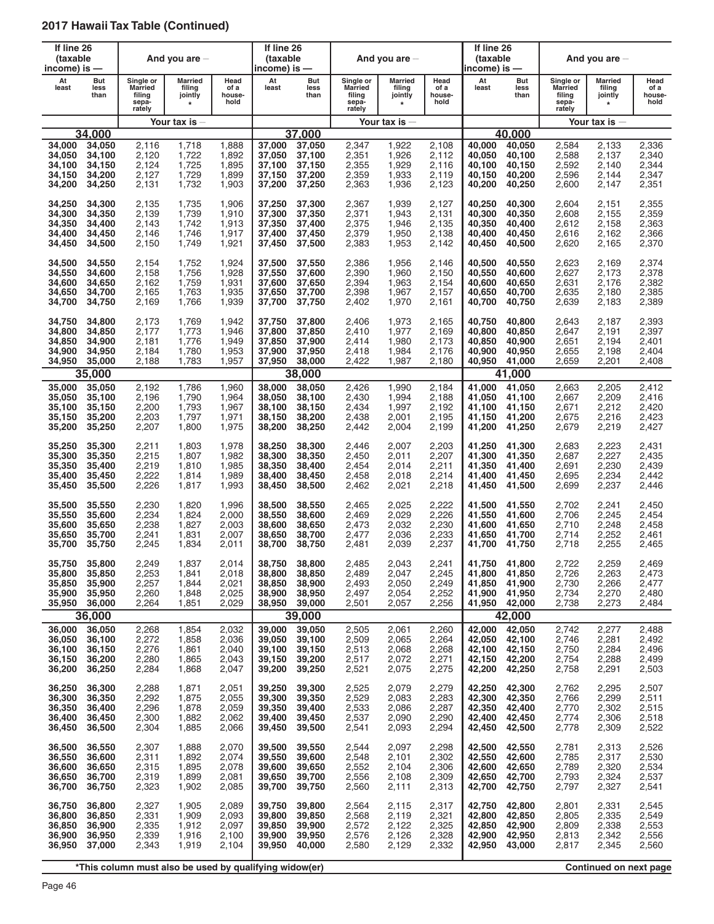| If line 26<br>(taxable<br>income) is $-$       |                                                |                                                          | And you are $-$                           |                                           | If line 26<br>(taxable<br>income) is —         |                                                |                                                          | And you are $-$                           |                                           | If line 26<br>(taxable<br>income) is — |                                                       |                                                          | And you are $-$                                |                                           |
|------------------------------------------------|------------------------------------------------|----------------------------------------------------------|-------------------------------------------|-------------------------------------------|------------------------------------------------|------------------------------------------------|----------------------------------------------------------|-------------------------------------------|-------------------------------------------|----------------------------------------|-------------------------------------------------------|----------------------------------------------------------|------------------------------------------------|-------------------------------------------|
| At<br>least                                    | But<br>less<br>than                            | Single or<br><b>Married</b><br>filing<br>sepa-<br>rately | Married<br>filing<br>jointly<br>$\star$   | Head<br>of a<br>house-<br>hold            | At<br>least                                    | But<br>less<br>than                            | Single or<br><b>Married</b><br>filing<br>sepa-<br>rately | Married<br>filing<br>jointly<br>$\star$   | Head<br>of a<br>house-<br>hold            | At<br>least                            | But<br>less<br>than                                   | Single or<br><b>Married</b><br>filing<br>sepa-<br>rately | <b>Married</b><br>filing<br>jointly<br>$\star$ | Head<br>of a<br>house-<br>hold            |
|                                                |                                                |                                                          | Your tax is                               |                                           |                                                |                                                |                                                          | Your tax is $-$                           |                                           |                                        |                                                       |                                                          | Your tax is $-$                                |                                           |
|                                                | 34.000                                         |                                                          |                                           |                                           |                                                | 37.000                                         |                                                          |                                           |                                           |                                        | 40,000                                                |                                                          |                                                |                                           |
| 34,000                                         | 34,050                                         | 2,116                                                    | 1,718                                     | 1,888                                     | 37,000                                         | 37,050                                         | 2,347                                                    | 1,922                                     | 2,108                                     | 40.000                                 | 40,050                                                | 2,584                                                    | 2,133                                          | 2,336                                     |
| 34,050                                         | 34,100                                         | 2,120                                                    | 1,722                                     | 1,892                                     | 37,050                                         | 37,100                                         | 2,351                                                    | 1,926                                     | 2,112                                     | 40,050                                 | 40,100                                                | 2,588                                                    | 2,137                                          | 2,340                                     |
| 34,100                                         | 34,150                                         | 2,124                                                    | 1,725                                     | 1,895                                     | 37,100                                         | 37,150                                         | 2,355                                                    | 1,929                                     | 2,116                                     | 40.100                                 | 40,150                                                | 2,592                                                    | 2,140                                          | 2,344                                     |
| 34,150                                         | 34,200                                         | 2,127                                                    | 1,729                                     | 1,899                                     | 37,150                                         | 37,200                                         | 2,359                                                    | 1,933                                     | 2,119                                     | 40,150                                 | 40,200                                                | 2,596                                                    | 2,144                                          | 2,347                                     |
| 34,200                                         | 34,250                                         | 2,131                                                    | 1,732                                     | 1,903                                     | 37,200                                         | 37,250                                         | 2,363                                                    | 1,936                                     | 2,123                                     | 40,200                                 | 40,250                                                | 2,600                                                    | 2,147                                          | 2,351                                     |
| 34,250                                         | 34,300                                         | 2,135                                                    | 1,735                                     | 1,906                                     | 37,250                                         | 37,300                                         | 2,367                                                    | 1,939                                     | 2,127                                     | 40,250                                 | 40,300                                                | 2,604                                                    | 2,151                                          | 2,355                                     |
| 34,300                                         | 34,350                                         | 2,139                                                    | 1,739                                     | 1,910                                     | 37,300                                         | 37,350                                         | 2,371                                                    | 1,943                                     | 2,131                                     | 40,300                                 | 40,350                                                | 2,608                                                    | 2,155                                          | 2,359                                     |
| 34,350                                         | 34,400                                         | 2,143                                                    | 1,742                                     | 1,913                                     | 37,350                                         | 37,400                                         | 2,375                                                    | 1,946                                     | 2,135                                     | 40,350                                 | 40,400                                                | 2,612                                                    | 2,158                                          | 2,363                                     |
| 34,400                                         | 34,450                                         | 2,146                                                    | 1,746                                     | 1,917                                     | 37,400                                         | 37,450                                         | 2,379                                                    | 1,950                                     | 2,138                                     | 40,400                                 | 40,450                                                | 2,616                                                    | 2,162                                          | 2,366                                     |
| 34,450                                         | 34,500                                         | 2,150                                                    | 1,749                                     | 1,921                                     | 37,450                                         | 37,500                                         | 2,383                                                    | 1,953                                     | 2,142                                     | 40,450                                 | 40,500                                                | 2,620                                                    | 2,165                                          | 2,370                                     |
| 34,500                                         | 34,550                                         | 2,154                                                    | 1,752                                     | 1,924                                     | 37,500                                         | 37,550                                         | 2,386                                                    | 1,956                                     | 2,146                                     | 40,500                                 | 40,550                                                | 2,623                                                    | 2,169                                          | 2,374                                     |
| 34.550                                         | 34,600                                         | 2.158                                                    | 1,756                                     | 1,928                                     | 37,550                                         | 37.600                                         | 2,390                                                    | 1,960                                     | 2,150                                     | 40,550                                 | 40,600                                                | 2,627                                                    | 2,173                                          | 2,378                                     |
| 34,600                                         | 34,650                                         | 2.162                                                    | 1,759                                     | 1,931                                     | 37,600                                         | 37,650                                         | 2,394                                                    | 1,963                                     | 2,154                                     | 40,600                                 | 40,650                                                | 2,631                                                    | 2,176                                          | 2,382                                     |
| 34,650                                         | 34,700                                         | 2,165                                                    | 1,763                                     | 1,935                                     | 37.650                                         | 37,700                                         | 2,398                                                    | 1,967                                     | 2,157                                     | 40.650                                 | 40.700                                                | 2,635                                                    | 2,180                                          | 2,385                                     |
| 34,700                                         | 34,750                                         | 2,169                                                    | 1,766                                     | 1,939                                     | 37,700                                         | 37,750                                         | 2,402                                                    | 1,970                                     | 2,161                                     | 40,700                                 | 40,750                                                | 2,639                                                    | 2,183                                          | 2,389                                     |
| 34.750                                         | 34,800                                         | 2.173                                                    | 1,769                                     | 1,942                                     | 37.750                                         | 37,800                                         | 2,406                                                    | 1,973                                     | 2,165                                     | 40,750                                 | 40,800                                                | 2,643                                                    | 2,187                                          | 2,393                                     |
| 34,800                                         | 34,850                                         | 2,177                                                    | 1,773                                     | 1,946                                     | 37,800                                         | 37,850                                         | 2,410                                                    | 1,977                                     | 2,169                                     | 40,800                                 | 40,850                                                | 2,647                                                    | 2,191                                          | 2,397                                     |
| 34,850                                         | 34,900                                         | 2,181                                                    | 1,776                                     | 1,949                                     | 37,850                                         | 37.900                                         | 2,414                                                    | 1,980                                     | 2,173                                     | 40,850                                 | 40,900                                                | 2,651                                                    | 2,194                                          | 2,401                                     |
| 34,900                                         | 34,950                                         | 2,184                                                    | 1,780                                     | 1,953                                     | 37,900                                         | 37,950                                         | 2,418                                                    | 1,984                                     | 2,176                                     | 40,900                                 | 40,950                                                | 2,655                                                    | 2,198                                          | 2,404                                     |
| 34,950                                         | 35,000                                         | 2,188                                                    | 1,783                                     | 1,957                                     | 37,950                                         | 38,000                                         | 2,422                                                    | 1,987                                     | 2,180                                     | 40,950                                 | 41,000                                                | 2,659                                                    | 2,201                                          | 2,408                                     |
|                                                | 35,000                                         |                                                          |                                           |                                           |                                                | 38,000                                         |                                                          |                                           |                                           |                                        | 41,000                                                |                                                          |                                                |                                           |
| 35,000                                         | 35,050                                         | 2,192                                                    | 1,786                                     | 1,960                                     | 38,000                                         | 38,050                                         | 2,426                                                    | 1,990                                     | 2,184                                     | 41,000                                 | 41,050                                                | 2,663                                                    | 2,205                                          | 2,412                                     |
| 35,050                                         | 35,100                                         | 2,196                                                    | 1,790                                     | 1,964                                     | 38,050                                         | 38,100                                         | 2,430                                                    | 1,994                                     | 2,188                                     | 41.050                                 | 41,100                                                | 2,667                                                    | 2,209                                          | 2,416                                     |
| 35,100                                         | 35,150                                         | 2,200                                                    | 1,793                                     | 1,967                                     | 38,100                                         | 38,150                                         | 2,434                                                    | 1,997                                     | 2,192                                     | 41,100                                 | 41,150                                                | 2,671                                                    | 2,212                                          | 2,420                                     |
| 35,150                                         | 35,200                                         | 2,203                                                    | 1,797                                     | 1,971                                     | 38,150                                         | 38,200                                         | 2,438                                                    | 2,001                                     | 2,195                                     | 41,150                                 | 41,200                                                | 2,675                                                    | 2,216                                          | 2,423                                     |
| 35,200                                         | 35,250                                         | 2,207                                                    | 1,800                                     | 1,975                                     | 38,200                                         | 38,250                                         | 2,442                                                    | 2,004                                     | 2,199                                     | 41,200                                 | 41,250                                                | 2,679                                                    | 2,219                                          | 2,427                                     |
| 35,250                                         | 35,300                                         | 2,211                                                    | 1,803                                     | 1,978                                     | 38,250                                         | 38,300                                         | 2,446                                                    | 2,007                                     | 2,203                                     | 41,250                                 | 41,300                                                | 2,683                                                    | 2,223                                          | 2,431                                     |
| 35,300                                         | 35,350                                         | 2,215                                                    | 1,807                                     | 1,982                                     | 38,300                                         | 38,350                                         | 2,450                                                    | 2,011                                     | 2,207                                     | 41,300                                 | 41,350                                                | 2,687                                                    | 2,227                                          | 2,435                                     |
| 35,350                                         | 35,400                                         | 2,219                                                    | 1,810                                     | 1,985                                     | 38,350                                         | 38,400                                         | 2,454                                                    | 2,014                                     | 2,211                                     | 41,350                                 | 41,400                                                | 2,691                                                    | 2,230                                          | 2,439                                     |
| 35,400                                         | 35,450                                         | 2,222                                                    | 1,814                                     | 1,989                                     | 38,400                                         | 38,450                                         | 2,458                                                    | 2,018                                     | 2,214                                     | 41,400                                 | 41,450                                                | 2,695                                                    | 2,234                                          | 2,442                                     |
| 35,450                                         | 35,500                                         | 2,226                                                    | 1,817                                     | 1,993                                     | 38,450                                         | 38,500                                         | 2,462                                                    | 2,021                                     | 2,218                                     | 41,450                                 | 41,500                                                | 2,699                                                    | 2,237                                          | 2,446                                     |
| 35,500                                         | 35,550                                         | 2,230                                                    | 1,820                                     | 1,996                                     | 38,500                                         | 38,550                                         | 2,465                                                    | 2,025                                     | 2,222                                     | 41,500                                 | 41,550                                                | 2.702                                                    | 2,241                                          | 2,450                                     |
| 35,550                                         | 35,600                                         | 2,234                                                    | 1,824                                     | 2,000                                     | 38,550                                         | 38,600                                         | 2,469                                                    | 2,029                                     | 2,226                                     | 41.550                                 | 41,600                                                | 2,706                                                    | 2,245                                          | 2,454                                     |
| 35,600                                         | 35,650                                         | 2,238                                                    | 1,827                                     | 2,003                                     | 38,600                                         | 38,650                                         | 2,473                                                    | 2,032                                     | 2,230                                     | 41,600                                 | 41,650                                                | 2,710                                                    | 2,248                                          | 2,458                                     |
| 35,650                                         | 35,700                                         | 2,241                                                    | 1,831                                     | 2,007                                     | 38,650                                         | 38,700                                         | 2,477                                                    | 2,036                                     | 2,233                                     | 41,650                                 | 41,700                                                | 2,714                                                    | 2,252                                          | 2,461                                     |
| 35.700                                         | 35,750                                         | 2,245                                                    | 1,834                                     | 2,011                                     | 38,700                                         | 38,750                                         | 2,481                                                    | 2,039                                     | 2,237                                     | 41,700                                 | 41,750                                                | 2,718                                                    | 2,255                                          | 2,465                                     |
| 35,750<br>35,800<br>35,850<br>35,900<br>35,950 | 35,800<br>35,850<br>35,900<br>35,950<br>36,000 | 2,249<br>2,253<br>2,257<br>2,260<br>2,264                | 1,837<br>1,841<br>1,844<br>1,848<br>1,851 | 2,014<br>2,018<br>2,021<br>2,025<br>2,029 | 38,750<br>38,800<br>38,850<br>38,900<br>38,950 | 38,800<br>38,850<br>38,900<br>38,950<br>39,000 | 2,485<br>2,489<br>2,493<br>2,497<br>2,501                | 2,043<br>2,047<br>2,050<br>2,054<br>2,057 | 2,241<br>2,245<br>2,249<br>2,252<br>2,256 | 41,800<br>41,850<br>41,900<br>41,950   | 41,750 41,800<br>41,850<br>41,900<br>41,950<br>42,000 | 2,722<br>2,726<br>2,730<br>2,734<br>2,738                | 2,259<br>2,263<br>2,266<br>2,270<br>2,273      | 2,469<br>2,473<br>2,477<br>2,480<br>2,484 |
|                                                | 36,000                                         |                                                          |                                           |                                           |                                                | 39,000                                         |                                                          |                                           |                                           |                                        | 42,000                                                |                                                          |                                                |                                           |
| 36,000                                         | 36,050                                         | 2,268                                                    | 1,854                                     | 2,032                                     | 39,000                                         | 39,050                                         | 2,505                                                    | 2,061                                     | 2,260                                     | 42,000                                 | 42,050                                                | 2,742                                                    | 2,277                                          | 2,488                                     |
| 36,050                                         | 36,100                                         | 2,272                                                    | 1,858                                     | 2,036                                     | 39,050                                         | 39,100                                         | 2,509                                                    | 2,065                                     | 2,264                                     | 42,050                                 | 42,100                                                | 2,746                                                    | 2,281                                          | 2,492                                     |
| 36,100                                         | 36,150                                         | 2,276                                                    | 1,861                                     | 2,040                                     | 39,100                                         | 39,150                                         | 2,513                                                    | 2,068                                     | 2,268                                     | 42,100                                 | 42.150                                                | 2,750                                                    | 2,284                                          | 2,496                                     |
| 36,150                                         | 36,200                                         | 2,280                                                    | 1,865                                     | 2,043                                     | 39,150                                         | 39,200                                         | 2,517                                                    | 2,072                                     | 2,271                                     | 42,150                                 | 42,200                                                | 2,754                                                    | 2,288                                          | 2,499                                     |
| 36,200                                         | 36,250                                         | 2,284                                                    | 1,868                                     | 2,047                                     | 39,200                                         | 39,250                                         | 2,521                                                    | 2,075                                     | 2,275                                     | 42,200                                 | 42,250                                                | 2,758                                                    | 2,291                                          | 2,503                                     |
| 36,250                                         | 36,300                                         | 2,288                                                    | 1,871                                     | 2,051                                     | 39,250                                         | 39,300                                         | 2,525                                                    | 2,079                                     | 2,279                                     | 42,250                                 | 42,300                                                | 2,762                                                    | 2,295                                          | 2,507                                     |
| 36,300                                         | 36,350                                         | 2,292                                                    | 1,875                                     | 2,055                                     | 39,300                                         | 39,350                                         | 2,529                                                    | 2,083                                     | 2,283                                     | 42.300                                 | 42,350                                                | 2,766                                                    | 2,299                                          | 2,511                                     |
| 36,350                                         | 36,400                                         | 2,296                                                    | 1,878                                     | 2,059                                     | 39,350                                         | 39,400                                         | 2,533                                                    | 2,086                                     | 2,287                                     | 42,350                                 | 42,400                                                | 2,770                                                    | 2,302                                          | 2,515                                     |
| 36,400                                         | 36,450                                         | 2,300                                                    | 1,882                                     | 2,062                                     | 39,400                                         | 39,450                                         | 2,537                                                    | 2,090                                     | 2,290                                     | 42,400                                 | 42,450                                                | 2,774                                                    | 2,306                                          | 2,518                                     |
| 36,450                                         | 36,500                                         | 2,304                                                    | 1,885                                     | 2,066                                     | 39,450                                         | 39,500                                         | 2,541                                                    | 2,093                                     | 2,294                                     | 42,450                                 | 42,500                                                | 2,778                                                    | 2,309                                          | 2,522                                     |
| 36,500                                         | 36,550                                         | 2,307                                                    | 1,888                                     | 2,070                                     | 39,500                                         | 39,550                                         | 2,544                                                    | 2,097                                     | 2,298                                     | 42,500                                 | 42,550                                                | 2,781                                                    | 2,313                                          | 2,526                                     |
| 36,550                                         | 36,600                                         | 2,311                                                    | 1,892                                     | 2,074                                     | 39,550                                         | 39,600                                         | 2,548                                                    | 2,101                                     | 2,302                                     | 42,550                                 | 42,600                                                | 2,785                                                    | 2,317                                          | 2,530                                     |
| 36,600                                         | 36,650                                         | 2,315                                                    | 1,895                                     | 2,078                                     | 39,600                                         | 39,650                                         | 2,552                                                    | 2,104                                     | 2,306                                     | 42,600                                 | 42,650                                                | 2,789                                                    | 2,320                                          | 2,534                                     |
| 36,650                                         | 36,700                                         | 2,319                                                    | 1,899                                     | 2,081                                     | 39,650                                         | 39,700                                         | 2,556                                                    | 2,108                                     | 2,309                                     | 42,650                                 | 42,700                                                | 2,793                                                    | 2,324                                          | 2,537                                     |
| 36,700                                         | 36,750                                         | 2,323                                                    | 1,902                                     | 2,085                                     | 39,700                                         | 39,750                                         | 2,560                                                    | 2,111                                     | 2,313                                     | 42,700                                 | 42,750                                                | 2,797                                                    | 2,327                                          | 2,541                                     |
| 36,750                                         | 36,800                                         | 2,327                                                    | 1,905                                     | 2,089                                     | 39,750                                         | 39,800                                         | 2,564                                                    | 2,115                                     | 2,317                                     | 42,750                                 | 42,800                                                | 2,801                                                    | 2,331                                          | 2,545                                     |
| 36,800                                         | 36,850                                         | 2,331                                                    | 1,909                                     | 2,093                                     | 39,800                                         | 39,850                                         | 2,568                                                    | 2,119                                     | 2,321                                     | 42,800                                 | 42,850                                                | 2,805                                                    | 2,335                                          | 2,549                                     |
| 36,850                                         | 36,900                                         | 2,335                                                    | 1,912                                     | 2,097                                     | 39,850                                         | 39,900                                         | 2,572                                                    | 2,122                                     | 2,325                                     | 42,850                                 | 42,900                                                | 2,809                                                    | 2,338                                          | 2,553                                     |
| 36,900                                         | 36,950                                         | 2,339                                                    | 1,916                                     | 2,100                                     | 39,900                                         | 39,950                                         | 2,576                                                    | 2,126                                     | 2,328                                     | 42,900                                 | 42,950                                                | 2,813                                                    | 2,342                                          | 2,556                                     |
| 36,950                                         | 37,000                                         | 2,343                                                    | 1,919                                     | 2,104                                     | 39,950                                         | 40,000                                         | 2,580                                                    | 2,129                                     | 2,332                                     | 42,950                                 | 43,000                                                | 2,817                                                    | 2,345                                          | 2,560                                     |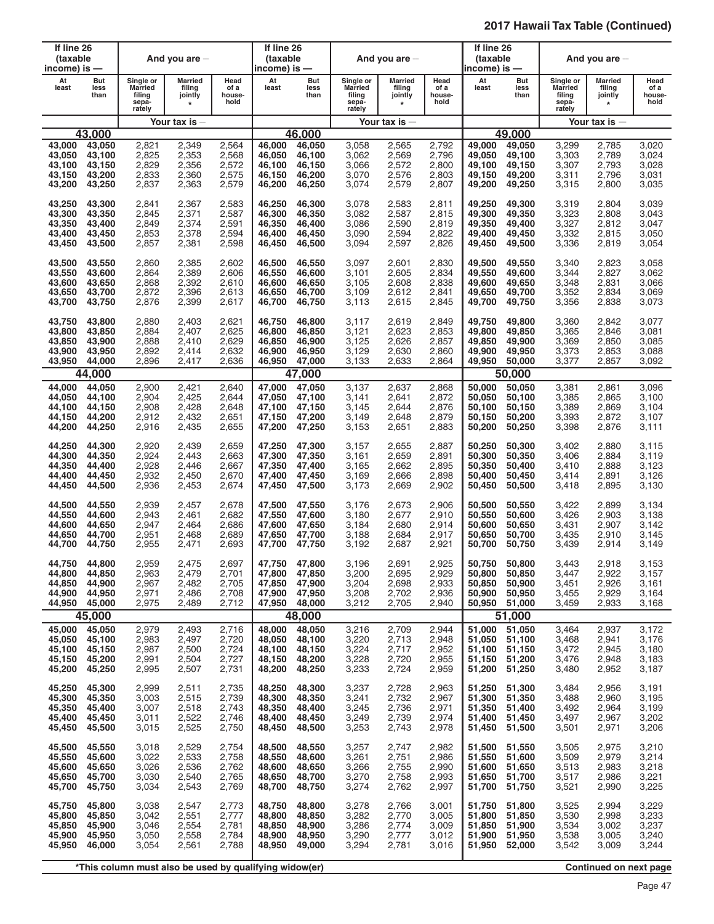| If line 26<br>(taxable<br>income) is $-$       |                                                          |                                                          | And you are $-$                                |                                           | If line 26<br>(taxable<br>income) is —         |                                                          |                                                          | And you are $-$                                |                                           | If line 26<br>(taxable<br>income) is —         |                                                          |                                                          | And you are $-$                                |                                           |
|------------------------------------------------|----------------------------------------------------------|----------------------------------------------------------|------------------------------------------------|-------------------------------------------|------------------------------------------------|----------------------------------------------------------|----------------------------------------------------------|------------------------------------------------|-------------------------------------------|------------------------------------------------|----------------------------------------------------------|----------------------------------------------------------|------------------------------------------------|-------------------------------------------|
| At<br>least                                    | But<br>less<br>than                                      | Single or<br><b>Married</b><br>filing<br>sepa-<br>rately | <b>Married</b><br>filing<br>jointly<br>$\star$ | Head<br>of a<br>house-<br>hold            | At<br>least                                    | But<br>less<br>than                                      | Single or<br><b>Married</b><br>filing<br>sepa-<br>rately | <b>Married</b><br>filing<br>jointly<br>$\star$ | Head<br>of a<br>house-<br>hold            | At<br>least                                    | But<br>less<br>than                                      | Single or<br><b>Married</b><br>filing<br>sepa-<br>rately | <b>Married</b><br>filing<br>jointly<br>$\star$ | Head<br>of a<br>house-<br>hold            |
|                                                |                                                          |                                                          | Your tax is                                    |                                           |                                                |                                                          |                                                          | Your tax is $-$                                |                                           |                                                |                                                          |                                                          | Your tax is $-$                                |                                           |
|                                                | 43.000                                                   |                                                          |                                                |                                           |                                                | 46.000                                                   |                                                          |                                                |                                           |                                                | 49.000                                                   |                                                          |                                                |                                           |
| 43,000                                         | 43,050                                                   | 2,821                                                    | 2,349                                          | 2,564                                     | 46,000                                         | 46,050                                                   | 3,058                                                    | 2,565                                          | 2,792                                     | 49,000                                         | 49,050                                                   | 3,299                                                    | 2,785                                          | 3,020                                     |
| 43,050                                         | 43,100                                                   | 2,825                                                    | 2,353                                          | 2,568                                     | 46,050                                         | 46,100                                                   | 3,062                                                    | 2,569                                          | 2,796                                     | 49,050                                         | 49,100                                                   | 3,303                                                    | 2,789                                          | 3,024                                     |
| 43,100                                         | 43,150                                                   | 2,829                                                    | 2,356                                          | 2,572                                     | 46,100                                         | 46,150                                                   | 3,066                                                    | 2,572                                          | 2,800                                     | 49.100                                         | 49,150                                                   | 3,307                                                    | 2,793                                          | 3,028                                     |
| 43,150                                         | 43.200                                                   | 2,833                                                    | 2,360                                          | 2,575                                     | 46.150                                         | 46,200                                                   | 3,070                                                    | 2,576                                          | 2,803                                     | 49.150                                         | 49,200                                                   | 3,311                                                    | 2,796                                          | 3,031                                     |
| 43,200                                         | 43,250                                                   | 2,837                                                    | 2,363                                          | 2,579                                     | 46,200                                         | 46,250                                                   | 3,074                                                    | 2,579                                          | 2,807                                     | 49,200                                         | 49,250                                                   | 3,315                                                    | 2,800                                          | 3,035                                     |
| 43,250                                         | 43,300                                                   | 2,841                                                    | 2,367                                          | 2,583                                     | 46,250                                         | 46,300                                                   | 3,078                                                    | 2,583                                          | 2,811                                     | 49,250                                         | 49,300                                                   | 3,319                                                    | 2,804                                          | 3,039                                     |
| 43,300                                         | 43,350                                                   | 2,845                                                    | 2,371                                          | 2,587                                     | 46,300                                         | 46,350                                                   | 3,082                                                    | 2,587                                          | 2,815                                     | 49,300                                         | 49,350                                                   | 3,323                                                    | 2,808                                          | 3,043                                     |
| 43,350                                         | 43,400                                                   | 2,849                                                    | 2,374                                          | 2,591                                     | 46,350                                         | 46,400                                                   | 3,086                                                    | 2,590                                          | 2,819                                     | 49,350                                         | 49,400                                                   | 3,327                                                    | 2,812                                          | 3,047                                     |
| 43,400                                         | 43,450                                                   | 2,853                                                    | 2,378                                          | 2,594                                     | 46,400                                         | 46,450                                                   | 3,090                                                    | 2,594                                          | 2,822                                     | 49,400                                         | 49,450                                                   | 3,332                                                    | 2,815                                          | 3,050                                     |
| 43,450                                         | 43,500                                                   | 2,857                                                    | 2,381                                          | 2,598                                     | 46,450                                         | 46,500                                                   | 3,094                                                    | 2,597                                          | 2,826                                     | 49,450                                         | 49,500                                                   | 3,336                                                    | 2,819                                          | 3,054                                     |
| 43,500                                         | 43,550                                                   | 2,860                                                    | 2,385                                          | 2,602                                     | 46,500                                         | 46,550                                                   | 3,097                                                    | 2,601                                          | 2,830                                     | 49,500                                         | 49,550                                                   | 3,340                                                    | 2,823                                          | 3,058                                     |
| 43,550                                         | 43,600                                                   | 2,864                                                    | 2,389                                          | 2,606                                     | 46,550                                         | 46,600                                                   | 3,101                                                    | 2,605                                          | 2,834                                     | 49,550                                         | 49,600                                                   | 3,344                                                    | 2,827                                          | 3,062                                     |
| 43,600                                         | 43,650                                                   | 2,868                                                    | 2,392                                          | 2,610                                     | 46,600                                         | 46,650                                                   | 3,105                                                    | 2,608                                          | 2,838                                     | 49,600                                         | 49,650                                                   | 3,348                                                    | 2,831                                          | 3,066                                     |
| 43,650                                         | 43,700                                                   | 2,872                                                    | 2,396                                          | 2,613                                     | 46,650                                         | 46,700                                                   | 3,109                                                    | 2,612                                          | 2,841                                     | 49,650                                         | 49,700                                                   | 3,352                                                    | 2,834                                          | 3,069                                     |
| 43,700                                         | 43,750                                                   | 2,876                                                    | 2,399                                          | 2,617                                     | 46,700                                         | 46,750                                                   | 3,113                                                    | 2,615                                          | 2,845                                     | 49,700                                         | 49,750                                                   | 3,356                                                    | 2,838                                          | 3,073                                     |
| 43.750                                         | 43,800                                                   | 2,880                                                    | 2,403                                          | 2,621                                     | 46,750                                         | 46,800                                                   | 3.117                                                    | 2,619                                          | 2,849                                     | 49,750                                         | 49,800                                                   | 3,360                                                    | 2,842                                          | 3,077                                     |
| 43.800                                         | 43,850                                                   | 2,884                                                    | 2,407                                          | 2,625                                     | 46,800                                         | 46,850                                                   | 3,121                                                    | 2,623                                          | 2,853                                     | 49,800                                         | 49,850                                                   | 3,365                                                    | 2,846                                          | 3,081                                     |
| 43,850                                         | 43,900                                                   | 2,888                                                    | 2,410                                          | 2,629                                     | 46,850                                         | 46,900                                                   | 3,125                                                    | 2,626                                          | 2,857                                     | 49,850                                         | 49,900                                                   | 3,369                                                    | 2,850                                          | 3,085                                     |
| 43,900                                         | 43,950                                                   | 2,892                                                    | 2,414                                          | 2,632                                     | 46,900                                         | 46,950                                                   | 3,129                                                    | 2,630                                          | 2,860                                     | 49,900                                         | 49,950                                                   | 3,373                                                    | 2,853                                          | 3,088                                     |
| 43,950                                         | 44,000                                                   | 2,896                                                    | 2,417                                          | 2,636                                     | 46,950                                         | 47,000                                                   | 3,133                                                    | 2,633                                          | 2,864                                     | 49,950                                         | 50,000                                                   | 3,377                                                    | 2,857                                          | 3,092                                     |
|                                                | 44,000                                                   |                                                          |                                                |                                           |                                                | 47,000                                                   |                                                          |                                                |                                           |                                                | 50,000                                                   |                                                          |                                                |                                           |
| 44,000                                         | 44,050                                                   | 2,900                                                    | 2,421                                          | 2,640                                     | 47,000                                         | 47,050                                                   | 3,137                                                    | 2,637                                          | 2,868                                     | 50,000                                         | 50,050                                                   | 3,381                                                    | 2,861                                          | 3,096                                     |
| 44,050                                         | 44,100                                                   | 2,904                                                    | 2,425                                          | 2,644                                     | 47,050                                         | 47,100                                                   | 3,141                                                    | 2,641                                          | 2,872                                     | 50,050                                         | 50,100                                                   | 3,385                                                    | 2,865                                          | 3,100                                     |
| 44,100                                         | 44,150                                                   | 2,908                                                    | 2,428                                          | 2,648                                     | 47,100                                         | 47,150                                                   | 3,145                                                    | 2,644                                          | 2,876                                     | 50,100                                         | 50,150                                                   | 3,389                                                    | 2,869                                          | 3.104                                     |
| 44,150                                         | 44,200                                                   | 2,912                                                    | 2,432                                          | 2,651                                     | 47,150                                         | 47,200                                                   | 3,149                                                    | 2,648                                          | 2,879                                     | 50,150                                         | 50,200                                                   | 3,393                                                    | 2,872                                          | 3,107                                     |
| 44,200                                         | 44,250                                                   | 2,916                                                    | 2,435                                          | 2,655                                     | 47,200                                         | 47,250                                                   | 3,153                                                    | 2,651                                          | 2,883                                     | 50,200                                         | 50,250                                                   | 3,398                                                    | 2,876                                          | 3,111                                     |
| 44,250                                         | 44,300                                                   | 2,920                                                    | 2,439                                          | 2,659                                     | 47,250                                         | 47,300                                                   | 3,157                                                    | 2,655                                          | 2,887                                     | 50,250                                         | 50,300                                                   | 3,402                                                    | 2,880                                          | 3,115                                     |
| 44,300                                         | 44,350                                                   | 2,924                                                    | 2,443                                          | 2,663                                     | 47,300                                         | 47,350                                                   | 3,161                                                    | 2,659                                          | 2,891                                     | 50,300                                         | 50,350                                                   | 3,406                                                    | 2,884                                          | 3,119                                     |
| 44,350                                         | 44,400                                                   | 2,928                                                    | 2,446                                          | 2,667                                     | 47,350                                         | 47,400                                                   | 3,165                                                    | 2,662                                          | 2,895                                     | 50,350                                         | 50,400                                                   | 3,410                                                    | 2,888                                          | 3,123                                     |
| 44,400                                         | 44,450                                                   | 2,932                                                    | 2,450                                          | 2,670                                     | 47,400                                         | 47,450                                                   | 3,169                                                    | 2,666                                          | 2,898                                     | 50,400                                         | 50,450                                                   | 3,414                                                    | 2,891                                          | 3,126                                     |
| 44,450                                         | 44,500                                                   | 2,936                                                    | 2,453                                          | 2,674                                     | 47,450                                         | 47,500                                                   | 3,173                                                    | 2,669                                          | 2,902                                     | 50,450                                         | 50,500                                                   | 3,418                                                    | 2,895                                          | 3,130                                     |
| 44,500                                         | 44,550                                                   | 2,939                                                    | 2,457                                          | 2,678                                     | 47,500                                         | 47,550                                                   | 3,176                                                    | 2,673                                          | 2,906                                     | 50,500                                         | 50,550                                                   | 3,422                                                    | 2,899                                          | 3,134                                     |
| 44,550                                         | 44,600                                                   | 2,943                                                    | 2,461                                          | 2,682                                     | 47,550                                         | 47,600                                                   | 3,180                                                    | 2,677                                          | 2,910                                     | 50,550                                         | 50,600                                                   | 3,426                                                    | 2,903                                          | 3.138                                     |
| 44,600                                         | 44,650                                                   | 2,947                                                    | 2,464                                          | 2,686                                     | 47,600                                         | 47.650                                                   | 3,184                                                    | 2,680                                          | 2,914                                     | 50,600                                         | 50,650                                                   | 3,431                                                    | 2,907                                          | 3,142                                     |
| 44,650                                         | 44,700                                                   | 2,951                                                    | 2,468                                          | 2,689                                     | 47,650                                         | 47,700                                                   | 3,188                                                    | 2,684                                          | 2,917                                     | 50,650                                         | 50,700                                                   | 3,435                                                    | 2,910                                          | 3.145                                     |
| 44,700                                         | 44,750                                                   | 2,955                                                    | 2,471                                          | 2,693                                     | 47,700                                         | 47,750                                                   | 3,192                                                    | 2,687                                          | 2,921                                     | 50.700                                         | 50,750                                                   | 3,439                                                    | 2,914                                          | 3.149                                     |
| 44,750<br>44,800<br>44.850<br>44,900<br>44,950 | 44,800<br>44,850<br>44,900<br>44,950<br>45,000<br>45,000 | 2,959<br>2,963<br>2,967<br>2,971<br>2,975                | 2,475<br>2,479<br>2,482<br>2,486<br>2,489      | 2,697<br>2,701<br>2,705<br>2,708<br>2,712 | 47,750<br>47,800<br>47,850<br>47,900<br>47,950 | 47,800<br>47,850<br>47,900<br>47,950<br>48,000<br>48,000 | 3,196<br>3,200<br>3,204<br>3,208<br>3,212                | 2,691<br>2,695<br>2,698<br>2,702<br>2,705      | 2,925<br>2,929<br>2,933<br>2,936<br>2,940 | 50,750<br>50,800<br>50,850<br>50,900<br>50,950 | 50,800<br>50,850<br>50,900<br>50,950<br>51,000<br>51,000 | 3,443<br>3,447<br>3,451<br>3,455<br>3,459                | 2,918<br>2,922<br>2,926<br>2,929<br>2,933      | 3,153<br>3,157<br>3,161<br>3,164<br>3,168 |
| 45,000                                         | 45,050                                                   | 2,979                                                    | 2,493                                          | 2,716                                     | 48,000                                         | 48,050                                                   | 3,216                                                    | 2,709                                          | 2,944                                     | 51,000                                         | 51,050                                                   | 3,464                                                    | 2,937                                          | 3,172                                     |
| 45,050                                         | 45,100                                                   | 2,983                                                    | 2,497                                          | 2,720                                     | 48,050                                         | 48,100                                                   | 3,220                                                    | 2,713                                          | 2,948                                     | 51,050                                         | 51,100                                                   | 3,468                                                    | 2,941                                          | 3,176                                     |
| 45,100                                         | 45,150                                                   | 2,987                                                    | 2,500                                          | 2,724                                     | 48,100                                         | 48.150                                                   | 3,224                                                    | 2,717                                          | 2,952                                     | 51,100                                         | 51,150                                                   | 3,472                                                    | 2,945                                          | 3,180                                     |
| 45,150                                         | 45,200                                                   | 2,991                                                    | 2,504                                          | 2,727                                     | 48,150                                         | 48,200                                                   | 3,228                                                    | 2,720                                          | 2,955                                     | 51,150                                         | 51,200                                                   | 3,476                                                    | 2,948                                          | 3,183                                     |
| 45,200                                         | 45,250                                                   | 2,995                                                    | 2,507                                          | 2,731                                     | 48,200                                         | 48,250                                                   | 3,233                                                    | 2,724                                          | 2,959                                     | 51,200                                         | 51,250                                                   | 3,480                                                    | 2,952                                          | 3,187                                     |
| 45,250                                         | 45,300                                                   | 2,999                                                    | 2,511                                          | 2,735                                     | 48,250                                         | 48,300                                                   | 3,237                                                    | 2,728                                          | 2,963                                     | 51,250                                         | 51,300                                                   | 3,484                                                    | 2,956                                          | 3,191                                     |
| 45,300                                         | 45,350                                                   | 3,003                                                    | 2,515                                          | 2,739                                     | 48,300                                         | 48,350                                                   | 3,241                                                    | 2,732                                          | 2,967                                     | 51,300                                         | 51,350                                                   | 3,488                                                    | 2,960                                          | 3,195                                     |
| 45,350                                         | 45,400                                                   | 3,007                                                    | 2,518                                          | 2,743                                     | 48,350                                         | 48,400                                                   | 3,245                                                    | 2,736                                          | 2,971                                     | 51,350                                         | 51,400                                                   | 3,492                                                    | 2,964                                          | 3,199                                     |
| 45,400                                         | 45,450                                                   | 3,011                                                    | 2,522                                          | 2,746                                     | 48,400                                         | 48,450                                                   | 3,249                                                    | 2,739                                          | 2,974                                     | 51,400                                         | 51,450                                                   | 3,497                                                    | 2,967                                          | 3,202                                     |
| 45,450                                         | 45,500                                                   | 3,015                                                    | 2,525                                          | 2,750                                     | 48,450                                         | 48,500                                                   | 3,253                                                    | 2,743                                          | 2,978                                     | 51,450                                         | 51,500                                                   | 3,501                                                    | 2,971                                          | 3,206                                     |
| 45,500                                         | 45,550                                                   | 3,018                                                    | 2,529                                          | 2,754                                     | 48,500                                         | 48,550                                                   | 3,257                                                    | 2,747                                          | 2,982                                     | 51,500                                         | 51,550                                                   | 3,505                                                    | 2,975                                          | 3,210                                     |
| 45,550                                         | 45,600                                                   | 3,022                                                    | 2,533                                          | 2,758                                     | 48,550                                         | 48,600                                                   | 3,261                                                    | 2,751                                          | 2,986                                     | 51,550                                         | 51,600                                                   | 3,509                                                    | 2,979                                          | 3,214                                     |
| 45,600                                         | 45,650                                                   | 3,026                                                    | 2,536                                          | 2,762                                     | 48,600                                         | 48,650                                                   | 3,266                                                    | 2,755                                          | 2,990                                     | 51,600                                         | 51,650                                                   | 3,513                                                    | 2,983                                          | 3,218                                     |
| 45,650                                         | 45,700                                                   | 3,030                                                    | 2,540                                          | 2,765                                     | 48,650                                         | 48,700                                                   | 3,270                                                    | 2,758                                          | 2,993                                     | 51,650                                         | 51,700                                                   | 3,517                                                    | 2,986                                          | 3,221                                     |
| 45,700                                         | 45,750                                                   | 3,034                                                    | 2,543                                          | 2,769                                     | 48,700                                         | 48,750                                                   | 3,274                                                    | 2,762                                          | 2,997                                     | 51,700                                         | 51,750                                                   | 3,521                                                    | 2,990                                          | 3,225                                     |
| 45,750                                         | 45,800                                                   | 3,038                                                    | 2,547                                          | 2,773                                     | 48,750                                         | 48,800                                                   | 3,278                                                    | 2,766                                          | 3,001                                     | 51,750                                         | 51,800                                                   | 3,525                                                    | 2,994                                          | 3,229                                     |
| 45,800                                         | 45,850                                                   | 3,042                                                    | 2,551                                          | 2,777                                     | 48,800                                         | 48,850                                                   | 3,282                                                    | 2,770                                          | 3,005                                     | 51,800                                         | 51,850                                                   | 3,530                                                    | 2,998                                          | 3,233                                     |
| 45,850                                         | 45,900                                                   | 3,046                                                    | 2,554                                          | 2,781                                     | 48,850                                         | 48,900                                                   | 3,286                                                    | 2,774                                          | 3,009                                     | 51,850                                         | 51,900                                                   | 3,534                                                    | 3,002                                          | 3,237                                     |
| 45,900                                         | 45,950                                                   | 3,050                                                    | 2,558                                          | 2,784                                     | 48,900                                         | 48,950                                                   | 3,290                                                    | 2,777                                          | 3,012                                     | 51,900                                         | 51,950                                                   | 3,538                                                    | 3,005                                          | 3,240                                     |
| 45,950                                         | 46,000                                                   | 3,054                                                    | 2,561                                          | 2,788                                     | 48,950                                         | 49,000                                                   | 3,294                                                    | 2,781                                          | 3,016                                     | 51,950                                         | 52,000                                                   | 3,542                                                    | 3,009                                          | 3,244                                     |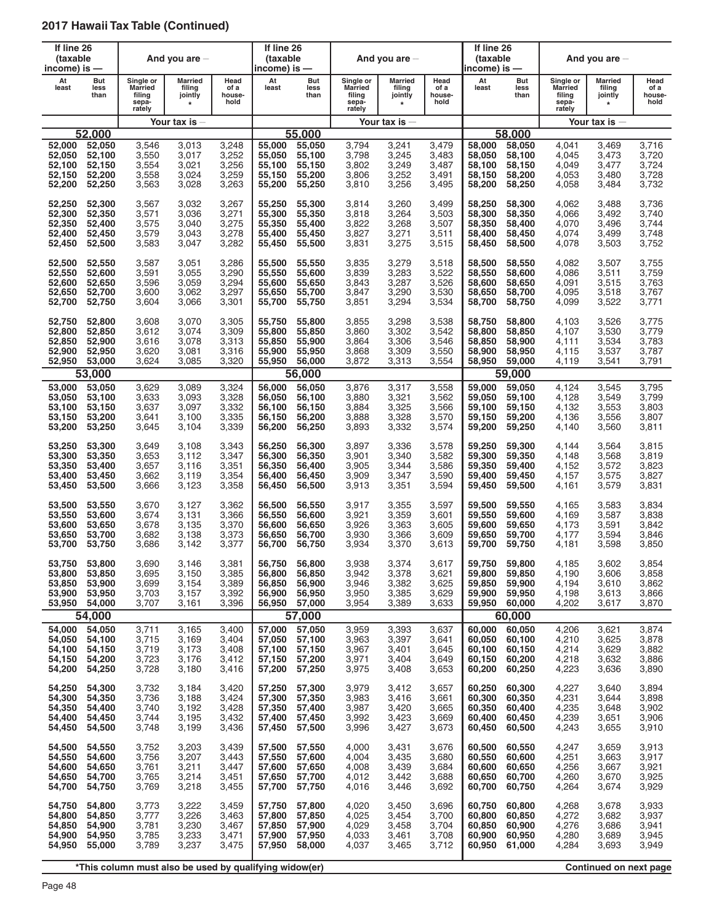| If line 26<br>(taxable<br>income) is $-$ |                     |                                                          | And you are $-$                                |                                | If line 26<br>(taxable<br>income) is — |                     |                                                          | And you are $-$                                |                                | If line 26<br>(taxable<br>income) is — |                     |                                                          | And you are $-$                                |                                |
|------------------------------------------|---------------------|----------------------------------------------------------|------------------------------------------------|--------------------------------|----------------------------------------|---------------------|----------------------------------------------------------|------------------------------------------------|--------------------------------|----------------------------------------|---------------------|----------------------------------------------------------|------------------------------------------------|--------------------------------|
| At<br>least                              | But<br>less<br>than | Single or<br><b>Married</b><br>filing<br>sepa-<br>rately | <b>Married</b><br>filing<br>jointly<br>$\star$ | Head<br>of a<br>house-<br>hold | At<br>least                            | But<br>less<br>than | Single or<br><b>Married</b><br>filing<br>sepa-<br>rately | <b>Married</b><br>filing<br>jointly<br>$\star$ | Head<br>of a<br>house-<br>hold | At<br>least                            | But<br>less<br>than | Single or<br><b>Married</b><br>filing<br>sepa-<br>rately | <b>Married</b><br>filing<br>jointly<br>$\star$ | Head<br>of a<br>house-<br>hold |
|                                          |                     |                                                          | Your tax is                                    |                                |                                        |                     |                                                          | Your tax is $-$                                |                                |                                        |                     |                                                          | Your tax is $-$                                |                                |
|                                          | 52.000              |                                                          |                                                |                                |                                        | 55.000              |                                                          |                                                |                                |                                        | 58.000              |                                                          |                                                |                                |
| 52,000                                   | 52,050              | 3,546                                                    | 3,013                                          | 3,248                          | 55,000                                 | 55,050              | 3,794                                                    | 3,241                                          | 3,479                          | 58,000                                 | 58,050              | 4.041                                                    | 3,469                                          | 3,716                          |
| 52,050                                   | 52,100              | 3,550                                                    | 3,017                                          | 3,252                          | 55,050                                 | 55,100              | 3,798                                                    | 3,245                                          | 3,483                          | 58.050                                 | 58.100              | 4,045                                                    | 3,473                                          | 3,720                          |
| 52,100                                   | 52,150              | 3,554                                                    | 3,021                                          | 3,256                          | 55,100                                 | 55,150              | 3,802                                                    | 3,249                                          | 3,487                          | 58,100                                 | 58,150              | 4,049                                                    | 3,477                                          | 3,724                          |
| 52,150                                   | 52,200              | 3,558                                                    | 3,024                                          | 3,259                          | 55,150                                 | 55,200              | 3,806                                                    | 3,252                                          | 3,491                          | 58,150                                 | 58,200              | 4,053                                                    | 3,480                                          | 3,728                          |
| 52,200                                   | 52,250              | 3,563                                                    | 3,028                                          | 3,263                          | 55,200                                 | 55,250              | 3,810                                                    | 3,256                                          | 3,495                          | 58,200                                 | 58,250              | 4,058                                                    | 3,484                                          | 3,732                          |
| 52,250                                   | 52,300              | 3,567                                                    | 3,032                                          | 3,267                          | 55,250                                 | 55,300              | 3,814                                                    | 3,260                                          | 3,499                          | 58,250                                 | 58,300              | 4,062                                                    | 3,488                                          | 3,736                          |
| 52,300                                   | 52,350              | 3,571                                                    | 3,036                                          | 3,271                          | 55,300                                 | 55,350              | 3,818                                                    | 3,264                                          | 3,503                          | 58,300                                 | 58,350              | 4,066                                                    | 3,492                                          | 3,740                          |
| 52,350                                   | 52,400              | 3,575                                                    | 3,040                                          | 3,275                          | 55,350                                 | 55,400              | 3,822                                                    | 3,268                                          | 3,507                          | 58,350                                 | 58,400              | 4,070                                                    | 3,496                                          | 3,744                          |
| 52,400                                   | 52,450              | 3,579                                                    | 3,043                                          | 3,278                          | 55,400                                 | 55,450              | 3,827                                                    | 3,271                                          | 3,511                          | 58,400                                 | 58,450              | 4,074                                                    | 3,499                                          | 3,748                          |
| 52,450                                   | 52,500              | 3,583                                                    | 3,047                                          | 3,282                          | 55,450                                 | 55,500              | 3,831                                                    | 3,275                                          | 3,515                          | 58,450                                 | 58,500              | 4,078                                                    | 3,503                                          | 3,752                          |
| 52,500                                   | 52,550              | 3,587                                                    | 3,051                                          | 3,286                          | 55,500                                 | 55,550              | 3,835                                                    | 3,279                                          | 3,518                          | 58,500                                 | 58,550              | 4,082                                                    | 3,507                                          | 3,755                          |
| 52,550                                   | 52,600              | 3,591                                                    | 3,055                                          | 3,290                          | 55,550                                 | 55,600              | 3,839                                                    | 3,283                                          | 3,522                          | 58.550                                 | 58,600              | 4,086                                                    | 3,511                                          | 3,759                          |
| 52,600                                   | 52,650              | 3,596                                                    | 3,059                                          | 3,294                          | 55,600                                 | 55,650              | 3,843                                                    | 3,287                                          | 3,526                          | 58,600                                 | 58,650              | 4,091                                                    | 3,515                                          | 3,763                          |
| 52,650                                   | 52,700              | 3,600                                                    | 3,062                                          | 3,297                          | 55,650                                 | 55,700              | 3,847                                                    | 3,290                                          | 3,530                          | 58.650                                 | 58.700              | 4,095                                                    | 3,518                                          | 3,767                          |
| 52,700                                   | 52,750              | 3,604                                                    | 3,066                                          | 3,301                          | 55,700                                 | 55,750              | 3,851                                                    | 3,294                                          | 3,534                          | 58,700                                 | 58,750              | 4,099                                                    | 3,522                                          | 3,771                          |
| 52,750                                   | 52,800              | 3,608                                                    | 3,070                                          | 3,305                          | 55,750                                 | 55,800              | 3,855                                                    | 3,298                                          | 3,538                          | 58.750                                 | 58,800              | 4,103                                                    | 3,526                                          | 3,775                          |
| 52,800                                   | 52,850              | 3,612                                                    | 3,074                                          | 3,309                          | 55,800                                 | 55,850              | 3,860                                                    | 3,302                                          | 3,542                          | 58,800                                 | 58,850              | 4,107                                                    | 3,530                                          | 3,779                          |
| 52.850                                   | 52,900              | 3,616                                                    | 3,078                                          | 3,313                          | 55,850                                 | 55,900              | 3,864                                                    | 3,306                                          | 3,546                          | 58,850                                 | 58,900              | 4,111                                                    | 3,534                                          | 3,783                          |
| 52,900                                   | 52,950              | 3,620                                                    | 3,081                                          | 3,316                          | 55,900                                 | 55,950              | 3,868                                                    | 3,309                                          | 3,550                          | 58,900                                 | 58,950              | 4,115                                                    | 3,537                                          | 3,787                          |
| 52,950                                   | 53,000              | 3,624                                                    | 3,085                                          | 3,320                          | 55,950                                 | 56,000              | 3,872                                                    | 3,313                                          | 3,554                          | 58,950                                 | 59,000              | 4,119                                                    | 3,541                                          | 3,791                          |
|                                          | 53,000              |                                                          |                                                |                                |                                        | 56,000              |                                                          |                                                |                                |                                        | 59,000              |                                                          |                                                |                                |
| 53,000                                   | 53,050              | 3,629                                                    | 3,089                                          | 3,324                          | 56,000                                 | 56,050              | 3,876                                                    | 3,317                                          | 3,558                          | 59,000                                 | 59,050              | 4,124                                                    | 3,545                                          | 3,795                          |
| 53,050                                   | 53,100              | 3,633                                                    | 3,093                                          | 3,328                          | 56,050                                 | 56,100              | 3,880                                                    | 3,321                                          | 3,562                          | 59.050                                 | 59,100              | 4,128                                                    | 3,549                                          | 3,799                          |
| 53,100                                   | 53,150              | 3,637                                                    | 3,097                                          | 3,332                          | 56,100                                 | 56,150              | 3,884                                                    | 3,325                                          | 3,566                          | 59,100                                 | 59,150              | 4,132                                                    | 3,553                                          | 3,803                          |
| 53,150                                   | 53,200              | 3,641                                                    | 3,100                                          | 3,335                          | 56,150                                 | 56,200              | 3,888                                                    | 3,328                                          | 3,570                          | 59,150                                 | 59,200              | 4,136                                                    | 3,556                                          | 3,807                          |
| 53,200                                   | 53,250              | 3,645                                                    | 3,104                                          | 3,339                          | 56,200                                 | 56,250              | 3,893                                                    | 3,332                                          | 3,574                          | 59,200                                 | 59,250              | 4,140                                                    | 3,560                                          | 3,811                          |
| 53,250                                   | 53,300              | 3,649                                                    | 3,108                                          | 3,343                          | 56,250                                 | 56,300              | 3,897                                                    | 3,336                                          | 3,578                          | 59,250                                 | 59,300              | 4,144                                                    | 3,564                                          | 3,815                          |
| 53,300                                   | 53,350              | 3,653                                                    | 3,112                                          | 3,347                          | 56,300                                 | 56,350              | 3,901                                                    | 3,340                                          | 3,582                          | 59,300                                 | 59,350              | 4,148                                                    | 3,568                                          | 3,819                          |
| 53,350                                   | 53,400              | 3,657                                                    | 3,116                                          | 3,351                          | 56,350                                 | 56,400              | 3,905                                                    | 3,344                                          | 3,586                          | 59,350                                 | 59,400              | 4,152                                                    | 3,572                                          | 3,823                          |
| 53,400                                   | 53,450              | 3,662                                                    | 3,119                                          | 3,354                          | 56,400                                 | 56,450              | 3,909                                                    | 3,347                                          | 3,590                          | 59,400                                 | 59,450              | 4,157                                                    | 3,575                                          | 3,827                          |
| 53,450                                   | 53,500              | 3,666                                                    | 3,123                                          | 3,358                          | 56,450                                 | 56,500              | 3,913                                                    | 3,351                                          | 3,594                          | 59,450                                 | 59,500              | 4,161                                                    | 3,579                                          | 3,831                          |
| 53,500                                   | 53,550              | 3,670                                                    | 3,127                                          | 3,362                          | 56,500                                 | 56,550              | 3,917                                                    | 3,355                                          | 3,597                          | 59,500                                 | 59,550              | 4,165                                                    | 3,583                                          | 3,834                          |
| 53,550                                   | 53,600              | 3,674                                                    | 3,131                                          | 3,366                          | 56,550                                 | 56,600              | 3,921                                                    | 3,359                                          | 3,601                          | 59.550                                 | 59,600              | 4,169                                                    | 3,587                                          | 3,838                          |
| 53,600                                   | 53,650              | 3,678                                                    | 3,135                                          | 3,370                          | 56,600                                 | 56,650              | 3,926                                                    | 3,363                                          | 3,605                          | 59,600                                 | 59,650              | 4,173                                                    | 3,591                                          | 3,842                          |
| 53,650                                   | 53,700              | 3,682                                                    | 3,138                                          | 3,373                          | 56,650                                 | 56,700              | 3,930                                                    | 3,366                                          | 3,609                          | 59,650                                 | 59,700              | 4,177                                                    | 3,594                                          | 3,846                          |
| 53,700                                   | 53,750              | 3,686                                                    | 3,142                                          | 3,377                          | 56,700                                 | 56,750              | 3,934                                                    | 3,370                                          | 3,613                          | 59,700                                 | 59,750              | 4,181                                                    | 3,598                                          | 3,850                          |
| 53,750                                   | 53,800              | 3,690                                                    | 3,146                                          | 3,381                          | 56,750                                 | 56,800              | 3,938                                                    | 3,374                                          | 3,617                          | 59,750                                 | 59,800              | 4,185                                                    | 3,602                                          | 3,854                          |
| 53,800                                   | 53,850              | 3,695                                                    | 3,150                                          | 3,385                          | 56,800                                 | 56,850              | 3,942                                                    | 3,378                                          | 3,621                          | 59,800                                 | 59,850              | 4,190                                                    | 3,606                                          | 3,858                          |
| 53,850                                   | 53,900              | 3,699                                                    | 3,154                                          | 3,389                          | 56,850                                 | 56,900              | 3,946                                                    | 3,382                                          | 3,625                          | 59,850                                 | 59,900              | 4,194                                                    | 3,610                                          | 3,862                          |
| 53,900                                   | 53,950              | 3,703                                                    | 3,157                                          | 3,392                          | 56,900                                 | 56,950              | 3,950                                                    | 3,385                                          | 3,629                          | 59,900                                 | 59,950              | 4,198                                                    | 3,613                                          | 3,866                          |
| 53,950                                   | 54,000              | 3,707                                                    | 3,161                                          | 3,396                          | 56,950                                 | 57,000              | 3,954                                                    | 3,389                                          | 3,633                          | 59,950                                 | 60,000              | 4,202                                                    | 3,617                                          | 3,870                          |
|                                          | 54,000              |                                                          |                                                |                                |                                        | 57,000              |                                                          |                                                |                                |                                        | 60,000              |                                                          |                                                |                                |
| 54,000                                   | 54,050              | 3,711                                                    | 3,165                                          | 3,400                          | 57,000                                 | 57,050              | 3,959                                                    | 3,393                                          | 3,637                          | 60.000                                 | 60,050              | 4,206                                                    | 3,621                                          | 3,874                          |
| 54,050                                   | 54,100              | 3,715                                                    | 3,169                                          | 3,404                          | 57,050                                 | 57,100              | 3,963                                                    | 3,397                                          | 3,641                          | 60,050                                 | 60,100              | 4,210                                                    | 3,625                                          | 3,878                          |
| 54,100                                   | 54,150              | 3,719                                                    | 3,173                                          | 3,408                          | 57,100                                 | 57,150              | 3,967                                                    | 3,401                                          | 3,645                          | 60.100                                 | 60,150              | 4,214                                                    | 3,629                                          | 3,882                          |
| 54,150                                   | 54,200              | 3,723                                                    | 3,176                                          | 3,412                          | 57,150                                 | 57,200              | 3,971                                                    | 3,404                                          | 3,649                          | 60,150                                 | 60,200              | 4,218                                                    | 3,632                                          | 3,886                          |
| 54,200                                   | 54,250              | 3,728                                                    | 3,180                                          | 3,416                          | 57,200                                 | 57,250              | 3,975                                                    | 3,408                                          | 3,653                          | 60,200                                 | 60,250              | 4,223                                                    | 3,636                                          | 3,890                          |
| 54,250                                   | 54,300              | 3,732                                                    | 3,184                                          | 3,420                          | 57,250                                 | 57,300              | 3,979                                                    | 3,412                                          | 3,657                          | 60,250                                 | 60,300              | 4,227                                                    | 3,640                                          | 3,894                          |
| 54,300                                   | 54,350              | 3,736                                                    | 3,188                                          | 3,424                          | 57,300                                 | 57,350              | 3,983                                                    | 3,416                                          | 3,661                          | 60,300                                 | 60,350              | 4,231                                                    | 3,644                                          | 3,898                          |
| 54,350                                   | 54,400              | 3,740                                                    | 3,192                                          | 3,428                          | 57,350                                 | 57,400              | 3,987                                                    | 3,420                                          | 3,665                          | 60,350                                 | 60,400              | 4,235                                                    | 3,648                                          | 3,902                          |
| 54,400                                   | 54,450              | 3,744                                                    | 3,195                                          | 3,432                          | 57,400                                 | 57,450              | 3,992                                                    | 3,423                                          | 3,669                          | 60,400                                 | 60,450              | 4,239                                                    | 3,651                                          | 3,906                          |
| 54,450                                   | 54,500              | 3,748                                                    | 3,199                                          | 3,436                          | 57,450                                 | 57,500              | 3,996                                                    | 3,427                                          | 3,673                          | 60,450                                 | 60,500              | 4,243                                                    | 3,655                                          | 3,910                          |
| 54,500                                   | 54,550              | 3,752                                                    | 3,203                                          | 3,439                          | 57,500                                 | 57,550              | 4,000                                                    | 3,431                                          | 3,676                          | 60,500                                 | 60,550              | 4,247                                                    | 3,659                                          | 3,913                          |
| 54,550                                   | 54,600              | 3,756                                                    | 3,207                                          | 3,443                          | 57,550                                 | 57,600              | 4,004                                                    | 3,435                                          | 3,680                          | 60,550                                 | 60,600              | 4,251                                                    | 3,663                                          | 3,917                          |
| 54,600                                   | 54,650              | 3,761                                                    | 3,211                                          | 3,447                          | 57,600                                 | 57,650              | 4,008                                                    | 3,439                                          | 3,684                          | 60,600                                 | 60,650              | 4,256                                                    | 3,667                                          | 3,921                          |
| 54,650                                   | 54,700              | 3,765                                                    | 3,214                                          | 3,451                          | 57,650                                 | 57,700              | 4,012                                                    | 3,442                                          | 3,688                          | 60,650                                 | 60,700              | 4,260                                                    | 3,670                                          | 3,925                          |
| 54,700                                   | 54,750              | 3,769                                                    | 3,218                                          | 3,455                          | 57,700                                 | 57,750              | 4,016                                                    | 3,446                                          | 3,692                          | 60,700                                 | 60,750              | 4,264                                                    | 3,674                                          | 3,929                          |
| 54,750                                   | 54,800              | 3,773                                                    | 3,222                                          | 3,459                          | 57,750                                 | 57,800              | 4,020                                                    | 3,450                                          | 3,696                          | 60,750                                 | 60,800              | 4,268                                                    | 3,678                                          | 3,933                          |
| 54,800                                   | 54,850              | 3,777                                                    | 3,226                                          | 3,463                          | 57,800                                 | 57,850              | 4,025                                                    | 3,454                                          | 3,700                          | 60,800                                 | 60,850              | 4,272                                                    | 3,682                                          | 3,937                          |
| 54,850                                   | 54,900              | 3,781                                                    | 3,230                                          | 3,467                          | 57,850                                 | 57,900              | 4,029                                                    | 3,458                                          | 3,704                          | 60,850                                 | 60,900              | 4,276                                                    | 3,686                                          | 3,941                          |
| 54,900                                   | 54,950              | 3,785                                                    | 3,233                                          | 3,471                          | 57,900                                 | 57,950              | 4,033                                                    | 3,461                                          | 3,708                          | 60,900                                 | 60,950              | 4,280                                                    | 3,689                                          | 3,945                          |
| 54,950                                   | 55,000              | 3,789                                                    | 3,237                                          | 3,475                          | 57,950                                 | 58,000              | 4,037                                                    | 3,465                                          | 3,712                          | 60,950                                 | 61,000              | 4,284                                                    | 3,693                                          | 3,949                          |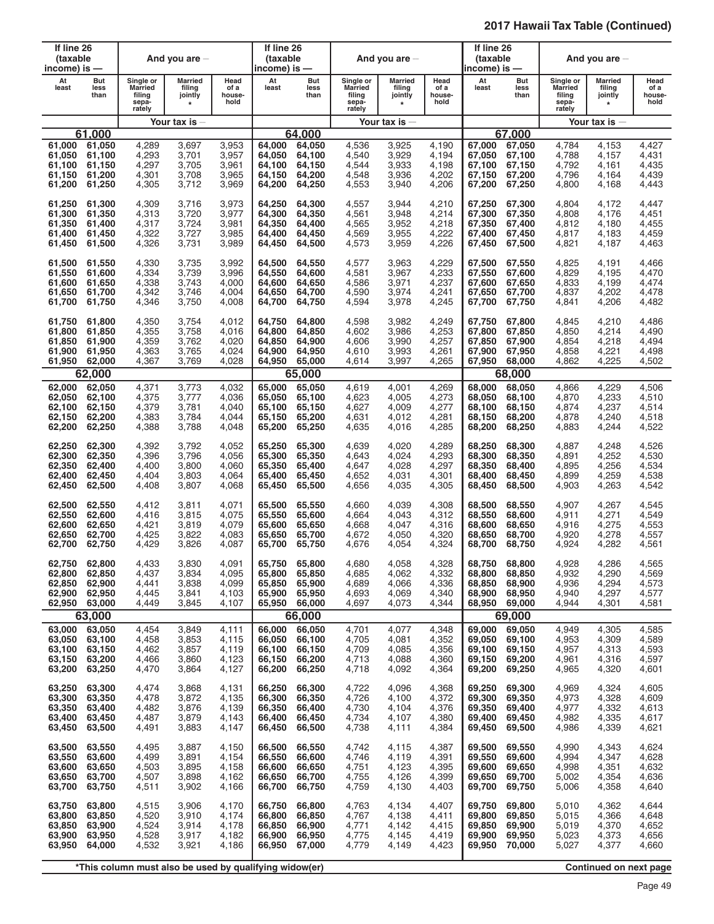| If line 26<br>(taxable<br>income) is —                |                                      |                                                          | And you are $-$                                |                                           | If line 26<br>(taxable<br>income) is — |                                                       |                                                   | And you are $-$                                |                                           | If line 26<br>(taxable<br>income) is —         |                                                |                                                          | And you are $-$                                |                                           |
|-------------------------------------------------------|--------------------------------------|----------------------------------------------------------|------------------------------------------------|-------------------------------------------|----------------------------------------|-------------------------------------------------------|---------------------------------------------------|------------------------------------------------|-------------------------------------------|------------------------------------------------|------------------------------------------------|----------------------------------------------------------|------------------------------------------------|-------------------------------------------|
| At<br>least                                           | But<br>less<br>than                  | Single or<br><b>Married</b><br>filing<br>sepa-<br>rately | <b>Married</b><br>filing<br>jointly<br>$\star$ | Head<br>of a<br>house-<br>hold            | At<br>least                            | But<br>less<br>than                                   | Single or<br>Married<br>filing<br>sepa-<br>rately | <b>Married</b><br>filing<br>jointly<br>$\star$ | Head<br>of a<br>house-<br>hold            | At<br>least                                    | But<br>less<br>than                            | Single or<br><b>Married</b><br>filing<br>sepa-<br>rately | <b>Married</b><br>filing<br>jointly<br>$\star$ | Head<br>of a<br>house-<br>hold            |
|                                                       |                                      |                                                          | Your tax is $-$                                |                                           |                                        |                                                       |                                                   | Your tax is $-$                                |                                           |                                                |                                                |                                                          | Your tax is $-$                                |                                           |
|                                                       | 61.000                               |                                                          |                                                |                                           |                                        | 64.000                                                |                                                   |                                                |                                           |                                                | 67.000                                         |                                                          |                                                |                                           |
| 61,000                                                | 61,050                               | 4,289                                                    | 3,697                                          | 3,953                                     | 64,000                                 | 64,050                                                | 4,536                                             | 3,925                                          | 4,190                                     | 67,000                                         | 67,050                                         | 4,784                                                    | 4,153                                          | 4,427                                     |
| 61,050                                                | 61,100                               | 4,293                                                    | 3,701                                          | 3,957                                     | 64,050                                 | 64,100                                                | 4,540                                             | 3,929                                          | 4,194                                     | 67,050                                         | 67,100                                         | 4,788                                                    | 4,157                                          | 4,431                                     |
| 61,100                                                | 61,150                               | 4,297                                                    | 3,705                                          | 3,961                                     | 64,100                                 | 64,150                                                | 4,544                                             | 3,933                                          | 4,198                                     | 67,100                                         | 67,150                                         | 4,792                                                    | 4,161                                          | 4,435                                     |
| 61,150                                                | 61.200                               | 4,301                                                    | 3,708                                          | 3,965                                     | 64,150                                 | 64,200                                                | 4,548                                             | 3,936                                          | 4,202                                     | 67.150                                         | 67,200                                         | 4,796                                                    | 4,164                                          | 4,439                                     |
| 61,200                                                | 61,250                               | 4,305                                                    | 3,712                                          | 3,969                                     | 64,200                                 | 64,250                                                | 4,553                                             | 3,940                                          | 4,206                                     | 67,200                                         | 67,250                                         | 4,800                                                    | 4,168                                          | 4,443                                     |
| 61,250                                                | 61,300                               | 4,309                                                    | 3,716                                          | 3,973                                     | 64,250                                 | 64,300                                                | 4,557                                             | 3,944                                          | 4,210                                     | 67,250                                         | 67,300                                         | 4,804                                                    | 4,172                                          | 4,447                                     |
| 61,300                                                | 61,350                               | 4,313                                                    | 3,720                                          | 3,977                                     | 64,300                                 | 64,350                                                | 4,561                                             | 3,948                                          | 4,214                                     | 67,300                                         | 67,350                                         | 4,808                                                    | 4,176                                          | 4,451                                     |
| 61,350                                                | 61,400                               | 4,317                                                    | 3,724                                          | 3,981                                     | 64,350                                 | 64,400                                                | 4,565                                             | 3,952                                          | 4,218                                     | 67,350                                         | 67,400                                         | 4,812                                                    | 4,180                                          | 4,455                                     |
| 61,400                                                | 61,450                               | 4,322                                                    | 3,727                                          | 3,985                                     | 64,400                                 | 64,450                                                | 4,569                                             | 3,955                                          | 4,222                                     | 67,400                                         | 67,450                                         | 4,817                                                    | 4,183                                          | 4,459                                     |
| 61,450                                                | 61,500                               | 4,326                                                    | 3,731                                          | 3,989                                     | 64,450                                 | 64,500                                                | 4,573                                             | 3,959                                          | 4,226                                     | 67,450                                         | 67,500                                         | 4,821                                                    | 4,187                                          | 4,463                                     |
| 61,500                                                | 61,550                               | 4,330                                                    | 3,735                                          | 3,992                                     | 64,500                                 | 64,550                                                | 4,577                                             | 3,963                                          | 4,229                                     | 67,500                                         | 67,550                                         | 4,825                                                    | 4,191                                          | 4,466                                     |
| 61,550                                                | 61,600                               | 4,334                                                    | 3,739                                          | 3,996                                     | 64.550                                 | 64,600                                                | 4,581                                             | 3,967                                          | 4,233                                     | 67,550                                         | 67,600                                         | 4,829                                                    | 4,195                                          | 4,470                                     |
| 61,600                                                | 61,650                               | 4,338                                                    | 3,743                                          | 4,000                                     | 64,600                                 | 64,650                                                | 4,586                                             | 3,971                                          | 4,237                                     | 67,600                                         | 67,650                                         | 4,833                                                    | 4,199                                          | 4,474                                     |
| 61,650                                                | 61,700                               | 4,342                                                    | 3,746                                          | 4,004                                     | 64,650                                 | 64,700                                                | 4,590                                             | 3,974                                          | 4,241                                     | 67,650                                         | 67,700                                         | 4,837                                                    | 4,202                                          | 4,478                                     |
| 61,700                                                | 61,750                               | 4,346                                                    | 3,750                                          | 4,008                                     | 64,700                                 | 64,750                                                | 4,594                                             | 3,978                                          | 4,245                                     | 67,700                                         | 67,750                                         | 4,841                                                    | 4,206                                          | 4,482                                     |
| 61,750                                                | 61,800                               | 4,350                                                    | 3,754                                          | 4,012                                     | 64,750                                 | 64,800                                                | 4,598                                             | 3,982                                          | 4,249                                     | 67,750                                         | 67,800                                         | 4,845                                                    | 4,210                                          | 4,486                                     |
| 61,800                                                | 61,850                               | 4,355                                                    | 3,758                                          | 4,016                                     | 64,800                                 | 64,850                                                | 4,602                                             | 3,986                                          | 4,253                                     | 67,800                                         | 67,850                                         | 4,850                                                    | 4,214                                          | 4,490                                     |
| 61.850                                                | 61,900                               | 4,359                                                    | 3,762                                          | 4,020                                     | 64,850                                 | 64,900                                                | 4,606                                             | 3,990                                          | 4,257                                     | 67,850                                         | 67,900                                         | 4,854                                                    | 4,218                                          | 4,494                                     |
| 61,900                                                | 61,950                               | 4,363                                                    | 3,765                                          | 4,024                                     | 64,900                                 | 64,950                                                | 4,610                                             | 3,993                                          | 4,261                                     | 67,900                                         | 67,950                                         | 4,858                                                    | 4,221                                          | 4,498                                     |
| 61.950                                                | 62,000                               | 4,367                                                    | 3,769                                          | 4,028                                     | 64,950                                 | 65,000                                                | 4,614                                             | 3,997                                          | 4,265                                     | 67,950                                         | 68,000                                         | 4,862                                                    | 4,225                                          | 4,502                                     |
|                                                       | 62,000                               |                                                          |                                                |                                           |                                        | 65,000                                                |                                                   |                                                |                                           |                                                | 68,000                                         |                                                          |                                                |                                           |
| 62,000                                                | 62,050                               | 4,371                                                    | 3,773                                          | 4,032                                     | 65,000                                 | 65,050                                                | 4,619                                             | 4,001                                          | 4,269                                     | 68,000                                         | 68,050                                         | 4,866                                                    | 4,229                                          | 4,506                                     |
| 62,050                                                | 62,100                               | 4,375                                                    | 3,777                                          | 4,036                                     | 65,050                                 | 65,100                                                | 4,623                                             | 4,005                                          | 4,273                                     | 68,050                                         | 68,100                                         | 4,870                                                    | 4,233                                          | 4,510                                     |
| 62,100                                                | 62,150                               | 4,379                                                    | 3,781                                          | 4,040                                     | 65,100                                 | 65,150                                                | 4,627                                             | 4,009                                          | 4,277                                     | 68,100                                         | 68,150                                         | 4,874                                                    | 4,237                                          | 4,514                                     |
| 62,150                                                | 62,200                               | 4,383                                                    | 3,784                                          | 4,044                                     | 65,150                                 | 65,200                                                | 4,631                                             | 4,012                                          | 4,281                                     | 68.150                                         | 68,200                                         | 4,878                                                    | 4,240                                          | 4,518                                     |
| 62,200                                                | 62,250                               | 4,388                                                    | 3,788                                          | 4,048                                     | 65,200                                 | 65,250                                                | 4,635                                             | 4,016                                          | 4,285                                     | 68,200                                         | 68,250                                         | 4,883                                                    | 4,244                                          | 4,522                                     |
| 62,250                                                | 62,300                               | 4,392                                                    | 3,792                                          | 4,052                                     | 65,250                                 | 65,300                                                | 4,639                                             | 4,020                                          | 4,289                                     | 68,250                                         | 68,300                                         | 4,887                                                    | 4,248                                          | 4,526                                     |
| 62,300                                                | 62,350                               | 4,396                                                    | 3,796                                          | 4,056                                     | 65,300                                 | 65,350                                                | 4,643                                             | 4,024                                          | 4,293                                     | 68,300                                         | 68,350                                         | 4,891                                                    | 4,252                                          | 4,530                                     |
| 62,350                                                | 62,400                               | 4,400                                                    | 3,800                                          | 4,060                                     | 65,350                                 | 65,400                                                | 4,647                                             | 4,028                                          | 4,297                                     | 68,350                                         | 68,400                                         | 4,895                                                    | 4,256                                          | 4,534                                     |
| 62,400                                                | 62,450                               | 4,404                                                    | 3,803                                          | 4,064                                     | 65,400                                 | 65,450                                                | 4,652                                             | 4,031                                          | 4,301                                     | 68,400                                         | 68,450                                         | 4,899                                                    | 4,259                                          | 4,538                                     |
| 62,450                                                | 62,500                               | 4,408                                                    | 3,807                                          | 4,068                                     | 65,450                                 | 65,500                                                | 4,656                                             | 4,035                                          | 4,305                                     | 68,450                                         | 68,500                                         | 4,903                                                    | 4,263                                          | 4,542                                     |
| 62,500                                                | 62,550                               | 4,412                                                    | 3,811                                          | 4,071                                     | 65,500                                 | 65,550                                                | 4,660                                             | 4,039                                          | 4,308                                     | 68,500                                         | 68,550                                         | 4,907                                                    | 4,267                                          | 4,545                                     |
| 62,550                                                | 62,600                               | 4,416                                                    | 3,815                                          | 4,075                                     | 65,550                                 | 65,600                                                | 4,664                                             | 4,043                                          | 4,312                                     | 68.550                                         | 68,600                                         | 4,911                                                    | 4,271                                          | 4,549                                     |
| 62,600                                                | 62,650                               | 4,421                                                    | 3,819                                          | 4,079                                     | 65,600                                 | 65,650                                                | 4,668                                             | 4,047                                          | 4,316                                     | 68,600                                         | 68,650                                         | 4,916                                                    | 4,275                                          | 4,553                                     |
| 62,650                                                | 62,700                               | 4,425                                                    | 3,822                                          | 4,083                                     | 65,650                                 | 65,700                                                | 4,672                                             | 4,050                                          | 4,320                                     | 68,650                                         | 68,700                                         | 4,920                                                    | 4,278                                          | 4,557                                     |
| 62,700                                                | 62,750                               | 4,429                                                    | 3,826                                          | 4,087                                     | 65.700                                 | 65,750                                                | 4,676                                             | 4,054                                          | 4,324                                     | 68,700                                         | 68,750                                         | 4,924                                                    | 4,282                                          | 4,561                                     |
| 62,750<br>62,800<br>62,850<br>62,900<br>62,950 63,000 | 62,800<br>62,850<br>62,900<br>62,950 | 4,433<br>4,437<br>4,441<br>4,445<br>4,449                | 3,830<br>3,834<br>3,838<br>3,841<br>3,845      | 4,091<br>4,095<br>4,099<br>4,103<br>4,107 | 65,800<br>65,850<br>65,900<br>65,950   | 65,750 65,800<br>65,850<br>65,900<br>65,950<br>66,000 | 4,680<br>4,685<br>4,689<br>4,693<br>4,697         | 4,058<br>4,062<br>4,066<br>4,069<br>4,073      | 4,328<br>4,332<br>4,336<br>4,340<br>4,344 | 68,750<br>68,800<br>68,850<br>68,900<br>68,950 | 68,800<br>68,850<br>68,900<br>68,950<br>69,000 | 4,928<br>4,932<br>4,936<br>4,940<br>4,944                | 4,286<br>4,290<br>4,294<br>4,297<br>4,301      | 4,565<br>4,569<br>4,573<br>4,577<br>4,581 |
| 63,000                                                | 63,000<br>63,050                     | 4,454                                                    | 3,849                                          | 4,111                                     | 66,000                                 | 66,000<br>66,050                                      | 4,701                                             |                                                | 4,348                                     | 69.000                                         | 69,000<br>69,050                               |                                                          | 4,305                                          | 4,585                                     |
| 63,050<br>63,100<br>63,150<br>63,200                  | 63,100<br>63,150<br>63,200<br>63,250 | 4,458<br>4,462<br>4,466<br>4,470                         | 3,853<br>3,857<br>3,860<br>3,864               | 4,115<br>4,119<br>4,123<br>4,127          | 66,050<br>66,100<br>66,150<br>66,200   | 66,100<br>66,150<br>66,200<br>66,250                  | 4,705<br>4,709<br>4,713<br>4,718                  | 4,077<br>4,081<br>4,085<br>4,088<br>4,092      | 4,352<br>4,356<br>4,360<br>4,364          | 69,050<br>69,100<br>69,150<br>69,200           | 69,100<br>69,150<br>69,200<br>69,250           | 4,949<br>4,953<br>4,957<br>4,961<br>4,965                | 4,309<br>4,313<br>4,316<br>4,320               | 4,589<br>4,593<br>4,597<br>4,601          |
| 63,250                                                | 63,300                               | 4,474                                                    | 3,868                                          | 4,131                                     | 66,250                                 | 66,300                                                | 4,722                                             | 4,096                                          | 4,368                                     | 69,250                                         | 69,300                                         | 4,969                                                    | 4,324                                          | 4,605                                     |
| 63,300                                                | 63,350                               | 4,478                                                    | 3,872                                          | 4,135                                     | 66,300                                 | 66,350                                                | 4,726                                             | 4,100                                          | 4,372                                     | 69,300                                         | 69,350                                         | 4,973                                                    | 4,328                                          | 4,609                                     |
| 63,350                                                | 63,400                               | 4,482                                                    | 3,876                                          | 4,139                                     | 66,350                                 | 66,400                                                | 4,730                                             | 4,104                                          | 4,376                                     | 69,350                                         | 69,400                                         | 4,977                                                    | 4,332                                          | 4,613                                     |
| 63,400                                                | 63,450                               | 4,487                                                    | 3,879                                          | 4,143                                     | 66,400                                 | 66,450                                                | 4,734                                             | 4,107                                          | 4,380                                     | 69,400                                         | 69,450                                         | 4,982                                                    | 4,335                                          | 4,617                                     |
| 63,450                                                | 63,500                               | 4,491                                                    | 3,883                                          | 4,147                                     | 66,450                                 | 66,500                                                | 4,738                                             | 4,111                                          | 4,384                                     | 69,450                                         | 69,500                                         | 4,986                                                    | 4,339                                          | 4,621                                     |
| 63,500                                                | 63,550                               | 4,495                                                    | 3,887                                          | 4,150                                     | 66,500                                 | 66,550                                                | 4,742                                             | 4,115                                          | 4,387                                     | 69,500                                         | 69,550                                         | 4,990                                                    | 4,343                                          | 4,624                                     |
| 63,550                                                | 63,600                               | 4,499                                                    | 3,891                                          | 4,154                                     | 66,550                                 | 66,600                                                | 4,746                                             | 4,119                                          | 4,391                                     | 69,550                                         | 69,600                                         | 4,994                                                    | 4,347                                          | 4,628                                     |
| 63,600                                                | 63,650                               | 4,503                                                    | 3,895                                          | 4,158                                     | 66,600                                 | 66,650                                                | 4,751                                             | 4,123                                          | 4,395                                     | 69,600                                         | 69,650                                         | 4,998                                                    | 4,351                                          | 4,632                                     |
| 63,650                                                | 63,700                               | 4,507                                                    | 3,898                                          | 4,162                                     | 66,650                                 | 66,700                                                | 4,755                                             | 4,126                                          | 4,399                                     | 69,650                                         | 69,700                                         | 5,002                                                    | 4,354                                          | 4,636                                     |
| 63,700                                                | 63,750                               | 4,511                                                    | 3,902                                          | 4,166                                     | 66,700                                 | 66,750                                                | 4,759                                             | 4,130                                          | 4,403                                     | 69,700                                         | 69,750                                         | 5,006                                                    | 4,358                                          | 4,640                                     |
| 63,750                                                | 63,800                               | 4,515                                                    | 3,906                                          | 4,170                                     | 66,750                                 | 66,800                                                | 4,763                                             | 4,134                                          | 4,407                                     | 69,750                                         | 69,800                                         | 5,010                                                    | 4,362                                          | 4,644                                     |
| 63,800                                                | 63,850                               | 4,520                                                    | 3,910                                          | 4,174                                     | 66,800                                 | 66,850                                                | 4,767                                             | 4,138                                          | 4,411                                     | 69,800                                         | 69,850                                         | 5,015                                                    | 4,366                                          | 4,648                                     |
| 63,850                                                | 63,900                               | 4,524                                                    | 3,914                                          | 4,178                                     | 66,850                                 | 66,900                                                | 4,771                                             | 4,142                                          | 4,415                                     | 69,850                                         | 69,900                                         | 5,019                                                    | 4,370                                          | 4,652                                     |
| 63,900                                                | 63,950                               | 4,528                                                    | 3,917                                          | 4,182                                     | 66,900                                 | 66,950                                                | 4,775                                             | 4,145                                          | 4,419                                     | 69,900                                         | 69,950                                         | 5,023                                                    | 4,373                                          | 4,656                                     |
| 63,950                                                | 64,000                               | 4,532                                                    | 3,921                                          | 4,186                                     | 66,950                                 | 67,000                                                | 4,779                                             | 4,149                                          | 4,423                                     | 69,950                                         | 70,000                                         | 5,027                                                    | 4,377                                          | 4,660                                     |
|                                                       |                                      | *This column must also be used by qualifying widow(er)   |                                                |                                           |                                        |                                                       |                                                   |                                                |                                           |                                                |                                                |                                                          | Continued on next page                         |                                           |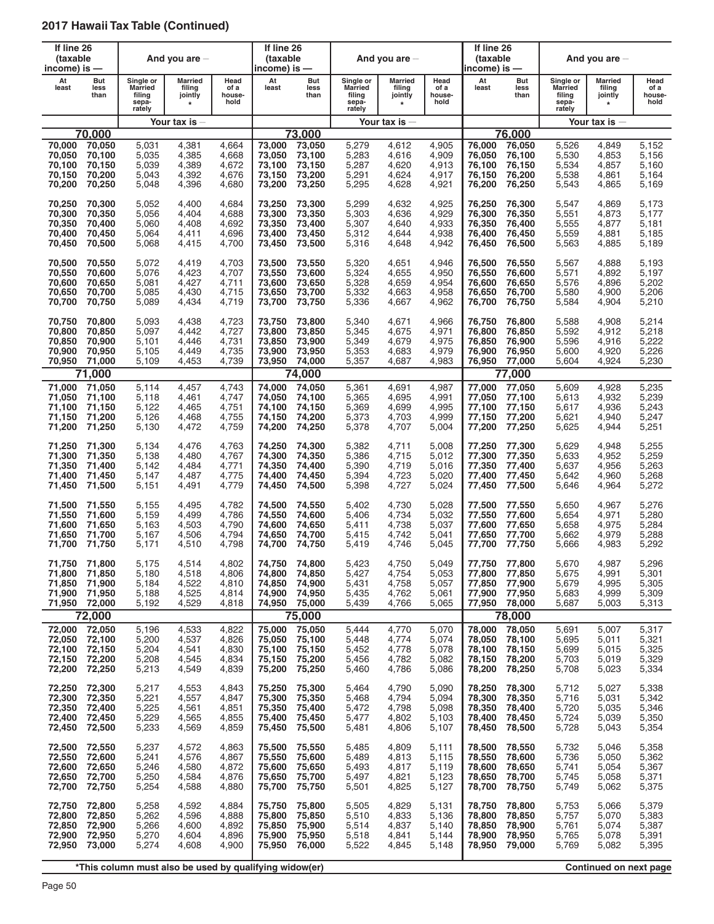| If line 26<br>(taxable<br>income) is $-$       |                                                |                                                          | And you are $-$                                |                                           | If line 26<br>(taxable<br>income) is — |                                                       |                                                          | And you are $-$                                |                                           | If line 26<br>(taxable<br>income) is —         |                                                |                                                          | And you are $-$                                |                                           |
|------------------------------------------------|------------------------------------------------|----------------------------------------------------------|------------------------------------------------|-------------------------------------------|----------------------------------------|-------------------------------------------------------|----------------------------------------------------------|------------------------------------------------|-------------------------------------------|------------------------------------------------|------------------------------------------------|----------------------------------------------------------|------------------------------------------------|-------------------------------------------|
| At<br>least                                    | But<br>less<br>than                            | Single or<br><b>Married</b><br>filing<br>sepa-<br>rately | <b>Married</b><br>filing<br>jointly<br>$\star$ | Head<br>of a<br>house-<br>hold            | At<br>least                            | But<br>less<br>than                                   | Single or<br><b>Married</b><br>filing<br>sepa-<br>rately | <b>Married</b><br>filing<br>jointly<br>$\star$ | Head<br>of a<br>house-<br>hold            | At<br>least                                    | But<br>less<br>than                            | Single or<br><b>Married</b><br>filing<br>sepa-<br>rately | <b>Married</b><br>filing<br>jointly<br>$\star$ | Head<br>of a<br>house-<br>hold            |
|                                                |                                                |                                                          | Your tax is                                    |                                           |                                        |                                                       |                                                          | Your tax is $-$                                |                                           |                                                |                                                |                                                          | Your tax is $-$                                |                                           |
|                                                | 70.000                                         |                                                          |                                                |                                           |                                        | 73.000                                                |                                                          |                                                |                                           |                                                | 76.000                                         |                                                          |                                                |                                           |
| 70,000                                         | 70,050                                         | 5,031                                                    | 4,381                                          | 4,664                                     | 73,000                                 | 73,050                                                | 5,279                                                    | 4,612                                          | 4,905                                     | 76,000                                         | 76,050                                         | 5,526                                                    | 4,849                                          | 5,152                                     |
| 70,050                                         | 70,100                                         | 5,035                                                    | 4,385                                          | 4,668                                     | 73,050                                 | 73,100                                                | 5,283                                                    | 4,616                                          | 4,909                                     | 76.050                                         | 76,100                                         | 5,530                                                    | 4,853                                          | 5,156                                     |
| 70,100                                         | 70,150                                         | 5,039                                                    | 4,389                                          | 4,672                                     | 73,100                                 | 73,150                                                | 5,287                                                    | 4,620                                          | 4,913                                     | 76.100                                         | 76,150                                         | 5,534                                                    | 4,857                                          | 5,160                                     |
| 70,150                                         | 70,200                                         | 5,043                                                    | 4,392                                          | 4,676                                     | 73,150                                 | 73,200                                                | 5,291                                                    | 4,624                                          | 4,917                                     | 76,150                                         | 76,200                                         | 5,538                                                    | 4,861                                          | 5.164                                     |
| 70,200                                         | 70,250                                         | 5,048                                                    | 4,396                                          | 4,680                                     | 73,200                                 | 73,250                                                | 5,295                                                    | 4,628                                          | 4,921                                     | 76,200                                         | 76,250                                         | 5,543                                                    | 4,865                                          | 5,169                                     |
| 70,250                                         | 70,300                                         | 5,052                                                    | 4,400                                          | 4,684                                     | 73,250                                 | 73,300                                                | 5,299                                                    | 4,632                                          | 4,925                                     | 76,250                                         | 76,300                                         | 5,547                                                    | 4,869                                          | 5,173                                     |
| 70,300                                         | 70,350                                         | 5,056                                                    | 4,404                                          | 4,688                                     | 73,300                                 | 73,350                                                | 5,303                                                    | 4,636                                          | 4,929                                     | 76,300                                         | 76,350                                         | 5,551                                                    | 4,873                                          | 5,177                                     |
| 70,350                                         | 70,400                                         | 5,060                                                    | 4,408                                          | 4,692                                     | 73,350                                 | 73,400                                                | 5,307                                                    | 4,640                                          | 4,933                                     | 76,350                                         | 76,400                                         | 5,555                                                    | 4,877                                          | 5.181                                     |
| 70,400                                         | 70,450                                         | 5,064                                                    | 4,411                                          | 4,696                                     | 73,400                                 | 73,450                                                | 5,312                                                    | 4,644                                          | 4,938                                     | 76,400                                         | 76,450                                         | 5,559                                                    | 4,881                                          | 5,185                                     |
| 70,450                                         | 70,500                                         | 5,068                                                    | 4,415                                          | 4,700                                     | 73,450                                 | 73,500                                                | 5,316                                                    | 4,648                                          | 4,942                                     | 76,450                                         | 76,500                                         | 5,563                                                    | 4,885                                          | 5,189                                     |
| 70,500                                         | 70,550                                         | 5,072                                                    | 4,419                                          | 4,703                                     | 73,500                                 | 73,550                                                | 5,320                                                    | 4,651                                          | 4,946                                     | 76,500                                         | 76,550                                         | 5,567                                                    | 4,888                                          | 5,193                                     |
| 70,550                                         | 70,600                                         | 5,076                                                    | 4,423                                          | 4,707                                     | 73,550                                 | 73,600                                                | 5,324                                                    | 4,655                                          | 4,950                                     | 76,550                                         | 76,600                                         | 5,571                                                    | 4,892                                          | 5.197                                     |
| 70,600                                         | 70,650                                         | 5,081                                                    | 4,427                                          | 4,711                                     | 73,600                                 | 73,650                                                | 5,328                                                    | 4,659                                          | 4,954                                     | 76,600                                         | 76,650                                         | 5,576                                                    | 4,896                                          | 5,202                                     |
| 70,650                                         | 70,700                                         | 5,085                                                    | 4,430                                          | 4,715                                     | 73,650                                 | 73,700                                                | 5,332                                                    | 4,663                                          | 4,958                                     | 76,650                                         | 76,700                                         | 5,580                                                    | 4,900                                          | 5,206                                     |
| 70,700                                         | 70,750                                         | 5,089                                                    | 4,434                                          | 4,719                                     | 73,700                                 | 73,750                                                | 5,336                                                    | 4,667                                          | 4,962                                     | 76,700                                         | 76,750                                         | 5,584                                                    | 4,904                                          | 5,210                                     |
| 70,750                                         | 70,800                                         | 5,093                                                    | 4,438                                          | 4,723                                     | 73,750                                 | 73,800                                                | 5,340                                                    | 4,671                                          | 4,966                                     | 76,750                                         | 76.800                                         | 5,588                                                    | 4,908                                          | 5,214                                     |
| 70,800                                         | 70,850                                         | 5,097                                                    | 4,442                                          | 4,727                                     | 73,800                                 | 73,850                                                | 5,345                                                    | 4,675                                          | 4,971                                     | 76,800                                         | 76,850                                         | 5,592                                                    | 4,912                                          | 5,218                                     |
| 70,850                                         | 70,900                                         | 5,101                                                    | 4,446                                          | 4,731                                     | 73,850                                 | 73,900                                                | 5,349                                                    | 4,679                                          | 4,975                                     | 76,850                                         | 76,900                                         | 5,596                                                    | 4,916                                          | 5,222                                     |
| 70,900                                         | 70,950                                         | 5.105                                                    | 4,449                                          | 4,735                                     | 73,900                                 | 73,950                                                | 5,353                                                    | 4,683                                          | 4,979                                     | 76,900                                         | 76,950                                         | 5,600                                                    | 4,920                                          | 5,226                                     |
| 70,950                                         | 71,000                                         | 5,109                                                    | 4,453                                          | 4,739                                     | 73,950                                 | 74,000                                                | 5,357                                                    | 4,687                                          | 4,983                                     | 76,950                                         | 77,000                                         | 5,604                                                    | 4,924                                          | 5,230                                     |
|                                                | 71,000                                         |                                                          |                                                |                                           |                                        | 74,000                                                |                                                          |                                                |                                           |                                                | 77,000                                         |                                                          |                                                |                                           |
| 71,000                                         | 71,050                                         | 5,114                                                    | 4,457                                          | 4,743                                     | 74,000                                 | 74,050                                                | 5,361                                                    | 4,691                                          | 4,987                                     | 77,000                                         | 77,050                                         | 5,609                                                    | 4,928                                          | 5,235                                     |
| 71,050                                         | 71,100                                         | 5,118                                                    | 4,461                                          | 4,747                                     | 74,050                                 | 74,100                                                | 5,365                                                    | 4,695                                          | 4,991                                     | 77,050                                         | 77,100                                         | 5,613                                                    | 4,932                                          | 5,239                                     |
| 71,100                                         | 71,150                                         | 5,122                                                    | 4,465                                          | 4,751                                     | 74,100                                 | 74,150                                                | 5,369                                                    | 4,699                                          | 4,995                                     | 77,100                                         | 77,150                                         | 5,617                                                    | 4,936                                          | 5,243                                     |
| 71,150                                         | 71,200                                         | 5,126                                                    | 4,468                                          | 4,755                                     | 74,150                                 | 74,200                                                | 5,373                                                    | 4,703                                          | 4,999                                     | 77,150                                         | 77,200                                         | 5,621                                                    | 4,940                                          | 5,247                                     |
| 71,200                                         | 71,250                                         | 5,130                                                    | 4,472                                          | 4,759                                     | 74,200                                 | 74,250                                                | 5,378                                                    | 4,707                                          | 5,004                                     | 77,200                                         | 77,250                                         | 5,625                                                    | 4,944                                          | 5,251                                     |
| 71,250                                         | 71,300                                         | 5,134                                                    | 4,476                                          | 4,763                                     | 74,250                                 | 74,300                                                | 5,382                                                    | 4,711                                          | 5,008                                     | 77,250                                         | 77,300                                         | 5,629                                                    | 4,948                                          | 5,255                                     |
| 71,300                                         | 71,350                                         | 5,138                                                    | 4,480                                          | 4,767                                     | 74,300                                 | 74,350                                                | 5,386                                                    | 4,715                                          | 5,012                                     | 77,300                                         | 77,350                                         | 5,633                                                    | 4,952                                          | 5,259                                     |
| 71,350                                         | 71,400                                         | 5,142                                                    | 4,484                                          | 4,771                                     | 74,350                                 | 74,400                                                | 5,390                                                    | 4,719                                          | 5,016                                     | 77,350                                         | 77,400                                         | 5,637                                                    | 4,956                                          | 5,263                                     |
| 71,400                                         | 71,450                                         | 5,147                                                    | 4,487                                          | 4,775                                     | 74,400                                 | 74,450                                                | 5,394                                                    | 4,723                                          | 5,020                                     | 77,400                                         | 77,450                                         | 5,642                                                    | 4,960                                          | 5,268                                     |
| 71,450                                         | 71,500                                         | 5,151                                                    | 4,491                                          | 4,779                                     | 74,450                                 | 74,500                                                | 5,398                                                    | 4,727                                          | 5,024                                     | 77,450                                         | 77,500                                         | 5,646                                                    | 4,964                                          | 5,272                                     |
| 71,500                                         | 71.550                                         | 5,155                                                    | 4,495                                          | 4,782                                     | 74,500                                 | 74,550                                                | 5,402                                                    | 4,730                                          | 5,028                                     | 77,500                                         | 77,550                                         | 5,650                                                    | 4,967                                          | 5,276                                     |
| 71,550                                         | 71,600                                         | 5,159                                                    | 4,499                                          | 4,786                                     | 74,550                                 | 74,600                                                | 5,406                                                    | 4,734                                          | 5,032                                     | 77,550                                         | 77,600                                         | 5,654                                                    | 4,971                                          | 5,280                                     |
| 71,600                                         | 71.650                                         | 5,163                                                    | 4,503                                          | 4,790                                     | 74,600                                 | 74,650                                                | 5,411                                                    | 4,738                                          | 5,037                                     | 77,600                                         | 77,650                                         | 5,658                                                    | 4,975                                          | 5,284                                     |
| 71,650                                         | 71,700                                         | 5,167                                                    | 4,506                                          | 4,794                                     | 74,650                                 | 74,700                                                | 5,415                                                    | 4,742                                          | 5,041                                     | 77,650                                         | 77,700                                         | 5,662                                                    | 4,979                                          | 5,288                                     |
| 71,700                                         | 71,750                                         | 5,171                                                    | 4,510                                          | 4,798                                     | 74,700                                 | 74,750                                                | 5,419                                                    | 4,746                                          | 5,045                                     | 77.700                                         | 77,750                                         | 5,666                                                    | 4,983                                          | 5,292                                     |
| 71,750<br>71,800<br>71,850<br>71,900<br>71,950 | 71,800<br>71,850<br>71,900<br>71,950<br>72,000 | 5,175<br>5,180<br>5,184<br>5,188<br>5,192                | 4,514<br>4,518<br>4,522<br>4,525<br>4,529      | 4,802<br>4,806<br>4,810<br>4,814<br>4,818 | 74,800<br>74,850<br>74,900<br>74,950   | 74,750 74,800<br>74,850<br>74,900<br>74,950<br>75,000 | 5,423<br>5,427<br>5,431<br>5,435<br>5,439                | 4,750<br>4,754<br>4,758<br>4,762<br>4,766      | 5,049<br>5,053<br>5,057<br>5,061<br>5,065 | 77,750<br>77,800<br>77,850<br>77,900<br>77,950 | 77,800<br>77,850<br>77,900<br>77,950<br>78,000 | 5,670<br>5,675<br>5,679<br>5,683<br>5,687                | 4,987<br>4,991<br>4,995<br>4,999<br>5,003      | 5,296<br>5,301<br>5,305<br>5,309<br>5,313 |
|                                                | 72,000                                         |                                                          |                                                |                                           |                                        | 75,000                                                |                                                          |                                                |                                           |                                                | 78,000                                         |                                                          |                                                |                                           |
| 72,000                                         | 72,050                                         | 5,196                                                    | 4,533                                          | 4,822                                     | 75,000                                 | 75,050                                                | 5,444                                                    | 4,770                                          | 5,070                                     | 78,000                                         | 78,050                                         | 5,691                                                    | 5,007                                          | 5,317                                     |
| 72,050                                         | 72,100                                         | 5,200                                                    | 4,537                                          | 4,826                                     | 75,050                                 | 75,100                                                | 5,448                                                    | 4,774                                          | 5,074                                     | 78,050                                         | 78,100                                         | 5,695                                                    | 5,011                                          | 5,321                                     |
| 72,100                                         | 72,150                                         | 5,204                                                    | 4,541                                          | 4,830                                     | 75,100                                 | 75,150                                                | 5,452                                                    | 4,778                                          | 5,078                                     | 78,100                                         | 78,150                                         | 5,699                                                    | 5,015                                          | 5,325                                     |
| 72,150                                         | 72,200                                         | 5,208                                                    | 4,545                                          | 4,834                                     | 75,150                                 | 75,200                                                | 5,456                                                    | 4,782                                          | 5,082                                     | 78,150                                         | 78,200                                         | 5,703                                                    | 5,019                                          | 5,329                                     |
| 72,200                                         | 72,250                                         | 5,213                                                    | 4,549                                          | 4,839                                     | 75,200                                 | 75,250                                                | 5,460                                                    | 4,786                                          | 5,086                                     | 78,200                                         | 78,250                                         | 5,708                                                    | 5,023                                          | 5,334                                     |
| 72,250                                         | 72,300                                         | 5,217                                                    | 4,553                                          | 4,843                                     | 75,250                                 | 75,300                                                | 5,464                                                    | 4,790                                          | 5,090                                     | 78,250                                         | 78,300                                         | 5,712                                                    | 5,027                                          | 5,338                                     |
| 72,300                                         | 72,350                                         | 5,221                                                    | 4,557                                          | 4,847                                     | 75,300                                 | 75,350                                                | 5,468                                                    | 4,794                                          | 5,094                                     | 78,300                                         | 78,350                                         | 5,716                                                    | 5,031                                          | 5,342                                     |
| 72,350                                         | 72,400                                         | 5,225                                                    | 4,561                                          | 4,851                                     | 75,350                                 | 75,400                                                | 5,472                                                    | 4,798                                          | 5,098                                     | 78.350                                         | 78,400                                         | 5,720                                                    | 5,035                                          | 5,346                                     |
| 72,400                                         | 72,450                                         | 5,229                                                    | 4,565                                          | 4,855                                     | 75,400                                 | 75,450                                                | 5,477                                                    | 4,802                                          | 5,103                                     | 78,400                                         | 78,450                                         | 5,724                                                    | 5,039                                          | 5,350                                     |
| 72,450                                         | 72,500                                         | 5,233                                                    | 4,569                                          | 4,859                                     | 75,450                                 | 75,500                                                | 5,481                                                    | 4,806                                          | 5,107                                     | 78,450                                         | 78,500                                         | 5,728                                                    | 5,043                                          | 5,354                                     |
| 72,500                                         | 72,550                                         | 5,237                                                    | 4,572                                          | 4,863                                     | 75,500                                 | 75,550                                                | 5,485                                                    | 4,809                                          | 5,111                                     | 78,500                                         | 78,550                                         | 5,732                                                    | 5,046                                          | 5,358                                     |
| 72,550                                         | 72,600                                         | 5,241                                                    | 4,576                                          | 4,867                                     | 75,550                                 | 75,600                                                | 5,489                                                    | 4,813                                          | 5,115                                     | 78,550                                         | 78,600                                         | 5,736                                                    | 5,050                                          | 5,362                                     |
| 72,600                                         | 72,650                                         | 5,246                                                    | 4,580                                          | 4,872                                     | 75,600                                 | 75,650                                                | 5,493                                                    | 4,817                                          | 5,119                                     | 78,600                                         | 78,650                                         | 5,741                                                    | 5,054                                          | 5,367                                     |
| 72,650                                         | 72,700                                         | 5,250                                                    | 4,584                                          | 4,876                                     | 75,650                                 | 75,700                                                | 5,497                                                    | 4,821                                          | 5,123                                     | 78,650                                         | 78,700                                         | 5,745                                                    | 5,058                                          | 5,371                                     |
| 72,700                                         | 72,750                                         | 5,254                                                    | 4,588                                          | 4,880                                     | 75,700                                 | 75,750                                                | 5,501                                                    | 4,825                                          | 5,127                                     | 78,700                                         | 78,750                                         | 5,749                                                    | 5,062                                          | 5,375                                     |
| 72,750                                         | 72,800                                         | 5,258                                                    | 4,592                                          | 4,884                                     | 75,750                                 | 75,800                                                | 5,505                                                    | 4,829                                          | 5,131                                     | 78,750                                         | 78,800                                         | 5,753                                                    | 5,066                                          | 5,379                                     |
| 72,800                                         | 72,850                                         | 5,262                                                    | 4,596                                          | 4,888                                     | 75,800                                 | 75,850                                                | 5,510                                                    | 4,833                                          | 5,136                                     | 78,800                                         | 78,850                                         | 5,757                                                    | 5,070                                          | 5,383                                     |
| 72,850                                         | 72,900                                         | 5,266                                                    | 4,600                                          | 4,892                                     | 75,850                                 | 75,900                                                | 5,514                                                    | 4,837                                          | 5,140                                     | 78,850                                         | 78,900                                         | 5,761                                                    | 5,074                                          | 5,387                                     |
| 72,900                                         | 72,950                                         | 5,270                                                    | 4,604                                          | 4,896                                     | 75,900                                 | 75,950                                                | 5,518                                                    | 4,841                                          | 5,144                                     | 78,900                                         | 78,950                                         | 5,765                                                    | 5,078                                          | 5,391                                     |
| 72,950                                         | 73,000                                         | 5,274                                                    | 4,608                                          | 4,900                                     | 75,950                                 | 76,000                                                | 5,522                                                    | 4,845                                          | 5,148                                     | 78,950                                         | 79,000                                         | 5,769                                                    | 5,082                                          | 5,395                                     |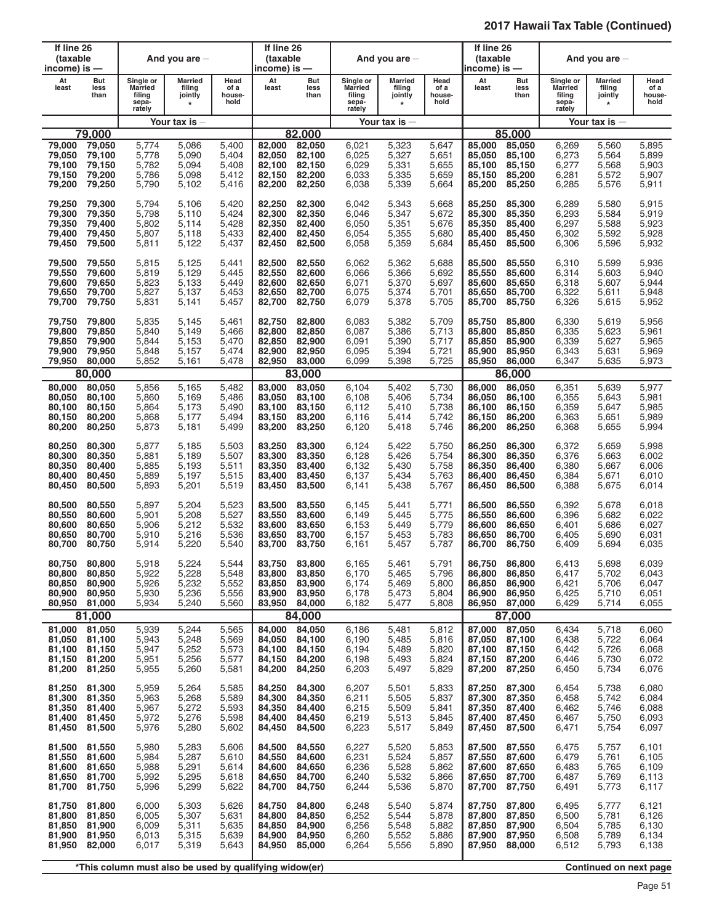| If line 26<br>(taxable<br>income) is —                |                                      |                                                          | And you are $-$                                |                                           | If line 26<br>(taxable<br>income) is —         |                                                |                                                          | And you are $-$                           |                                           | If line 26<br>(taxable<br>income) is — |                                                       |                                                          | And you are $-$                           |                                           |
|-------------------------------------------------------|--------------------------------------|----------------------------------------------------------|------------------------------------------------|-------------------------------------------|------------------------------------------------|------------------------------------------------|----------------------------------------------------------|-------------------------------------------|-------------------------------------------|----------------------------------------|-------------------------------------------------------|----------------------------------------------------------|-------------------------------------------|-------------------------------------------|
| At<br>least                                           | But<br>less<br>than                  | Single or<br><b>Married</b><br>filing<br>sepa-<br>rately | <b>Married</b><br>filing<br>jointly<br>$\star$ | Head<br>of a<br>house-<br>hold            | At<br>least                                    | But<br>less<br>than                            | Single or<br><b>Married</b><br>filing<br>sepa-<br>rately | Married<br>filing<br>jointly<br>$\star$   | Head<br>of a<br>house-<br>hold            | At<br>least                            | But<br>less<br>than                                   | Single or<br><b>Married</b><br>filing<br>sepa-<br>rately | Married<br>filing<br>jointly<br>$\star$   | Head<br>of a<br>house-<br>hold            |
|                                                       |                                      |                                                          | Your tax is                                    |                                           |                                                |                                                |                                                          | Your tax is $-$                           |                                           |                                        |                                                       |                                                          | Your tax is $-$                           |                                           |
| 79,000                                                | 79.000<br>79,050                     | 5,774                                                    |                                                | 5.400                                     | 82,000                                         | 82.000<br>82,050                               |                                                          | 5,323                                     |                                           | 85.000                                 | 85.000<br>85,050                                      |                                                          |                                           | 5,895                                     |
| 79,050<br>79,100<br>79,150<br>79,200                  | 79,100<br>79,150<br>79,200<br>79,250 | 5,778<br>5,782<br>5,786<br>5,790                         | 5,086<br>5,090<br>5,094<br>5,098<br>5,102      | 5,404<br>5,408<br>5,412<br>5,416          | 82,050<br>82,100<br>82,150<br>82,200           | 82,100<br>82,150<br>82,200<br>82,250           | 6,021<br>6,025<br>6,029<br>6,033<br>6,038                | 5,327<br>5,331<br>5,335<br>5,339          | 5,647<br>5,651<br>5,655<br>5,659<br>5,664 | 85,050<br>85,100<br>85.150<br>85,200   | 85,100<br>85,150<br>85,200<br>85,250                  | 6,269<br>6,273<br>6,277<br>6,281<br>6,285                | 5,560<br>5,564<br>5,568<br>5,572<br>5,576 | 5,899<br>5,903<br>5,907<br>5,911          |
| 79,250                                                | 79,300                               | 5,794                                                    | 5,106                                          | 5,420                                     | 82,250                                         | 82,300                                         | 6,042                                                    | 5,343                                     | 5,668                                     | 85,250                                 | 85,300                                                | 6,289                                                    | 5,580                                     | 5,915                                     |
| 79,300                                                | 79,350                               | 5,798                                                    | 5,110                                          | 5,424                                     | 82,300                                         | 82,350                                         | 6,046                                                    | 5,347                                     | 5,672                                     | 85,300                                 | 85,350                                                | 6,293                                                    | 5,584                                     | 5,919                                     |
| 79,350                                                | 79,400                               | 5,802                                                    | 5,114                                          | 5,428                                     | 82,350                                         | 82,400                                         | 6.050                                                    | 5,351                                     | 5,676                                     | 85,350                                 | 85,400                                                | 6,297                                                    | 5,588                                     | 5,923                                     |
| 79,400                                                | 79,450                               | 5,807                                                    | 5,118                                          | 5,433                                     | 82,400                                         | 82,450                                         | 6,054                                                    | 5,355                                     | 5,680                                     | 85,400                                 | 85,450                                                | 6,302                                                    | 5,592                                     | 5,928                                     |
| 79,450                                                | 79,500                               | 5,811                                                    | 5,122                                          | 5,437                                     | 82,450                                         | 82,500                                         | 6,058                                                    | 5,359                                     | 5,684                                     | 85,450                                 | 85,500                                                | 6,306                                                    | 5,596                                     | 5,932                                     |
| 79,500                                                | 79,550                               | 5,815                                                    | 5,125                                          | 5,441                                     | 82,500                                         | 82,550                                         | 6,062                                                    | 5,362                                     | 5,688                                     | 85,500                                 | 85,550                                                | 6,310                                                    | 5,599                                     | 5,936                                     |
| 79,550                                                | 79,600                               | 5,819                                                    | 5,129                                          | 5,445                                     | 82,550                                         | 82,600                                         | 6,066                                                    | 5,366                                     | 5,692                                     | 85,550                                 | 85,600                                                | 6,314                                                    | 5,603                                     | 5,940                                     |
| 79,600                                                | 79,650                               | 5,823                                                    | 5,133                                          | 5,449                                     | 82,600                                         | 82,650                                         | 6,071                                                    | 5,370                                     | 5,697                                     | 85,600                                 | 85,650                                                | 6,318                                                    | 5,607                                     | 5,944                                     |
| 79,650                                                | 79,700                               | 5,827                                                    | 5,137                                          | 5,453                                     | 82.650                                         | 82,700                                         | 6,075                                                    | 5,374                                     | 5,701                                     | 85,650                                 | 85,700                                                | 6,322                                                    | 5,611                                     | 5,948                                     |
| 79,700                                                | 79,750                               | 5,831                                                    | 5,141                                          | 5,457                                     | 82,700                                         | 82,750                                         | 6,079                                                    | 5,378                                     | 5,705                                     | 85,700                                 | 85,750                                                | 6,326                                                    | 5,615                                     | 5,952                                     |
| 79,750                                                | 79,800                               | 5,835                                                    | 5,145                                          | 5,461                                     | 82.750                                         | 82,800                                         | 6,083                                                    | 5,382                                     | 5,709                                     | 85,750                                 | 85,800                                                | 6,330                                                    | 5,619                                     | 5,956                                     |
| 79,800                                                | 79,850                               | 5,840                                                    | 5,149                                          | 5,466                                     | 82,800                                         | 82,850                                         | 6,087                                                    | 5,386                                     | 5,713                                     | 85,800                                 | 85,850                                                | 6,335                                                    | 5,623                                     | 5,961                                     |
| 79,850                                                | 79,900                               | 5,844                                                    | 5,153                                          | 5,470                                     | 82,850                                         | 82.900                                         | 6,091                                                    | 5,390                                     | 5,717                                     | 85,850                                 | 85,900                                                | 6,339                                                    | 5,627                                     | 5,965                                     |
| 79,900                                                | 79,950                               | 5,848                                                    | 5,157                                          | 5,474                                     | 82,900                                         | 82,950                                         | 6,095                                                    | 5,394                                     | 5,721                                     | 85,900                                 | 85,950                                                | 6,343                                                    | 5,631                                     | 5,969                                     |
| 79,950                                                | 80,000                               | 5,852                                                    | 5,161                                          | 5,478                                     | 82,950                                         | 83,000                                         | 6,099                                                    | 5,398                                     | 5,725                                     | 85,950                                 | 86,000                                                | 6,347                                                    | 5,635                                     | 5,973                                     |
|                                                       | 80,000                               |                                                          |                                                |                                           |                                                | 83,000                                         |                                                          |                                           |                                           |                                        | 86,000                                                |                                                          |                                           |                                           |
| 80,000                                                | 80,050                               | 5,856                                                    | 5,165                                          | 5,482                                     | 83,000                                         | 83,050                                         | 6,104                                                    | 5,402                                     | 5,730                                     | 86,000                                 | 86,050                                                | 6,351                                                    | 5,639                                     | 5,977                                     |
| 80,050                                                | 80,100                               | 5,860                                                    | 5,169                                          | 5,486                                     | 83,050                                         | 83,100                                         | 6,108                                                    | 5,406                                     | 5,734                                     | 86,050                                 | 86,100                                                | 6,355                                                    | 5,643                                     | 5,981                                     |
| 80,100                                                | 80,150                               | 5,864                                                    | 5,173                                          | 5,490                                     | 83,100                                         | 83,150                                         | 6,112                                                    | 5,410                                     | 5,738                                     | 86,100                                 | 86,150                                                | 6,359                                                    | 5,647                                     | 5,985                                     |
| 80,150                                                | 80,200                               | 5,868                                                    | 5,177                                          | 5,494                                     | 83,150                                         | 83,200                                         | 6,116                                                    | 5,414                                     | 5,742                                     | 86,150                                 | 86,200                                                | 6,363                                                    | 5,651                                     | 5,989                                     |
| 80,200                                                | 80,250                               | 5,873                                                    | 5,181                                          | 5,499                                     | 83,200                                         | 83,250                                         | 6,120                                                    | 5,418                                     | 5,746                                     | 86,200                                 | 86,250                                                | 6,368                                                    | 5,655                                     | 5,994                                     |
| 80,250                                                | 80,300                               | 5,877                                                    | 5,185                                          | 5,503                                     | 83,250                                         | 83,300                                         | 6,124                                                    | 5,422                                     | 5,750                                     | 86,250                                 | 86,300                                                | 6,372                                                    | 5,659                                     | 5,998                                     |
| 80,300                                                | 80,350                               | 5,881                                                    | 5,189                                          | 5,507                                     | 83,300                                         | 83,350                                         | 6,128                                                    | 5,426                                     | 5,754                                     | 86,300                                 | 86,350                                                | 6,376                                                    | 5,663                                     | 6,002                                     |
| 80,350                                                | 80,400                               | 5,885                                                    | 5,193                                          | 5,511                                     | 83,350                                         | 83,400                                         | 6,132                                                    | 5,430                                     | 5,758                                     | 86,350                                 | 86,400                                                | 6,380                                                    | 5,667                                     | 6,006                                     |
| 80,400                                                | 80,450                               | 5,889                                                    | 5,197                                          | 5,515                                     | 83,400                                         | 83,450                                         | 6,137                                                    | 5,434                                     | 5,763                                     | 86,400                                 | 86,450                                                | 6,384                                                    | 5,671                                     | 6,010                                     |
| 80,450                                                | 80,500                               | 5,893                                                    | 5,201                                          | 5,519                                     | 83,450                                         | 83,500                                         | 6,141                                                    | 5,438                                     | 5,767                                     | 86,450                                 | 86,500                                                | 6,388                                                    | 5,675                                     | 6,014                                     |
| 80,500                                                | 80,550                               | 5,897                                                    | 5,204                                          | 5,523                                     | 83,500                                         | 83,550                                         | 6,145                                                    | 5,441                                     | 5,771                                     | 86,500                                 | 86,550                                                | 6,392                                                    | 5,678                                     | 6,018                                     |
| 80,550                                                | 80,600                               | 5,901                                                    | 5,208                                          | 5,527                                     | 83,550                                         | 83,600                                         | 6,149                                                    | 5,445                                     | 5,775                                     | 86,550                                 | 86,600                                                | 6,396                                                    | 5,682                                     | 6,022                                     |
| 80,600                                                | 80,650                               | 5,906                                                    | 5,212                                          | 5,532                                     | 83,600                                         | 83,650                                         | 6,153                                                    | 5,449                                     | 5,779                                     | 86,600                                 | 86,650                                                | 6,401                                                    | 5,686                                     | 6,027                                     |
| 80,650                                                | 80,700                               | 5,910                                                    | 5,216                                          | 5,536                                     | 83,650                                         | 83,700                                         | 6,157                                                    | 5,453                                     | 5,783                                     | 86,650                                 | 86,700                                                | 6,405                                                    | 5,690                                     | 6,031                                     |
| 80,700                                                | 80,750                               | 5,914                                                    | 5,220                                          | 5,540                                     | 83,700                                         | 83,750                                         | 6.161                                                    | 5,457                                     | 5,787                                     | 86,700                                 | 86,750                                                | 6,409                                                    | 5,694                                     | 6,035                                     |
| 80,750<br>80,800<br>80,850<br>80,900<br>80,950 81,000 | 80,800<br>80,850<br>80,900<br>80,950 | 5,918<br>5,922<br>5,926<br>5,930<br>5,934                | 5,224<br>5,228<br>5,232<br>5,236<br>5,240      | 5,544<br>5,548<br>5,552<br>5,556<br>5,560 | 83,750<br>83,800<br>83,850<br>83,900<br>83,950 | 83,800<br>83,850<br>83,900<br>83,950<br>84,000 | 6,165<br>6,170<br>6,174<br>6,178<br>6,182                | 5,461<br>5,465<br>5,469<br>5,473<br>5,477 | 5,791<br>5,796<br>5,800<br>5,804<br>5,808 | 86,800<br>86,850<br>86,900<br>86,950   | 86,750 86,800<br>86,850<br>86,900<br>86,950<br>87,000 | 6,413<br>6,417<br>6,421<br>6,425<br>6,429                | 5,698<br>5,702<br>5,706<br>5,710<br>5,714 | 6,039<br>6,043<br>6,047<br>6,051<br>6,055 |
|                                                       | 81,000                               |                                                          |                                                |                                           |                                                | 84,000                                         |                                                          |                                           |                                           |                                        | 87,000                                                |                                                          |                                           |                                           |
| 81,000                                                | 81,050                               | 5,939                                                    | 5,244                                          | 5,565                                     | 84,000                                         | 84,050                                         | 6,186                                                    | 5,481                                     | 5,812                                     | 87,000                                 | 87,050                                                | 6,434                                                    | 5,718                                     | 6,060                                     |
| 81,050                                                | 81,100                               | 5,943                                                    | 5,248                                          | 5,569                                     | 84,050                                         | 84,100                                         | 6,190                                                    | 5,485                                     | 5,816                                     | 87,050                                 | 87,100                                                | 6,438                                                    | 5,722                                     | 6,064                                     |
| 81,100                                                | 81,150                               | 5,947                                                    | 5,252                                          | 5,573                                     | 84,100                                         | 84,150                                         | 6,194                                                    | 5,489                                     | 5,820                                     | 87,100                                 | 87,150                                                | 6,442                                                    | 5,726                                     | 6,068                                     |
| 81,150                                                | 81,200                               | 5,951                                                    | 5,256                                          | 5,577                                     | 84,150                                         | 84,200                                         | 6,198                                                    | 5,493                                     | 5,824                                     | 87,150                                 | 87,200                                                | 6,446                                                    | 5,730                                     | 6,072                                     |
| 81,200                                                | 81,250                               | 5,955                                                    | 5,260                                          | 5,581                                     | 84,200                                         | 84,250                                         | 6,203                                                    | 5,497                                     | 5,829                                     | 87,200                                 | 87,250                                                | 6,450                                                    | 5,734                                     | 6,076                                     |
| 81,250                                                | 81,300                               | 5,959                                                    | 5,264                                          | 5,585                                     | 84,250                                         | 84,300                                         | 6,207                                                    | 5,501                                     | 5,833                                     | 87,250                                 | 87,300                                                | 6,454                                                    | 5,738                                     | 6,080                                     |
| 81,300                                                | 81,350                               | 5,963                                                    | 5,268                                          | 5,589                                     | 84,300                                         | 84,350                                         | 6,211                                                    | 5,505                                     | 5,837                                     | 87,300                                 | 87,350                                                | 6,458                                                    | 5,742                                     | 6,084                                     |
| 81,350                                                | 81,400                               | 5,967                                                    | 5,272                                          | 5,593                                     | 84,350                                         | 84,400                                         | 6,215                                                    | 5,509                                     | 5,841                                     | 87,350                                 | 87,400                                                | 6,462                                                    | 5,746                                     | 6,088                                     |
| 81,400                                                | 81,450                               | 5,972                                                    | 5,276                                          | 5,598                                     | 84,400                                         | 84,450                                         | 6,219                                                    | 5,513                                     | 5,845                                     | 87,400                                 | 87,450                                                | 6,467                                                    | 5,750                                     | 6,093                                     |
| 81,450                                                | 81,500                               | 5,976                                                    | 5,280                                          | 5,602                                     | 84,450                                         | 84,500                                         | 6,223                                                    | 5,517                                     | 5,849                                     | 87,450                                 | 87,500                                                | 6,471                                                    | 5,754                                     | 6,097                                     |
| 81,500                                                | 81,550                               | 5,980                                                    | 5,283                                          | 5,606                                     | 84,500                                         | 84,550                                         | 6,227                                                    | 5,520                                     | 5,853                                     | 87,500                                 | 87,550                                                | 6,475                                                    | 5,757                                     | 6,101                                     |
| 81,550                                                | 81,600                               | 5,984                                                    | 5,287                                          | 5,610                                     | 84,550                                         | 84,600                                         | 6,231                                                    | 5,524                                     | 5,857                                     | 87,550                                 | 87,600                                                | 6,479                                                    | 5,761                                     | 6,105                                     |
| 81,600                                                | 81,650                               | 5,988                                                    | 5,291                                          | 5,614                                     | 84,600                                         | 84,650                                         | 6,236                                                    | 5,528                                     | 5,862                                     | 87,600                                 | 87,650                                                | 6,483                                                    | 5,765                                     | 6,109                                     |
| 81,650                                                | 81,700                               | 5,992                                                    | 5,295                                          | 5,618                                     | 84,650                                         | 84,700                                         | 6,240                                                    | 5,532                                     | 5,866                                     | 87,650                                 | 87,700                                                | 6,487                                                    | 5,769                                     | 6,113                                     |
| 81,700                                                | 81,750                               | 5,996                                                    | 5,299                                          | 5,622                                     | 84,700                                         | 84,750                                         | 6,244                                                    | 5,536                                     | 5,870                                     | 87,700                                 | 87,750                                                | 6,491                                                    | 5,773                                     | 6,117                                     |
| 81,750                                                | 81,800                               | 6,000                                                    | 5,303                                          | 5,626                                     | 84,750                                         | 84,800                                         | 6,248                                                    | 5,540                                     | 5,874                                     | 87,750                                 | 87,800                                                | 6,495                                                    | 5,777                                     | 6,121                                     |
| 81,800                                                | 81,850                               | 6,005                                                    | 5,307                                          | 5,631                                     | 84,800                                         | 84,850                                         | 6,252                                                    | 5,544                                     | 5,878                                     | 87,800                                 | 87,850                                                | 6,500                                                    | 5,781                                     | 6,126                                     |
| 81,850                                                | 81,900                               | 6,009                                                    | 5,311                                          | 5,635                                     | 84,850                                         | 84,900                                         | 6,256                                                    | 5,548                                     | 5,882                                     | 87,850                                 | 87,900                                                | 6,504                                                    | 5,785                                     | 6,130                                     |
| 81,900                                                | 81,950                               | 6,013                                                    | 5,315                                          | 5,639                                     | 84,900                                         | 84,950                                         | 6,260                                                    | 5,552                                     | 5,886                                     | 87,900                                 | 87,950                                                | 6,508                                                    | 5,789                                     | 6,134                                     |
| 81,950                                                | 82,000                               | 6,017                                                    | 5,319                                          | 5,643                                     | 84,950                                         | 85,000                                         | 6,264                                                    | 5,556                                     | 5,890                                     | 87,950                                 | 88,000                                                | 6,512                                                    | 5,793                                     | 6,138                                     |
|                                                       |                                      | *This column must also be used by qualifying widow(er)   |                                                |                                           |                                                |                                                |                                                          |                                           |                                           |                                        |                                                       |                                                          | Continued on next page                    |                                           |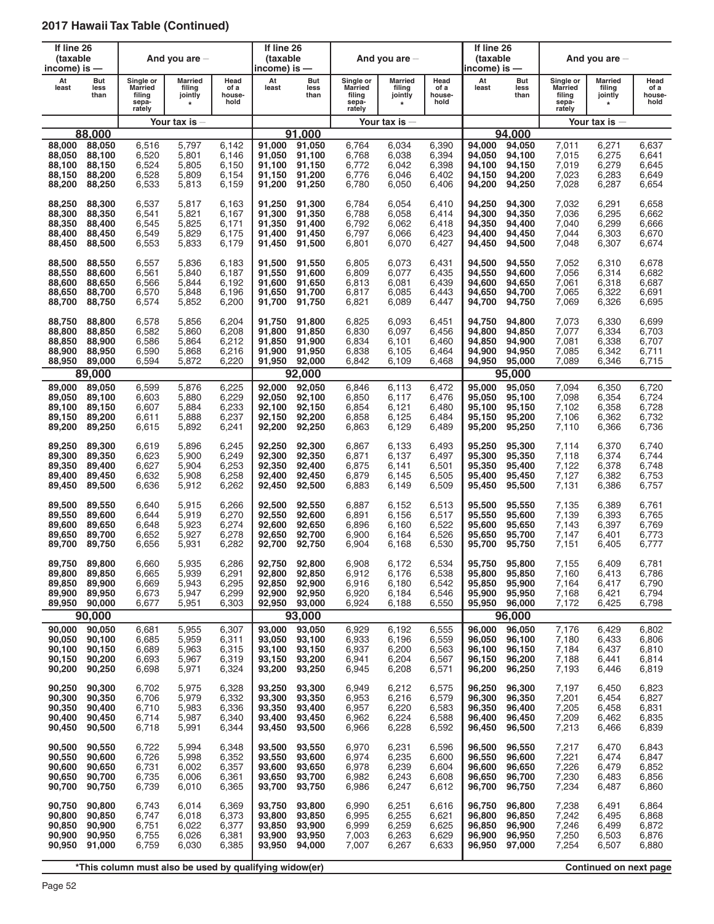| If line 26<br>(taxable<br>income) is $-$ |                     |                                                          | And you are $-$                                |                                | If line 26<br>(taxable<br>income) is — |                     |                                                          | And you are $-$                                |                                | If line 26<br>(taxable<br>income) is — |                     |                                                          | And you are $-$                         |                                |
|------------------------------------------|---------------------|----------------------------------------------------------|------------------------------------------------|--------------------------------|----------------------------------------|---------------------|----------------------------------------------------------|------------------------------------------------|--------------------------------|----------------------------------------|---------------------|----------------------------------------------------------|-----------------------------------------|--------------------------------|
| At<br>least                              | But<br>less<br>than | Single or<br><b>Married</b><br>filing<br>sepa-<br>rately | <b>Married</b><br>filing<br>jointly<br>$\star$ | Head<br>of a<br>house-<br>hold | At<br>least                            | But<br>less<br>than | Single or<br><b>Married</b><br>filing<br>sepa-<br>rately | <b>Married</b><br>filing<br>jointly<br>$\star$ | Head<br>of a<br>house-<br>hold | At<br>least                            | But<br>less<br>than | Single or<br><b>Married</b><br>filing<br>sepa-<br>rately | Married<br>filing<br>jointly<br>$\star$ | Head<br>of a<br>house-<br>hold |
|                                          |                     |                                                          | Your tax is $-$                                |                                |                                        |                     |                                                          | Your tax is $-$                                |                                |                                        |                     |                                                          | Your tax is $-$                         |                                |
|                                          | 88,000              |                                                          |                                                |                                |                                        | 91.000              |                                                          |                                                |                                |                                        | 94.000              |                                                          |                                         |                                |
| 88,000                                   | 88,050              | 6,516                                                    | 5,797                                          | 6,142                          | 91,000                                 | 91,050              | 6,764                                                    | 6,034                                          | 6,390                          | 94,000                                 | 94,050              | 7,011                                                    | 6,271                                   | 6,637                          |
| 88,050                                   | 88,100              | 6,520                                                    | 5,801                                          | 6,146                          | 91,050                                 | 91,100              | 6,768                                                    | 6,038                                          | 6,394                          | 94,050                                 | 94,100              | 7,015                                                    | 6,275                                   | 6,641                          |
| 88,100                                   | 88,150              | 6,524                                                    | 5,805                                          | 6,150                          | 91,100                                 | 91,150              | 6,772                                                    | 6,042                                          | 6,398                          | 94.100                                 | 94,150              | 7,019                                                    | 6,279                                   | 6,645                          |
| 88,150                                   | 88,200              | 6,528                                                    | 5,809                                          | 6,154                          | 91,150                                 | 91.200              | 6,776                                                    | 6,046                                          | 6,402                          | 94,150                                 | 94,200              | 7,023                                                    | 6,283                                   | 6,649                          |
| 88,200                                   | 88,250              | 6,533                                                    | 5,813                                          | 6,159                          | 91,200                                 | 91,250              | 6,780                                                    | 6,050                                          | 6,406                          | 94,200                                 | 94,250              | 7,028                                                    | 6,287                                   | 6,654                          |
| 88,250                                   | 88,300              | 6,537                                                    | 5,817                                          | 6,163                          | 91,250                                 | 91,300              | 6,784                                                    | 6,054                                          | 6,410                          | 94,250                                 | 94,300              | 7,032                                                    | 6,291                                   | 6,658                          |
| 88,300                                   | 88,350              | 6,541                                                    | 5,821                                          | 6,167                          | 91,300                                 | 91,350              | 6,788                                                    | 6,058                                          | 6,414                          | 94,300                                 | 94,350              | 7,036                                                    | 6,295                                   | 6,662                          |
| 88,350                                   | 88,400              | 6,545                                                    | 5,825                                          | 6,171                          | 91,350                                 | 91,400              | 6,792                                                    | 6,062                                          | 6,418                          | 94,350                                 | 94,400              | 7,040                                                    | 6,299                                   | 6,666                          |
| 88,400                                   | 88,450              | 6,549                                                    | 5,829                                          | 6,175                          | 91,400                                 | 91,450              | 6,797                                                    | 6,066                                          | 6,423                          | 94,400                                 | 94,450              | 7,044                                                    | 6,303                                   | 6,670                          |
| 88,450                                   | 88,500              | 6,553                                                    | 5,833                                          | 6,179                          | 91,450                                 | 91,500              | 6,801                                                    | 6,070                                          | 6,427                          | 94,450                                 | 94,500              | 7,048                                                    | 6,307                                   | 6,674                          |
| 88,500                                   | 88,550              | 6,557                                                    | 5,836                                          | 6,183                          | 91,500                                 | 91,550              | 6,805                                                    | 6.073                                          | 6,431                          | 94,500                                 | 94,550              | 7,052                                                    | 6,310                                   | 6,678                          |
| 88,550                                   | 88,600              | 6,561                                                    | 5,840                                          | 6,187                          | 91,550                                 | 91,600              | 6,809                                                    | 6,077                                          | 6,435                          | 94,550                                 | 94,600              | 7,056                                                    | 6,314                                   | 6,682                          |
| 88.600                                   | 88,650              | 6,566                                                    | 5,844                                          | 6,192                          | 91.600                                 | 91,650              | 6,813                                                    | 6,081                                          | 6,439                          | 94,600                                 | 94,650              | 7,061                                                    | 6,318                                   | 6,687                          |
| 88,650                                   | 88,700              | 6,570                                                    | 5,848                                          | 6,196                          | 91.650                                 | 91,700              | 6,817                                                    | 6,085                                          | 6,443                          | 94,650                                 | 94.700              | 7,065                                                    | 6,322                                   | 6,691                          |
| 88,700                                   | 88,750              | 6,574                                                    | 5,852                                          | 6,200                          | 91,700                                 | 91,750              | 6,821                                                    | 6,089                                          | 6,447                          | 94,700                                 | 94,750              | 7,069                                                    | 6,326                                   | 6,695                          |
| 88.750                                   | 88,800              | 6,578                                                    | 5,856                                          | 6,204                          | 91,750                                 | 91,800              | 6,825                                                    | 6,093                                          | 6,451                          | 94.750                                 | 94,800              | 7,073                                                    | 6,330                                   | 6,699                          |
| 88.800                                   | 88,850              | 6,582                                                    | 5,860                                          | 6,208                          | 91,800                                 | 91,850              | 6,830                                                    | 6,097                                          | 6,456                          | 94,800                                 | 94,850              | 7,077                                                    | 6,334                                   | 6,703                          |
| 88,850                                   | 88,900              | 6,586                                                    | 5,864                                          | 6,212                          | 91,850                                 | 91,900              | 6,834                                                    | 6,101                                          | 6,460                          | 94,850                                 | 94,900              | 7,081                                                    | 6,338                                   | 6,707                          |
| 88,900                                   | 88,950              | 6,590                                                    | 5,868                                          | 6,216                          | 91,900                                 | 91,950              | 6,838                                                    | 6,105                                          | 6,464                          | 94,900                                 | 94,950              | 7,085                                                    | 6,342                                   | 6,711                          |
| 88,950                                   | 89,000              | 6,594                                                    | 5,872                                          | 6,220                          | 91,950                                 | 92,000              | 6,842                                                    | 6,109                                          | 6,468                          | 94,950                                 | 95,000              | 7,089                                                    | 6,346                                   | 6,715                          |
|                                          | 89,000              |                                                          |                                                |                                |                                        | 92,000              |                                                          |                                                |                                |                                        | 95,000              |                                                          |                                         |                                |
| 89,000                                   | 89,050              | 6,599                                                    | 5,876                                          | 6,225                          | 92,000                                 | 92,050              | 6,846                                                    | 6,113                                          | 6,472                          | 95,000                                 | 95,050              | 7,094                                                    | 6,350                                   | 6,720                          |
| 89,050                                   | 89,100              | 6,603                                                    | 5,880                                          | 6,229                          | 92,050                                 | 92,100              | 6,850                                                    | 6,117                                          | 6,476                          | 95,050                                 | 95,100              | 7,098                                                    | 6,354                                   | 6,724                          |
| 89,100                                   | 89,150              | 6,607                                                    | 5,884                                          | 6,233                          | 92,100                                 | 92,150              | 6,854                                                    | 6,121                                          | 6,480                          | 95,100                                 | 95,150              | 7,102                                                    | 6,358                                   | 6,728                          |
| 89,150                                   | 89,200              | 6,611                                                    | 5,888                                          | 6,237                          | 92,150                                 | 92,200              | 6,858                                                    | 6,125                                          | 6,484                          | 95,150                                 | 95,200              | 7,106                                                    | 6,362                                   | 6,732                          |
| 89,200                                   | 89,250              | 6,615                                                    | 5,892                                          | 6,241                          | 92,200                                 | 92,250              | 6,863                                                    | 6,129                                          | 6,489                          | 95,200                                 | 95,250              | 7,110                                                    | 6,366                                   | 6,736                          |
| 89,250                                   | 89,300              | 6,619                                                    | 5,896                                          | 6,245                          | 92,250                                 | 92,300              | 6,867                                                    | 6,133                                          | 6,493                          | 95,250                                 | 95,300              | 7,114                                                    | 6,370                                   | 6,740                          |
| 89,300                                   | 89,350              | 6,623                                                    | 5,900                                          | 6,249                          | 92,300                                 | 92,350              | 6,871                                                    | 6,137                                          | 6,497                          | 95,300                                 | 95,350              | 7,118                                                    | 6,374                                   | 6,744                          |
| 89,350                                   | 89,400              | 6,627                                                    | 5,904                                          | 6,253                          | 92,350                                 | 92,400              | 6,875                                                    | 6,141                                          | 6,501                          | 95,350                                 | 95,400              | 7,122                                                    | 6,378                                   | 6,748                          |
| 89,400                                   | 89,450              | 6,632                                                    | 5,908                                          | 6,258                          | 92,400                                 | 92,450              | 6,879                                                    | 6,145                                          | 6,505                          | 95,400                                 | 95,450              | 7,127                                                    | 6,382                                   | 6,753                          |
| 89,450                                   | 89,500              | 6,636                                                    | 5,912                                          | 6,262                          | 92,450                                 | 92,500              | 6,883                                                    | 6,149                                          | 6,509                          | 95,450                                 | 95,500              | 7,131                                                    | 6,386                                   | 6,757                          |
| 89,500                                   | 89,550              | 6,640                                                    | 5,915                                          | 6,266                          | 92,500                                 | 92,550              | 6,887                                                    | 6,152                                          | 6,513                          | 95,500                                 | 95,550              | 7,135                                                    | 6,389                                   | 6,761                          |
| 89,550                                   | 89,600              | 6,644                                                    | 5,919                                          | 6,270                          | 92,550                                 | 92,600              | 6,891                                                    | 6.156                                          | 6,517                          | 95,550                                 | 95,600              | 7,139                                                    | 6,393                                   | 6,765                          |
| 89,600                                   | 89,650              | 6,648                                                    | 5,923                                          | 6,274                          | 92,600                                 | 92,650              | 6,896                                                    | 6,160                                          | 6,522                          | 95,600                                 | 95,650              | 7,143                                                    | 6,397                                   | 6,769                          |
| 89,650                                   | 89,700              | 6,652                                                    | 5,927                                          | 6,278                          | 92,650                                 | 92,700              | 6,900                                                    | 6,164                                          | 6,526                          | 95,650                                 | 95,700              | 7,147                                                    | 6,401                                   | 6,773                          |
| 89.700                                   | 89,750              | 6,656                                                    | 5,931                                          | 6,282                          | 92,700                                 | 92,750              | 6,904                                                    | 6,168                                          | 6,530                          | 95,700                                 | 95,750              | 7,151                                                    | 6,405                                   | 6,777                          |
| 89,750                                   | 89,800              | 6,660                                                    | 5,935                                          | 6,286                          | 92,750                                 | 92,800              | 6,908                                                    | 6,172                                          | 6,534                          | 95,750                                 | 95,800              | 7,155                                                    | 6,409                                   | 6,781                          |
| 89,800                                   | 89,850              | 6,665                                                    | 5,939                                          | 6,291                          | 92,800                                 | 92,850              | 6,912                                                    | 6,176                                          | 6,538                          | 95,800                                 | 95,850              | 7,160                                                    | 6,413                                   | 6,786                          |
| 89,850                                   | 89,900              | 6,669                                                    | 5,943                                          | 6,295                          | 92,850                                 | 92,900              | 6,916                                                    | 6,180                                          | 6,542                          | 95,850                                 | 95,900              | 7,164                                                    | 6,417                                   | 6,790                          |
| 89,900                                   | 89,950              | 6,673                                                    | 5,947                                          | 6,299                          | 92.900                                 | 92,950              | 6,920                                                    | 6,184                                          | 6,546                          | 95,900                                 | 95,950              | 7,168                                                    | 6,421                                   | 6,794                          |
| 89,950                                   | 90,000              | 6,677                                                    | 5,951                                          | 6,303                          | 92,950                                 | 93,000              | 6,924                                                    | 6,188                                          | 6,550                          | 95,950                                 | 96,000              | 7,172                                                    | 6,425                                   | 6,798                          |
|                                          | 90,000              |                                                          |                                                |                                |                                        | 93,000              |                                                          |                                                |                                |                                        | 96,000              |                                                          |                                         |                                |
| 90,000                                   | 90,050              | 6,681                                                    | 5,955                                          | 6,307                          | 93,000                                 | 93,050              | 6,929                                                    | 6,192                                          | 6,555                          | 96,000                                 | 96,050              | 7,176                                                    | 6,429                                   | 6,802                          |
| 90,050                                   | 90,100              | 6,685                                                    | 5,959                                          | 6,311                          | 93,050                                 | 93,100              | 6,933                                                    | 6,196                                          | 6,559                          | 96,050                                 | 96,100              | 7,180                                                    | 6,433                                   | 6,806                          |
| 90,100                                   | 90,150              | 6,689                                                    | 5,963                                          | 6,315                          | 93,100                                 | 93,150              | 6,937                                                    | 6,200                                          | 6,563                          | 96,100                                 | 96,150              | 7,184                                                    | 6,437                                   | 6,810                          |
| 90,150                                   | 90,200              | 6,693                                                    | 5,967                                          | 6,319                          | 93,150                                 | 93,200              | 6,941                                                    | 6,204                                          | 6,567                          | 96,150                                 | 96,200              | 7,188                                                    | 6,441                                   | 6,814                          |
| 90,200                                   | 90,250              | 6,698                                                    | 5,971                                          | 6,324                          | 93,200                                 | 93,250              | 6,945                                                    | 6,208                                          | 6,571                          | 96,200                                 | 96,250              | 7,193                                                    | 6,446                                   | 6,819                          |
| 90,250                                   | 90,300              | 6,702                                                    | 5,975                                          | 6,328                          | 93,250                                 | 93,300              | 6,949                                                    | 6,212                                          | 6,575                          | 96,250                                 | 96,300              | 7,197                                                    | 6,450                                   | 6,823                          |
| 90,300                                   | 90,350              | 6,706                                                    | 5,979                                          | 6,332                          | 93,300                                 | 93,350              | 6,953                                                    | 6,216                                          | 6,579                          | 96,300                                 | 96,350              | 7,201                                                    | 6,454                                   | 6,827                          |
| 90,350                                   | 90,400              | 6,710                                                    | 5,983                                          | 6,336                          | 93,350                                 | 93,400              | 6,957                                                    | 6,220                                          | 6,583                          | 96,350                                 | 96,400              | 7,205                                                    | 6,458                                   | 6,831                          |
| 90,400                                   | 90,450              | 6,714                                                    | 5,987                                          | 6,340                          | 93,400                                 | 93,450              | 6,962                                                    | 6,224                                          | 6,588                          | 96,400                                 | 96,450              | 7,209                                                    | 6,462                                   | 6,835                          |
| 90,450                                   | 90,500              | 6,718                                                    | 5,991                                          | 6,344                          | 93,450                                 | 93,500              | 6,966                                                    | 6,228                                          | 6,592                          | 96,450                                 | 96,500              | 7,213                                                    | 6,466                                   | 6,839                          |
| 90,500                                   | 90,550              | 6,722                                                    | 5,994                                          | 6,348                          | 93,500                                 | 93,550              | 6,970                                                    | 6,231                                          | 6,596                          | 96,500                                 | 96,550              | 7,217                                                    | 6,470                                   | 6,843                          |
| 90,550                                   | 90,600              | 6,726                                                    | 5,998                                          | 6,352                          | 93,550                                 | 93,600              | 6,974                                                    | 6,235                                          | 6,600                          | 96,550                                 | 96,600              | 7,221                                                    | 6,474                                   | 6,847                          |
| 90,600                                   | 90,650              | 6,731                                                    | 6,002                                          | 6,357                          | 93,600                                 | 93,650              | 6,978                                                    | 6,239                                          | 6,604                          | 96,600                                 | 96,650              | 7,226                                                    | 6,479                                   | 6,852                          |
| 90,650                                   | 90,700              | 6,735                                                    | 6,006                                          | 6,361                          | 93,650                                 | 93,700              | 6,982                                                    | 6,243                                          | 6,608                          | 96,650                                 | 96,700              | 7,230                                                    | 6,483                                   | 6,856                          |
| 90,700                                   | 90,750              | 6,739                                                    | 6,010                                          | 6,365                          | 93,700                                 | 93,750              | 6,986                                                    | 6,247                                          | 6,612                          | 96,700                                 | 96,750              | 7,234                                                    | 6,487                                   | 6,860                          |
| 90,750                                   | 90,800              | 6,743                                                    | 6,014                                          | 6,369                          | 93,750                                 | 93,800              | 6,990                                                    | 6,251                                          | 6,616                          | 96,750                                 | 96,800              | 7,238                                                    | 6,491                                   | 6,864                          |
| 90,800                                   | 90,850              | 6,747                                                    | 6,018                                          | 6,373                          | 93,800                                 | 93,850              | 6,995                                                    | 6,255                                          | 6,621                          | 96,800                                 | 96,850              | 7,242                                                    | 6,495                                   | 6,868                          |
| 90,850                                   | 90,900              | 6,751                                                    | 6,022                                          | 6,377                          | 93,850                                 | 93,900              | 6,999                                                    | 6,259                                          | 6,625                          | 96,850                                 | 96,900              | 7,246                                                    | 6,499                                   | 6,872                          |
| 90,900                                   | 90,950              | 6,755                                                    | 6,026                                          | 6,381                          | 93,900                                 | 93,950              | 7,003                                                    | 6,263                                          | 6,629                          | 96,900                                 | 96,950              | 7,250                                                    | 6,503                                   | 6,876                          |
| 90,950                                   | 91,000              | 6,759                                                    | 6,030                                          | 6,385                          | 93,950                                 | 94,000              | 7,007                                                    | 6,267                                          | 6,633                          | 96,950                                 | 97,000              | 7,254                                                    | 6,507                                   | 6,880                          |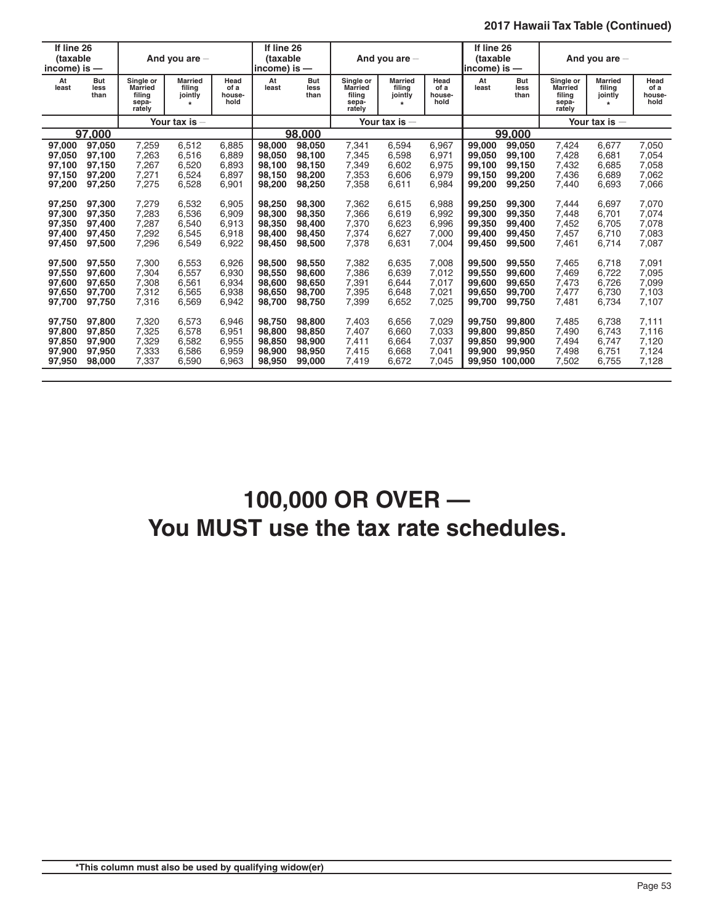| If line 26<br>(taxable<br>income) is $-$ |                     | And you are $-$                                          |                                                | If line 26<br>(taxable<br>$ income\rangle$ is $-$ |             | And you are $-$            |                                                          |                                     | If line 26<br>(taxable<br>lincome) is — |             | And you are $-$     |                                                   |                                                |                                |
|------------------------------------------|---------------------|----------------------------------------------------------|------------------------------------------------|---------------------------------------------------|-------------|----------------------------|----------------------------------------------------------|-------------------------------------|-----------------------------------------|-------------|---------------------|---------------------------------------------------|------------------------------------------------|--------------------------------|
| At<br>least                              | But<br>less<br>than | Single or<br><b>Married</b><br>filina<br>sepa-<br>rately | <b>Married</b><br>filing<br>jointly<br>$\star$ | Head<br>of a<br>house-<br>hold                    | At<br>least | <b>But</b><br>less<br>than | Single or<br><b>Married</b><br>filina<br>sepa-<br>rately | <b>Married</b><br>filing<br>jointly | Head<br>of a<br>house-<br>hold          | At<br>least | But<br>less<br>than | Single or<br>Married<br>filina<br>sepa-<br>rately | <b>Married</b><br>filing<br>jointly<br>$\star$ | Head<br>of a<br>house-<br>hold |
|                                          |                     |                                                          | Your tax is -                                  |                                                   |             |                            |                                                          | Your tax is $-$                     |                                         |             |                     |                                                   | Your tax is $-$                                |                                |
|                                          | 97.000              |                                                          |                                                |                                                   |             | 98.000                     |                                                          |                                     |                                         |             | 99.000              |                                                   |                                                |                                |
| 97,000                                   | 97,050              | 7,259                                                    | 6,512                                          | 6.885                                             | 98,000      | 98.050                     | 7,341                                                    | 6,594                               | 6,967                                   | 99,000      | 99.050              | 7,424                                             | 6.677                                          | 7,050                          |
| 97,050                                   | 97,100              | 7,263                                                    | 6,516                                          | 6.889                                             | 98.050      | 98.100                     | 7,345                                                    | 6.598                               | 6,971                                   | 99.050      | 99.100              | 7,428                                             | 6.681                                          | 7,054                          |
| 97,100                                   | 97,150              | 7.267                                                    | 6.520                                          | 6.893                                             | 98.100      | 98.150                     | 7.349                                                    | 6.602                               | 6.975                                   | 99.100      | 99.150              | 7,432                                             | 6.685                                          | 7,058                          |
| 97,150                                   | 97.200              | 7.271                                                    | 6.524                                          | 6.897                                             | 98.150      | 98.200                     | 7.353                                                    | 6.606                               | 6.979                                   | 99.150      | 99.200              | 7.436                                             | 6.689                                          | 7.062                          |
| 97,200                                   | 97,250              | 7,275                                                    | 6,528                                          | 6,901                                             | 98,200      | 98.250                     | 7,358                                                    | 6,611                               | 6,984                                   | 99,200      | 99,250              | 7,440                                             | 6,693                                          | 7,066                          |
| 97,250                                   | 97,300              | 7,279                                                    | 6,532                                          | 6,905                                             | 98,250      | 98,300                     | 7,362                                                    | 6.615                               | 6,988                                   | 99,250      | 99,300              | 7,444                                             | 6.697                                          | 7.070                          |
| 97,300                                   | 97,350              | 7,283                                                    | 6.536                                          | 6.909                                             | 98.300      | 98.350                     | 7,366                                                    | 6.619                               | 6,992                                   | 99.300      | 99.350              | 7,448                                             | 6.701                                          | 7.074                          |
| 97,350                                   | 97,400              | 7,287                                                    | 6,540                                          | 6,913                                             | 98,350      | 98,400                     | 7,370                                                    | 6,623                               | 6,996                                   | 99,350      | 99,400              | 7,452                                             | 6,705                                          | 7,078                          |
| 97,400                                   | 97,450              | 7,292                                                    | 6,545                                          | 6.918                                             | 98,400      | 98.450                     | 7,374                                                    | 6,627                               | 7,000                                   | 99.400      | 99.450              | 7,457                                             | 6.710                                          | 7,083                          |
| 97,450                                   | 97,500              | 7,296                                                    | 6,549                                          | 6,922                                             | 98.450      | 98.500                     | 7,378                                                    | 6,631                               | 7,004                                   | 99.450      | 99,500              | 7,461                                             | 6,714                                          | 7,087                          |
| 97,500                                   | 97,550              | 7.300                                                    | 6,553                                          | 6.926                                             | 98.500      | 98.550                     | 7.382                                                    | 6.635                               | 7.008                                   | 99.500      | 99.550              | 7.465                                             | 6.718                                          | 7,091                          |
| 97,550                                   | 97,600              | 7,304                                                    | 6,557                                          | 6.930                                             | 98.550      | 98,600                     | 7,386                                                    | 6.639                               | 7.012                                   | 99.550      | 99,600              | 7,469                                             | 6.722                                          | 7.095                          |
| 97,600                                   | 97,650              | 7,308                                                    | 6,561                                          | 6.934                                             | 98,600      | 98,650                     | 7,391                                                    | 6.644                               | 7,017                                   | 99.600      | 99.650              | 7,473                                             | 6.726                                          | 7.099                          |
| 97,650                                   | 97,700              | 7.312                                                    | 6.565                                          | 6.938                                             | 98.650      | 98.700                     | 7,395                                                    | 6.648                               | 7,021                                   | 99.650      | 99.700              | 7.477                                             | 6,730                                          | 7,103                          |
| 97,700                                   | 97.750              | 7,316                                                    | 6,569                                          | 6,942                                             | 98.700      | 98.750                     | 7.399                                                    | 6,652                               | 7.025                                   | 99.700      | 99.750              | 7.481                                             | 6.734                                          | 7.107                          |
| 97,750                                   | 97.800              | 7.320                                                    | 6.573                                          | 6.946                                             | 98.750      | 98,800                     | 7.403                                                    | 6.656                               | 7.029                                   | 99.750      | 99,800              | 7.485                                             | 6.738                                          | 7.111                          |
| 97,800                                   | 97,850              | 7,325                                                    | 6,578                                          | 6,951                                             | 98,800      | 98,850                     | 7,407                                                    | 6,660                               | 7,033                                   | 99,800      | 99,850              | 7,490                                             | 6,743                                          | 7,116                          |
| 97,850                                   | 97,900              | 7,329                                                    | 6,582                                          | 6,955                                             | 98,850      | 98,900                     | 7,411                                                    | 6,664                               | 7,037                                   | 99,850      | 99,900              | 7,494                                             | 6,747                                          | 7,120                          |
| 97,900                                   | 97,950              | 7,333                                                    | 6,586                                          | 6,959                                             | 98,900      | 98.950                     | 7,415                                                    | 6,668                               | 7,041                                   | 99,900      | 99,950              | 7,498                                             | 6,751                                          | 7,124                          |
| 97,950                                   | 98,000              | 7,337                                                    | 6,590                                          | 6,963                                             | 98,950      | 99,000                     | 7,419                                                    | 6,672                               | 7,045                                   | 99,950      | 100,000             | 7,502                                             | 6,755                                          | 7,128                          |

# **100,000 OR OVER — You MUST use the tax rate schedules.**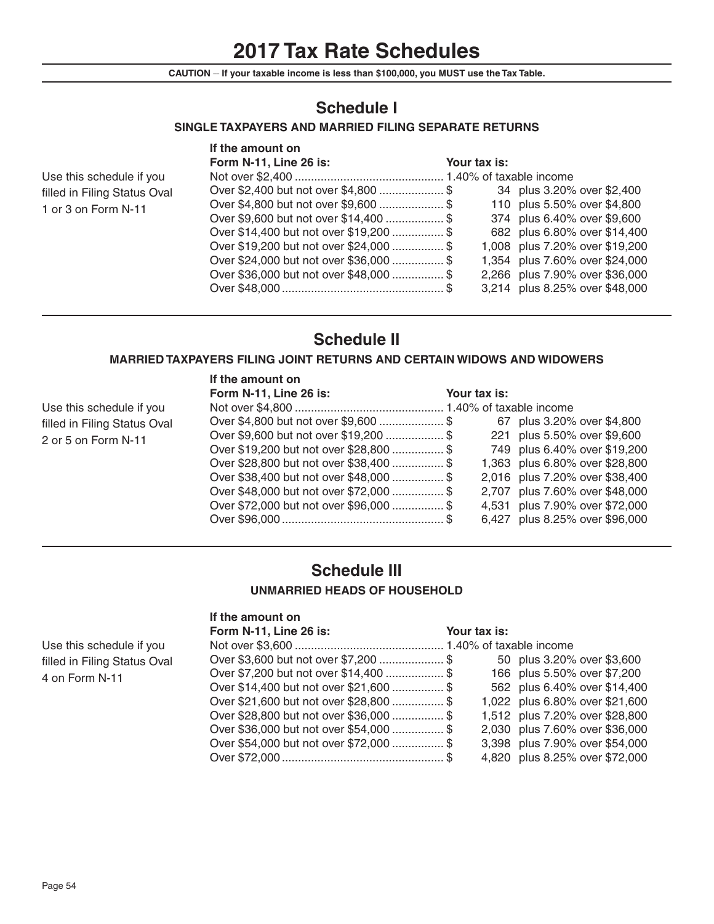# **2017 Tax Rate Schedules**

**CAUTION \_\_ If your taxable income is less than \$100,000, you MUST use the Tax Table.**

# **Schedule I**

### **SINGLE TAXPAYERS AND MARRIED FILING SEPARATE RETURNS**

|                              | If the amount on                        |              |                                |
|------------------------------|-----------------------------------------|--------------|--------------------------------|
|                              | Form N-11, Line 26 is:                  | Your tax is: |                                |
| Use this schedule if you     |                                         |              |                                |
| filled in Filing Status Oval |                                         |              | 34 plus 3.20% over \$2,400     |
| 1 or 3 on Form N-11          | Over \$4,800 but not over \$9,600  \$   |              | 110 plus 5.50% over \$4,800    |
|                              | Over \$9,600 but not over \$14,400  \$  |              | 374 plus 6.40% over \$9,600    |
|                              | Over \$14,400 but not over \$19,200  \$ |              | 682 plus 6.80% over \$14,400   |
|                              | Over \$19,200 but not over \$24,000  \$ |              | 1,008 plus 7.20% over \$19,200 |
|                              | Over \$24,000 but not over \$36,000  \$ |              | 1,354 plus 7.60% over \$24,000 |
|                              | Over \$36,000 but not over \$48,000  \$ |              | 2,266 plus 7.90% over \$36,000 |
|                              |                                         |              | 3,214 plus 8.25% over \$48,000 |

# **Schedule II**

### **MARRIED TAXPAYERS FILING JOINT RETURNS AND CERTAIN WIDOWS AND WIDOWERS**

|                              | If the amount on                        |              |                                |
|------------------------------|-----------------------------------------|--------------|--------------------------------|
|                              | Form N-11, Line 26 is:                  | Your tax is: |                                |
| Use this schedule if you     |                                         |              |                                |
| filled in Filing Status Oval | Over \$4,800 but not over \$9,600  \$   |              | 67 plus 3.20% over \$4,800     |
| 2 or 5 on Form N-11          | Over \$9,600 but not over \$19,200  \$  |              | 221 plus 5.50% over \$9,600    |
|                              | Over \$19,200 but not over \$28,800  \$ |              | 749 plus 6.40% over \$19,200   |
|                              | Over \$28,800 but not over \$38,400  \$ |              | 1,363 plus 6.80% over \$28,800 |
|                              | Over \$38,400 but not over \$48,000  \$ |              | 2,016 plus 7.20% over \$38,400 |
|                              | Over \$48,000 but not over \$72,000  \$ |              | 2,707 plus 7.60% over \$48,000 |
|                              | Over \$72,000 but not over \$96,000  \$ |              | 4,531 plus 7.90% over \$72,000 |
|                              |                                         |              | 6,427 plus 8.25% over \$96,000 |

# **Schedule III UNMARRIED HEADS OF HOUSEHOLD**

# **If the amount on**

| Form N-11, Line 26 is:                  | Your tax is: |                                |
|-----------------------------------------|--------------|--------------------------------|
|                                         |              |                                |
| Over \$3,600 but not over \$7,200  \$   |              | 50 plus 3.20% over \$3,600     |
| Over \$7,200 but not over \$14,400  \$  |              | 166 plus 5.50% over \$7,200    |
| Over \$14,400 but not over \$21,600  \$ |              | 562 plus 6.40% over \$14,400   |
| Over \$21,600 but not over \$28,800  \$ |              | 1,022 plus 6.80% over \$21,600 |
| Over \$28,800 but not over \$36,000  \$ |              | 1,512 plus 7.20% over \$28,800 |
| Over \$36,000 but not over \$54,000  \$ |              | 2,030 plus 7.60% over \$36,000 |
| Over \$54,000 but not over \$72,000  \$ |              | 3,398 plus 7.90% over \$54,000 |
|                                         |              | 4,820 plus 8.25% over \$72,000 |
|                                         |              |                                |

Use this schedule if you filled in Filing Status Oval 4 on Form N-11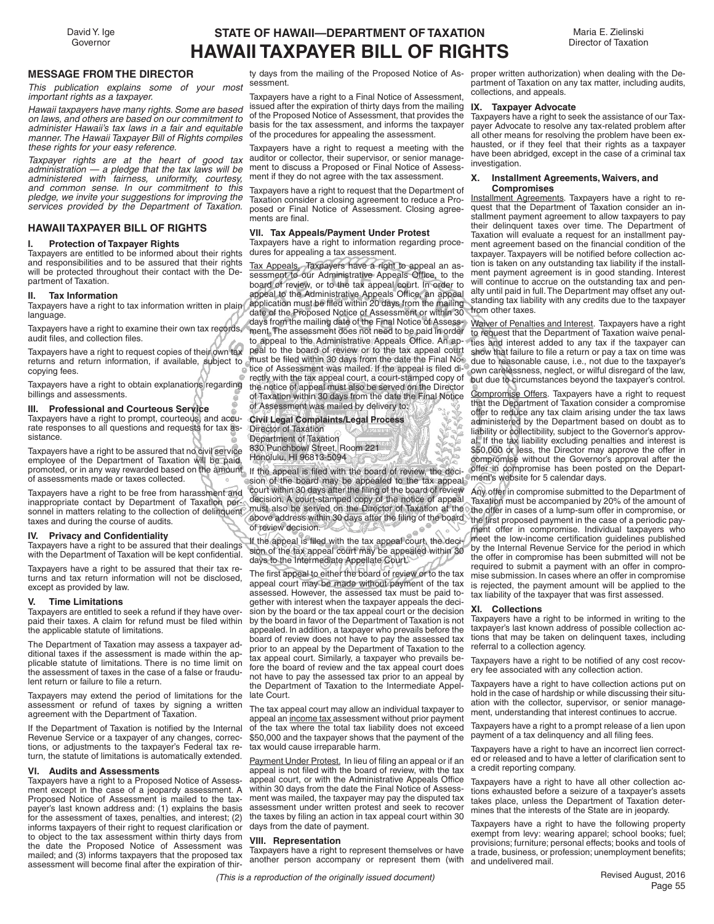David Y. Ige Governor

# **STATE OF HAWAII—DEPARTMENT OF TAXATION HAWAII TAXPAYER BILL OF RIGHTS**

Maria E. Zielinski Director of Taxation

### **MESSAGE FROM THE DIRECTOR**

*This publication explains some of your most important rights as a taxpayer.*

*Hawaii taxpayers have many rights. Some are based on laws, and others are based on our commitment to administer Hawaii's tax laws in a fair and equitable manner. The Hawaii Taxpayer Bill of Rights compiles these rights for your easy reference.*

*Taxpayer rights are at the heart of good tax administration — a pledge that the tax laws will be administered with fairness, uniformity, courtesy, and common sense. In our commitment to this pledge, we invite your suggestions for improving the services provided by the Department of Taxation.*

#### **HAWAII TAXPAYER BILL OF RIGHTS**

#### **I. Protection of Taxpayer Rights**

Taxpayers are entitled to be informed about their rights and responsibilities and to be assured that their rights will be protected throughout their contact with the Department of Taxation.

#### **II. Tax Information**

Taxpayers have a right to tax information written in plain language.

Taxpayers have a right to examine their own tax records, audit files, and collection files.

Taxpayers have a right to request copies of their own tax returns and return information, if available, subject to copying fees.

Taxpayers have a right to obtain explanations regarding billings and assessments.

#### **III. Professional and Courteous Service**

Taxpayers have a right to prompt, courteous, and accurate responses to all questions and requests for tax assistance.

Taxpayers have a right to be assured that no civil service employee of the Department of Taxation will be paid, promoted, or in any way rewarded based on the amount. If the appeal is filed with the board of review, the deciof assessments made or taxes collected.

Taxpayers have a right to be free from harassment and inappropriate contact by Department of Taxation personnel in matters relating to the collection of delinquent must also be served on the Director of Taxation at the taxes and during the course of audits.

#### **IV.** Privacy and Confidentiality

Taxpayers have a right to be assured that their dealings with the Department of Taxation will be kept confidential.

Taxpayers have a right to be assured that their tax returns and tax return information will not be disclosed, except as provided by law.

#### **V. Time Limitations**

Taxpayers are entitled to seek a refund if they have overpaid their taxes. A claim for refund must be filed within the applicable statute of limitations.

The Department of Taxation may assess a taxpayer additional taxes if the assessment is made within the applicable statute of limitations. There is no time limit on the assessment of taxes in the case of a false or fraudulent return or failure to file a return.

Taxpayers may extend the period of limitations for the assessment or refund of taxes by signing a written agreement with the Department of Taxation.

If the Department of Taxation is notified by the Internal Revenue Service or a taxpayer of any changes, corrections, or adjustments to the taxpayer's Federal tax return, the statute of limitations is automatically extended.

### **VI. Audits and Assessments**

Taxpayers have a right to a Proposed Notice of Assessment except in the case of a jeopardy assessment. A Proposed Notice of Assessment is mailed to the taxpayer's last known address and: (1) explains the basis for the assessment of taxes, penalties, and interest; (2) informs taxpayers of their right to request clarification or to object to the tax assessment within thirty days from the date the Proposed Notice of Assessment was mailed; and (3) informs taxpayers that the proposed tax assessment will become final after the expiration of thir-

ty days from the mailing of the Proposed Notice of Assessment.

Taxpayers have a right to a Final Notice of Assessment, issued after the expiration of thirty days from the mailing of the Proposed Notice of Assessment, that provides the basis for the tax assessment, and informs the taxpayer of the procedures for appealing the assessment.

Taxpayers have a right to request a meeting with the auditor or collector, their supervisor, or senior management to discuss a Proposed or Final Notice of Assessment if they do not agree with the tax assessment.

Taxpayers have a right to request that the Department of Taxation consider a closing agreement to reduce a Proposed or Final Notice of Assessment. Closing agreements are final.

#### **VII. Tax Appeals/Payment Under Protest**

Taxpayers have a right to information regarding procedures for appealing a tax assessment.

Tax Appeals. Taxpayers have a right to appeal an assessment to our Administrative Appeals Office, to the board of review, or to the tax appeal court. In order to appeal to the Administrative Appeals Office, an appeal application must be filed within 20 days from the mailing date of the Proposed Notice of Assessment or within 30 days from the mailing date of the Final Notice of Assessment. The assessment does not need to be paid in order to appeal to the Administrative Appeals Office. An appeal to the board of review or to the tax appeal court must be filed within 30 days from the date the Final Notice of Assessment was mailed. If the appeal is filed directly with the tax appeal court, a court-stamped copy of the notice of appeal must also be served on the Director of Taxation within 30 days from the date the Final Notice of Assessment was mailed by delivery to:

**Civil Legal Complaints/Legal Process** Director of Taxation Department of Taxation 830 Punchbowl Street, Room 221 Honolulu, HI 96813-5094

sion of the board may be appealed to the tax appeal ment's website for 5 calendar days. court within 30 days after the filing of the board of review decision. A court-stamped copy of the notice of appeal of review decision.  $e^{\Theta^2}$ 

If the appeal is filed with the tax appeal court, the decision of the tax appeal court may be appealed within 30 days to the Intermediate Appellate Court.

The first appeal to either the board of review or to the tax appeal court may be made without payment of the tax assessed. However, the assessed tax must be paid together with interest when the taxpayer appeals the decision by the board or the tax appeal court or the decision by the board in favor of the Department of Taxation is not appealed. In addition, a taxpayer who prevails before the board of review does not have to pay the assessed tax prior to an appeal by the Department of Taxation to the tax appeal court. Similarly, a taxpayer who prevails before the board of review and the tax appeal court does not have to pay the assessed tax prior to an appeal by the Department of Taxation to the Intermediate Appellate Court.

The tax appeal court may allow an individual taxpayer to appeal an income tax assessment without prior payment of the tax where the total tax liability does not exceed \$50,000 and the taxpayer shows that the payment of the tax would cause irreparable harm.

Payment Under Protest. In lieu of filing an appeal or if an appeal is not filed with the board of review, with the tax appeal court, or with the Administrative Appeals Office within 30 days from the date the Final Notice of Assessment was mailed, the taxpayer may pay the disputed tax assessment under written protest and seek to recover the taxes by filing an action in tax appeal court within 30 days from the date of payment.

#### **VIII. Representation**

Taxpayers have a right to represent themselves or have another person accompany or represent them (with

proper written authorization) when dealing with the Department of Taxation on any tax matter, including audits, collections, and appeals.

#### **IX. Taxpayer Advocate**

Taxpayers have a right to seek the assistance of our Taxpayer Advocate to resolve any tax-related problem after all other means for resolving the problem have been exhausted, or if they feel that their rights as a taxpayer have been abridged, except in the case of a criminal tax investigation.

#### **X. Installment Agreements, Waivers, and Compromises**

Installment Agreements. Taxpayers have a right to request that the Department of Taxation consider an installment payment agreement to allow taxpayers to pay their delinquent taxes over time. The Department of Taxation will evaluate a request for an installment payment agreement based on the financial condition of the taxpayer. Taxpayers will be notified before collection action is taken on any outstanding tax liability if the installment payment agreement is in good standing. Interest will continue to accrue on the outstanding tax and penalty until paid in full. The Department may offset any outstanding tax liability with any credits due to the taxpayer from other taxes.

Waiver of Penalties and Interest. Taxpayers have a right to request that the Department of Taxation waive penalties and interest added to any tax if the taxpayer can show that failure to file a return or pay a tax on time was due to reasonable cause, i.e., not due to the taxpayer's own carelessness, neglect, or wilful disregard of the law, but due to circumstances beyond the taxpayer's control.

Compromise Offers. Taxpayers have a right to request that the Department of Taxation consider a compromise offer to reduce any tax claim arising under the tax laws administered by the Department based on doubt as to liability or collectibility, subject to the Governor's approval. If the tax liability excluding penalties and interest is \$50,000 or less, the Director may approve the offer in compromise without the Governor's approval after the offer in compromise has been posted on the Depart-

above address within 30 days after the filing of the board. The first proposed payment in the case of a periodic pay-Any offer in compromise submitted to the Department of Taxation must be accompanied by 20% of the amount of the offer in cases of a lump-sum offer in compromise, or ment offer in compromise. Individual taxpayers who meet the low-income certification guidelines published by the Internal Revenue Service for the period in which the offer in compromise has been submitted will not be required to submit a payment with an offer in compromise submission. In cases where an offer in compromise is rejected, the payment amount will be applied to the tax liability of the taxpayer that was first assessed.

#### **XI. Collections**

Taxpayers have a right to be informed in writing to the taxpayer's last known address of possible collection actions that may be taken on delinquent taxes, including referral to a collection agency.

Taxpayers have a right to be notified of any cost recovery fee associated with any collection action.

Taxpayers have a right to have collection actions put on hold in the case of hardship or while discussing their situation with the collector, supervisor, or senior management, understanding that interest continues to accrue.

Taxpayers have a right to a prompt release of a lien upon payment of a tax delinquency and all filing fees.

Taxpayers have a right to have an incorrect lien corrected or released and to have a letter of clarification sent to a credit reporting company.

Taxpayers have a right to have all other collection actions exhausted before a seizure of a taxpayer's assets takes place, unless the Department of Taxation determines that the interests of the State are in jeopardy.

Taxpayers have a right to have the following property exempt from levy: wearing apparel; school books; fuel; provisions; furniture; personal effects; books and tools of a trade, business, or profession; unemployment benefits; and undelivered mail.